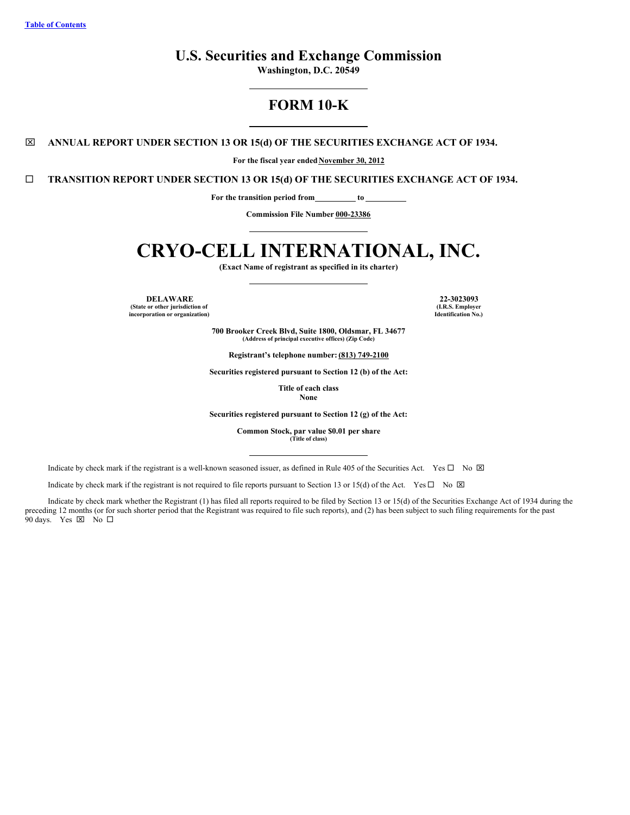# **U.S. Securities and Exchange Commission**

**Washington, D.C. 20549**

# **FORM 10-K**

x **ANNUAL REPORT UNDER SECTION 13 OR 15(d) OF THE SECURITIES EXCHANGE ACT OF 1934.**

**For the fiscal year ended November 30, 2012**

¨ **TRANSITION REPORT UNDER SECTION 13 OR 15(d) OF THE SECURITIES EXCHANGE ACT OF 1934.**

**For the transition period from to**

**Commission File Number 000-23386**

# **CRYO-CELL INTERNATIONAL, INC.**

**(Exact Name of registrant as specified in its charter)**

**DELAWARE 22-3023093 (State or other jurisdiction of incorporation or organization)**

**(I.R.S. Employer Identification No.)**

**700 Brooker Creek Blvd, Suite 1800, Oldsmar, FL 34677 (Address of principal executive offices) (Zip Code)**

**Registrant's telephone number:(813) 749-2100**

**Securities registered pursuant to Section 12 (b) of the Act:**

**Title of each class None**

**Securities registered pursuant to Section 12 (g) of the Act:**

**Common Stock, par value \$0.01 per share (Title of class)**

Indicate by check mark if the registrant is a well-known seasoned issuer, as defined in Rule 405 of the Securities Act. Yes  $\Box$  No  $\boxtimes$ 

Indicate by check mark if the registrant is not required to file reports pursuant to Section 13 or 15(d) of the Act. Yes  $\Box$  No  $\boxtimes$ 

Indicate by check mark whether the Registrant (1) has filed all reports required to be filed by Section 13 or 15(d) of the Securities Exchange Act of 1934 during the preceding 12 months (or for such shorter period that the Registrant was required to file such reports), and (2) has been subject to such filing requirements for the past 90 days. Yes  $\boxtimes$  No  $\square$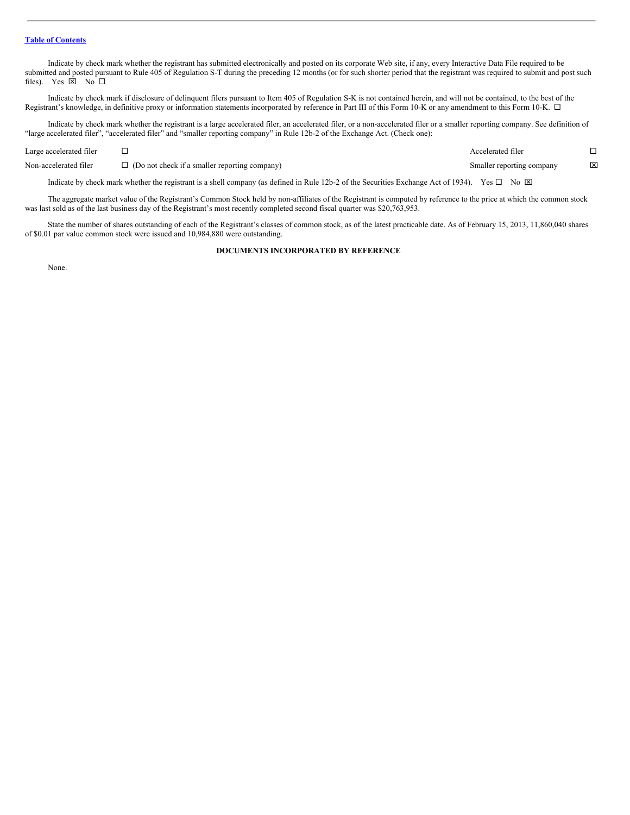# **Table of [Contents](#page-2-0)**

Indicate by check mark whether the registrant has submitted electronically and posted on its corporate Web site, if any, every Interactive Data File required to be submitted and posted pursuant to Rule 405 of Regulation S-T during the preceding 12 months (or for such shorter period that the registrant was required to submit and post such files). Yes  $\overline{\boxtimes}$  No  $\Box$ 

Indicate by check mark if disclosure of delinquent filers pursuant to Item 405 of Regulation S-K is not contained herein, and will not be contained, to the best of the Registrant's knowledge, in definitive proxy or information statements incorporated by reference in Part III of this Form 10-K or any amendment to this Form 10-K.  $\Box$ 

Indicate by check mark whether the registrant is a large accelerated filer, an accelerated filer, or a non-accelerated filer or a smaller reporting company. See definition of "large accelerated filer", "accelerated filer" and "smaller reporting company" in Rule 12b-2 of the Exchange Act. (Check one):

Large accelerated filer  $\Box$ Non-accelerated filer □ (Do not check if a smaller reporting company) Smaller reporting company × Smaller reporting company × XI

Indicate by check mark whether the registrant is a shell company (as defined in Rule 12b-2 of the Securities Exchange Act of 1934). Yes  $\square$  No  $\boxtimes$ 

The aggregate market value of the Registrant's Common Stock held by non-affiliates of the Registrant is computed by reference to the price at which the common stock was last sold as of the last business day of the Registrant's most recently completed second fiscal quarter was \$20,763,953.

State the number of shares outstanding of each of the Registrant's classes of common stock, as of the latest practicable date. As of February 15, 2013, 11,860,040 shares of \$0.01 par value common stock were issued and 10,984,880 were outstanding.

# **DOCUMENTS INCORPORATED BY REFERENCE**

None.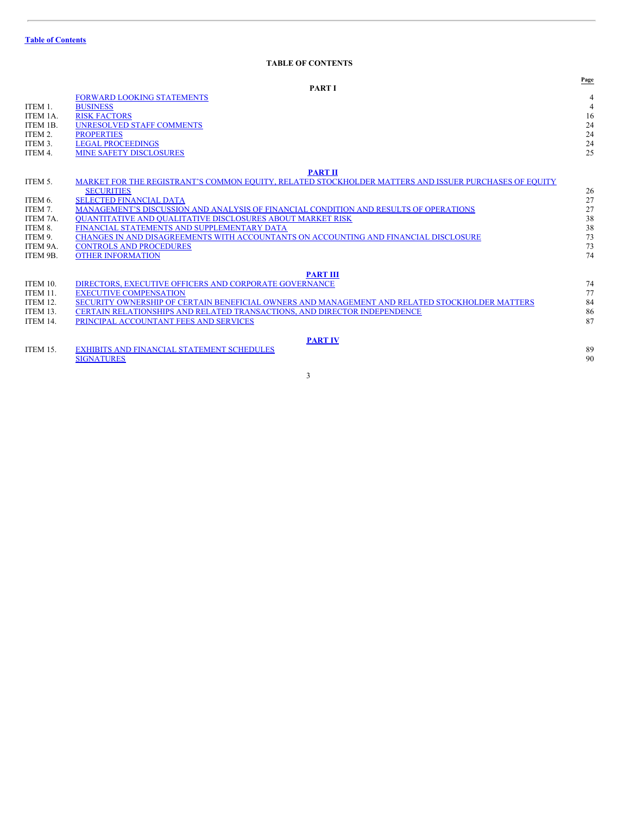# <span id="page-2-0"></span>**TABLE OF CONTENTS**

|                     | <b>PARTI</b>                                                                                                                        | Page     |
|---------------------|-------------------------------------------------------------------------------------------------------------------------------------|----------|
|                     | <b>FORWARD LOOKING STATEMENTS</b>                                                                                                   |          |
| ITEM 1.<br>ITEM 1A. | <b>BUSINESS</b><br><b>RISK FACTORS</b>                                                                                              | 4<br>16  |
| ITEM 1B.            | <b>UNRESOLVED STAFF COMMENTS</b>                                                                                                    | 24       |
| ITEM 2.             | <b>PROPERTIES</b>                                                                                                                   | 24       |
| ITEM 3.             | <b>LEGAL PROCEEDINGS</b>                                                                                                            | 24       |
| ITEM 4.             | <b>MINE SAFETY DISCLOSURES</b>                                                                                                      | 25       |
|                     | <b>PART II</b>                                                                                                                      |          |
| ITEM 5.             | MARKET FOR THE REGISTRANT'S COMMON EQUITY, RELATED STOCKHOLDER MATTERS AND ISSUER PURCHASES OF EQUITY                               |          |
|                     | <b>SECURITIES</b>                                                                                                                   | 26       |
| ITEM 6.             | <b>SELECTED FINANCIAL DATA</b>                                                                                                      | 27       |
| ITEM 7.             | MANAGEMENT'S DISCUSSION AND ANALYSIS OF FINANCIAL CONDITION AND RESULTS OF OPERATIONS                                               | 27       |
| ITEM 7A.            | <b>OUANTITATIVE AND OUALITATIVE DISCLOSURES ABOUT MARKET RISK</b>                                                                   | 38<br>38 |
| ITEM 8.<br>ITEM 9.  | FINANCIAL STATEMENTS AND SUPPLEMENTARY DATA<br>CHANGES IN AND DISAGREEMENTS WITH ACCOUNTANTS ON ACCOUNTING AND FINANCIAL DISCLOSURE | 73       |
| ITEM 9A.            | <b>CONTROLS AND PROCEDURES</b>                                                                                                      | 73       |
| ITEM 9B.            | <b>OTHER INFORMATION</b>                                                                                                            | 74       |
|                     |                                                                                                                                     |          |
|                     | <b>PART III</b>                                                                                                                     |          |
| ITEM 10.            | DIRECTORS. EXECUTIVE OFFICERS AND CORPORATE GOVERNANCE                                                                              | 74       |
| ITEM 11.            | <b>EXECUTIVE COMPENSATION</b>                                                                                                       | 77       |
| ITEM 12.            | SECURITY OWNERSHIP OF CERTAIN BENEFICIAL OWNERS AND MANAGEMENT AND RELATED STOCKHOLDER MATTERS                                      | 84       |
| ITEM 13.            | CERTAIN RELATIONSHIPS AND RELATED TRANSACTIONS, AND DIRECTOR INDEPENDENCE                                                           | 86<br>87 |
| ITEM 14.            | PRINCIPAL ACCOUNTANT FEES AND SERVICES                                                                                              |          |
|                     | <b>PART IV</b>                                                                                                                      |          |
| ITEM 15.            | <b>EXHIBITS AND FINANCIAL STATEMENT SCHEDULES</b>                                                                                   | 89       |
|                     | <b>SIGNATURES</b>                                                                                                                   | 90       |
|                     |                                                                                                                                     |          |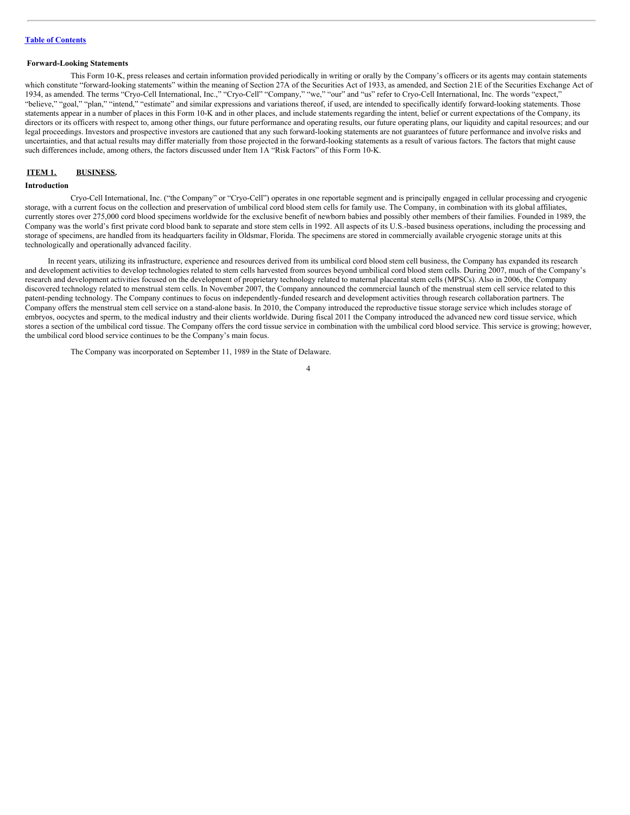#### <span id="page-3-0"></span>**Forward-Looking Statements**

This Form 10-K, press releases and certain information provided periodically in writing or orally by the Company's officers or its agents may contain statements which constitute "forward-looking statements" within the meaning of Section 27A of the Securities Act of 1933, as amended, and Section 21E of the Securities Exchange Act of 1934, as amended. The terms "Cryo-Cell International, Inc.," "Cryo-Cell" "Company," "we," "our" and "us" refer to Cryo-Cell International, Inc. The words "expect," "believe," "goal," "plan," "intend," "estimate" and similar expressions and variations thereof, if used, are intended to specifically identify forward-looking statements. Those statements appear in a number of places in this Form 10-K and in other places, and include statements regarding the intent, belief or current expectations of the Company, its directors or its officers with respect to, among other things, our future performance and operating results, our future operating plans, our liquidity and capital resources; and our legal proceedings. Investors and prospective investors are cautioned that any such forward-looking statements are not guarantees of future performance and involve risks and uncertainties, and that actual results may differ materially from those projected in the forward-looking statements as a result of various factors. The factors that might cause such differences include, among others, the factors discussed under Item 1A "Risk Factors" of this Form 10-K.

# <span id="page-3-1"></span>**ITEM 1. BUSINESS.**

# **Introduction**

Cryo-Cell International, Inc. ("the Company" or "Cryo-Cell") operates in one reportable segment and is principally engaged in cellular processing and cryogenic storage, with a current focus on the collection and preservation of umbilical cord blood stem cells for family use. The Company, in combination with its global affiliates, currently stores over 275,000 cord blood specimens worldwide for the exclusive benefit of newborn babies and possibly other members of their families. Founded in 1989, the Company was the world's first private cord blood bank to separate and store stem cells in 1992. All aspects of its U.S.-based business operations, including the processing and storage of specimens, are handled from its headquarters facility in Oldsmar, Florida. The specimens are stored in commercially available cryogenic storage units at this technologically and operationally advanced facility.

In recent years, utilizing its infrastructure, experience and resources derived from its umbilical cord blood stem cell business, the Company has expanded its research and development activities to develop technologies related to stem cells harvested from sources beyond umbilical cord blood stem cells. During 2007, much of the Company's research and development activities focused on the development of proprietary technology related to maternal placental stem cells (MPSCs). Also in 2006, the Company discovered technology related to menstrual stem cells. In November 2007, the Company announced the commercial launch of the menstrual stem cell service related to this patent-pending technology. The Company continues to focus on independently-funded research and development activities through research collaboration partners. The Company offers the menstrual stem cell service on a stand-alone basis. In 2010, the Company introduced the reproductive tissue storage service which includes storage of embryos, oocyctes and sperm, to the medical industry and their clients worldwide. During fiscal 2011 the Company introduced the advanced new cord tissue service, which stores a section of the umbilical cord tissue. The Company offers the cord tissue service in combination with the umbilical cord blood service. This service is growing; however, the umbilical cord blood service continues to be the Company's main focus.

The Company was incorporated on September 11, 1989 in the State of Delaware.

<sup>4</sup>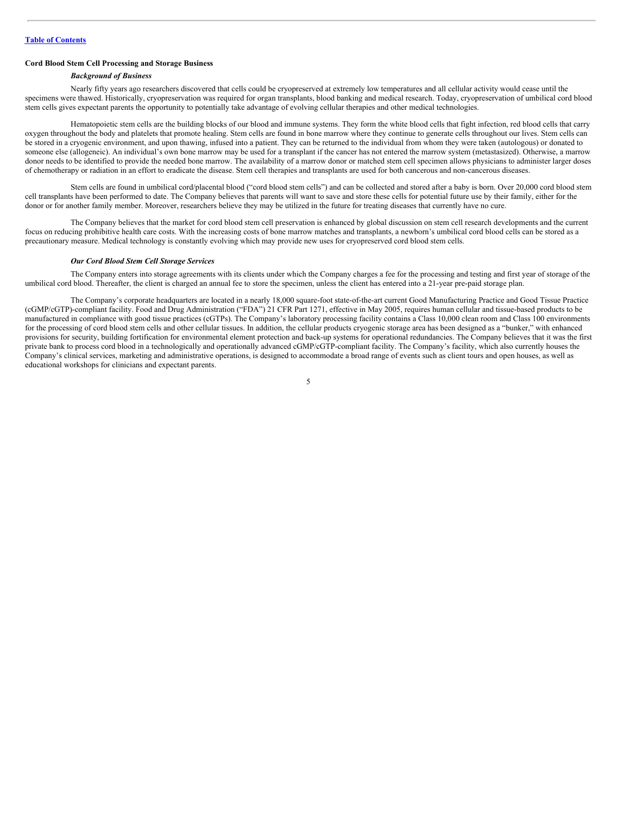# **Cord Blood Stem Cell Processing and Storage Business**

#### *Background of Business*

Nearly fifty years ago researchers discovered that cells could be cryopreserved at extremely low temperatures and all cellular activity would cease until the specimens were thawed. Historically, cryopreservation was required for organ transplants, blood banking and medical research. Today, cryopreservation of umbilical cord blood stem cells gives expectant parents the opportunity to potentially take advantage of evolving cellular therapies and other medical technologies.

Hematopoietic stem cells are the building blocks of our blood and immune systems. They form the white blood cells that fight infection, red blood cells that carry oxygen throughout the body and platelets that promote healing. Stem cells are found in bone marrow where they continue to generate cells throughout our lives. Stem cells can be stored in a cryogenic environment, and upon thawing, infused into a patient. They can be returned to the individual from whom they were taken (autologous) or donated to someone else (allogeneic). An individual's own bone marrow may be used for a transplant if the cancer has not entered the marrow system (metastasized). Otherwise, a marrow donor needs to be identified to provide the needed bone marrow. The availability of a marrow donor or matched stem cell specimen allows physicians to administer larger doses of chemotherapy or radiation in an effort to eradicate the disease. Stem cell therapies and transplants are used for both cancerous and non-cancerous diseases.

Stem cells are found in umbilical cord/placental blood ("cord blood stem cells") and can be collected and stored after a baby is born. Over 20,000 cord blood stem cell transplants have been performed to date. The Company believes that parents will want to save and store these cells for potential future use by their family, either for the donor or for another family member. Moreover, researchers believe they may be utilized in the future for treating diseases that currently have no cure.

The Company believes that the market for cord blood stem cell preservation is enhanced by global discussion on stem cell research developments and the current focus on reducing prohibitive health care costs. With the increasing costs of bone marrow matches and transplants, a newborn's umbilical cord blood cells can be stored as a precautionary measure. Medical technology is constantly evolving which may provide new uses for cryopreserved cord blood stem cells.

#### *Our Cord Blood Stem Cell Storage Services*

The Company enters into storage agreements with its clients under which the Company charges a fee for the processing and testing and first year of storage of the umbilical cord blood. Thereafter, the client is charged an annual fee to store the specimen, unless the client has entered into a 21-year pre-paid storage plan.

The Company's corporate headquarters are located in a nearly 18,000 square-foot state-of-the-art current Good Manufacturing Practice and Good Tissue Practice (cGMP/cGTP)-compliant facility. Food and Drug Administration ("FDA") 21 CFR Part 1271, effective in May 2005, requires human cellular and tissue-based products to be manufactured in compliance with good tissue practices (cGTPs). The Company's laboratory processing facility contains a Class 10,000 clean room and Class 100 environments for the processing of cord blood stem cells and other cellular tissues. In addition, the cellular products cryogenic storage area has been designed as a "bunker," with enhanced provisions for security, building fortification for environmental element protection and back-up systems for operational redundancies. The Company believes that it was the first private bank to process cord blood in a technologically and operationally advanced cGMP/cGTP-compliant facility. The Company's facility, which also currently houses the Company's clinical services, marketing and administrative operations, is designed to accommodate a broad range of events such as client tours and open houses, as well as educational workshops for clinicians and expectant parents.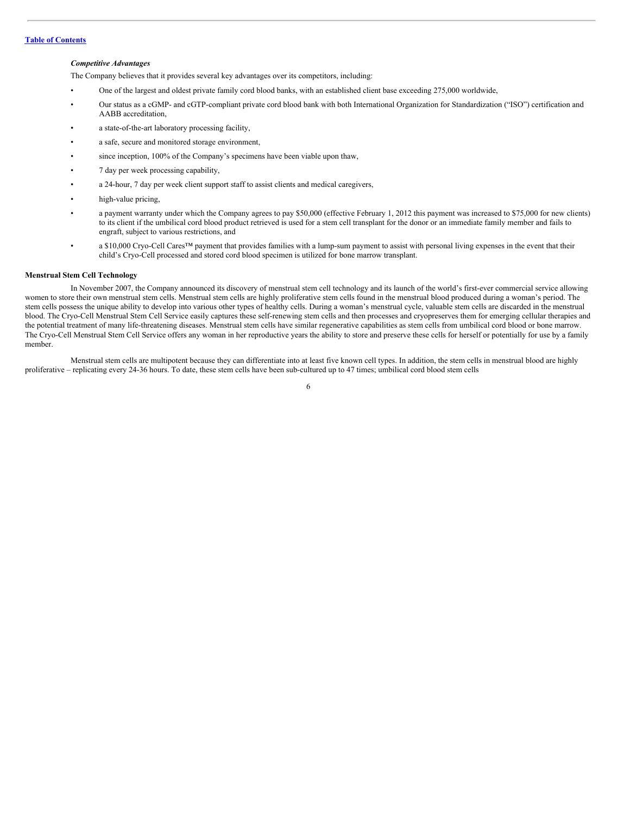#### *Competitive Advantages*

The Company believes that it provides several key advantages over its competitors, including:

- One of the largest and oldest private family cord blood banks, with an established client base exceeding 275,000 worldwide,
- Our status as a cGMP- and cGTP-compliant private cord blood bank with both International Organization for Standardization ("ISO") certification and AABB accreditation,
- a state-of-the-art laboratory processing facility,
- a safe, secure and monitored storage environment,
- since inception, 100% of the Company's specimens have been viable upon thaw,
- 7 day per week processing capability,
- a 24-hour, 7 day per week client support staff to assist clients and medical caregivers,
- high-value pricing,
- a payment warranty under which the Company agrees to pay \$50,000 (effective February 1, 2012 this payment was increased to \$75,000 for new clients) to its client if the umbilical cord blood product retrieved is used for a stem cell transplant for the donor or an immediate family member and fails to engraft, subject to various restrictions, and
- a \$10,000 Cryo-Cell Cares™ payment that provides families with a lump-sum payment to assist with personal living expenses in the event that their child's Cryo-Cell processed and stored cord blood specimen is utilized for bone marrow transplant.

#### **Menstrual Stem Cell Technology**

In November 2007, the Company announced its discovery of menstrual stem cell technology and its launch of the world's first-ever commercial service allowing women to store their own menstrual stem cells. Menstrual stem cells are highly proliferative stem cells found in the menstrual blood produced during a woman's period. The stem cells possess the unique ability to develop into various other types of healthy cells. During a woman's menstrual cycle, valuable stem cells are discarded in the menstrual blood. The Cryo-Cell Menstrual Stem Cell Service easily captures these self-renewing stem cells and then processes and cryopreserves them for emerging cellular therapies and the potential treatment of many life-threatening diseases. Menstrual stem cells have similar regenerative capabilities as stem cells from umbilical cord blood or bone marrow. The Cryo-Cell Menstrual Stem Cell Service offers any woman in her reproductive years the ability to store and preserve these cells for herself or potentially for use by a family member.

Menstrual stem cells are multipotent because they can differentiate into at least five known cell types. In addition, the stem cells in menstrual blood are highly proliferative – replicating every 24-36 hours. To date, these stem cells have been sub-cultured up to 47 times; umbilical cord blood stem cells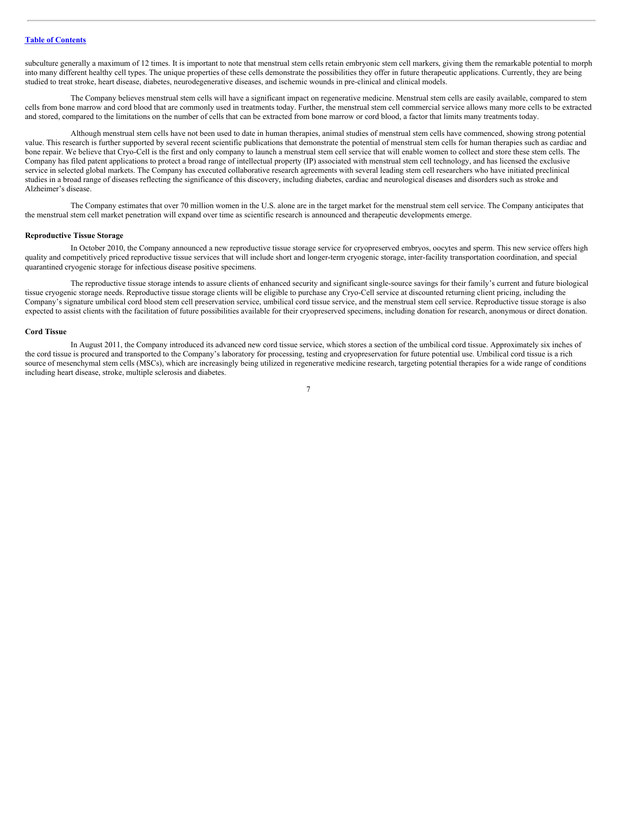subculture generally a maximum of 12 times. It is important to note that menstrual stem cells retain embryonic stem cell markers, giving them the remarkable potential to morph into many different healthy cell types. The unique properties of these cells demonstrate the possibilities they offer in future therapeutic applications. Currently, they are being studied to treat stroke, heart disease, diabetes, neurodegenerative diseases, and ischemic wounds in pre-clinical and clinical models.

The Company believes menstrual stem cells will have a significant impact on regenerative medicine. Menstrual stem cells are easily available, compared to stem cells from bone marrow and cord blood that are commonly used in treatments today. Further, the menstrual stem cell commercial service allows many more cells to be extracted and stored, compared to the limitations on the number of cells that can be extracted from bone marrow or cord blood, a factor that limits many treatments today.

Although menstrual stem cells have not been used to date in human therapies, animal studies of menstrual stem cells have commenced, showing strong potential value. This research is further supported by several recent scientific publications that demonstrate the potential of menstrual stem cells for human therapies such as cardiac and bone repair. We believe that Cryo-Cell is the first and only company to launch a menstrual stem cell service that will enable women to collect and store these stem cells. The Company has filed patent applications to protect a broad range of intellectual property (IP) associated with menstrual stem cell technology, and has licensed the exclusive service in selected global markets. The Company has executed collaborative research agreements with several leading stem cell researchers who have initiated preclinical studies in a broad range of diseases reflecting the significance of this discovery, including diabetes, cardiac and neurological diseases and disorders such as stroke and Alzheimer's disease.

The Company estimates that over 70 million women in the U.S. alone are in the target market for the menstrual stem cell service. The Company anticipates that the menstrual stem cell market penetration will expand over time as scientific research is announced and therapeutic developments emerge.

#### **Reproductive Tissue Storage**

In October 2010, the Company announced a new reproductive tissue storage service for cryopreserved embryos, oocytes and sperm. This new service offers high quality and competitively priced reproductive tissue services that will include short and longer-term cryogenic storage, inter-facility transportation coordination, and special quarantined cryogenic storage for infectious disease positive specimens.

The reproductive tissue storage intends to assure clients of enhanced security and significant single-source savings for their family's current and future biological tissue cryogenic storage needs. Reproductive tissue storage clients will be eligible to purchase any Cryo-Cell service at discounted returning client pricing, including the Company's signature umbilical cord blood stem cell preservation service, umbilical cord tissue service, and the menstrual stem cell service. Reproductive tissue storage is also expected to assist clients with the facilitation of future possibilities available for their cryopreserved specimens, including donation for research, anonymous or direct donation.

#### **Cord Tissue**

In August 2011, the Company introduced its advanced new cord tissue service, which stores a section of the umbilical cord tissue. Approximately six inches of the cord tissue is procured and transported to the Company's laboratory for processing, testing and cryopreservation for future potential use. Umbilical cord tissue is a rich source of mesenchymal stem cells (MSCs), which are increasingly being utilized in regenerative medicine research, targeting potential therapies for a wide range of conditions including heart disease, stroke, multiple sclerosis and diabetes.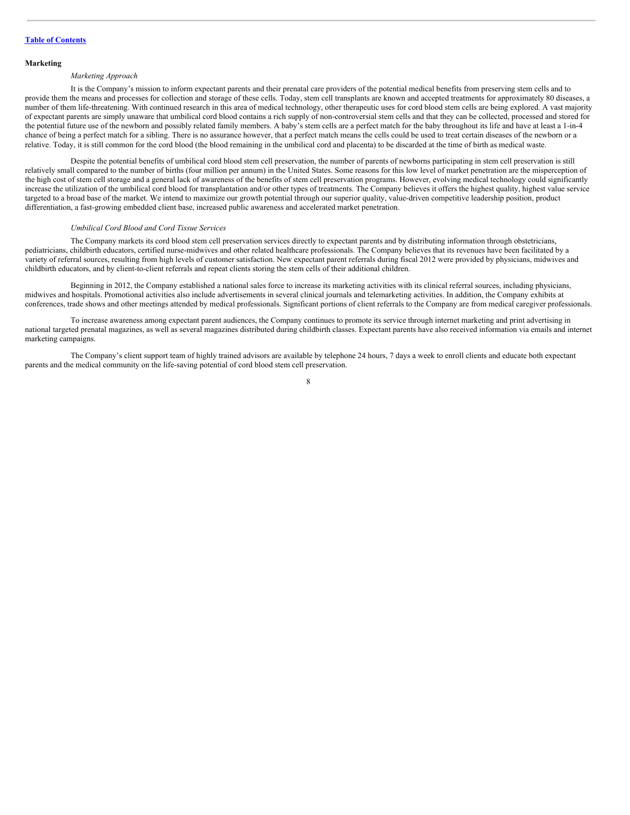#### **Marketing**

#### *Marketing Approach*

It is the Company's mission to inform expectant parents and their prenatal care providers of the potential medical benefits from preserving stem cells and to provide them the means and processes for collection and storage of these cells. Today, stem cell transplants are known and accepted treatments for approximately 80 diseases, a number of them life-threatening. With continued research in this area of medical technology, other therapeutic uses for cord blood stem cells are being explored. A vast majority of expectant parents are simply unaware that umbilical cord blood contains a rich supply of non-controversial stem cells and that they can be collected, processed and stored for the potential future use of the newborn and possibly related family members. A baby's stem cells are a perfect match for the baby throughout its life and have at least a 1-in-4 chance of being a perfect match for a sibling. There is no assurance however, that a perfect match means the cells could be used to treat certain diseases of the newborn or a relative. Today, it is still common for the cord blood (the blood remaining in the umbilical cord and placenta) to be discarded at the time of birth as medical waste.

Despite the potential benefits of umbilical cord blood stem cell preservation, the number of parents of newborns participating in stem cell preservation is still relatively small compared to the number of births (four million per annum) in the United States. Some reasons for this low level of market penetration are the misperception of the high cost of stem cell storage and a general lack of awareness of the benefits of stem cell preservation programs. However, evolving medical technology could significantly increase the utilization of the umbilical cord blood for transplantation and/or other types of treatments. The Company believes it offers the highest quality, highest value service targeted to a broad base of the market. We intend to maximize our growth potential through our superior quality, value-driven competitive leadership position, product differentiation, a fast-growing embedded client base, increased public awareness and accelerated market penetration.

#### *Umbilical Cord Blood and Cord Tissue Services*

The Company markets its cord blood stem cell preservation services directly to expectant parents and by distributing information through obstetricians, pediatricians, childbirth educators, certified nurse-midwives and other related healthcare professionals. The Company believes that its revenues have been facilitated by a variety of referral sources, resulting from high levels of customer satisfaction. New expectant parent referrals during fiscal 2012 were provided by physicians, midwives and childbirth educators, and by client-to-client referrals and repeat clients storing the stem cells of their additional children.

Beginning in 2012, the Company established a national sales force to increase its marketing activities with its clinical referral sources, including physicians, midwives and hospitals. Promotional activities also include advertisements in several clinical journals and telemarketing activities. In addition, the Company exhibits at conferences, trade shows and other meetings attended by medical professionals. Significant portions of client referrals to the Company are from medical caregiver professionals.

To increase awareness among expectant parent audiences, the Company continues to promote its service through internet marketing and print advertising in national targeted prenatal magazines, as well as several magazines distributed during childbirth classes. Expectant parents have also received information via emails and internet marketing campaigns.

The Company's client support team of highly trained advisors are available by telephone 24 hours, 7 days a week to enroll clients and educate both expectant parents and the medical community on the life-saving potential of cord blood stem cell preservation.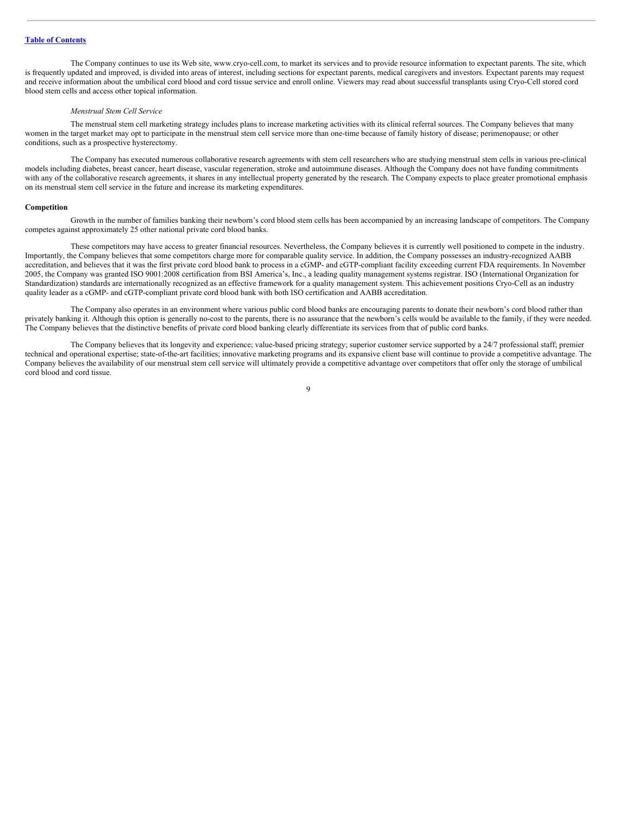The Company continues to use its Web site, www.cryo-cell.com, to market its services and to provide resource information to expectant parents. The site, which is frequently updated and improved, is divided into areas of interest, including sections for expectant parents, medical caregivers and investors. Expectant parents may request and receive information about the umbilical cord blood and cord tissue service and enroll online. Viewers may read about successful transplants using Cryo-Cell stored cord blood stem cells and access other topical information.

#### *Menstrual Stem Cell Service*

The menstrual stem cell marketing strategy includes plans to increase marketing activities with its clinical referral sources. The Company believes that many women in the target market may opt to participate in the menstrual stem cell service more than one-time because of family history of disease; perimenopause; or other conditions, such as a prospective hysterectomy.

The Company has executed numerous collaborative research agreements with stem cell researchers who are studying menstrual stem cells in various pre-clinical models including diabetes, breast cancer, heart disease, vascular regeneration, stroke and autoimmune diseases. Although the Company does not have funding commitments with any of the collaborative research agreements, it shares in any intellectual property generated by the research. The Company expects to place greater promotional emphasis on its menstrual stem cell service in the future and increase its marketing expenditures.

#### **Competition**

Growth in the number of families banking their newborn's cord blood stem cells has been accompanied by an increasing landscape of competitors. The Company competes against approximately 25 other national private cord blood banks.

These competitors may have access to greater financial resources. Nevertheless, the Company believes it is currently well positioned to compete in the industry. Importantly, the Company believes that some competitors charge more for comparable quality service. In addition, the Company possesses an industry-recognized AABB accreditation, and believes that it was the first private cord blood bank to process in a cGMP- and cGTP-compliant facility exceeding current FDA requirements. In November 2005, the Company was granted ISO 9001:2008 certification from BSI America's, Inc., a leading quality management systems registrar. ISO (International Organization for Standardization) standards are internationally recognized as an effective framework for a quality management system. This achievement positions Cryo-Cell as an industry quality leader as a cGMP- and cGTP-compliant private cord blood bank with both ISO certification and AABB accreditation.

The Company also operates in an environment where various public cord blood banks are encouraging parents to donate their newborn's cord blood rather than privately banking it. Although this option is generally no-cost to the parents, there is no assurance that the newborn's cells would be available to the family, if they were needed. The Company believes that the distinctive benefits of private cord blood banking clearly differentiate its services from that of public cord banks.

The Company believes that its longevity and experience; value-based pricing strategy; superior customer service supported by a 24/7 professional staff; premier technical and operational expertise; state-of-the-art facilities; innovative marketing programs and its expansive client base will continue to provide a competitive advantage. The Company believes the availability of our menstrual stem cell service will ultimately provide a competitive advantage over competitors that offer only the storage of umbilical cord blood and cord tissue.

 $\overline{Q}$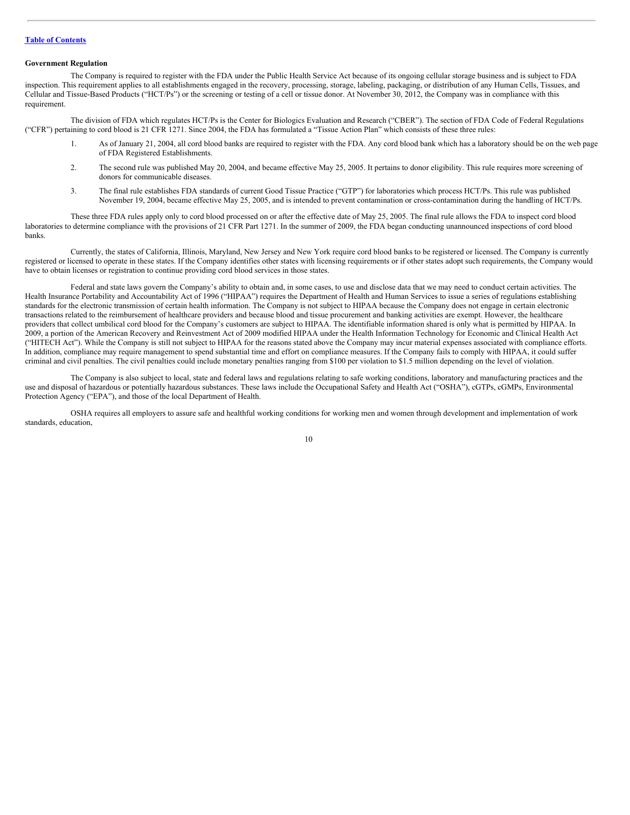# **Table of [Contents](#page-2-0)**

#### **Government Regulation**

The Company is required to register with the FDA under the Public Health Service Act because of its ongoing cellular storage business and is subject to FDA inspection. This requirement applies to all establishments engaged in the recovery, processing, storage, labeling, packaging, or distribution of any Human Cells, Tissues, and Cellular and Tissue-Based Products ("HCT/Ps") or the screening or testing of a cell or tissue donor. At November 30, 2012, the Company was in compliance with this requirement.

The division of FDA which regulates HCT/Ps is the Center for Biologics Evaluation and Research ("CBER"). The section of FDA Code of Federal Regulations ("CFR") pertaining to cord blood is 21 CFR 1271. Since 2004, the FDA has formulated a "Tissue Action Plan" which consists of these three rules:

- 1. As of January 21, 2004, all cord blood banks are required to register with the FDA. Any cord blood bank which has a laboratory should be on the web page of FDA Registered Establishments.
- 2. The second rule was published May 20, 2004, and became effective May 25, 2005. It pertains to donor eligibility. This rule requires more screening of donors for communicable diseases.
- 3. The final rule establishes FDA standards of current Good Tissue Practice ("GTP") for laboratories which process HCT/Ps. This rule was published November 19, 2004, became effective May 25, 2005, and is intended to prevent contamination or cross-contamination during the handling of HCT/Ps.

These three FDA rules apply only to cord blood processed on or after the effective date of May 25, 2005. The final rule allows the FDA to inspect cord blood laboratories to determine compliance with the provisions of 21 CFR Part 1271. In the summer of 2009, the FDA began conducting unannounced inspections of cord blood banks.

Currently, the states of California, Illinois, Maryland, New Jersey and New York require cord blood banks to be registered or licensed. The Company is currently registered or licensed to operate in these states. If the Company identifies other states with licensing requirements or if other states adopt such requirements, the Company would have to obtain licenses or registration to continue providing cord blood services in those states.

Federal and state laws govern the Company's ability to obtain and, in some cases, to use and disclose data that we may need to conduct certain activities. The Health Insurance Portability and Accountability Act of 1996 ("HIPAA") requires the Department of Health and Human Services to issue a series of regulations establishing standards for the electronic transmission of certain health information. The Company is not subject to HIPAA because the Company does not engage in certain electronic transactions related to the reimbursement of healthcare providers and because blood and tissue procurement and banking activities are exempt. However, the healthcare providers that collect umbilical cord blood for the Company's customers are subject to HIPAA. The identifiable information shared is only what is permitted by HIPAA. In 2009, a portion of the American Recovery and Reinvestment Act of 2009 modified HIPAA under the Health Information Technology for Economic and Clinical Health Act ("HITECH Act"). While the Company is still not subject to HIPAA for the reasons stated above the Company may incur material expenses associated with compliance efforts. In addition, compliance may require management to spend substantial time and effort on compliance measures. If the Company fails to comply with HIPAA, it could suffer criminal and civil penalties. The civil penalties could include monetary penalties ranging from \$100 per violation to \$1.5 million depending on the level of violation.

The Company is also subject to local, state and federal laws and regulations relating to safe working conditions, laboratory and manufacturing practices and the use and disposal of hazardous or potentially hazardous substances. These laws include the Occupational Safety and Health Act ("OSHA"), cGTPs, cGMPs, Environmental Protection Agency ("EPA"), and those of the local Department of Health.

OSHA requires all employers to assure safe and healthful working conditions for working men and women through development and implementation of work standards, education,

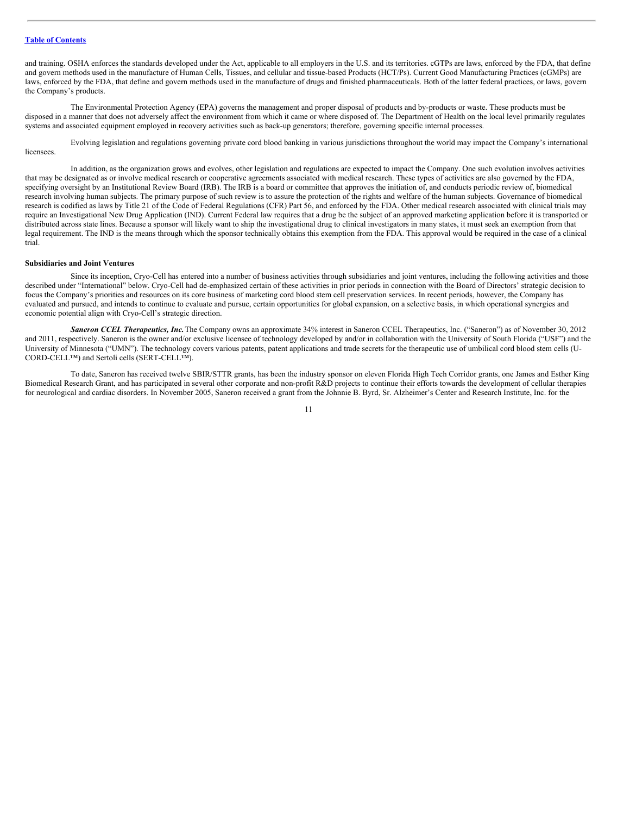## **Table of [Contents](#page-2-0)**

and training. OSHA enforces the standards developed under the Act, applicable to all employers in the U.S. and its territories. cGTPs are laws, enforced by the FDA, that define and govern methods used in the manufacture of Human Cells, Tissues, and cellular and tissue-based Products (HCT/Ps). Current Good Manufacturing Practices (cGMPs) are laws, enforced by the FDA, that define and govern methods used in the manufacture of drugs and finished pharmaceuticals. Both of the latter federal practices, or laws, govern the Company's products.

The Environmental Protection Agency (EPA) governs the management and proper disposal of products and by-products or waste. These products must be disposed in a manner that does not adversely affect the environment from which it came or where disposed of. The Department of Health on the local level primarily regulates systems and associated equipment employed in recovery activities such as back-up generators; therefore, governing specific internal processes.

Evolving legislation and regulations governing private cord blood banking in various jurisdictions throughout the world may impact the Company's international licensees.

In addition, as the organization grows and evolves, other legislation and regulations are expected to impact the Company. One such evolution involves activities that may be designated as or involve medical research or cooperative agreements associated with medical research. These types of activities are also governed by the FDA, specifying oversight by an Institutional Review Board (IRB). The IRB is a board or committee that approves the initiation of, and conducts periodic review of, biomedical research involving human subjects. The primary purpose of such review is to assure the protection of the rights and welfare of the human subjects. Governance of biomedical research is codified as laws by Title 21 of the Code of Federal Regulations (CFR) Part 56, and enforced by the FDA. Other medical research associated with clinical trials may require an Investigational New Drug Application (IND). Current Federal law requires that a drug be the subject of an approved marketing application before it is transported or distributed across state lines. Because a sponsor will likely want to ship the investigational drug to clinical investigators in many states, it must seek an exemption from that legal requirement. The IND is the means through which the sponsor technically obtains this exemption from the FDA. This approval would be required in the case of a clinical trial.

#### **Subsidiaries and Joint Ventures**

Since its inception, Cryo-Cell has entered into a number of business activities through subsidiaries and joint ventures, including the following activities and those described under "International" below. Cryo-Cell had de-emphasized certain of these activities in prior periods in connection with the Board of Directors' strategic decision to focus the Company's priorities and resources on its core business of marketing cord blood stem cell preservation services. In recent periods, however, the Company has evaluated and pursued, and intends to continue to evaluate and pursue, certain opportunities for global expansion, on a selective basis, in which operational synergies and economic potential align with Cryo-Cell's strategic direction.

*Saneron CCEL Therapeutics, Inc.*The Company owns an approximate 34% interest in Saneron CCEL Therapeutics, Inc. ("Saneron") as of November 30, 2012 and 2011, respectively. Saneron is the owner and/or exclusive licensee of technology developed by and/or in collaboration with the University of South Florida ("USF") and the University of Minnesota ("UMN"). The technology covers various patents, patent applications and trade secrets for the therapeutic use of umbilical cord blood stem cells (U-CORD-CELL™) and Sertoli cells (SERT-CELL™).

To date, Saneron has received twelve SBIR/STTR grants, has been the industry sponsor on eleven Florida High Tech Corridor grants, one James and Esther King Biomedical Research Grant, and has participated in several other corporate and non-profit R&D projects to continue their efforts towards the development of cellular therapies for neurological and cardiac disorders. In November 2005, Saneron received a grant from the Johnnie B. Byrd, Sr. Alzheimer's Center and Research Institute, Inc. for the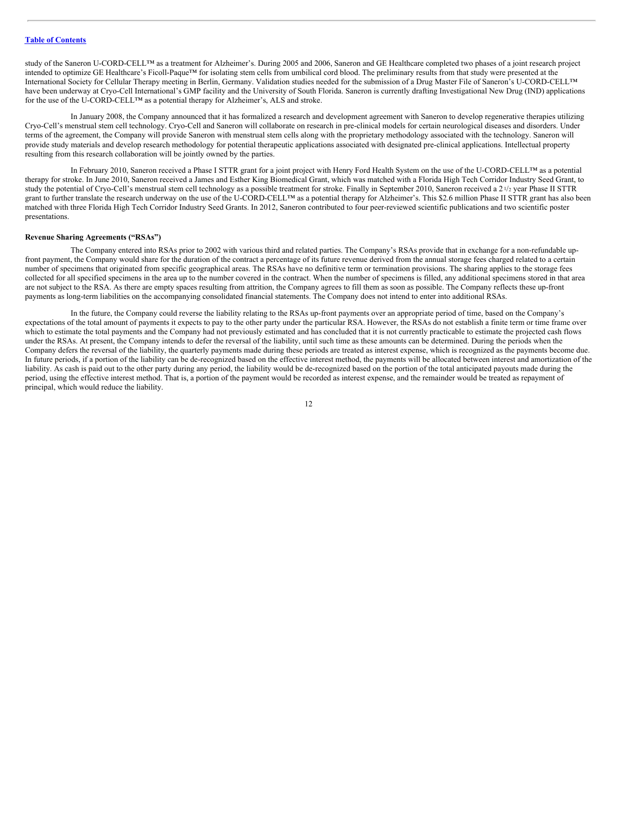study of the Saneron U-CORD-CELL<sup>TM</sup> as a treatment for Alzheimer's. During 2005 and 2006, Saneron and GE Healthcare completed two phases of a joint research project intended to optimize GE Healthcare's Ficoll-Paque™ for isolating stem cells from umbilical cord blood. The preliminary results from that study were presented at the International Society for Cellular Therapy meeting in Berlin, Germany. Validation studies needed for the submission of a Drug Master File of Saneron's U-CORD-CELL™ have been underway at Cryo-Cell International's GMP facility and the University of South Florida. Saneron is currently drafting Investigational New Drug (IND) applications for the use of the U-CORD-CELL™ as a potential therapy for Alzheimer's, ALS and stroke.

In January 2008, the Company announced that it has formalized a research and development agreement with Saneron to develop regenerative therapies utilizing Cryo-Cell's menstrual stem cell technology. Cryo-Cell and Saneron will collaborate on research in pre-clinical models for certain neurological diseases and disorders. Under terms of the agreement, the Company will provide Saneron with menstrual stem cells along with the proprietary methodology associated with the technology. Saneron will provide study materials and develop research methodology for potential therapeutic applications associated with designated pre-clinical applications. Intellectual property resulting from this research collaboration will be jointly owned by the parties.

In February 2010, Saneron received a Phase I STTR grant for a joint project with Henry Ford Health System on the use of the U-CORD-CELL™ as a potential therapy for stroke. In June 2010, Saneron received a James and Esther King Biomedical Grant, which was matched with a Florida High Tech Corridor Industry Seed Grant, to study the potential of Cryo-Cell's menstrual stem cell technology as a possible treatment for stroke. Finally in September 2010, Saneron received a  $2\frac{1}{2}$  year Phase II STTR grant to further translate the research underway on the use of the U-CORD-CELL™ as a potential therapy for Alzheimer's. This \$2.6 million Phase II STTR grant has also been matched with three Florida High Tech Corridor Industry Seed Grants. In 2012, Saneron contributed to four peer-reviewed scientific publications and two scientific poster presentations.

#### **Revenue Sharing Agreements ("RSAs")**

The Company entered into RSAs prior to 2002 with various third and related parties. The Company's RSAs provide that in exchange for a non-refundable upfront payment, the Company would share for the duration of the contract a percentage of its future revenue derived from the annual storage fees charged related to a certain number of specimens that originated from specific geographical areas. The RSAs have no definitive term or termination provisions. The sharing applies to the storage fees collected for all specified specimens in the area up to the number covered in the contract. When the number of specimens is filled, any additional specimens stored in that area are not subject to the RSA. As there are empty spaces resulting from attrition, the Company agrees to fill them as soon as possible. The Company reflects these up-front payments as long-term liabilities on the accompanying consolidated financial statements. The Company does not intend to enter into additional RSAs.

In the future, the Company could reverse the liability relating to the RSAs up-front payments over an appropriate period of time, based on the Company's expectations of the total amount of payments it expects to pay to the other party under the particular RSA. However, the RSAs do not establish a finite term or time frame over which to estimate the total payments and the Company had not previously estimated and has concluded that it is not currently practicable to estimate the projected cash flows under the RSAs. At present, the Company intends to defer the reversal of the liability, until such time as these amounts can be determined. During the periods when the Company defers the reversal of the liability, the quarterly payments made during these periods are treated as interest expense, which is recognized as the payments become due. In future periods, if a portion of the liability can be de-recognized based on the effective interest method, the payments will be allocated between interest and amortization of the liability. As cash is paid out to the other party during any period, the liability would be de-recognized based on the portion of the total anticipated payouts made during the period, using the effective interest method. That is, a portion of the payment would be recorded as interest expense, and the remainder would be treated as repayment of principal, which would reduce the liability.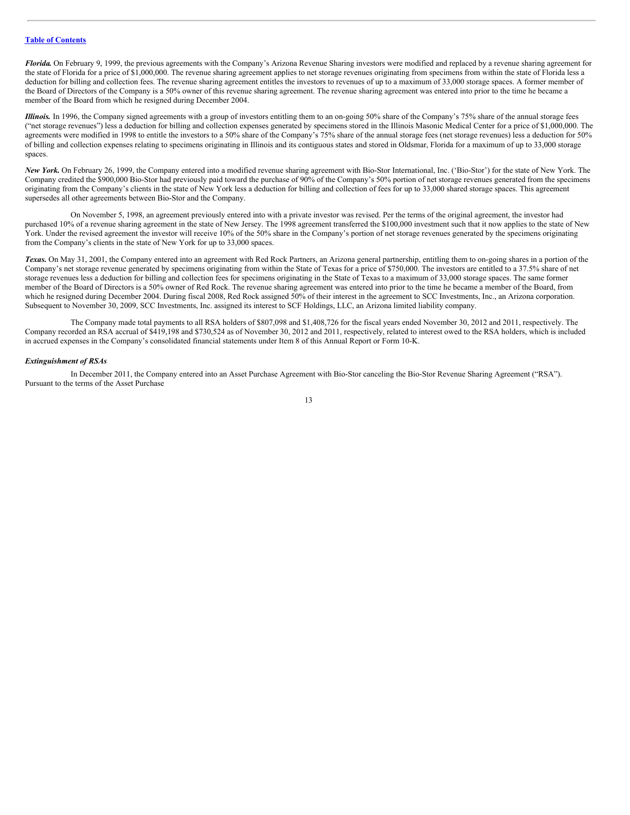*Florida.* On February 9, 1999, the previous agreements with the Company's Arizona Revenue Sharing investors were modified and replaced by a revenue sharing agreement for the state of Florida for a price of \$1,000,000. The revenue sharing agreement applies to net storage revenues originating from specimens from within the state of Florida less a deduction for billing and collection fees. The revenue sharing agreement entitles the investors to revenues of up to a maximum of 33,000 storage spaces. A former member of the Board of Directors of the Company is a 50% owner of this revenue sharing agreement. The revenue sharing agreement was entered into prior to the time he became a member of the Board from which he resigned during December 2004.

*Illinois.* In 1996, the Company signed agreements with a group of investors entitling them to an on-going 50% share of the Company's 75% share of the annual storage fees ("net storage revenues") less a deduction for billing and collection expenses generated by specimens stored in the Illinois Masonic Medical Center for a price of \$1,000,000. The agreements were modified in 1998 to entitle the investors to a 50% share of the Company's 75% share of the annual storage fees (net storage revenues) less a deduction for 50% of billing and collection expenses relating to specimens originating in Illinois and its contiguous states and stored in Oldsmar, Florida for a maximum of up to 33,000 storage spaces.

*New York.* On February 26, 1999, the Company entered into a modified revenue sharing agreement with Bio-Stor International, Inc. ('Bio-Stor') for the state of New York. The Company credited the \$900,000 Bio-Stor had previously paid toward the purchase of 90% of the Company's 50% portion of net storage revenues generated from the specimens originating from the Company's clients in the state of New York less a deduction for billing and collection of fees for up to 33,000 shared storage spaces. This agreement supersedes all other agreements between Bio-Stor and the Company.

On November 5, 1998, an agreement previously entered into with a private investor was revised. Per the terms of the original agreement, the investor had purchased 10% of a revenue sharing agreement in the state of New Jersey. The 1998 agreement transferred the \$100,000 investment such that it now applies to the state of New York. Under the revised agreement the investor will receive 10% of the 50% share in the Company's portion of net storage revenues generated by the specimens originating from the Company's clients in the state of New York for up to 33,000 spaces.

*Texas.* On May 31, 2001, the Company entered into an agreement with Red Rock Partners, an Arizona general partnership, entitling them to on-going shares in a portion of the Company's net storage revenue generated by specimens originating from within the State of Texas for a price of \$750,000. The investors are entitled to a 37.5% share of net storage revenues less a deduction for billing and collection fees for specimens originating in the State of Texas to a maximum of 33,000 storage spaces. The same former member of the Board of Directors is a 50% owner of Red Rock. The revenue sharing agreement was entered into prior to the time he became a member of the Board, from which he resigned during December 2004. During fiscal 2008, Red Rock assigned 50% of their interest in the agreement to SCC Investments, Inc., an Arizona corporation. Subsequent to November 30, 2009, SCC Investments, Inc. assigned its interest to SCF Holdings, LLC, an Arizona limited liability company.

The Company made total payments to all RSA holders of \$807,098 and \$1,408,726 for the fiscal years ended November 30, 2012 and 2011, respectively. The Company recorded an RSA accrual of \$419,198 and \$730,524 as of November 30, 2012 and 2011, respectively, related to interest owed to the RSA holders, which is included in accrued expenses in the Company's consolidated financial statements under Item 8 of this Annual Report or Form 10-K.

#### *Extinguishment of RSAs*

In December 2011, the Company entered into an Asset Purchase Agreement with Bio-Stor canceling the Bio-Stor Revenue Sharing Agreement ("RSA"). Pursuant to the terms of the Asset Purchase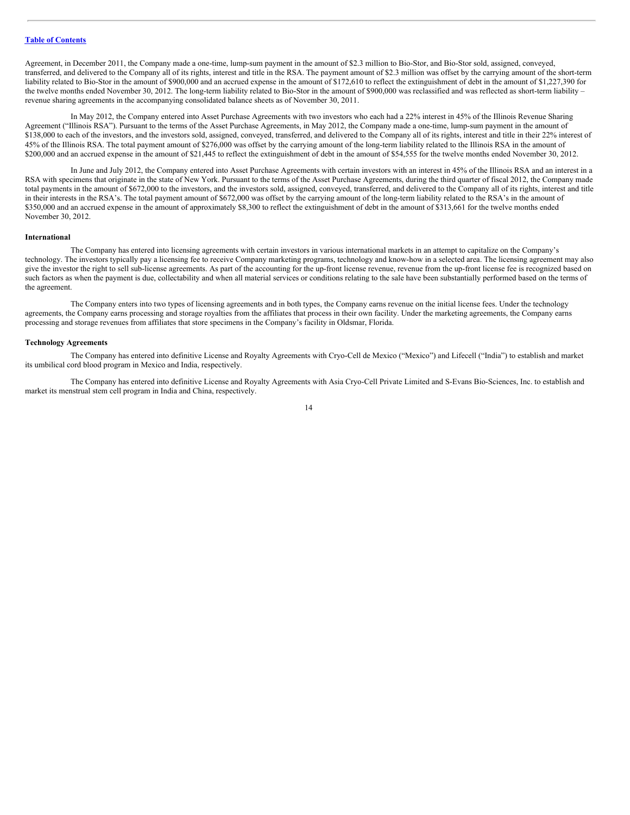Agreement, in December 2011, the Company made a one-time, lump-sum payment in the amount of \$2.3 million to Bio-Stor, and Bio-Stor sold, assigned, conveyed, transferred, and delivered to the Company all of its rights, interest and title in the RSA. The payment amount of \$2.3 million was offset by the carrying amount of the short-term liability related to Bio-Stor in the amount of \$900,000 and an accrued expense in the amount of \$172,610 to reflect the extinguishment of debt in the amount of \$1,227,390 for the twelve months ended November 30, 2012. The long-term liability related to Bio-Stor in the amount of \$900,000 was reclassified and was reflected as short-term liability – revenue sharing agreements in the accompanying consolidated balance sheets as of November 30, 2011.

In May 2012, the Company entered into Asset Purchase Agreements with two investors who each had a 22% interest in 45% of the Illinois Revenue Sharing Agreement ("Illinois RSA"). Pursuant to the terms of the Asset Purchase Agreements, in May 2012, the Company made a one-time, lump-sum payment in the amount of \$138,000 to each of the investors, and the investors sold, assigned, conveyed, transferred, and delivered to the Company all of its rights, interest and title in their 22% interest of 45% of the Illinois RSA. The total payment amount of \$276,000 was offset by the carrying amount of the long-term liability related to the Illinois RSA in the amount of \$200,000 and an accrued expense in the amount of \$21,445 to reflect the extinguishment of debt in the amount of \$54,555 for the twelve months ended November 30, 2012.

In June and July 2012, the Company entered into Asset Purchase Agreements with certain investors with an interest in 45% of the Illinois RSA and an interest in a RSA with specimens that originate in the state of New York. Pursuant to the terms of the Asset Purchase Agreements, during the third quarter of fiscal 2012, the Company made total payments in the amount of \$672,000 to the investors, and the investors sold, assigned, conveyed, transferred, and delivered to the Company all of its rights, interest and title in their interests in the RSA's. The total payment amount of \$672,000 was offset by the carrying amount of the long-term liability related to the RSA's in the amount of \$350,000 and an accrued expense in the amount of approximately \$8,300 to reflect the extinguishment of debt in the amount of \$313,661 for the twelve months ended November 30, 2012.

#### **International**

The Company has entered into licensing agreements with certain investors in various international markets in an attempt to capitalize on the Company's technology. The investors typically pay a licensing fee to receive Company marketing programs, technology and know-how in a selected area. The licensing agreement may also give the investor the right to sell sub-license agreements. As part of the accounting for the up-front license revenue, revenue from the up-front license fee is recognized based on such factors as when the payment is due, collectability and when all material services or conditions relating to the sale have been substantially performed based on the terms of the agreement.

The Company enters into two types of licensing agreements and in both types, the Company earns revenue on the initial license fees. Under the technology agreements, the Company earns processing and storage royalties from the affiliates that process in their own facility. Under the marketing agreements, the Company earns processing and storage revenues from affiliates that store specimens in the Company's facility in Oldsmar, Florida.

#### **Technology Agreements**

The Company has entered into definitive License and Royalty Agreements with Cryo-Cell de Mexico ("Mexico") and Lifecell ("India") to establish and market its umbilical cord blood program in Mexico and India, respectively.

The Company has entered into definitive License and Royalty Agreements with Asia Cryo-Cell Private Limited and S-Evans Bio-Sciences, Inc. to establish and market its menstrual stem cell program in India and China, respectively.

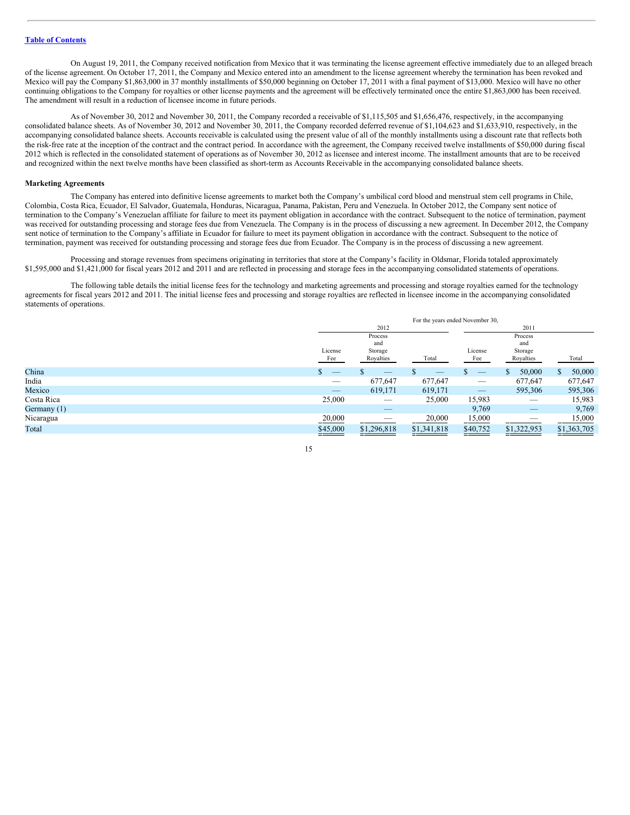On August 19, 2011, the Company received notification from Mexico that it was terminating the license agreement effective immediately due to an alleged breach of the license agreement. On October 17, 2011, the Company and Mexico entered into an amendment to the license agreement whereby the termination has been revoked and Mexico will pay the Company \$1,863,000 in 37 monthly installments of \$50,000 beginning on October 17, 2011 with a final payment of \$13,000. Mexico will have no other continuing obligations to the Company for royalties or other license payments and the agreement will be effectively terminated once the entire \$1,863,000 has been received. The amendment will result in a reduction of licensee income in future periods.

As of November 30, 2012 and November 30, 2011, the Company recorded a receivable of \$1,115,505 and \$1,656,476, respectively, in the accompanying consolidated balance sheets. As of November 30, 2012 and November 30, 2011, the Company recorded deferred revenue of \$1,104,623 and \$1,633,910, respectively, in the accompanying consolidated balance sheets. Accounts receivable is calculated using the present value of all of the monthly installments using a discount rate that reflects both the risk-free rate at the inception of the contract and the contract period. In accordance with the agreement, the Company received twelve installments of \$50,000 during fiscal 2012 which is reflected in the consolidated statement of operations as of November 30, 2012 as licensee and interest income. The installment amounts that are to be received and recognized within the next twelve months have been classified as short-term as Accounts Receivable in the accompanying consolidated balance sheets.

#### **Marketing Agreements**

The Company has entered into definitive license agreements to market both the Company's umbilical cord blood and menstrual stem cell programs in Chile, Colombia, Costa Rica, Ecuador, El Salvador, Guatemala, Honduras, Nicaragua, Panama, Pakistan, Peru and Venezuela. In October 2012, the Company sent notice of termination to the Company's Venezuelan affiliate for failure to meet its payment obligation in accordance with the contract. Subsequent to the notice of termination, payment was received for outstanding processing and storage fees due from Venezuela. The Company is in the process of discussing a new agreement. In December 2012, the Company sent notice of termination to the Company's affiliate in Ecuador for failure to meet its payment obligation in accordance with the contract. Subsequent to the notice of termination, payment was received for outstanding processing and storage fees due from Ecuador. The Company is in the process of discussing a new agreement.

Processing and storage revenues from specimens originating in territories that store at the Company's facility in Oldsmar, Florida totaled approximately \$1,595,000 and \$1,421,000 for fiscal years 2012 and 2011 and are reflected in processing and storage fees in the accompanying consolidated statements of operations.

The following table details the initial license fees for the technology and marketing agreements and processing and storage royalties earned for the technology agreements for fiscal years 2012 and 2011. The initial license fees and processing and storage royalties are reflected in licensee income in the accompanying consolidated statements of operations.

|             | For the years ended November 30, |             |             |                                 |             |             |
|-------------|----------------------------------|-------------|-------------|---------------------------------|-------------|-------------|
|             |                                  | 2012        |             |                                 | 2011        |             |
|             |                                  | Process     |             |                                 | Process     |             |
|             |                                  | and         |             |                                 | and         |             |
|             | License                          | Storage     |             | License                         | Storage     |             |
|             | Fee                              | Royalties   | Total       | Fee                             | Royalties   | Total       |
| China       |                                  |             |             |                                 | 50,000      | 50,000      |
| India       |                                  | 677,647     | 677,647     |                                 | 677,647     | 677,647     |
| Mexico      | $\overline{\phantom{a}}$         | 619,171     | 619,171     | $\hspace{0.1mm}-\hspace{0.1mm}$ | 595,306     | 595,306     |
| Costa Rica  | 25,000                           |             | 25,000      | 15,983                          | _           | 15,983      |
| Germany (1) |                                  |             |             | 9,769                           | __          | 9,769       |
| Nicaragua   | 20,000                           | _           | 20,000      | 15,000                          | $-$         | 15,000      |
| Total       | \$45,000                         | \$1,296,818 | \$1,341,818 | \$40,752                        | \$1,322,953 | \$1,363,705 |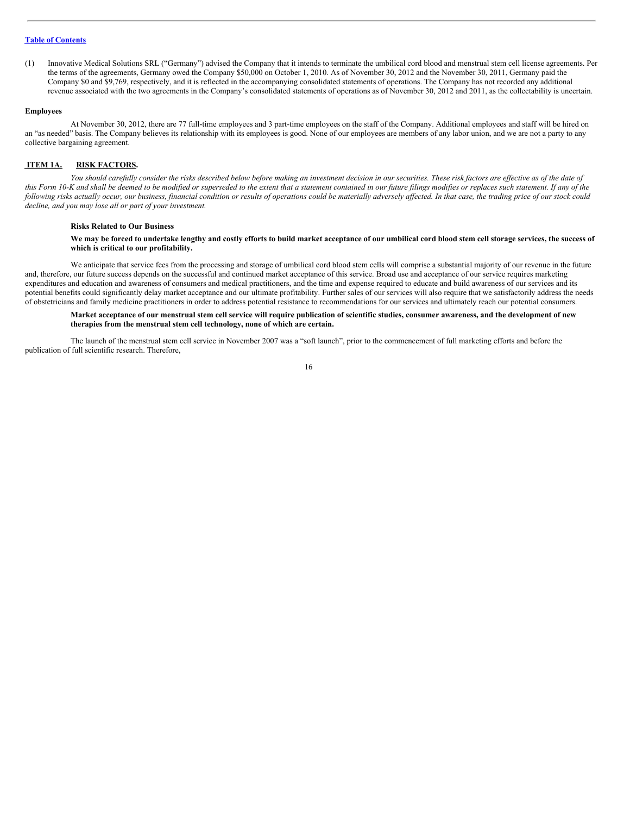## **Table of [Contents](#page-2-0)**

(1) Innovative Medical Solutions SRL ("Germany") advised the Company that it intends to terminate the umbilical cord blood and menstrual stem cell license agreements. Per the terms of the agreements, Germany owed the Company \$50,000 on October 1, 2010. As of November 30, 2012 and the November 30, 2011, Germany paid the Company \$0 and \$9,769, respectively, and it is reflected in the accompanying consolidated statements of operations. The Company has not recorded any additional revenue associated with the two agreements in the Company's consolidated statements of operations as of November 30, 2012 and 2011, as the collectability is uncertain.

#### **Employees**

At November 30, 2012, there are 77 full-time employees and 3 part-time employees on the staff of the Company. Additional employees and staff will be hired on an "as needed" basis. The Company believes its relationship with its employees is good. None of our employees are members of any labor union, and we are not a party to any collective bargaining agreement.

#### <span id="page-15-0"></span>**ITEM 1A. RISK FACTORS.**

You should carefully consider the risks described below before making an investment decision in our securities. These risk factors are effective as of the date of this Form 10-K and shall be deemed to be modified or superseded to the extent that a statement contained in our future filings modifies or replaces such statement. If any of the following risks actually occur, our business, financial condition or results of operations could be materially adversely affected. In that case, the trading price of our stock could *decline, and you may lose all or part of your investment.*

# **Risks Related to Our Business**

#### We may be forced to undertake lengthy and costly efforts to build market acceptance of our umbilical cord blood stem cell storage services, the success of **which is critical to our profitability.**

We anticipate that service fees from the processing and storage of umbilical cord blood stem cells will comprise a substantial majority of our revenue in the future and, therefore, our future success depends on the successful and continued market acceptance of this service. Broad use and acceptance of our service requires marketing expenditures and education and awareness of consumers and medical practitioners, and the time and expense required to educate and build awareness of our services and its potential benefits could significantly delay market acceptance and our ultimate profitability. Further sales of our services will also require that we satisfactorily address the needs of obstetricians and family medicine practitioners in order to address potential resistance to recommendations for our services and ultimately reach our potential consumers.

#### Market acceptance of our menstrual stem cell service will require publication of scientific studies, consumer awareness, and the development of new **therapies from the menstrual stem cell technology, none of which are certain.**

The launch of the menstrual stem cell service in November 2007 was a "soft launch", prior to the commencement of full marketing efforts and before the publication of full scientific research. Therefore,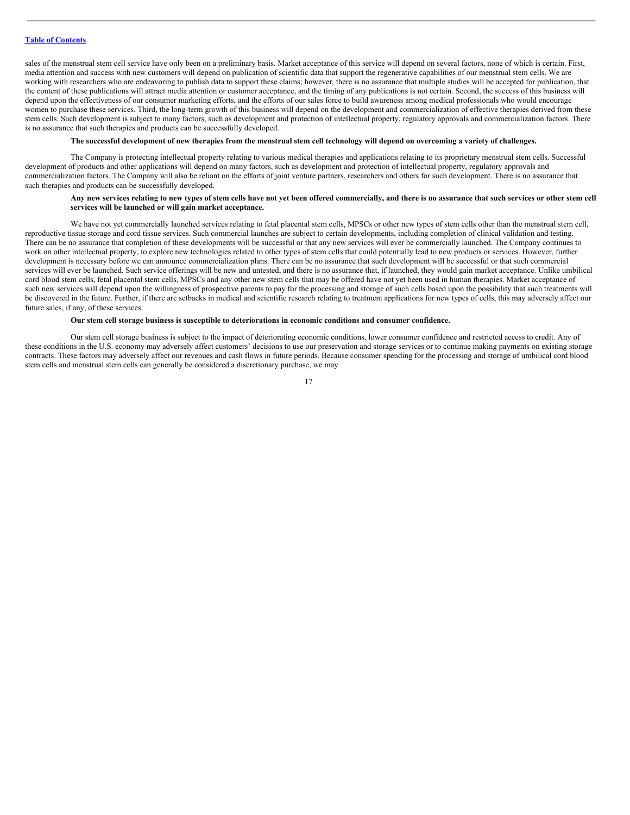sales of the menstrual stem cell service have only been on a preliminary basis. Market acceptance of this service will depend on several factors, none of which is certain. First, media attention and success with new customers will depend on publication of scientific data that support the regenerative capabilities of our menstrual stem cells. We are working with researchers who are endeavoring to publish data to support these claims; however, there is no assurance that multiple studies will be accepted for publication, that the content of these publications will attract media attention or customer acceptance, and the timing of any publications is not certain. Second, the success of this business will depend upon the effectiveness of our consumer marketing efforts, and the efforts of our sales force to build awareness among medical professionals who would encourage women to purchase these services. Third, the long-term growth of this business will depend on the development and commercialization of effective therapies derived from these stem cells. Such development is subject to many factors, such as development and protection of intellectual property, regulatory approvals and commercialization factors. There is no assurance that such therapies and products can be successfully developed.

# The successful development of new therapies from the menstrual stem cell technology will depend on overcoming a variety of challenges.

The Company is protecting intellectual property relating to various medical therapies and applications relating to its proprietary menstrual stem cells. Successful development of products and other applications will depend on many factors, such as development and protection of intellectual property, regulatory approvals and commercialization factors. The Company will also be reliant on the efforts of joint venture partners, researchers and others for such development. There is no assurance that such therapies and products can be successfully developed.

#### Any new services relating to new types of stem cells have not yet been offered commercially, and there is no assurance that such services or other stem cell **services will be launched or will gain market acceptance.**

We have not yet commercially launched services relating to fetal placental stem cells, MPSCs or other new types of stem cells other than the menstrual stem cell, reproductive tissue storage and cord tissue services. Such commercial launches are subject to certain developments, including completion of clinical validation and testing. There can be no assurance that completion of these developments will be successful or that any new services will ever be commercially launched. The Company continues to work on other intellectual property, to explore new technologies related to other types of stem cells that could potentially lead to new products or services. However, further development is necessary before we can announce commercialization plans. There can be no assurance that such development will be successful or that such commercial services will ever be launched. Such service offerings will be new and untested, and there is no assurance that, if launched, they would gain market acceptance. Unlike umbilical cord blood stem cells, fetal placental stem cells, MPSCs and any other new stem cells that may be offered have not yet been used in human therapies. Market acceptance of such new services will depend upon the willingness of prospective parents to pay for the processing and storage of such cells based upon the possibility that such treatments will be discovered in the future. Further, if there are setbacks in medical and scientific research relating to treatment applications for new types of cells, this may adversely affect our future sales, if any, of these services.

#### **Our stem cell storage business is susceptible to deteriorations in economic conditions and consumer confidence.**

Our stem cell storage business is subject to the impact of deteriorating economic conditions, lower consumer confidence and restricted access to credit. Any of these conditions in the U.S. economy may adversely affect customers' decisions to use our preservation and storage services or to continue making payments on existing storage contracts. These factors may adversely affect our revenues and cash flows in future periods. Because consumer spending for the processing and storage of umbilical cord blood stem cells and menstrual stem cells can generally be considered a discretionary purchase, we may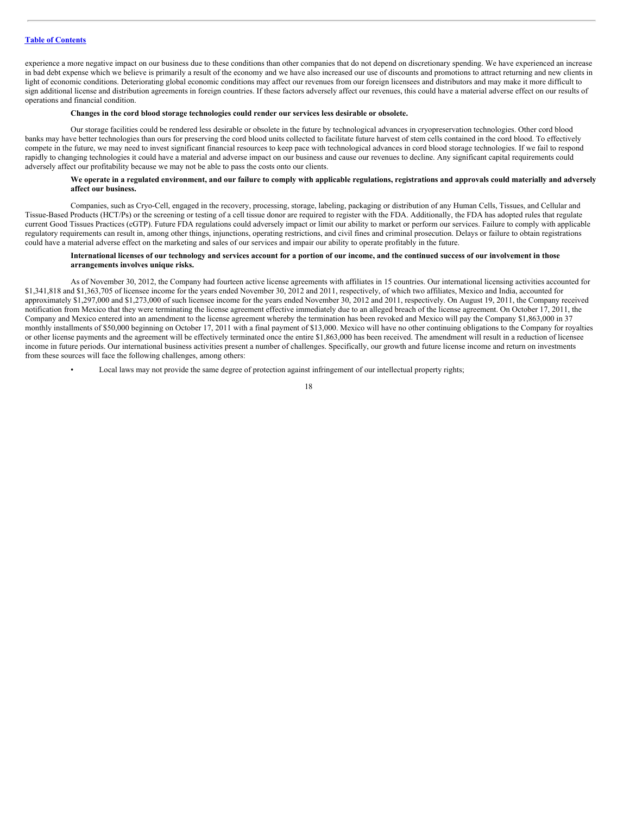experience a more negative impact on our business due to these conditions than other companies that do not depend on discretionary spending. We have experienced an increase in bad debt expense which we believe is primarily a result of the economy and we have also increased our use of discounts and promotions to attract returning and new clients in light of economic conditions. Deteriorating global economic conditions may affect our revenues from our foreign licensees and distributors and may make it more difficult to sign additional license and distribution agreements in foreign countries. If these factors adversely affect our revenues, this could have a material adverse effect on our results of operations and financial condition.

#### **Changes in the cord blood storage technologies could render our services less desirable or obsolete.**

Our storage facilities could be rendered less desirable or obsolete in the future by technological advances in cryopreservation technologies. Other cord blood banks may have better technologies than ours for preserving the cord blood units collected to facilitate future harvest of stem cells contained in the cord blood. To effectively compete in the future, we may need to invest significant financial resources to keep pace with technological advances in cord blood storage technologies. If we fail to respond rapidly to changing technologies it could have a material and adverse impact on our business and cause our revenues to decline. Any significant capital requirements could adversely affect our profitability because we may not be able to pass the costs onto our clients.

#### We operate in a regulated environment, and our failure to comply with applicable regulations, registrations and approvals could materially and adversely **affect our business.**

Companies, such as Cryo-Cell, engaged in the recovery, processing, storage, labeling, packaging or distribution of any Human Cells, Tissues, and Cellular and Tissue-Based Products (HCT/Ps) or the screening or testing of a cell tissue donor are required to register with the FDA. Additionally, the FDA has adopted rules that regulate current Good Tissues Practices (cGTP). Future FDA regulations could adversely impact or limit our ability to market or perform our services. Failure to comply with applicable regulatory requirements can result in, among other things, injunctions, operating restrictions, and civil fines and criminal prosecution. Delays or failure to obtain registrations could have a material adverse effect on the marketing and sales of our services and impair our ability to operate profitably in the future.

#### International licenses of our technology and services account for a portion of our income, and the continued success of our involvement in those **arrangements involves unique risks.**

As of November 30, 2012, the Company had fourteen active license agreements with affiliates in 15 countries. Our international licensing activities accounted for \$1,341,818 and \$1,363,705 of licensee income for the years ended November 30, 2012 and 2011, respectively, of which two affiliates, Mexico and India, accounted for approximately \$1,297,000 and \$1,273,000 of such licensee income for the years ended November 30, 2012 and 2011, respectively. On August 19, 2011, the Company received notification from Mexico that they were terminating the license agreement effective immediately due to an alleged breach of the license agreement. On October 17, 2011, the Company and Mexico entered into an amendment to the license agreement whereby the termination has been revoked and Mexico will pay the Company \$1,863,000 in 37 monthly installments of \$50,000 beginning on October 17, 2011 with a final payment of \$13,000. Mexico will have no other continuing obligations to the Company for royalties or other license payments and the agreement will be effectively terminated once the entire \$1,863,000 has been received. The amendment will result in a reduction of licensee income in future periods. Our international business activities present a number of challenges. Specifically, our growth and future license income and return on investments from these sources will face the following challenges, among others:

• Local laws may not provide the same degree of protection against infringement of our intellectual property rights;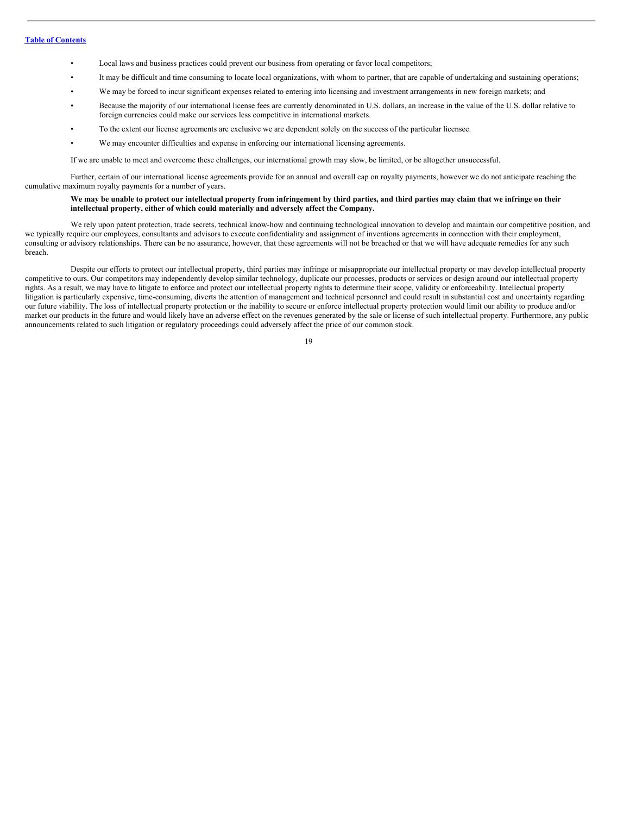- Local laws and business practices could prevent our business from operating or favor local competitors;
- It may be difficult and time consuming to locate local organizations, with whom to partner, that are capable of undertaking and sustaining operations;
- We may be forced to incur significant expenses related to entering into licensing and investment arrangements in new foreign markets; and
- Because the majority of our international license fees are currently denominated in U.S. dollars, an increase in the value of the U.S. dollar relative to foreign currencies could make our services less competitive in international markets.
- To the extent our license agreements are exclusive we are dependent solely on the success of the particular licensee.
- We may encounter difficulties and expense in enforcing our international licensing agreements.

If we are unable to meet and overcome these challenges, our international growth may slow, be limited, or be altogether unsuccessful.

Further, certain of our international license agreements provide for an annual and overall cap on royalty payments, however we do not anticipate reaching the cumulative maximum royalty payments for a number of years.

#### We may be unable to protect our intellectual property from infringement by third parties, and third parties may claim that we infringe on their **intellectual property, either of which could materially and adversely affect the Company.**

We rely upon patent protection, trade secrets, technical know-how and continuing technological innovation to develop and maintain our competitive position, and we typically require our employees, consultants and advisors to execute confidentiality and assignment of inventions agreements in connection with their employment, consulting or advisory relationships. There can be no assurance, however, that these agreements will not be breached or that we will have adequate remedies for any such breach.

Despite our efforts to protect our intellectual property, third parties may infringe or misappropriate our intellectual property or may develop intellectual property competitive to ours. Our competitors may independently develop similar technology, duplicate our processes, products or services or design around our intellectual property rights. As a result, we may have to litigate to enforce and protect our intellectual property rights to determine their scope, validity or enforceability. Intellectual property litigation is particularly expensive, time-consuming, diverts the attention of management and technical personnel and could result in substantial cost and uncertainty regarding our future viability. The loss of intellectual property protection or the inability to secure or enforce intellectual property protection would limit our ability to produce and/or market our products in the future and would likely have an adverse effect on the revenues generated by the sale or license of such intellectual property. Furthermore, any public announcements related to such litigation or regulatory proceedings could adversely affect the price of our common stock.

<sup>19</sup>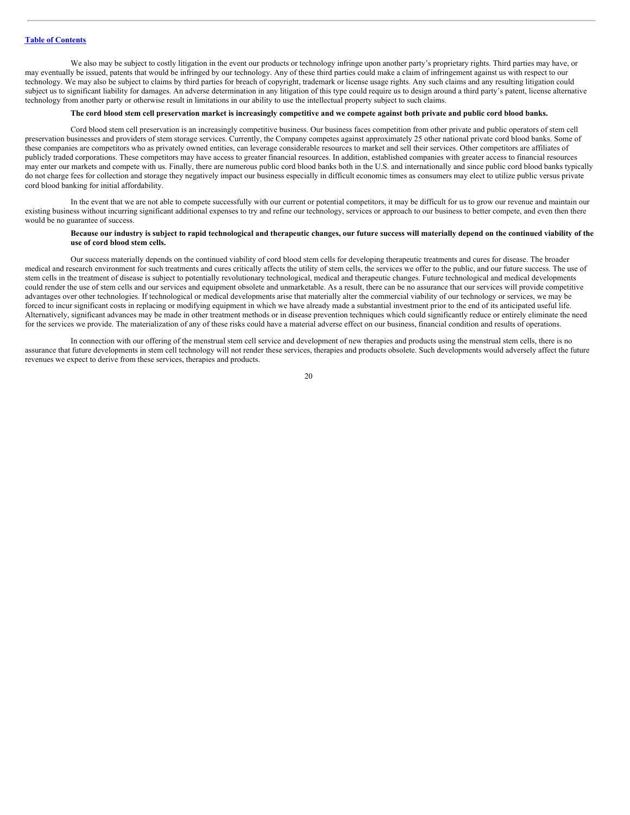We also may be subject to costly litigation in the event our products or technology infringe upon another party's proprietary rights. Third parties may have, or may eventually be issued, patents that would be infringed by our technology. Any of these third parties could make a claim of infringement against us with respect to our technology. We may also be subject to claims by third parties for breach of copyright, trademark or license usage rights. Any such claims and any resulting litigation could subject us to significant liability for damages. An adverse determination in any litigation of this type could require us to design around a third party's patent, license alternative technology from another party or otherwise result in limitations in our ability to use the intellectual property subject to such claims.

#### The cord blood stem cell preservation market is increasingly competitive and we compete against both private and public cord blood banks.

Cord blood stem cell preservation is an increasingly competitive business. Our business faces competition from other private and public operators of stem cell preservation businesses and providers of stem storage services. Currently, the Company competes against approximately 25 other national private cord blood banks. Some of these companies are competitors who as privately owned entities, can leverage considerable resources to market and sell their services. Other competitors are affiliates of publicly traded corporations. These competitors may have access to greater financial resources. In addition, established companies with greater access to financial resources may enter our markets and compete with us. Finally, there are numerous public cord blood banks both in the U.S. and internationally and since public cord blood banks typically do not charge fees for collection and storage they negatively impact our business especially in difficult economic times as consumers may elect to utilize public versus private cord blood banking for initial affordability.

In the event that we are not able to compete successfully with our current or potential competitors, it may be difficult for us to grow our revenue and maintain our existing business without incurring significant additional expenses to try and refine our technology, services or approach to our business to better compete, and even then there would be no guarantee of success.

#### Because our industry is subject to rapid technological and therapeutic changes, our future success will materially depend on the continued viability of the **use of cord blood stem cells.**

Our success materially depends on the continued viability of cord blood stem cells for developing therapeutic treatments and cures for disease. The broader medical and research environment for such treatments and cures critically affects the utility of stem cells, the services we offer to the public, and our future success. The use of stem cells in the treatment of disease is subject to potentially revolutionary technological, medical and therapeutic changes. Future technological and medical developments could render the use of stem cells and our services and equipment obsolete and unmarketable. As a result, there can be no assurance that our services will provide competitive advantages over other technologies. If technological or medical developments arise that materially alter the commercial viability of our technology or services, we may be forced to incur significant costs in replacing or modifying equipment in which we have already made a substantial investment prior to the end of its anticipated useful life. Alternatively, significant advances may be made in other treatment methods or in disease prevention techniques which could significantly reduce or entirely eliminate the need for the services we provide. The materialization of any of these risks could have a material adverse effect on our business, financial condition and results of operations.

In connection with our offering of the menstrual stem cell service and development of new therapies and products using the menstrual stem cells, there is no assurance that future developments in stem cell technology will not render these services, therapies and products obsolete. Such developments would adversely affect the future revenues we expect to derive from these services, therapies and products.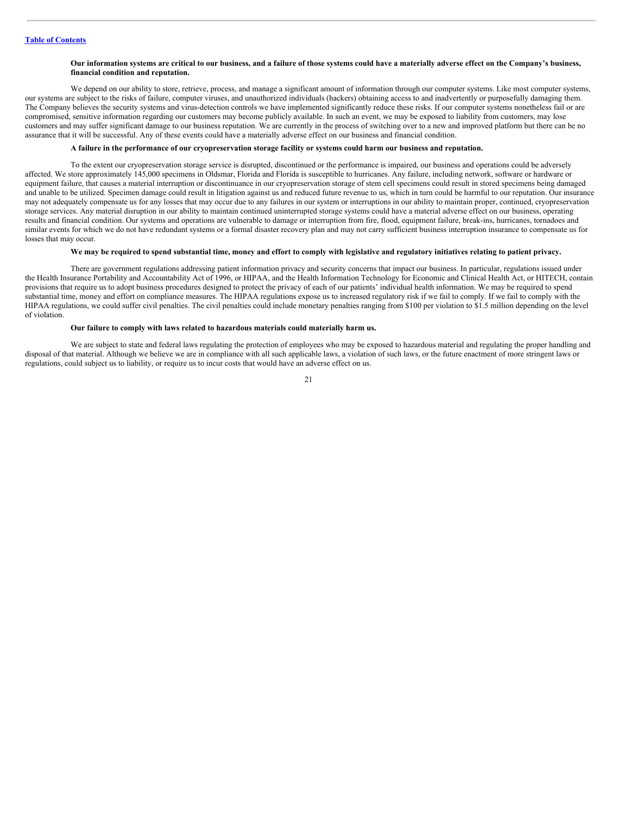#### Our information systems are critical to our business, and a failure of those systems could have a materially adverse effect on the Company's business, **financial condition and reputation.**

We depend on our ability to store, retrieve, process, and manage a significant amount of information through our computer systems. Like most computer systems, our systems are subject to the risks of failure, computer viruses, and unauthorized individuals (hackers) obtaining access to and inadvertently or purposefully damaging them. The Company believes the security systems and virus-detection controls we have implemented significantly reduce these risks. If our computer systems nonetheless fail or are compromised, sensitive information regarding our customers may become publicly available. In such an event, we may be exposed to liability from customers, may lose customers and may suffer significant damage to our business reputation. We are currently in the process of switching over to a new and improved platform but there can be no assurance that it will be successful. Any of these events could have a materially adverse effect on our business and financial condition.

# A failure in the performance of our cryopreservation storage facility or systems could harm our business and reputation.

To the extent our cryopreservation storage service is disrupted, discontinued or the performance is impaired, our business and operations could be adversely affected. We store approximately 145,000 specimens in Oldsmar, Florida and Florida is susceptible to hurricanes. Any failure, including network, software or hardware or equipment failure, that causes a material interruption or discontinuance in our cryopreservation storage of stem cell specimens could result in stored specimens being damaged and unable to be utilized. Specimen damage could result in litigation against us and reduced future revenue to us, which in turn could be harmful to our reputation. Our insurance may not adequately compensate us for any losses that may occur due to any failures in our system or interruptions in our ability to maintain proper, continued, cryopreservation storage services. Any material disruption in our ability to maintain continued uninterrupted storage systems could have a material adverse effect on our business, operating results and financial condition. Our systems and operations are vulnerable to damage or interruption from fire, flood, equipment failure, break-ins, hurricanes, tornadoes and similar events for which we do not have redundant systems or a formal disaster recovery plan and may not carry sufficient business interruption insurance to compensate us for losses that may occur.

#### We may be required to spend substantial time, money and effort to comply with legislative and regulatory initiatives relating to patient privacy.

There are government regulations addressing patient information privacy and security concerns that impact our business. In particular, regulations issued under the Health Insurance Portability and Accountability Act of 1996, or HIPAA, and the Health Information Technology for Economic and Clinical Health Act, or HITECH, contain provisions that require us to adopt business procedures designed to protect the privacy of each of our patients' individual health information. We may be required to spend substantial time, money and effort on compliance measures. The HIPAA regulations expose us to increased regulatory risk if we fail to comply. If we fail to comply with the HIPAA regulations, we could suffer civil penalties. The civil penalties could include monetary penalties ranging from \$100 per violation to \$1.5 million depending on the level of violation.

#### **Our failure to comply with laws related to hazardous materials could materially harm us.**

We are subject to state and federal laws regulating the protection of employees who may be exposed to hazardous material and regulating the proper handling and disposal of that material. Although we believe we are in compliance with all such applicable laws, a violation of such laws, or the future enactment of more stringent laws or regulations, could subject us to liability, or require us to incur costs that would have an adverse effect on us.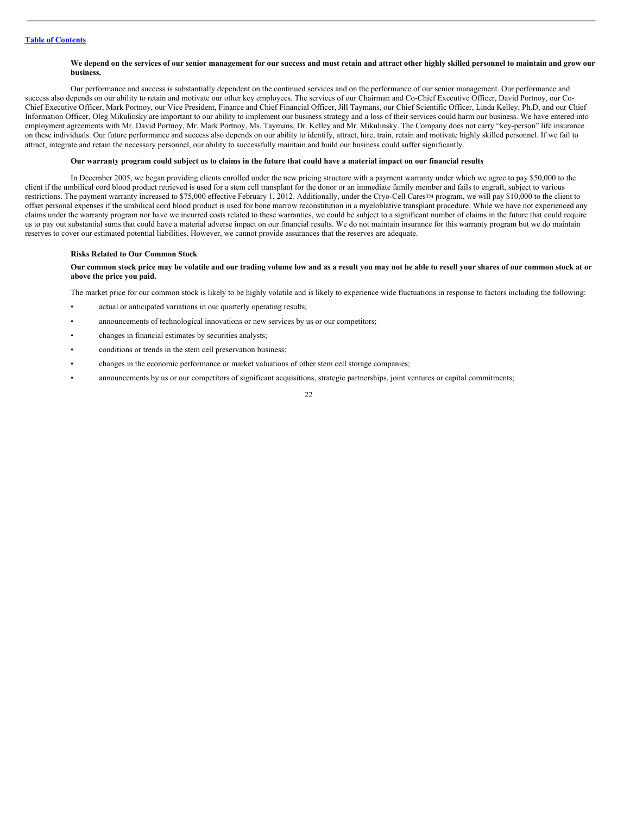# We depend on the services of our senior management for our success and must retain and attract other highly skilled personnel to maintain and grow our **business.**

Our performance and success is substantially dependent on the continued services and on the performance of our senior management. Our performance and success also depends on our ability to retain and motivate our other key employees. The services of our Chairman and Co-Chief Executive Officer, David Portnoy, our Co-Chief Executive Officer, Mark Portnoy, our Vice President, Finance and Chief Financial Officer, Jill Taymans, our Chief Scientific Officer, Linda Kelley, Ph.D, and our Chief Information Officer, Oleg Mikulinsky are important to our ability to implement our business strategy and a loss of their services could harm our business. We have entered into employment agreements with Mr. David Portnoy, Mr. Mark Portnoy, Ms. Taymans, Dr. Kelley and Mr. Mikulinsky. The Company does not carry "key-person" life insurance on these individuals. Our future performance and success also depends on our ability to identify, attract, hire, train, retain and motivate highly skilled personnel. If we fail to attract, integrate and retain the necessary personnel, our ability to successfully maintain and build our business could suffer significantly.

# Our warranty program could subject us to claims in the future that could have a material impact on our financial results

In December 2005, we began providing clients enrolled under the new pricing structure with a payment warranty under which we agree to pay \$50,000 to the client if the umbilical cord blood product retrieved is used for a stem cell transplant for the donor or an immediate family member and fails to engraft, subject to various restrictions. The payment warranty increased to \$75,000 effective February 1, 2012. Additionally, under the Cryo-Cell Cares™ program, we will pay \$10,000 to the client to offset personal expenses if the umbilical cord blood product is used for bone marrow reconstitution in a myeloblative transplant procedure. While we have not experienced any claims under the warranty program nor have we incurred costs related to these warranties, we could be subject to a significant number of claims in the future that could require us to pay out substantial sums that could have a material adverse impact on our financial results. We do not maintain insurance for this warranty program but we do maintain reserves to cover our estimated potential liabilities. However, we cannot provide assurances that the reserves are adequate.

#### **Risks Related to Our Common Stock**

#### Our common stock price may be volatile and our trading volume low and as a result you may not be able to resell your shares of our common stock at or **above the price you paid.**

The market price for our common stock is likely to be highly volatile and is likely to experience wide fluctuations in response to factors including the following:

- actual or anticipated variations in our quarterly operating results;
- announcements of technological innovations or new services by us or our competitors;
- changes in financial estimates by securities analysts;
- conditions or trends in the stem cell preservation business;
- changes in the economic performance or market valuations of other stem cell storage companies;
- announcements by us or our competitors of significant acquisitions, strategic partnerships, joint ventures or capital commitments;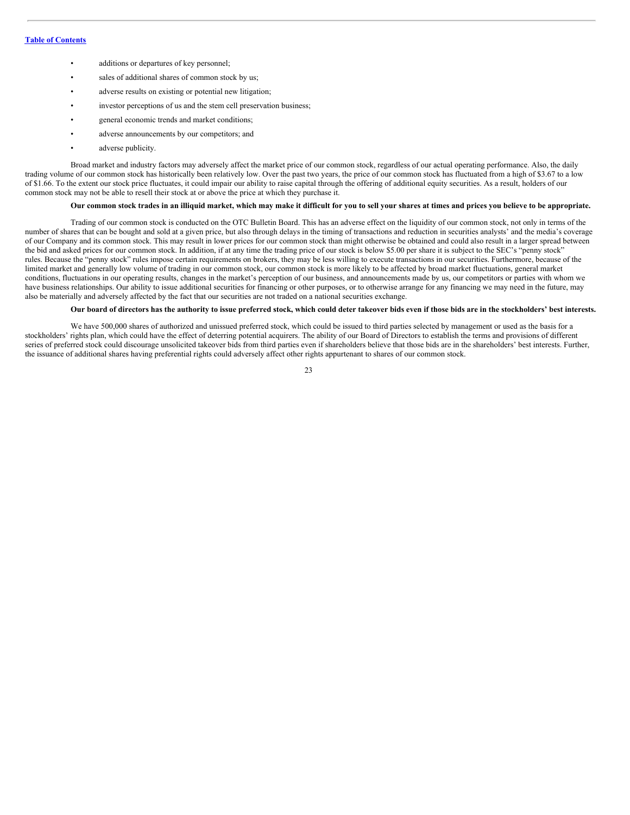- additions or departures of key personnel;
- sales of additional shares of common stock by us;
- adverse results on existing or potential new litigation;
- investor perceptions of us and the stem cell preservation business;
- general economic trends and market conditions;
- adverse announcements by our competitors; and
- adverse publicity.

Broad market and industry factors may adversely affect the market price of our common stock, regardless of our actual operating performance. Also, the daily trading volume of our common stock has historically been relatively low. Over the past two years, the price of our common stock has fluctuated from a high of \$3.67 to a low of \$1.66. To the extent our stock price fluctuates, it could impair our ability to raise capital through the offering of additional equity securities. As a result, holders of our common stock may not be able to resell their stock at or above the price at which they purchase it.

#### Our common stock trades in an illiquid market, which may make it difficult for you to sell your shares at times and prices you believe to be appropriate.

Trading of our common stock is conducted on the OTC Bulletin Board. This has an adverse effect on the liquidity of our common stock, not only in terms of the number of shares that can be bought and sold at a given price, but also through delays in the timing of transactions and reduction in securities analysts' and the media's coverage of our Company and its common stock. This may result in lower prices for our common stock than might otherwise be obtained and could also result in a larger spread between the bid and asked prices for our common stock. In addition, if at any time the trading price of our stock is below \$5.00 per share it is subject to the SEC's "penny stock" rules. Because the "penny stock" rules impose certain requirements on brokers, they may be less willing to execute transactions in our securities. Furthermore, because of the limited market and generally low volume of trading in our common stock, our common stock is more likely to be affected by broad market fluctuations, general market conditions, fluctuations in our operating results, changes in the market's perception of our business, and announcements made by us, our competitors or parties with whom we have business relationships. Our ability to issue additional securities for financing or other purposes, or to otherwise arrange for any financing we may need in the future, may also be materially and adversely affected by the fact that our securities are not traded on a national securities exchange.

#### Our board of directors has the authority to issue preferred stock, which could deter takeover bids even if those bids are in the stockholders' best interests.

We have 500,000 shares of authorized and unissued preferred stock, which could be issued to third parties selected by management or used as the basis for a stockholders' rights plan, which could have the effect of deterring potential acquirers. The ability of our Board of Directors to establish the terms and provisions of different series of preferred stock could discourage unsolicited takeover bids from third parties even if shareholders believe that those bids are in the shareholders' best interests. Further, the issuance of additional shares having preferential rights could adversely affect other rights appurtenant to shares of our common stock.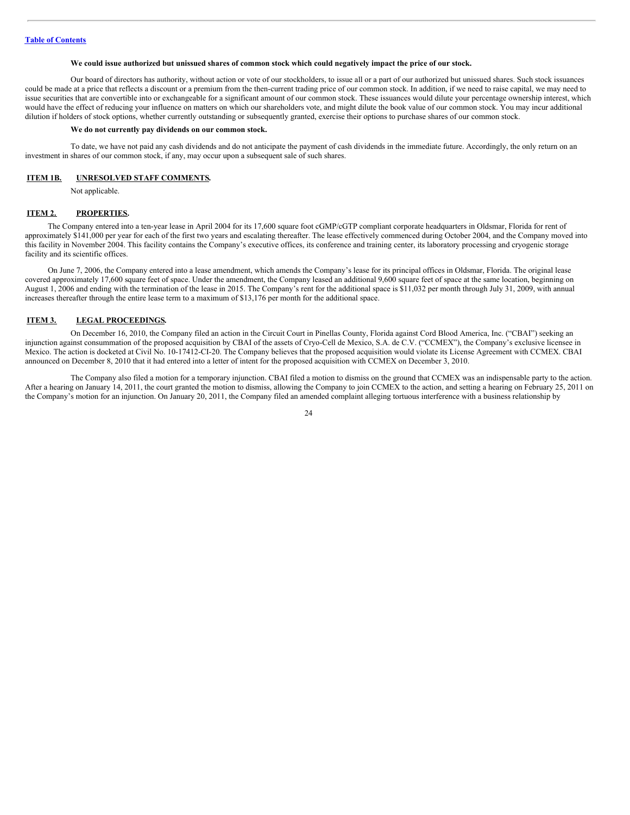#### We could issue authorized but unissued shares of common stock which could negatively impact the price of our stock.

Our board of directors has authority, without action or vote of our stockholders, to issue all or a part of our authorized but unissued shares. Such stock issuances could be made at a price that reflects a discount or a premium from the then-current trading price of our common stock. In addition, if we need to raise capital, we may need to issue securities that are convertible into or exchangeable for a significant amount of our common stock. These issuances would dilute your percentage ownership interest, which would have the effect of reducing your influence on matters on which our shareholders vote, and might dilute the book value of our common stock. You may incur additional dilution if holders of stock options, whether currently outstanding or subsequently granted, exercise their options to purchase shares of our common stock.

#### **We do not currently pay dividends on our common stock.**

To date, we have not paid any cash dividends and do not anticipate the payment of cash dividends in the immediate future. Accordingly, the only return on an investment in shares of our common stock, if any, may occur upon a subsequent sale of such shares.

#### <span id="page-23-0"></span>**ITEM 1B. UNRESOLVED STAFF COMMENTS.**

Not applicable.

#### <span id="page-23-1"></span>**ITEM 2. PROPERTIES.**

The Company entered into a ten-year lease in April 2004 for its 17,600 square foot cGMP/cGTP compliant corporate headquarters in Oldsmar, Florida for rent of approximately \$141,000 per year for each of the first two years and escalating thereafter. The lease effectively commenced during October 2004, and the Company moved into this facility in November 2004. This facility contains the Company's executive offices, its conference and training center, its laboratory processing and cryogenic storage facility and its scientific offices.

On June 7, 2006, the Company entered into a lease amendment, which amends the Company's lease for its principal offices in Oldsmar, Florida. The original lease covered approximately 17,600 square feet of space. Under the amendment, the Company leased an additional 9,600 square feet of space at the same location, beginning on August 1, 2006 and ending with the termination of the lease in 2015. The Company's rent for the additional space is \$11,032 per month through July 31, 2009, with annual increases thereafter through the entire lease term to a maximum of \$13,176 per month for the additional space.

# <span id="page-23-2"></span>**ITEM 3. LEGAL PROCEEDINGS.**

On December 16, 2010, the Company filed an action in the Circuit Court in Pinellas County, Florida against Cord Blood America, Inc. ("CBAI") seeking an injunction against consummation of the proposed acquisition by CBAI of the assets of Cryo-Cell de Mexico, S.A. de C.V. ("CCMEX"), the Company's exclusive licensee in Mexico. The action is docketed at Civil No. 10-17412-CI-20. The Company believes that the proposed acquisition would violate its License Agreement with CCMEX. CBAI announced on December 8, 2010 that it had entered into a letter of intent for the proposed acquisition with CCMEX on December 3, 2010.

The Company also filed a motion for a temporary injunction. CBAI filed a motion to dismiss on the ground that CCMEX was an indispensable party to the action. After a hearing on January 14, 2011, the court granted the motion to dismiss, allowing the Company to join CCMEX to the action, and setting a hearing on February 25, 2011 on the Company's motion for an injunction. On January 20, 2011, the Company filed an amended complaint alleging tortuous interference with a business relationship by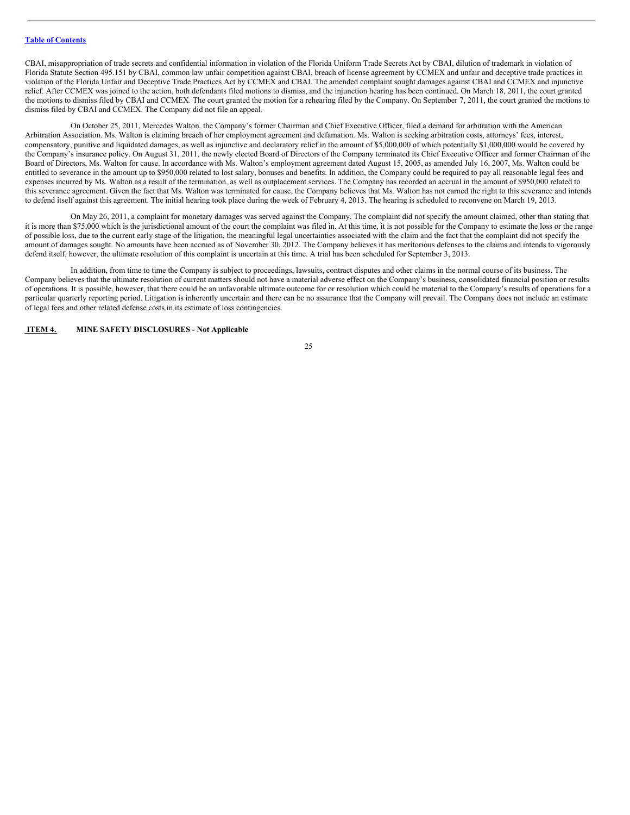CBAI, misappropriation of trade secrets and confidential information in violation of the Florida Uniform Trade Secrets Act by CBAI, dilution of trademark in violation of Florida Statute Section 495.151 by CBAI, common law unfair competition against CBAI, breach of license agreement by CCMEX and unfair and deceptive trade practices in violation of the Florida Unfair and Deceptive Trade Practices Act by CCMEX and CBAI. The amended complaint sought damages against CBAI and CCMEX and injunctive relief. After CCMEX was joined to the action, both defendants filed motions to dismiss, and the injunction hearing has been continued. On March 18, 2011, the court granted the motions to dismiss filed by CBAI and CCMEX. The court granted the motion for a rehearing filed by the Company. On September 7, 2011, the court granted the motions to dismiss filed by CBAI and CCMEX. The Company did not file an appeal.

On October 25, 2011, Mercedes Walton, the Company's former Chairman and Chief Executive Officer, filed a demand for arbitration with the American Arbitration Association. Ms. Walton is claiming breach of her employment agreement and defamation. Ms. Walton is seeking arbitration costs, attorneys' fees, interest, compensatory, punitive and liquidated damages, as well as injunctive and declaratory relief in the amount of \$5,000,000 of which potentially \$1,000,000 would be covered by the Company's insurance policy. On August 31, 2011, the newly elected Board of Directors of the Company terminated its Chief Executive Officer and former Chairman of the Board of Directors, Ms. Walton for cause. In accordance with Ms. Walton's employment agreement dated August 15, 2005, as amended July 16, 2007, Ms. Walton could be entitled to severance in the amount up to \$950,000 related to lost salary, bonuses and benefits. In addition, the Company could be required to pay all reasonable legal fees and expenses incurred by Ms. Walton as a result of the termination, as well as outplacement services. The Company has recorded an accrual in the amount of \$950,000 related to this severance agreement. Given the fact that Ms. Walton was terminated for cause, the Company believes that Ms. Walton has not earned the right to this severance and intends to defend itself against this agreement. The initial hearing took place during the week of February 4, 2013. The hearing is scheduled to reconvene on March 19, 2013.

On May 26, 2011, a complaint for monetary damages was served against the Company. The complaint did not specify the amount claimed, other than stating that it is more than \$75,000 which is the jurisdictional amount of the court the complaint was filed in. At this time, it is not possible for the Company to estimate the loss or the range of possible loss, due to the current early stage of the litigation, the meaningful legal uncertainties associated with the claim and the fact that the complaint did not specify the amount of damages sought. No amounts have been accrued as of November 30, 2012. The Company believes it has meritorious defenses to the claims and intends to vigorously defend itself, however, the ultimate resolution of this complaint is uncertain at this time. A trial has been scheduled for September 3, 2013.

In addition, from time to time the Company is subject to proceedings, lawsuits, contract disputes and other claims in the normal course of its business. The Company believes that the ultimate resolution of current matters should not have a material adverse effect on the Company's business, consolidated financial position or results of operations. It is possible, however, that there could be an unfavorable ultimate outcome for or resolution which could be material to the Company's results of operations for a particular quarterly reporting period. Litigation is inherently uncertain and there can be no assurance that the Company will prevail. The Company does not include an estimate of legal fees and other related defense costs in its estimate of loss contingencies.

<span id="page-24-0"></span>**ITEM 4. MINE SAFETY DISCLOSURES - Not Applicable**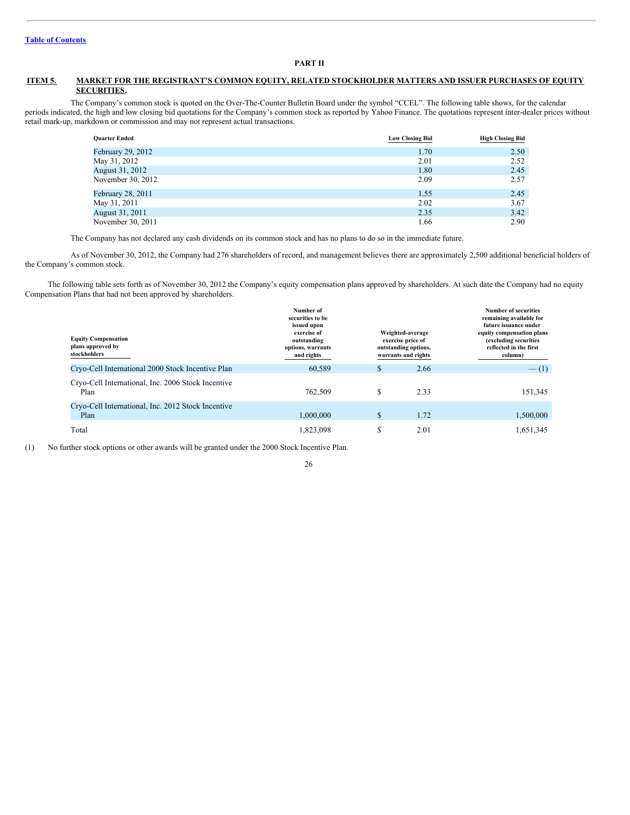# <span id="page-25-0"></span>**PART II**

# <span id="page-25-1"></span>**ITEM 5. MARKET FOR THE REGISTRANT'S COMMON EQUITY, RELATED STOCKHOLDER MATTERS AND ISSUER PURCHASES OF EQUITY SECURITIES.**

The Company's common stock is quoted on the Over-The-Counter Bulletin Board under the symbol "CCEL". The following table shows, for the calendar periods indicated, the high and low closing bid quotations for the Company's common stock as reported by Yahoo Finance. The quotations represent inter-dealer prices without retail mark-up, markdown or commission and may not represent actual transactions.

| <b>Quarter Ended</b> | <b>Low Closing Bid</b> | <b>High Closing Bid</b> |
|----------------------|------------------------|-------------------------|
| February 29, 2012    | 1.70                   | 2.50                    |
| May 31, 2012         | 2.01                   | 2.52                    |
| August 31, 2012      | 1.80                   | 2.45                    |
| November 30, 2012    | 2.09                   | 2.57                    |
| February 28, 2011    | 1.55                   | 2.45                    |
| May 31, 2011         | 2.02                   | 3.67                    |
| August 31, 2011      | 2.35                   | 3.42                    |
| November 30, 2011    | 1.66                   | 2.90                    |

The Company has not declared any cash dividends on its common stock and has no plans to do so in the immediate future.

As of November 30, 2012, the Company had 276 shareholders of record, and management believes there are approximately 2,500 additional beneficial holders of the Company's common stock.

The following table sets forth as of November 30, 2012 the Company's equity compensation plans approved by shareholders. At such date the Company had no equity Compensation Plans that had not been approved by shareholders.

| <b>Equity Compensation</b><br>plans approved by<br>stockholders | Number of<br>securities to be<br>issued upon<br>exercise of<br>outstanding<br>options, warrants<br>and rights |        | Weighted-average<br>exercise price of<br>outstanding options,<br>warrants and rights | <b>Number of securities</b><br>remaining available for<br>future issuance under<br>equity compensation plans<br>(excluding securities<br>reflected in the first<br>column) |  |
|-----------------------------------------------------------------|---------------------------------------------------------------------------------------------------------------|--------|--------------------------------------------------------------------------------------|----------------------------------------------------------------------------------------------------------------------------------------------------------------------------|--|
| Cryo-Cell International 2000 Stock Incentive Plan               | 60.589                                                                                                        | \$     | 2.66                                                                                 | $-$ (1)                                                                                                                                                                    |  |
| Cryo-Cell International, Inc. 2006 Stock Incentive<br>Plan      | 762.509                                                                                                       | \$     | 2.33                                                                                 | 151,345                                                                                                                                                                    |  |
| Cryo-Cell International, Inc. 2012 Stock Incentive<br>Plan      | 1.000.000                                                                                                     | \$     | 1.72                                                                                 | 1,500,000                                                                                                                                                                  |  |
| Total                                                           | 1.823.098                                                                                                     | ¢<br>D | 2.01                                                                                 | 1.651.345                                                                                                                                                                  |  |

(1) No further stock options or other awards will be granted under the 2000 Stock Incentive Plan.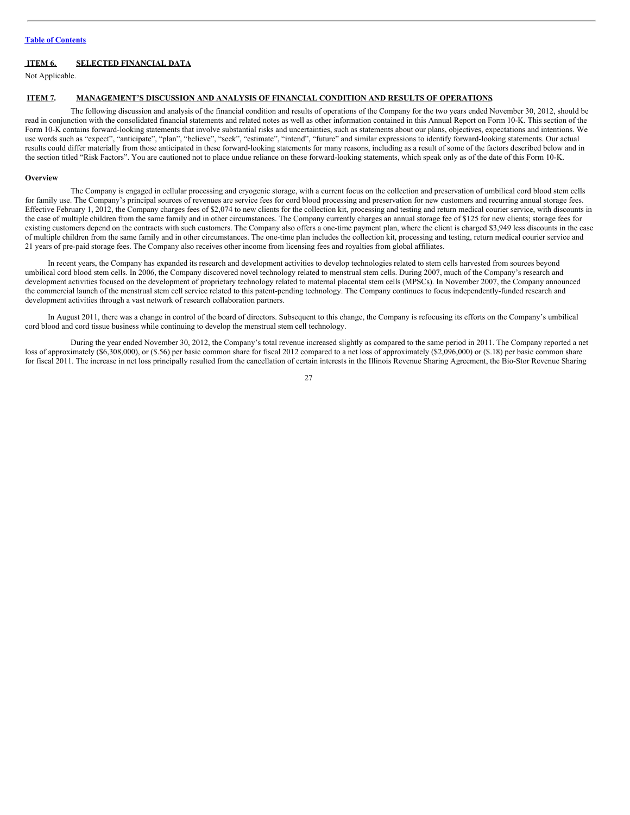# <span id="page-26-0"></span>**ITEM 6. SELECTED FINANCIAL DATA**

Not Applicable.

# <span id="page-26-1"></span>**ITEM 7. MANAGEMENT'S DISCUSSION AND ANALYSIS OF FINANCIAL CONDITION AND RESULTS OF OPERATIONS.**

The following discussion and analysis of the financial condition and results of operations of the Company for the two years ended November 30, 2012, should be read in conjunction with the consolidated financial statements and related notes as well as other information contained in this Annual Report on Form 10-K. This section of the Form 10-K contains forward-looking statements that involve substantial risks and uncertainties, such as statements about our plans, objectives, expectations and intentions. We use words such as "expect", "anticipate", "plan", "believe", "seek", "estimate", "intend", "future" and similar expressions to identify forward-looking statements. Our actual results could differ materially from those anticipated in these forward-looking statements for many reasons, including as a result of some of the factors described below and in the section titled "Risk Factors". You are cautioned not to place undue reliance on these forward-looking statements, which speak only as of the date of this Form 10-K.

#### **Overview**

The Company is engaged in cellular processing and cryogenic storage, with a current focus on the collection and preservation of umbilical cord blood stem cells for family use. The Company's principal sources of revenues are service fees for cord blood processing and preservation for new customers and recurring annual storage fees. Effective February 1, 2012, the Company charges fees of \$2,074 to new clients for the collection kit, processing and testing and return medical courier service, with discounts in the case of multiple children from the same family and in other circumstances. The Company currently charges an annual storage fee of \$125 for new clients; storage fees for existing customers depend on the contracts with such customers. The Company also offers a one-time payment plan, where the client is charged \$3,949 less discounts in the case of multiple children from the same family and in other circumstances. The one-time plan includes the collection kit, processing and testing, return medical courier service and 21 years of pre-paid storage fees. The Company also receives other income from licensing fees and royalties from global affiliates.

In recent years, the Company has expanded its research and development activities to develop technologies related to stem cells harvested from sources beyond umbilical cord blood stem cells. In 2006, the Company discovered novel technology related to menstrual stem cells. During 2007, much of the Company's research and development activities focused on the development of proprietary technology related to maternal placental stem cells (MPSCs). In November 2007, the Company announced the commercial launch of the menstrual stem cell service related to this patent-pending technology. The Company continues to focus independently-funded research and development activities through a vast network of research collaboration partners.

In August 2011, there was a change in control of the board of directors. Subsequent to this change, the Company is refocusing its efforts on the Company's umbilical cord blood and cord tissue business while continuing to develop the menstrual stem cell technology.

During the year ended November 30, 2012, the Company's total revenue increased slightly as compared to the same period in 2011. The Company reported a net loss of approximately (\$6,308,000), or (\$.56) per basic common share for fiscal 2012 compared to a net loss of approximately (\$2,096,000) or (\$.18) per basic common share for fiscal 2011. The increase in net loss principally resulted from the cancellation of certain interests in the Illinois Revenue Sharing Agreement, the Bio-Stor Revenue Sharing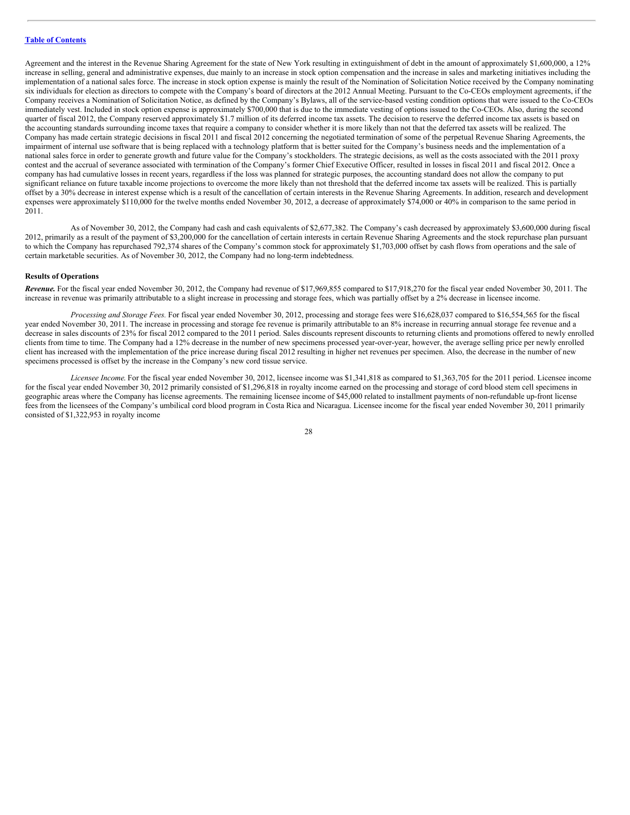Agreement and the interest in the Revenue Sharing Agreement for the state of New York resulting in extinguishment of debt in the amount of approximately \$1,600,000, a 12% increase in selling, general and administrative expenses, due mainly to an increase in stock option compensation and the increase in sales and marketing initiatives including the implementation of a national sales force. The increase in stock option expense is mainly the result of the Nomination of Solicitation Notice received by the Company nominating six individuals for election as directors to compete with the Company's board of directors at the 2012 Annual Meeting. Pursuant to the Co-CEOs employment agreements, if the Company receives a Nomination of Solicitation Notice, as defined by the Company's Bylaws, all of the service-based vesting condition options that were issued to the Co-CEOs immediately vest. Included in stock option expense is approximately \$700,000 that is due to the immediate vesting of options issued to the Co-CEOs. Also, during the second quarter of fiscal 2012, the Company reserved approximately \$1.7 million of its deferred income tax assets. The decision to reserve the deferred income tax assets is based on the accounting standards surrounding income taxes that require a company to consider whether it is more likely than not that the deferred tax assets will be realized. The Company has made certain strategic decisions in fiscal 2011 and fiscal 2012 concerning the negotiated termination of some of the perpetual Revenue Sharing Agreements, the impairment of internal use software that is being replaced with a technology platform that is better suited for the Company's business needs and the implementation of a national sales force in order to generate growth and future value for the Company's stockholders. The strategic decisions, as well as the costs associated with the 2011 proxy contest and the accrual of severance associated with termination of the Company's former Chief Executive Officer, resulted in losses in fiscal 2011 and fiscal 2012. Once a company has had cumulative losses in recent years, regardless if the loss was planned for strategic purposes, the accounting standard does not allow the company to put significant reliance on future taxable income projections to overcome the more likely than not threshold that the deferred income tax assets will be realized. This is partially offset by a 30% decrease in interest expense which is a result of the cancellation of certain interests in the Revenue Sharing Agreements. In addition, research and development expenses were approximately \$110,000 for the twelve months ended November 30, 2012, a decrease of approximately \$74,000 or 40% in comparison to the same period in 2011.

As of November 30, 2012, the Company had cash and cash equivalents of \$2,677,382. The Company's cash decreased by approximately \$3,600,000 during fiscal 2012, primarily as a result of the payment of \$3,200,000 for the cancellation of certain interests in certain Revenue Sharing Agreements and the stock repurchase plan pursuant to which the Company has repurchased 792,374 shares of the Company's common stock for approximately \$1,703,000 offset by cash flows from operations and the sale of certain marketable securities. As of November 30, 2012, the Company had no long-term indebtedness.

#### **Results of Operations**

*Revenue.* For the fiscal year ended November 30, 2012, the Company had revenue of \$17,969,855 compared to \$17,918,270 for the fiscal year ended November 30, 2011. The increase in revenue was primarily attributable to a slight increase in processing and storage fees, which was partially offset by a 2% decrease in licensee income.

*Processing and Storage Fees.* For fiscal year ended November 30, 2012, processing and storage fees were \$16,628,037 compared to \$16,554,565 for the fiscal year ended November 30, 2011. The increase in processing and storage fee revenue is primarily attributable to an 8% increase in recurring annual storage fee revenue and a decrease in sales discounts of 23% for fiscal 2012 compared to the 2011 period. Sales discounts represent discounts to returning clients and promotions offered to newly enrolled clients from time to time. The Company had a 12% decrease in the number of new specimens processed year-over-year, however, the average selling price per newly enrolled client has increased with the implementation of the price increase during fiscal 2012 resulting in higher net revenues per specimen. Also, the decrease in the number of new specimens processed is offset by the increase in the Company's new cord tissue service.

*Licensee Income*. For the fiscal year ended November 30, 2012, licensee income was \$1,341,818 as compared to \$1,363,705 for the 2011 period. Licensee income for the fiscal year ended November 30, 2012 primarily consisted of \$1,296,818 in royalty income earned on the processing and storage of cord blood stem cell specimens in geographic areas where the Company has license agreements. The remaining licensee income of \$45,000 related to installment payments of non-refundable up-front license fees from the licensees of the Company's umbilical cord blood program in Costa Rica and Nicaragua. Licensee income for the fiscal year ended November 30, 2011 primarily consisted of \$1,322,953 in royalty income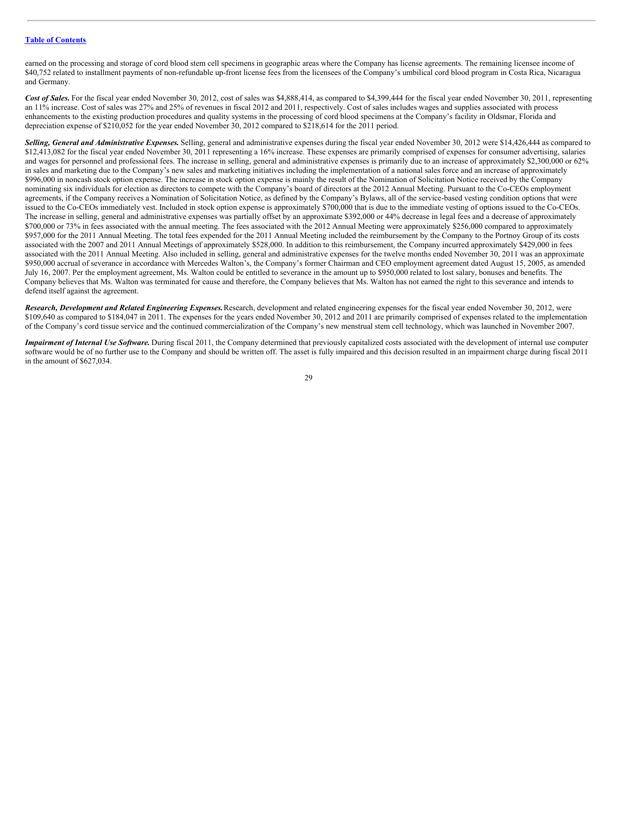# **Table of [Contents](#page-2-0)**

earned on the processing and storage of cord blood stem cell specimens in geographic areas where the Company has license agreements. The remaining licensee income of \$40,752 related to installment payments of non-refundable up-front license fees from the licensees of the Company's umbilical cord blood program in Costa Rica, Nicaragua and Germany.

Cost of Sales. For the fiscal year ended November 30, 2012, cost of sales was \$4,888,414, as compared to \$4,399,444 for the fiscal year ended November 30, 2011, representing an 11% increase. Cost of sales was 27% and 25% of revenues in fiscal 2012 and 2011, respectively. Cost of sales includes wages and supplies associated with process enhancements to the existing production procedures and quality systems in the processing of cord blood specimens at the Company's facility in Oldsmar, Florida and depreciation expense of \$210,052 for the year ended November 30, 2012 compared to \$218,614 for the 2011 period.

*Selling, General and Administrative Expenses.* Selling, general and administrative expenses during the fiscal year ended November 30, 2012 were \$14,426,444 as compared to \$12,413,082 for the fiscal year ended November 30, 2011 representing a 16% increase. These expenses are primarily comprised of expenses for consumer advertising, salaries and wages for personnel and professional fees. The increase in selling, general and administrative expenses is primarily due to an increase of approximately \$2,300,000 or 62% in sales and marketing due to the Company's new sales and marketing initiatives including the implementation of a national sales force and an increase of approximately \$996,000 in noncash stock option expense. The increase in stock option expense is mainly the result of the Nomination of Solicitation Notice received by the Company nominating six individuals for election as directors to compete with the Company's board of directors at the 2012 Annual Meeting. Pursuant to the Co-CEOs employment agreements, if the Company receives a Nomination of Solicitation Notice, as defined by the Company's Bylaws, all of the service-based vesting condition options that were issued to the Co-CEOs immediately vest. Included in stock option expense is approximately \$700,000 that is due to the immediate vesting of options issued to the Co-CEOs. The increase in selling, general and administrative expenses was partially offset by an approximate \$392,000 or 44% decrease in legal fees and a decrease of approximately \$700,000 or 73% in fees associated with the annual meeting. The fees associated with the 2012 Annual Meeting were approximately \$256,000 compared to approximately \$957,000 for the 2011 Annual Meeting. The total fees expended for the 2011 Annual Meeting included the reimbursement by the Company to the Portnoy Group of its costs associated with the 2007 and 2011 Annual Meetings of approximately \$528,000. In addition to this reimbursement, the Company incurred approximately \$429,000 in fees associated with the 2011 Annual Meeting. Also included in selling, general and administrative expenses for the twelve months ended November 30, 2011 was an approximate \$950,000 accrual of severance in accordance with Mercedes Walton's, the Company's former Chairman and CEO employment agreement dated August 15, 2005, as amended July 16, 2007. Per the employment agreement, Ms. Walton could be entitled to severance in the amount up to \$950,000 related to lost salary, bonuses and benefits. The Company believes that Ms. Walton was terminated for cause and therefore, the Company believes that Ms. Walton has not earned the right to this severance and intends to defend itself against the agreement.

*Research, Development and Related Engineering Expenses.*Research, development and related engineering expenses for the fiscal year ended November 30, 2012, were \$109,640 as compared to \$184,047 in 2011. The expenses for the years ended November 30, 2012 and 2011 are primarily comprised of expenses related to the implementation of the Company's cord tissue service and the continued commercialization of the Company's new menstrual stem cell technology, which was launched in November 2007.

*Impairment of Internal Use Software.* During fiscal 2011, the Company determined that previously capitalized costs associated with the development of internal use computer software would be of no further use to the Company and should be written off. The asset is fully impaired and this decision resulted in an impairment charge during fiscal 2011 in the amount of \$627,034.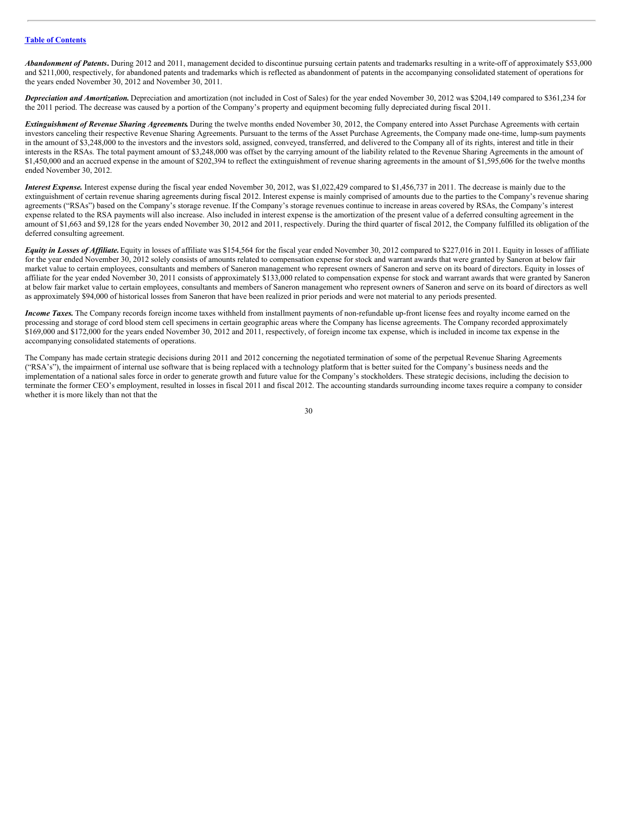*Abandonment of Patents***.** During 2012 and 2011, management decided to discontinue pursuing certain patents and trademarks resulting in a write-off of approximately \$53,000 and \$211,000, respectively, for abandoned patents and trademarks which is reflected as abandonment of patents in the accompanying consolidated statement of operations for the years ended November 30, 2012 and November 30, 2011.

*Depreciation and Amortization***.** Depreciation and amortization (not included in Cost of Sales) for the year ended November 30, 2012 was \$204,149 compared to \$361,234 for the 2011 period. The decrease was caused by a portion of the Company's property and equipment becoming fully depreciated during fiscal 2011.

*Extinguishment of Revenue Sharing Agreements***.** During the twelve months ended November 30, 2012, the Company entered into Asset Purchase Agreements with certain investors canceling their respective Revenue Sharing Agreements. Pursuant to the terms of the Asset Purchase Agreements, the Company made one-time, lump-sum payments in the amount of \$3,248,000 to the investors and the investors sold, assigned, conveyed, transferred, and delivered to the Company all of its rights, interest and title in their interests in the RSAs. The total payment amount of \$3,248,000 was offset by the carrying amount of the liability related to the Revenue Sharing Agreements in the amount of \$1,450,000 and an accrued expense in the amount of \$202,394 to reflect the extinguishment of revenue sharing agreements in the amount of \$1,595,606 for the twelve months ended November 30, 2012.

*Interest Expense.* Interest expense during the fiscal year ended November 30, 2012, was \$1,022,429 compared to \$1,456,737 in 2011. The decrease is mainly due to the extinguishment of certain revenue sharing agreements during fiscal 2012. Interest expense is mainly comprised of amounts due to the parties to the Company's revenue sharing agreements ("RSAs") based on the Company's storage revenue. If the Company's storage revenues continue to increase in areas covered by RSAs, the Company's interest expense related to the RSA payments will also increase. Also included in interest expense is the amortization of the present value of a deferred consulting agreement in the amount of \$1,663 and \$9,128 for the years ended November 30, 2012 and 2011, respectively. During the third quarter of fiscal 2012, the Company fulfilled its obligation of the deferred consulting agreement.

*Equity in Losses of Af iliate.*Equity in losses of affiliate was \$154,564 for the fiscal year ended November 30, 2012 compared to \$227,016 in 2011. Equity in losses of affiliate for the year ended November 30, 2012 solely consists of amounts related to compensation expense for stock and warrant awards that were granted by Saneron at below fair market value to certain employees, consultants and members of Saneron management who represent owners of Saneron and serve on its board of directors. Equity in losses of affiliate for the year ended November 30, 2011 consists of approximately \$133,000 related to compensation expense for stock and warrant awards that were granted by Saneron at below fair market value to certain employees, consultants and members of Saneron management who represent owners of Saneron and serve on its board of directors as well as approximately \$94,000 of historical losses from Saneron that have been realized in prior periods and were not material to any periods presented.

*Income Taxes.* The Company records foreign income taxes withheld from installment payments of non-refundable up-front license fees and royalty income earned on the processing and storage of cord blood stem cell specimens in certain geographic areas where the Company has license agreements. The Company recorded approximately \$169,000 and \$172,000 for the years ended November 30, 2012 and 2011, respectively, of foreign income tax expense, which is included in income tax expense in the accompanying consolidated statements of operations.

The Company has made certain strategic decisions during 2011 and 2012 concerning the negotiated termination of some of the perpetual Revenue Sharing Agreements ("RSA's"), the impairment of internal use software that is being replaced with a technology platform that is better suited for the Company's business needs and the implementation of a national sales force in order to generate growth and future value for the Company's stockholders. These strategic decisions, including the decision to terminate the former CEO's employment, resulted in losses in fiscal 2011 and fiscal 2012. The accounting standards surrounding income taxes require a company to consider whether it is more likely than not that the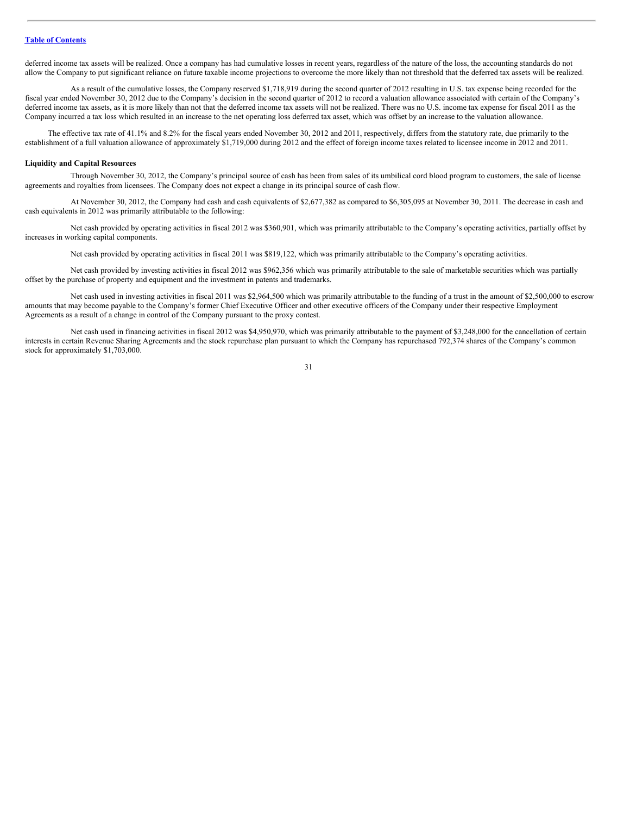deferred income tax assets will be realized. Once a company has had cumulative losses in recent years, regardless of the nature of the loss, the accounting standards do not allow the Company to put significant reliance on future taxable income projections to overcome the more likely than not threshold that the deferred tax assets will be realized.

As a result of the cumulative losses, the Company reserved \$1,718,919 during the second quarter of 2012 resulting in U.S. tax expense being recorded for the fiscal year ended November 30, 2012 due to the Company's decision in the second quarter of 2012 to record a valuation allowance associated with certain of the Company's deferred income tax assets, as it is more likely than not that the deferred income tax assets will not be realized. There was no U.S. income tax expense for fiscal 2011 as the Company incurred a tax loss which resulted in an increase to the net operating loss deferred tax asset, which was offset by an increase to the valuation allowance.

The effective tax rate of 41.1% and 8.2% for the fiscal years ended November 30, 2012 and 2011, respectively, differs from the statutory rate, due primarily to the establishment of a full valuation allowance of approximately \$1,719,000 during 2012 and the effect of foreign income taxes related to licensee income in 2012 and 2011.

#### **Liquidity and Capital Resources**

Through November 30, 2012, the Company's principal source of cash has been from sales of its umbilical cord blood program to customers, the sale of license agreements and royalties from licensees. The Company does not expect a change in its principal source of cash flow.

At November 30, 2012, the Company had cash and cash equivalents of \$2,677,382 as compared to \$6,305,095 at November 30, 2011. The decrease in cash and cash equivalents in 2012 was primarily attributable to the following:

Net cash provided by operating activities in fiscal 2012 was \$360,901, which was primarily attributable to the Company's operating activities, partially offset by increases in working capital components.

Net cash provided by operating activities in fiscal 2011 was \$819,122, which was primarily attributable to the Company's operating activities.

Net cash provided by investing activities in fiscal 2012 was \$962,356 which was primarily attributable to the sale of marketable securities which was partially offset by the purchase of property and equipment and the investment in patents and trademarks.

Net cash used in investing activities in fiscal 2011 was \$2,964,500 which was primarily attributable to the funding of a trust in the amount of \$2,500,000 to escrow amounts that may become payable to the Company's former Chief Executive Officer and other executive officers of the Company under their respective Employment Agreements as a result of a change in control of the Company pursuant to the proxy contest.

Net cash used in financing activities in fiscal 2012 was \$4,950,970, which was primarily attributable to the payment of \$3,248,000 for the cancellation of certain interests in certain Revenue Sharing Agreements and the stock repurchase plan pursuant to which the Company has repurchased 792,374 shares of the Company's common stock for approximately \$1,703,000.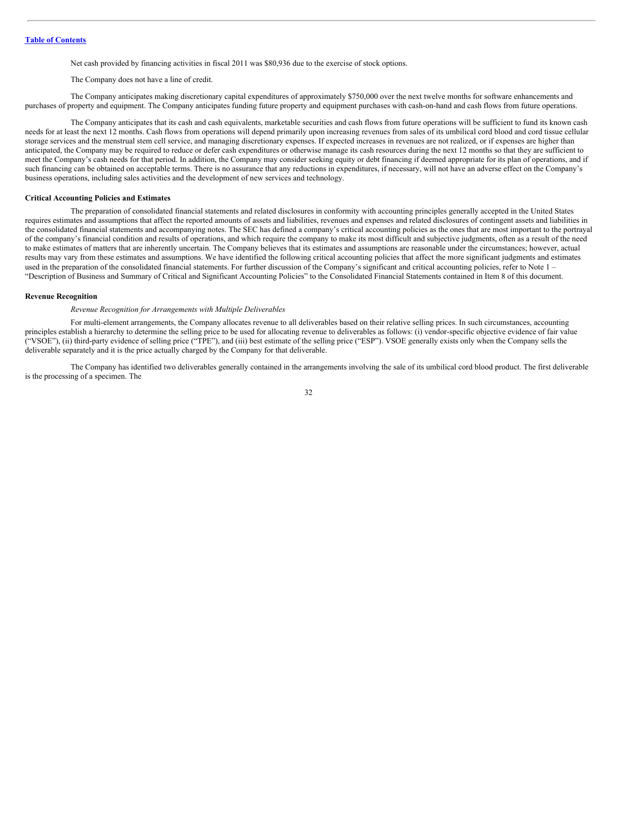Net cash provided by financing activities in fiscal 2011 was \$80,936 due to the exercise of stock options.

#### The Company does not have a line of credit.

The Company anticipates making discretionary capital expenditures of approximately \$750,000 over the next twelve months for software enhancements and purchases of property and equipment. The Company anticipates funding future property and equipment purchases with cash-on-hand and cash flows from future operations.

The Company anticipates that its cash and cash equivalents, marketable securities and cash flows from future operations will be sufficient to fund its known cash needs for at least the next 12 months. Cash flows from operations will depend primarily upon increasing revenues from sales of its umbilical cord blood and cord tissue cellular storage services and the menstrual stem cell service, and managing discretionary expenses. If expected increases in revenues are not realized, or if expenses are higher than anticipated, the Company may be required to reduce or defer cash expenditures or otherwise manage its cash resources during the next 12 months so that they are sufficient to meet the Company's cash needs for that period. In addition, the Company may consider seeking equity or debt financing if deemed appropriate for its plan of operations, and if such financing can be obtained on acceptable terms. There is no assurance that any reductions in expenditures, if necessary, will not have an adverse effect on the Company's business operations, including sales activities and the development of new services and technology.

#### **Critical Accounting Policies and Estimates**

The preparation of consolidated financial statements and related disclosures in conformity with accounting principles generally accepted in the United States requires estimates and assumptions that affect the reported amounts of assets and liabilities, revenues and expenses and related disclosures of contingent assets and liabilities in the consolidated financial statements and accompanying notes. The SEC has defined a company's critical accounting policies as the ones that are most important to the portrayal of the company's financial condition and results of operations, and which require the company to make its most difficult and subjective judgments, often as a result of the need to make estimates of matters that are inherently uncertain. The Company believes that its estimates and assumptions are reasonable under the circumstances; however, actual results may vary from these estimates and assumptions. We have identified the following critical accounting policies that affect the more significant judgments and estimates used in the preparation of the consolidated financial statements. For further discussion of the Company's significant and critical accounting policies, refer to Note 1 – "Description of Business and Summary of Critical and Significant Accounting Policies" to the Consolidated Financial Statements contained in Item 8 of this document.

#### **Revenue Recognition**

#### *Revenue Recognition for Arrangements with Multiple Deliverables*

For multi-element arrangements, the Company allocates revenue to all deliverables based on their relative selling prices. In such circumstances, accounting principles establish a hierarchy to determine the selling price to be used for allocating revenue to deliverables as follows: (i) vendor-specific objective evidence of fair value ("VSOE"), (ii) third-party evidence of selling price ("TPE"), and (iii) best estimate of the selling price ("ESP"). VSOE generally exists only when the Company sells the deliverable separately and it is the price actually charged by the Company for that deliverable.

The Company has identified two deliverables generally contained in the arrangements involving the sale of its umbilical cord blood product. The first deliverable is the processing of a specimen. The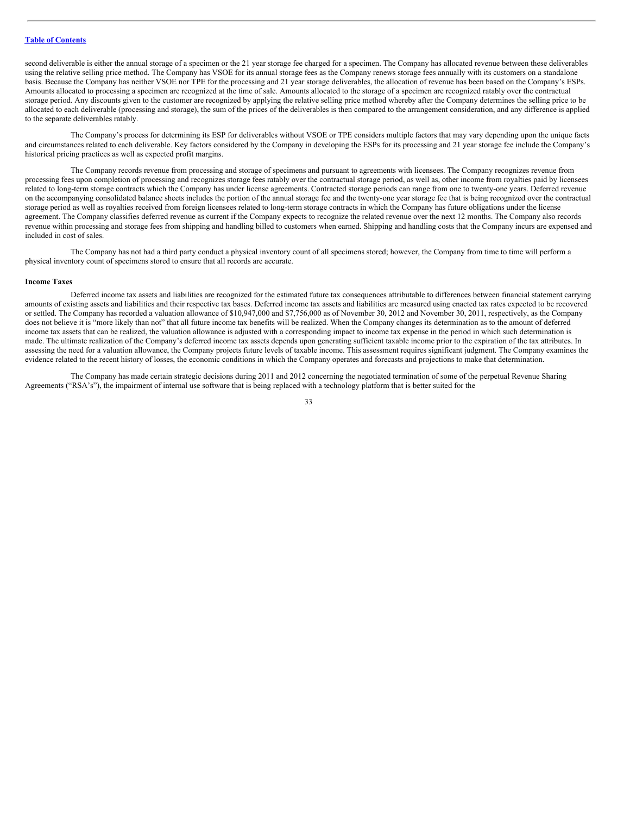# **Table of [Contents](#page-2-0)**

second deliverable is either the annual storage of a specimen or the 21 year storage fee charged for a specimen. The Company has allocated revenue between these deliverables using the relative selling price method. The Company has VSOE for its annual storage fees as the Company renews storage fees annually with its customers on a standalone basis. Because the Company has neither VSOE nor TPE for the processing and 21 year storage deliverables, the allocation of revenue has been based on the Company's ESPs. Amounts allocated to processing a specimen are recognized at the time of sale. Amounts allocated to the storage of a specimen are recognized ratably over the contractual storage period. Any discounts given to the customer are recognized by applying the relative selling price method whereby after the Company determines the selling price to be allocated to each deliverable (processing and storage), the sum of the prices of the deliverables is then compared to the arrangement consideration, and any difference is applied to the separate deliverables ratably.

The Company's process for determining its ESP for deliverables without VSOE or TPE considers multiple factors that may vary depending upon the unique facts and circumstances related to each deliverable. Key factors considered by the Company in developing the ESPs for its processing and 21 year storage fee include the Company's historical pricing practices as well as expected profit margins.

The Company records revenue from processing and storage of specimens and pursuant to agreements with licensees. The Company recognizes revenue from processing fees upon completion of processing and recognizes storage fees ratably over the contractual storage period, as well as, other income from royalties paid by licensees related to long-term storage contracts which the Company has under license agreements. Contracted storage periods can range from one to twenty-one years. Deferred revenue on the accompanying consolidated balance sheets includes the portion of the annual storage fee and the twenty-one year storage fee that is being recognized over the contractual storage period as well as royalties received from foreign licensees related to long-term storage contracts in which the Company has future obligations under the license agreement. The Company classifies deferred revenue as current if the Company expects to recognize the related revenue over the next 12 months. The Company also records revenue within processing and storage fees from shipping and handling billed to customers when earned. Shipping and handling costs that the Company incurs are expensed and included in cost of sales.

The Company has not had a third party conduct a physical inventory count of all specimens stored; however, the Company from time to time will perform a physical inventory count of specimens stored to ensure that all records are accurate.

#### **Income Taxes**

Deferred income tax assets and liabilities are recognized for the estimated future tax consequences attributable to differences between financial statement carrying amounts of existing assets and liabilities and their respective tax bases. Deferred income tax assets and liabilities are measured using enacted tax rates expected to be recovered or settled. The Company has recorded a valuation allowance of \$10,947,000 and \$7,756,000 as of November 30, 2012 and November 30, 2011, respectively, as the Company does not believe it is "more likely than not" that all future income tax benefits will be realized. When the Company changes its determination as to the amount of deferred income tax assets that can be realized, the valuation allowance is adjusted with a corresponding impact to income tax expense in the period in which such determination is made. The ultimate realization of the Company's deferred income tax assets depends upon generating sufficient taxable income prior to the expiration of the tax attributes. In assessing the need for a valuation allowance, the Company projects future levels of taxable income. This assessment requires significant judgment. The Company examines the evidence related to the recent history of losses, the economic conditions in which the Company operates and forecasts and projections to make that determination.

The Company has made certain strategic decisions during 2011 and 2012 concerning the negotiated termination of some of the perpetual Revenue Sharing Agreements ("RSA's"), the impairment of internal use software that is being replaced with a technology platform that is better suited for the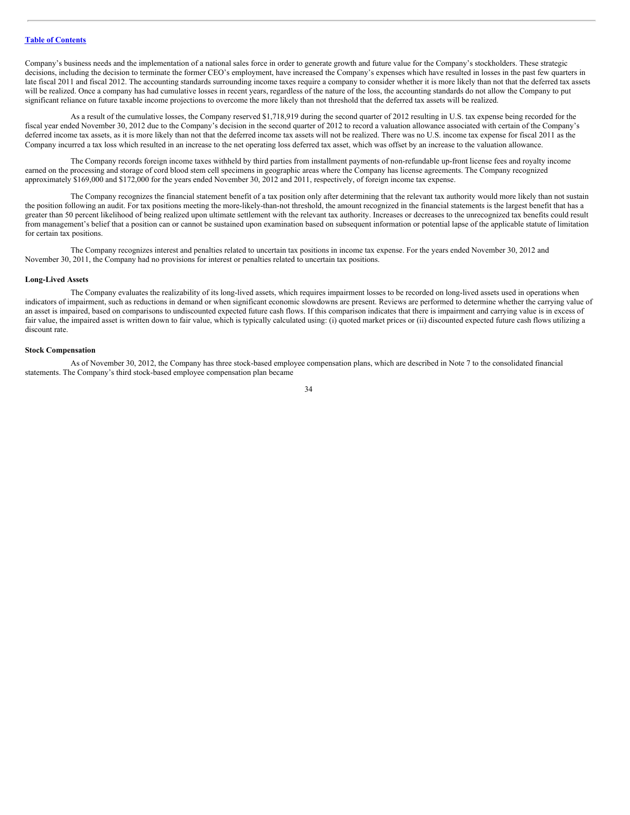Company's business needs and the implementation of a national sales force in order to generate growth and future value for the Company's stockholders. These strategic decisions, including the decision to terminate the former CEO's employment, have increased the Company's expenses which have resulted in losses in the past few quarters in late fiscal 2011 and fiscal 2012. The accounting standards surrounding income taxes require a company to consider whether it is more likely than not that the deferred tax assets will be realized. Once a company has had cumulative losses in recent years, regardless of the nature of the loss, the accounting standards do not allow the Company to put significant reliance on future taxable income projections to overcome the more likely than not threshold that the deferred tax assets will be realized.

As a result of the cumulative losses, the Company reserved \$1,718,919 during the second quarter of 2012 resulting in U.S. tax expense being recorded for the fiscal year ended November 30, 2012 due to the Company's decision in the second quarter of 2012 to record a valuation allowance associated with certain of the Company's deferred income tax assets, as it is more likely than not that the deferred income tax assets will not be realized. There was no U.S. income tax expense for fiscal 2011 as the Company incurred a tax loss which resulted in an increase to the net operating loss deferred tax asset, which was offset by an increase to the valuation allowance.

The Company records foreign income taxes withheld by third parties from installment payments of non-refundable up-front license fees and royalty income earned on the processing and storage of cord blood stem cell specimens in geographic areas where the Company has license agreements. The Company recognized approximately \$169,000 and \$172,000 for the years ended November 30, 2012 and 2011, respectively, of foreign income tax expense.

The Company recognizes the financial statement benefit of a tax position only after determining that the relevant tax authority would more likely than not sustain the position following an audit. For tax positions meeting the more-likely-than-not threshold, the amount recognized in the financial statements is the largest benefit that has a greater than 50 percent likelihood of being realized upon ultimate settlement with the relevant tax authority. Increases or decreases to the unrecognized tax benefits could result from management's belief that a position can or cannot be sustained upon examination based on subsequent information or potential lapse of the applicable statute of limitation for certain tax positions.

The Company recognizes interest and penalties related to uncertain tax positions in income tax expense. For the years ended November 30, 2012 and November 30, 2011, the Company had no provisions for interest or penalties related to uncertain tax positions.

#### **Long-Lived Assets**

The Company evaluates the realizability of its long-lived assets, which requires impairment losses to be recorded on long-lived assets used in operations when indicators of impairment, such as reductions in demand or when significant economic slowdowns are present. Reviews are performed to determine whether the carrying value of an asset is impaired, based on comparisons to undiscounted expected future cash flows. If this comparison indicates that there is impairment and carrying value is in excess of fair value, the impaired asset is written down to fair value, which is typically calculated using: (i) quoted market prices or (ii) discounted expected future cash flows utilizing a discount rate.

#### **Stock Compensation**

As of November 30, 2012, the Company has three stock-based employee compensation plans, which are described in Note 7 to the consolidated financial statements. The Company's third stock-based employee compensation plan became

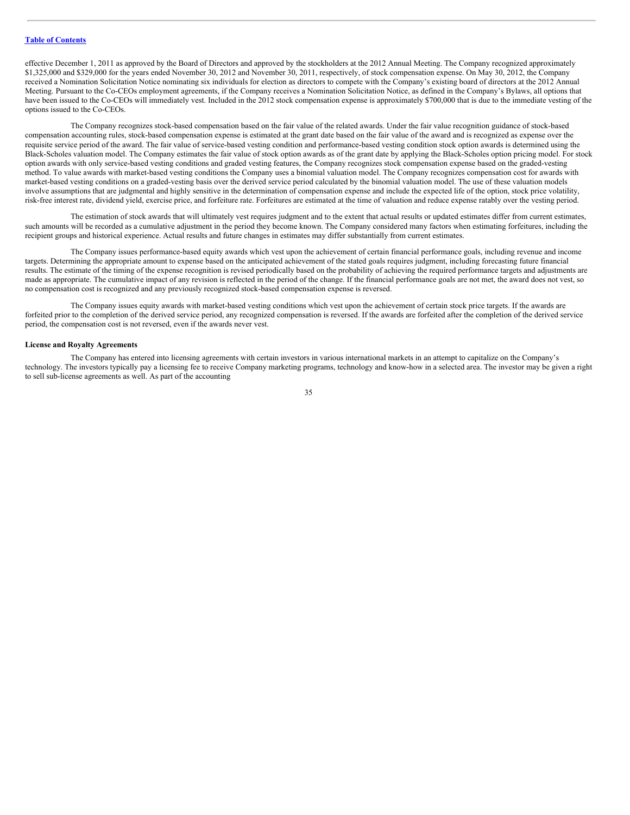effective December 1, 2011 as approved by the Board of Directors and approved by the stockholders at the 2012 Annual Meeting. The Company recognized approximately \$1,325,000 and \$329,000 for the years ended November 30, 2012 and November 30, 2011, respectively, of stock compensation expense. On May 30, 2012, the Company received a Nomination Solicitation Notice nominating six individuals for election as directors to compete with the Company's existing board of directors at the 2012 Annual Meeting. Pursuant to the Co-CEOs employment agreements, if the Company receives a Nomination Solicitation Notice, as defined in the Company's Bylaws, all options that have been issued to the Co-CEOs will immediately vest. Included in the 2012 stock compensation expense is approximately \$700,000 that is due to the immediate vesting of the options issued to the Co-CEOs.

The Company recognizes stock-based compensation based on the fair value of the related awards. Under the fair value recognition guidance of stock-based compensation accounting rules, stock-based compensation expense is estimated at the grant date based on the fair value of the award and is recognized as expense over the requisite service period of the award. The fair value of service-based vesting condition and performance-based vesting condition stock option awards is determined using the Black-Scholes valuation model. The Company estimates the fair value of stock option awards as of the grant date by applying the Black-Scholes option pricing model. For stock option awards with only service-based vesting conditions and graded vesting features, the Company recognizes stock compensation expense based on the graded-vesting method. To value awards with market-based vesting conditions the Company uses a binomial valuation model. The Company recognizes compensation cost for awards with market-based vesting conditions on a graded-vesting basis over the derived service period calculated by the binomial valuation model. The use of these valuation models involve assumptions that are judgmental and highly sensitive in the determination of compensation expense and include the expected life of the option, stock price volatility, risk-free interest rate, dividend yield, exercise price, and forfeiture rate. Forfeitures are estimated at the time of valuation and reduce expense ratably over the vesting period.

The estimation of stock awards that will ultimately vest requires judgment and to the extent that actual results or updated estimates differ from current estimates, such amounts will be recorded as a cumulative adjustment in the period they become known. The Company considered many factors when estimating forfeitures, including the recipient groups and historical experience. Actual results and future changes in estimates may differ substantially from current estimates.

The Company issues performance-based equity awards which vest upon the achievement of certain financial performance goals, including revenue and income targets. Determining the appropriate amount to expense based on the anticipated achievement of the stated goals requires judgment, including forecasting future financial results. The estimate of the timing of the expense recognition is revised periodically based on the probability of achieving the required performance targets and adjustments are made as appropriate. The cumulative impact of any revision is reflected in the period of the change. If the financial performance goals are not met, the award does not vest, so no compensation cost is recognized and any previously recognized stock-based compensation expense is reversed.

The Company issues equity awards with market-based vesting conditions which vest upon the achievement of certain stock price targets. If the awards are forfeited prior to the completion of the derived service period, any recognized compensation is reversed. If the awards are forfeited after the completion of the derived service period, the compensation cost is not reversed, even if the awards never vest.

#### **License and Royalty Agreements**

The Company has entered into licensing agreements with certain investors in various international markets in an attempt to capitalize on the Company's technology. The investors typically pay a licensing fee to receive Company marketing programs, technology and know-how in a selected area. The investor may be given a right to sell sub-license agreements as well. As part of the accounting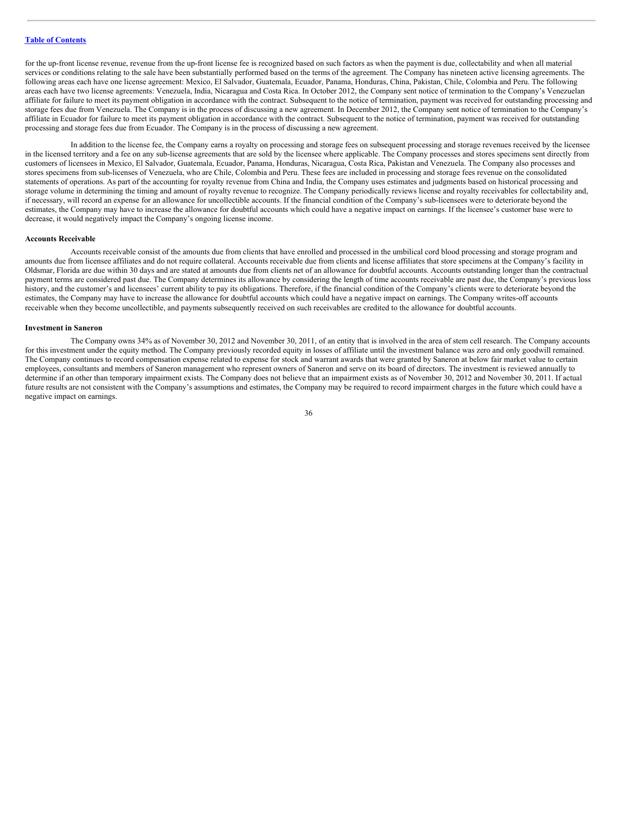for the up-front license revenue, revenue from the up-front license fee is recognized based on such factors as when the payment is due, collectability and when all material services or conditions relating to the sale have been substantially performed based on the terms of the agreement. The Company has nineteen active licensing agreements. The following areas each have one license agreement: Mexico, El Salvador, Guatemala, Ecuador, Panama, Honduras, China, Pakistan, Chile, Colombia and Peru. The following areas each have two license agreements: Venezuela, India, Nicaragua and Costa Rica. In October 2012, the Company sent notice of termination to the Company's Venezuelan affiliate for failure to meet its payment obligation in accordance with the contract. Subsequent to the notice of termination, payment was received for outstanding processing and storage fees due from Venezuela. The Company is in the process of discussing a new agreement. In December 2012, the Company sent notice of termination to the Company's affiliate in Ecuador for failure to meet its payment obligation in accordance with the contract. Subsequent to the notice of termination, payment was received for outstanding processing and storage fees due from Ecuador. The Company is in the process of discussing a new agreement.

In addition to the license fee, the Company earns a royalty on processing and storage fees on subsequent processing and storage revenues received by the licensee in the licensed territory and a fee on any sub-license agreements that are sold by the licensee where applicable. The Company processes and stores specimens sent directly from customers of licensees in Mexico, El Salvador, Guatemala, Ecuador, Panama, Honduras, Nicaragua, Costa Rica, Pakistan and Venezuela. The Company also processes and stores specimens from sub-licenses of Venezuela, who are Chile, Colombia and Peru. These fees are included in processing and storage fees revenue on the consolidated statements of operations. As part of the accounting for royalty revenue from China and India, the Company uses estimates and judgments based on historical processing and storage volume in determining the timing and amount of royalty revenue to recognize. The Company periodically reviews license and royalty receivables for collectability and, if necessary, will record an expense for an allowance for uncollectible accounts. If the financial condition of the Company's sub-licensees were to deteriorate beyond the estimates, the Company may have to increase the allowance for doubtful accounts which could have a negative impact on earnings. If the licensee's customer base were to decrease, it would negatively impact the Company's ongoing license income.

#### **Accounts Receivable**

Accounts receivable consist of the amounts due from clients that have enrolled and processed in the umbilical cord blood processing and storage program and amounts due from licensee affiliates and do not require collateral. Accounts receivable due from clients and license affiliates that store specimens at the Company's facility in Oldsmar, Florida are due within 30 days and are stated at amounts due from clients net of an allowance for doubtful accounts. Accounts outstanding longer than the contractual payment terms are considered past due. The Company determines its allowance by considering the length of time accounts receivable are past due, the Company's previous loss history, and the customer's and licensees' current ability to pay its obligations. Therefore, if the financial condition of the Company's clients were to deteriorate beyond the estimates, the Company may have to increase the allowance for doubtful accounts which could have a negative impact on earnings. The Company writes-off accounts receivable when they become uncollectible, and payments subsequently received on such receivables are credited to the allowance for doubtful accounts.

#### **Investment in Saneron**

The Company owns 34% as of November 30, 2012 and November 30, 2011, of an entity that is involved in the area of stem cell research. The Company accounts for this investment under the equity method. The Company previously recorded equity in losses of affiliate until the investment balance was zero and only goodwill remained. The Company continues to record compensation expense related to expense for stock and warrant awards that were granted by Saneron at below fair market value to certain employees, consultants and members of Saneron management who represent owners of Saneron and serve on its board of directors. The investment is reviewed annually to determine if an other than temporary impairment exists. The Company does not believe that an impairment exists as of November 30, 2012 and November 30, 2011. If actual future results are not consistent with the Company's assumptions and estimates, the Company may be required to record impairment charges in the future which could have a negative impact on earnings.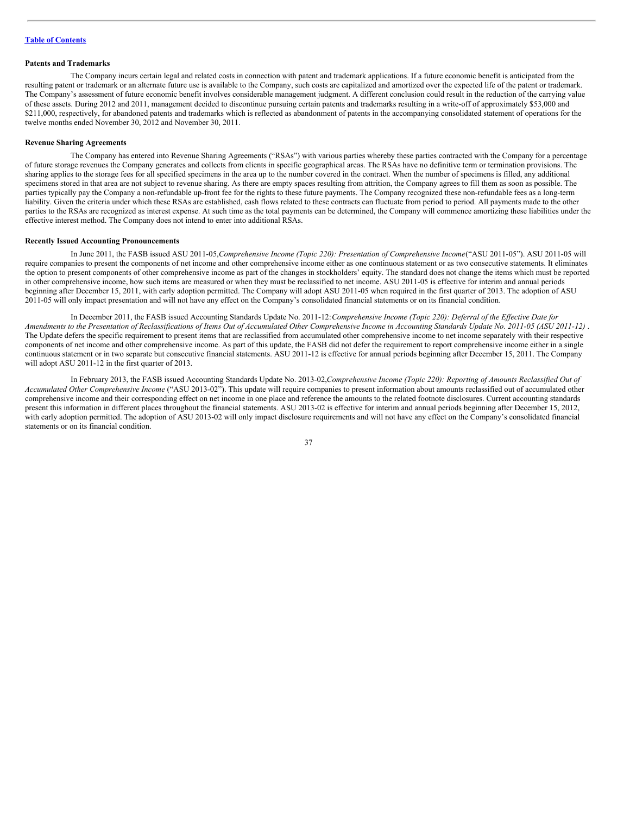### **Patents and Trademarks**

The Company incurs certain legal and related costs in connection with patent and trademark applications. If a future economic benefit is anticipated from the resulting patent or trademark or an alternate future use is available to the Company, such costs are capitalized and amortized over the expected life of the patent or trademark. The Company's assessment of future economic benefit involves considerable management judgment. A different conclusion could result in the reduction of the carrying value of these assets. During 2012 and 2011, management decided to discontinue pursuing certain patents and trademarks resulting in a write-off of approximately \$53,000 and \$211,000, respectively, for abandoned patents and trademarks which is reflected as abandonment of patents in the accompanying consolidated statement of operations for the twelve months ended November 30, 2012 and November 30, 2011.

#### **Revenue Sharing Agreements**

The Company has entered into Revenue Sharing Agreements ("RSAs") with various parties whereby these parties contracted with the Company for a percentage of future storage revenues the Company generates and collects from clients in specific geographical areas. The RSAs have no definitive term or termination provisions. The sharing applies to the storage fees for all specified specimens in the area up to the number covered in the contract. When the number of specimens is filled, any additional specimens stored in that area are not subject to revenue sharing. As there are empty spaces resulting from attrition, the Company agrees to fill them as soon as possible. The parties typically pay the Company a non-refundable up-front fee for the rights to these future payments. The Company recognized these non-refundable fees as a long-term liability. Given the criteria under which these RSAs are established, cash flows related to these contracts can fluctuate from period to period. All payments made to the other parties to the RSAs are recognized as interest expense. At such time as the total payments can be determined, the Company will commence amortizing these liabilities under the effective interest method. The Company does not intend to enter into additional RSAs.

#### **Recently Issued Accounting Pronouncements**

In June 2011, the FASB issued ASU 2011-05,*Comprehensive Income (Topic 220): Presentation of Comprehensive Income*("ASU 2011-05"). ASU 2011-05 will require companies to present the components of net income and other comprehensive income either as one continuous statement or as two consecutive statements. It eliminates the option to present components of other comprehensive income as part of the changes in stockholders' equity. The standard does not change the items which must be reported in other comprehensive income, how such items are measured or when they must be reclassified to net income. ASU 2011-05 is effective for interim and annual periods beginning after December 15, 2011, with early adoption permitted. The Company will adopt ASU 2011-05 when required in the first quarter of 2013. The adoption of ASU 2011-05 will only impact presentation and will not have any effect on the Company's consolidated financial statements or on its financial condition.

In December 2011, the FASB issued Accounting Standards Update No. 2011-12:*Comprehensive Income (Topic 220): Deferral of the Ef ective Date for* Amendments to the Presentation of Reclassifications of Items Out of Accumulated Other Comprehensive Income in Accounting Standards Update No. 2011-05 (ASU 2011-12). The Update defers the specific requirement to present items that are reclassified from accumulated other comprehensive income to net income separately with their respective components of net income and other comprehensive income. As part of this update, the FASB did not defer the requirement to report comprehensive income either in a single continuous statement or in two separate but consecutive financial statements. ASU 2011-12 is effective for annual periods beginning after December 15, 2011. The Company will adopt ASU 2011-12 in the first quarter of 2013.

In February 2013, the FASB issued Accounting Standards Update No. 2013-02,*Comprehensive Income (Topic 220): Reporting of Amounts Reclassified Out of Accumulated Other Comprehensive Income* ("ASU 2013-02"). This update will require companies to present information about amounts reclassified out of accumulated other comprehensive income and their corresponding effect on net income in one place and reference the amounts to the related footnote disclosures. Current accounting standards present this information in different places throughout the financial statements. ASU 2013-02 is effective for interim and annual periods beginning after December 15, 2012, with early adoption permitted. The adoption of ASU 2013-02 will only impact disclosure requirements and will not have any effect on the Company's consolidated financial statements or on its financial condition.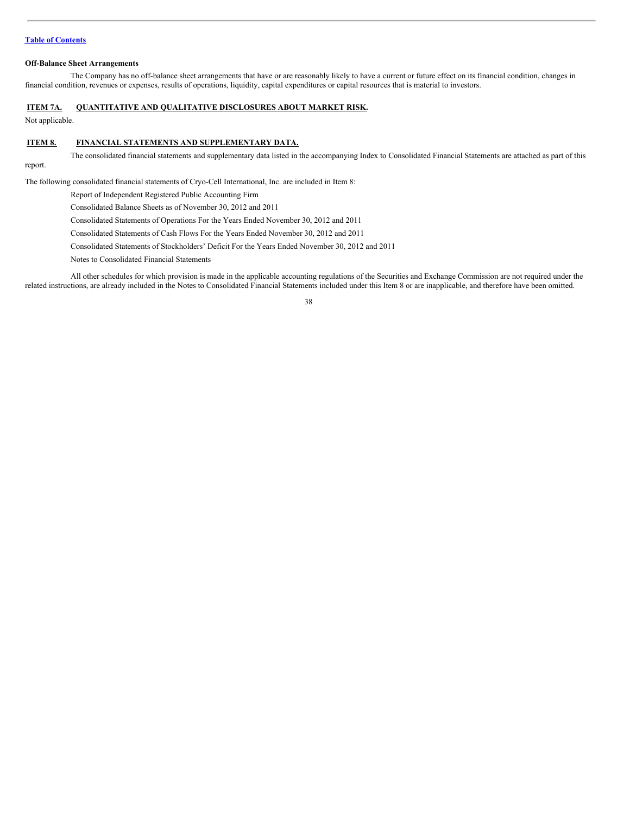### **Off-Balance Sheet Arrangements**

The Company has no off-balance sheet arrangements that have or are reasonably likely to have a current or future effect on its financial condition, changes in financial condition, revenues or expenses, results of operations, liquidity, capital expenditures or capital resources that is material to investors.

# **ITEM 7A. QUANTITATIVE AND QUALITATIVE DISCLOSURES ABOUT MARKET RISK.**

Not applicable.

# **ITEM 8. FINANCIAL STATEMENTS AND SUPPLEMENTARY DATA.**

The consolidated financial statements and supplementary data listed in the accompanying Index to Consolidated Financial Statements are attached as part of this report.

The following consolidated financial statements of Cryo-Cell International, Inc. are included in Item 8:

Report of Independent Registered Public Accounting Firm

Consolidated Balance Sheets as of November 30, 2012 and 2011

Consolidated Statements of Operations For the Years Ended November 30, 2012 and 2011

Consolidated Statements of Cash Flows For the Years Ended November 30, 2012 and 2011

Consolidated Statements of Stockholders' Deficit For the Years Ended November 30, 2012 and 2011

Notes to Consolidated Financial Statements

All other schedules for which provision is made in the applicable accounting regulations of the Securities and Exchange Commission are not required under the related instructions, are already included in the Notes to Consolidated Financial Statements included under this Item 8 or are inapplicable, and therefore have been omitted.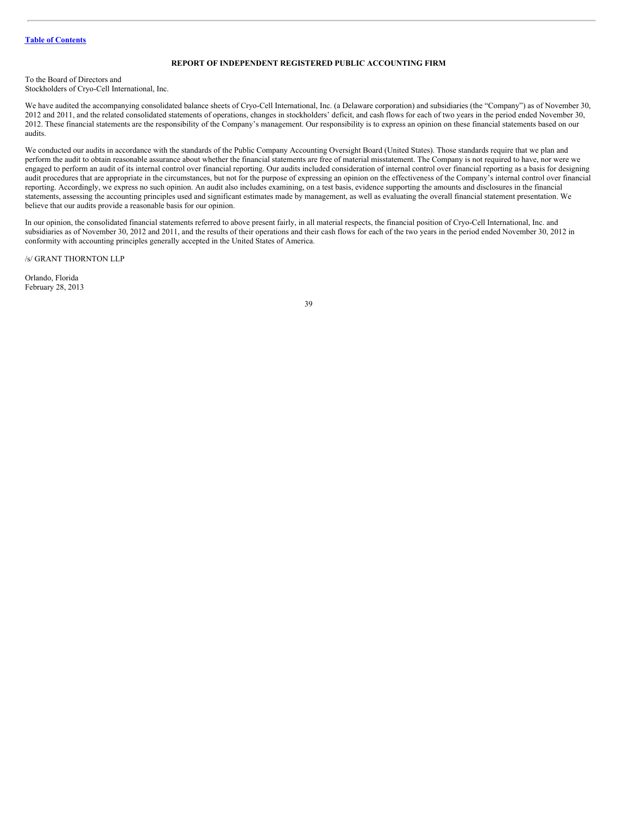# **REPORT OF INDEPENDENT REGISTERED PUBLIC ACCOUNTING FIRM**

To the Board of Directors and Stockholders of Cryo-Cell International, Inc.

We have audited the accompanying consolidated balance sheets of Cryo-Cell International, Inc. (a Delaware corporation) and subsidiaries (the "Company") as of November 30, 2012 and 2011, and the related consolidated statements of operations, changes in stockholders' deficit, and cash flows for each of two years in the period ended November 30, 2012. These financial statements are the responsibility of the Company's management. Our responsibility is to express an opinion on these financial statements based on our audits.

We conducted our audits in accordance with the standards of the Public Company Accounting Oversight Board (United States). Those standards require that we plan and perform the audit to obtain reasonable assurance about whether the financial statements are free of material misstatement. The Company is not required to have, nor were we engaged to perform an audit of its internal control over financial reporting. Our audits included consideration of internal control over financial reporting as a basis for designing audit procedures that are appropriate in the circumstances, but not for the purpose of expressing an opinion on the effectiveness of the Company's internal control over financial reporting. Accordingly, we express no such opinion. An audit also includes examining, on a test basis, evidence supporting the amounts and disclosures in the financial statements, assessing the accounting principles used and significant estimates made by management, as well as evaluating the overall financial statement presentation. We believe that our audits provide a reasonable basis for our opinion.

In our opinion, the consolidated financial statements referred to above present fairly, in all material respects, the financial position of Cryo-Cell International, Inc. and subsidiaries as of November 30, 2012 and 2011, and the results of their operations and their cash flows for each of the two years in the period ended November 30, 2012 in conformity with accounting principles generally accepted in the United States of America.

/s/ GRANT THORNTON LLP

Orlando, Florida February 28, 2013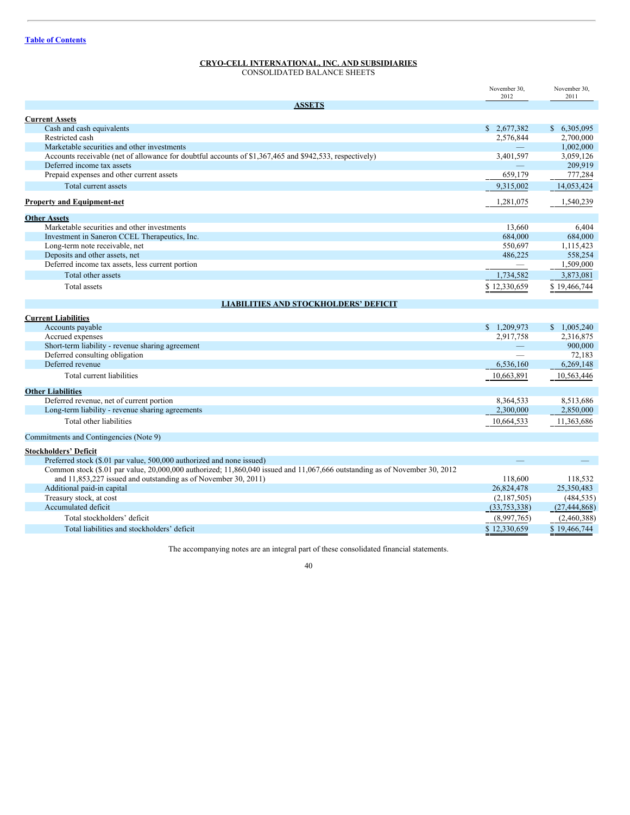# **CRYO-CELL INTERNATIONAL, INC. AND SUBSIDIARIES**

CONSOLIDATED BALANCE SHEETS

|                                                                                                                            | November 30,<br>2012          | November 30,<br>2011 |
|----------------------------------------------------------------------------------------------------------------------------|-------------------------------|----------------------|
| <b>ASSETS</b>                                                                                                              |                               |                      |
| <b>Current Assets</b>                                                                                                      |                               |                      |
| Cash and cash equivalents                                                                                                  | \$2,677,382                   | \$6,305,095          |
| Restricted cash                                                                                                            | 2,576,844                     | 2,700,000            |
| Marketable securities and other investments                                                                                |                               | 1,002,000            |
| Accounts receivable (net of allowance for doubtful accounts of \$1,367,465 and \$942,533, respectively)                    | 3,401,597                     | 3,059,126            |
| Deferred income tax assets                                                                                                 |                               | 209,919              |
| Prepaid expenses and other current assets                                                                                  | 659,179                       | 777,284              |
| Total current assets                                                                                                       | 9,315,002                     | 14,053,424           |
| <b>Property and Equipment-net</b>                                                                                          | 1,281,075                     | 1,540,239            |
| <b>Other Assets</b>                                                                                                        |                               |                      |
| Marketable securities and other investments                                                                                | 13,660                        | 6,404                |
| Investment in Saneron CCEL Therapeutics, Inc.                                                                              | 684,000                       | 684,000              |
| Long-term note receivable, net                                                                                             | 550,697                       | 1,115,423            |
| Deposits and other assets, net                                                                                             | 486,225                       | 558,254              |
| Deferred income tax assets, less current portion                                                                           | $\overbrace{\phantom{12332}}$ | 1,509,000            |
| Total other assets                                                                                                         | 1,734,582                     | 3,873,081            |
| Total assets                                                                                                               | \$12,330,659                  | \$19,466,744         |
| <b>LIABILITIES AND STOCKHOLDERS' DEFICIT</b>                                                                               |                               |                      |
| <b>Current Liabilities</b>                                                                                                 |                               |                      |
| Accounts payable                                                                                                           | \$1,209,973                   | \$1,005,240          |
| Accrued expenses                                                                                                           | 2,917,758                     | 2,316,875            |
| Short-term liability - revenue sharing agreement                                                                           |                               | 900,000              |
| Deferred consulting obligation                                                                                             |                               | 72.183               |
| Deferred revenue                                                                                                           | 6,536,160                     | 6,269,148            |
| Total current liabilities                                                                                                  | 10,663,891                    | 10,563,446           |
| <b>Other Liabilities</b>                                                                                                   |                               |                      |
| Deferred revenue, net of current portion                                                                                   | 8,364,533                     | 8.513.686            |
| Long-term liability - revenue sharing agreements                                                                           | 2,300,000                     | 2,850,000            |
| Total other liabilities                                                                                                    | 10,664,533                    | 11,363,686           |
| Commitments and Contingencies (Note 9)                                                                                     |                               |                      |
| <b>Stockholders' Deficit</b>                                                                                               |                               |                      |
| Preferred stock (\$.01 par value, 500,000 authorized and none issued)                                                      |                               |                      |
| Common stock (\$.01 par value, 20,000,000 authorized; 11,860,040 issued and 11,067,666 outstanding as of November 30, 2012 |                               |                      |
| and 11,853,227 issued and outstanding as of November 30, 2011)                                                             | 118,600                       | 118.532              |
| Additional paid-in capital                                                                                                 | 26,824,478                    | 25,350,483           |
| Treasury stock, at cost                                                                                                    | (2,187,505)                   | (484, 535)           |
| Accumulated deficit                                                                                                        | (33,753,338)                  | (27, 444, 868)       |
| Total stockholders' deficit                                                                                                | (8,997,765)                   | (2,460,388)          |
| Total liabilities and stockholders' deficit                                                                                | \$12,330,659                  | \$19,466,744         |

The accompanying notes are an integral part of these consolidated financial statements.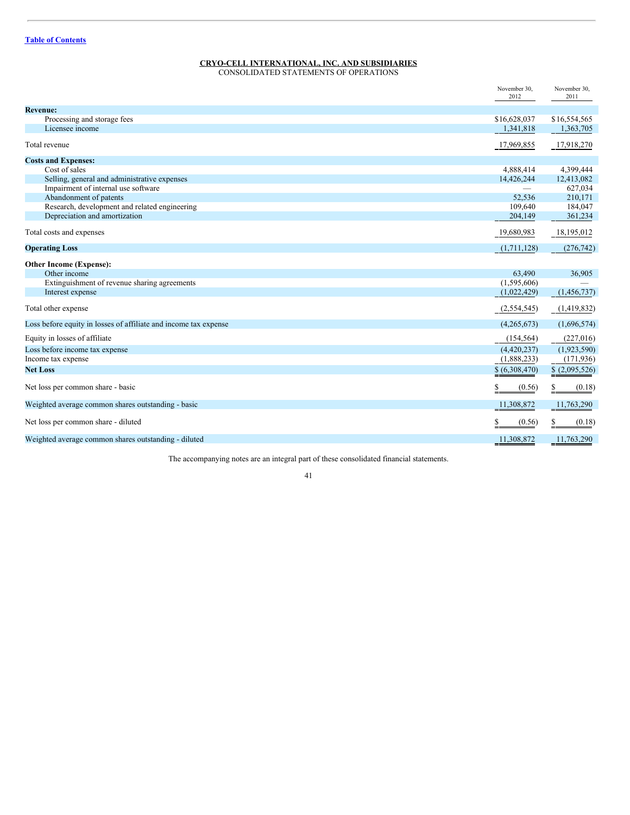# **CRYO-CELL INTERNATIONAL, INC. AND SUBSIDIARIES**

CONSOLIDATED STATEMENTS OF OPERATIONS

|                                                                  | November 30,<br>2012 | November 30,<br>2011 |
|------------------------------------------------------------------|----------------------|----------------------|
| <b>Revenue:</b>                                                  |                      |                      |
| Processing and storage fees                                      | \$16,628,037         | \$16,554,565         |
| Licensee income                                                  | 1,341,818            | 1,363,705            |
| Total revenue                                                    | 17,969,855           | 17,918,270           |
| <b>Costs and Expenses:</b>                                       |                      |                      |
| Cost of sales                                                    | 4,888,414            | 4,399,444            |
| Selling, general and administrative expenses                     | 14,426,244           | 12,413,082           |
| Impairment of internal use software                              |                      | 627,034              |
| Abandonment of patents                                           | 52,536               | 210,171              |
| Research, development and related engineering                    | 109,640              | 184,047              |
| Depreciation and amortization                                    | 204,149              | 361,234              |
| Total costs and expenses                                         | 19,680,983           | 18,195,012           |
| <b>Operating Loss</b>                                            | (1,711,128)          | (276, 742)           |
| <b>Other Income (Expense):</b>                                   |                      |                      |
| Other income                                                     | 63,490               | 36,905               |
| Extinguishment of revenue sharing agreements                     | (1,595,606)          |                      |
| Interest expense                                                 | (1,022,429)          | (1,456,737)          |
| Total other expense                                              | (2,554,545)          | (1,419,832)          |
| Loss before equity in losses of affiliate and income tax expense | (4,265,673)          | (1,696,574)          |
| Equity in losses of affiliate                                    | (154, 564)           | (227, 016)           |
| Loss before income tax expense                                   | (4,420,237)          | (1,923,590)          |
| Income tax expense                                               | (1,888,233)          | (171, 936)           |
| <b>Net Loss</b>                                                  | \$ (6,308,470)       | \$(2,095,526)        |
| Net loss per common share - basic                                | (0.56)               | (0.18)<br>S.         |
| Weighted average common shares outstanding - basic               | 11,308,872           | 11,763,290           |
| Net loss per common share - diluted                              | (0.56)               | (0.18)<br>\$         |
| Weighted average common shares outstanding - diluted             | 11,308,872           | 11,763,290           |

The accompanying notes are an integral part of these consolidated financial statements.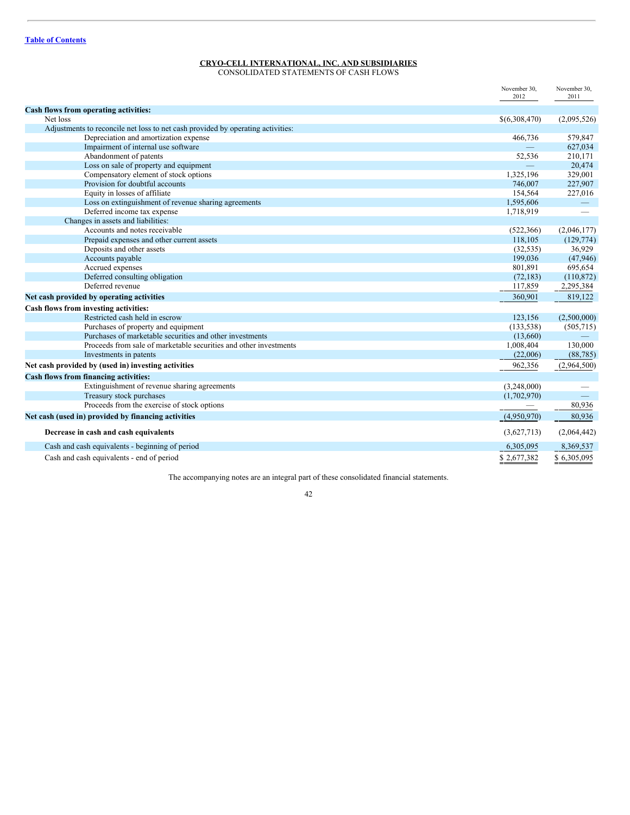# **CRYO-CELL INTERNATIONAL, INC. AND SUBSIDIARIES**

CONSOLIDATED STATEMENTS OF CASH FLOWS

|                                                                                 | November 30,<br>2012     | November 30,<br>2011 |
|---------------------------------------------------------------------------------|--------------------------|----------------------|
| Cash flows from operating activities:                                           |                          |                      |
| Net loss                                                                        | \$(6,308,470)            | (2,095,526)          |
| Adjustments to reconcile net loss to net cash provided by operating activities: |                          |                      |
| Depreciation and amortization expense                                           | 466,736                  | 579,847              |
| Impairment of internal use software                                             |                          | 627,034              |
| Abandonment of patents                                                          | 52,536                   | 210,171              |
| Loss on sale of property and equipment                                          |                          | 20,474               |
| Compensatory element of stock options                                           | 1,325,196                | 329,001              |
| Provision for doubtful accounts                                                 | 746,007                  | 227,907              |
| Equity in losses of affiliate                                                   | 154,564                  | 227,016              |
| Loss on extinguishment of revenue sharing agreements                            | 1,595,606                |                      |
| Deferred income tax expense                                                     | 1,718,919                |                      |
| Changes in assets and liabilities:                                              |                          |                      |
| Accounts and notes receivable                                                   | (522, 366)               | (2,046,177)          |
| Prepaid expenses and other current assets                                       | 118,105                  | (129, 774)           |
| Deposits and other assets                                                       | (32, 535)                | 36,929               |
| Accounts payable                                                                | 199,036                  | (47, 946)            |
| Accrued expenses                                                                | 801,891                  | 695,654              |
| Deferred consulting obligation                                                  | (72, 183)                | (110, 872)           |
| Deferred revenue                                                                | 117,859                  | 2,295,384            |
| Net cash provided by operating activities                                       | 360,901                  | 819,122              |
| Cash flows from investing activities:                                           |                          |                      |
| Restricted cash held in escrow                                                  | 123,156                  | (2,500,000)          |
| Purchases of property and equipment                                             | (133, 538)               | (505, 715)           |
| Purchases of marketable securities and other investments                        | (13,660)                 |                      |
| Proceeds from sale of marketable securities and other investments               | 1,008,404                | 130,000              |
| Investments in patents                                                          | (22,006)                 | (88, 785)            |
| Net cash provided by (used in) investing activities                             | 962,356                  | (2,964,500)          |
| Cash flows from financing activities:                                           |                          |                      |
| Extinguishment of revenue sharing agreements                                    | (3,248,000)              |                      |
| Treasury stock purchases                                                        | (1,702,970)              |                      |
| Proceeds from the exercise of stock options                                     | $\overline{\phantom{0}}$ | 80,936               |
| Net cash (used in) provided by financing activities                             | (4,950,970)              | 80,936               |
| Decrease in cash and cash equivalents                                           | (3,627,713)              | (2,064,442)          |
| Cash and cash equivalents - beginning of period                                 | 6,305,095                | 8,369,537            |
| Cash and cash equivalents - end of period                                       | \$2,677,382              | \$6,305,095          |

The accompanying notes are an integral part of these consolidated financial statements.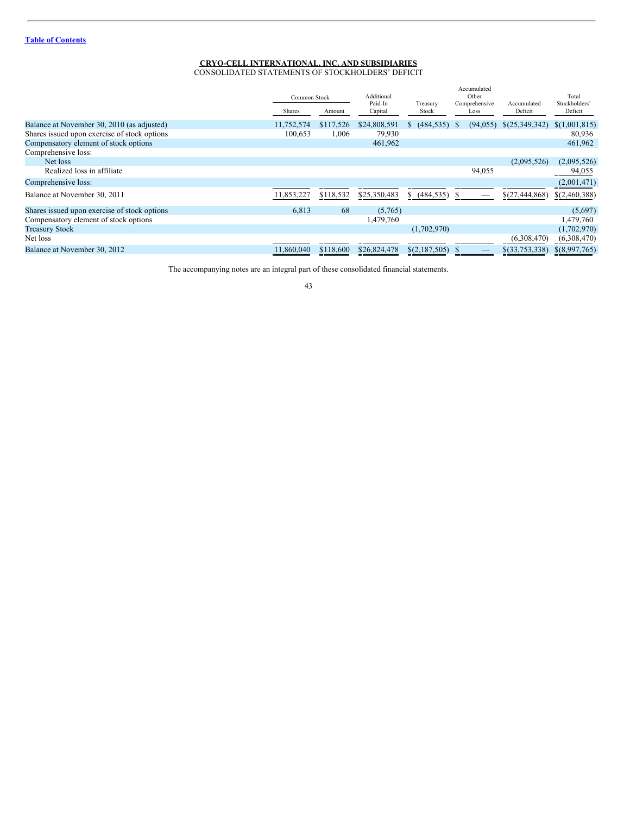#### **CRYO-CELL INTERNATIONAL, INC. AND SUBSIDIARIES** CONSOLIDATED STATEMENTS OF STOCKHOLDERS' DEFICIT

|                                              |               | Additional<br>Common Stock<br>Paid-In |              | Treasury         | Accumulated<br>Other<br>Comprehensive | Accumulated      | Total<br>Stockholders' |
|----------------------------------------------|---------------|---------------------------------------|--------------|------------------|---------------------------------------|------------------|------------------------|
|                                              | <b>Shares</b> | Amount                                | Capital      | Stock            | Loss                                  | Deficit          | Deficit                |
| Balance at November 30, 2010 (as adjusted)   | 11.752.574    | \$117,526                             | \$24,808,591 | (484, 535)<br>S. | (94, 055)<br>Ж                        | \$(25,349,342)   | \$(1,001,815)          |
| Shares issued upon exercise of stock options | 100,653       | 1,006                                 | 79,930       |                  |                                       |                  | 80,936                 |
| Compensatory element of stock options        |               |                                       | 461,962      |                  |                                       |                  | 461,962                |
| Comprehensive loss:                          |               |                                       |              |                  |                                       |                  |                        |
| Net loss                                     |               |                                       |              |                  |                                       | (2,095,526)      | (2,095,526)            |
| Realized loss in affiliate                   |               |                                       |              |                  | 94,055                                |                  | 94,055                 |
| Comprehensive loss:                          |               |                                       |              |                  |                                       |                  | (2,001,471)            |
| Balance at November 30, 2011                 | 11,853,227    | \$118,532                             | \$25,350,483 | \$ (484, 535)    | -S                                    | \$(27, 444, 868) | \$(2,460,388)          |
| Shares issued upon exercise of stock options | 6,813         | 68                                    | (5,765)      |                  |                                       |                  | (5,697)                |
| Compensatory element of stock options        |               |                                       | 1,479,760    |                  |                                       |                  | 1,479,760              |
| <b>Treasury Stock</b>                        |               |                                       |              | (1,702,970)      |                                       |                  | (1,702,970)            |
| Net loss                                     |               |                                       |              |                  |                                       | (6,308,470)      | (6,308,470)            |
| Balance at November 30, 2012                 | 11,860,040    | \$118,600                             | \$26,824,478 |                  |                                       | $$$ (33,753,338) | \$(8,997,765)          |

The accompanying notes are an integral part of these consolidated financial statements.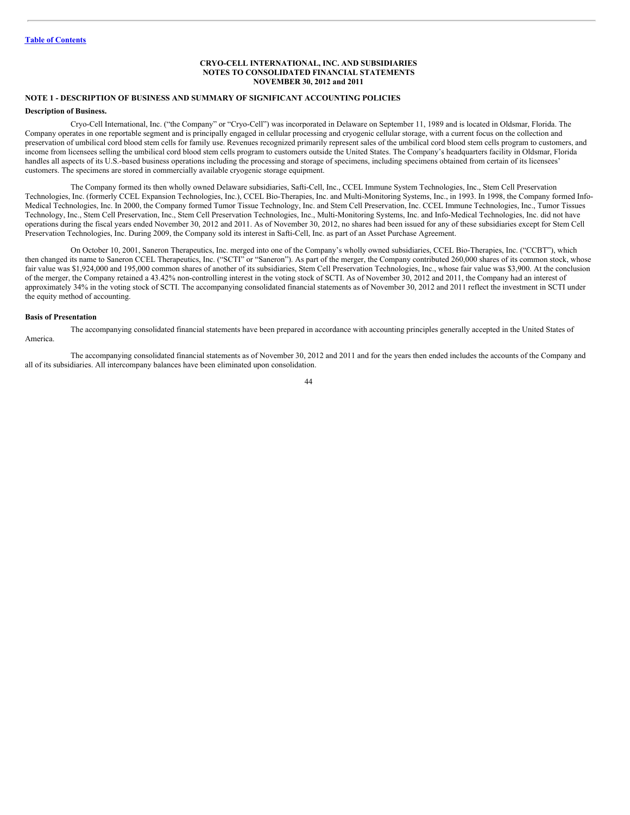### **CRYO-CELL INTERNATIONAL, INC. AND SUBSIDIARIES NOTES TO CONSOLIDATED FINANCIAL STATEMENTS NOVEMBER 30, 2012 and 2011**

# **NOTE 1 - DESCRIPTION OF BUSINESS AND SUMMARY OF SIGNIFICANT ACCOUNTING POLICIES**

# **Description of Business.**

Cryo-Cell International, Inc. ("the Company" or "Cryo-Cell") was incorporated in Delaware on September 11, 1989 and is located in Oldsmar, Florida. The Company operates in one reportable segment and is principally engaged in cellular processing and cryogenic cellular storage, with a current focus on the collection and preservation of umbilical cord blood stem cells for family use. Revenues recognized primarily represent sales of the umbilical cord blood stem cells program to customers, and income from licensees selling the umbilical cord blood stem cells program to customers outside the United States. The Company's headquarters facility in Oldsmar, Florida handles all aspects of its U.S.-based business operations including the processing and storage of specimens, including specimens obtained from certain of its licensees' customers. The specimens are stored in commercially available cryogenic storage equipment.

The Company formed its then wholly owned Delaware subsidiaries, Safti-Cell, Inc., CCEL Immune System Technologies, Inc., Stem Cell Preservation Technologies, Inc. (formerly CCEL Expansion Technologies, Inc.), CCEL Bio-Therapies, Inc. and Multi-Monitoring Systems, Inc., in 1993. In 1998, the Company formed Info-Medical Technologies, Inc. In 2000, the Company formed Tumor Tissue Technology, Inc. and Stem Cell Preservation, Inc. CCEL Immune Technologies, Inc., Tumor Tissues Technology, Inc., Stem Cell Preservation, Inc., Stem Cell Preservation Technologies, Inc., Multi-Monitoring Systems, Inc. and Info-Medical Technologies, Inc. did not have operations during the fiscal years ended November 30, 2012 and 2011. As of November 30, 2012, no shares had been issued for any of these subsidiaries except for Stem Cell Preservation Technologies, Inc. During 2009, the Company sold its interest in Safti-Cell, Inc. as part of an Asset Purchase Agreement.

On October 10, 2001, Saneron Therapeutics, Inc. merged into one of the Company's wholly owned subsidiaries, CCEL Bio-Therapies, Inc. ("CCBT"), which then changed its name to Saneron CCEL Therapeutics, Inc. ("SCTI" or "Saneron"). As part of the merger, the Company contributed 260,000 shares of its common stock, whose fair value was \$1,924,000 and 195,000 common shares of another of its subsidiaries, Stem Cell Preservation Technologies, Inc., whose fair value was \$3,900. At the conclusion of the merger, the Company retained a 43.42% non-controlling interest in the voting stock of SCTI. As of November 30, 2012 and 2011, the Company had an interest of approximately 34% in the voting stock of SCTI. The accompanying consolidated financial statements as of November 30, 2012 and 2011 reflect the investment in SCTI under the equity method of accounting.

# **Basis of Presentation**

The accompanying consolidated financial statements have been prepared in accordance with accounting principles generally accepted in the United States of America.

The accompanying consolidated financial statements as of November 30, 2012 and 2011 and for the years then ended includes the accounts of the Company and all of its subsidiaries. All intercompany balances have been eliminated upon consolidation.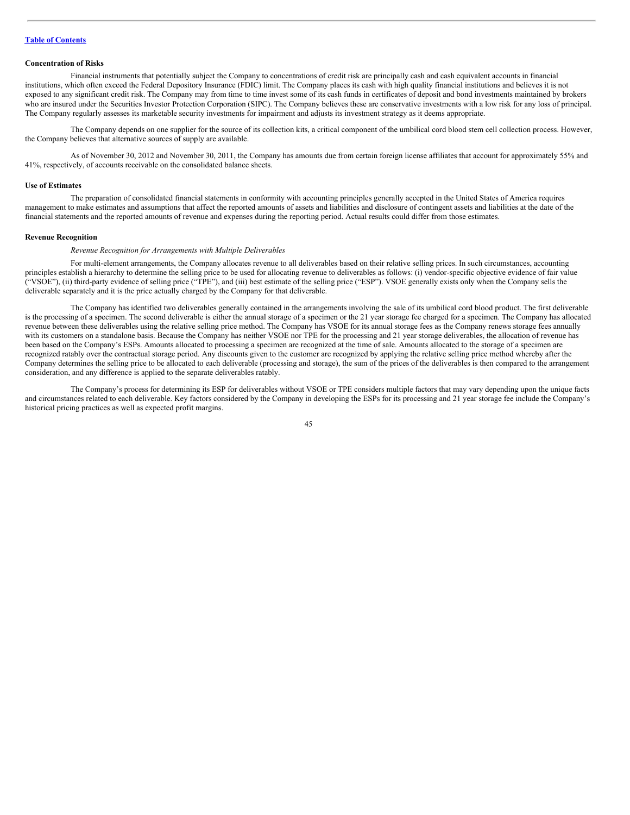#### **Concentration of Risks**

Financial instruments that potentially subject the Company to concentrations of credit risk are principally cash and cash equivalent accounts in financial institutions, which often exceed the Federal Depository Insurance (FDIC) limit. The Company places its cash with high quality financial institutions and believes it is not exposed to any significant credit risk. The Company may from time to time invest some of its cash funds in certificates of deposit and bond investments maintained by brokers who are insured under the Securities Investor Protection Corporation (SIPC). The Company believes these are conservative investments with a low risk for any loss of principal. The Company regularly assesses its marketable security investments for impairment and adjusts its investment strategy as it deems appropriate.

The Company depends on one supplier for the source of its collection kits, a critical component of the umbilical cord blood stem cell collection process. However, the Company believes that alternative sources of supply are available.

As of November 30, 2012 and November 30, 2011, the Company has amounts due from certain foreign license affiliates that account for approximately 55% and 41%, respectively, of accounts receivable on the consolidated balance sheets.

# **Use of Estimates**

The preparation of consolidated financial statements in conformity with accounting principles generally accepted in the United States of America requires management to make estimates and assumptions that affect the reported amounts of assets and liabilities and disclosure of contingent assets and liabilities at the date of the financial statements and the reported amounts of revenue and expenses during the reporting period. Actual results could differ from those estimates.

# **Revenue Recognition**

#### *Revenue Recognition for Arrangements with Multiple Deliverables*

For multi-element arrangements, the Company allocates revenue to all deliverables based on their relative selling prices. In such circumstances, accounting principles establish a hierarchy to determine the selling price to be used for allocating revenue to deliverables as follows: (i) vendor-specific objective evidence of fair value ("VSOE"), (ii) third-party evidence of selling price ("TPE"), and (iii) best estimate of the selling price ("ESP"). VSOE generally exists only when the Company sells the deliverable separately and it is the price actually charged by the Company for that deliverable.

The Company has identified two deliverables generally contained in the arrangements involving the sale of its umbilical cord blood product. The first deliverable is the processing of a specimen. The second deliverable is either the annual storage of a specimen or the 21 year storage fee charged for a specimen. The Company has allocated revenue between these deliverables using the relative selling price method. The Company has VSOE for its annual storage fees as the Company renews storage fees annually with its customers on a standalone basis. Because the Company has neither VSOE nor TPE for the processing and 21 year storage deliverables, the allocation of revenue has been based on the Company's ESPs. Amounts allocated to processing a specimen are recognized at the time of sale. Amounts allocated to the storage of a specimen are recognized ratably over the contractual storage period. Any discounts given to the customer are recognized by applying the relative selling price method whereby after the Company determines the selling price to be allocated to each deliverable (processing and storage), the sum of the prices of the deliverables is then compared to the arrangement consideration, and any difference is applied to the separate deliverables ratably.

The Company's process for determining its ESP for deliverables without VSOE or TPE considers multiple factors that may vary depending upon the unique facts and circumstances related to each deliverable. Key factors considered by the Company in developing the ESPs for its processing and 21 year storage fee include the Company's historical pricing practices as well as expected profit margins.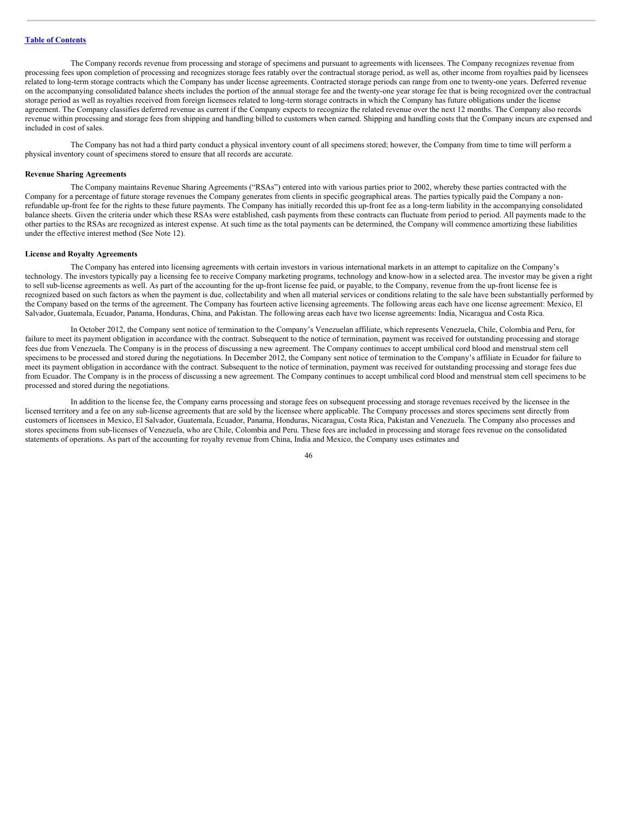The Company records revenue from processing and storage of specimens and pursuant to agreements with licensees. The Company recognizes revenue from processing fees upon completion of processing and recognizes storage fees ratably over the contractual storage period, as well as, other income from royalties paid by licensees related to long-term storage contracts which the Company has under license agreements. Contracted storage periods can range from one to twenty-one years. Deferred revenue on the accompanying consolidated balance sheets includes the portion of the annual storage fee and the twenty-one year storage fee that is being recognized over the contractual storage period as well as royalties received from foreign licensees related to long-term storage contracts in which the Company has future obligations under the license agreement. The Company classifies deferred revenue as current if the Company expects to recognize the related revenue over the next 12 months. The Company also records revenue within processing and storage fees from shipping and handling billed to customers when earned. Shipping and handling costs that the Company incurs are expensed and included in cost of sales.

The Company has not had a third party conduct a physical inventory count of all specimens stored; however, the Company from time to time will perform a physical inventory count of specimens stored to ensure that all records are accurate.

# **Revenue Sharing Agreements**

The Company maintains Revenue Sharing Agreements ("RSAs") entered into with various parties prior to 2002, whereby these parties contracted with the Company for a percentage of future storage revenues the Company generates from clients in specific geographical areas. The parties typically paid the Company a nonrefundable up-front fee for the rights to these future payments. The Company has initially recorded this up-front fee as a long-term liability in the accompanying consolidated balance sheets. Given the criteria under which these RSAs were established, cash payments from these contracts can fluctuate from period to period. All payments made to the other parties to the RSAs are recognized as interest expense. At such time as the total payments can be determined, the Company will commence amortizing these liabilities under the effective interest method (See Note 12).

#### **License and Royalty Agreements**

The Company has entered into licensing agreements with certain investors in various international markets in an attempt to capitalize on the Company's technology. The investors typically pay a licensing fee to receive Company marketing programs, technology and know-how in a selected area. The investor may be given a right to sell sub-license agreements as well. As part of the accounting for the up-front license fee paid, or payable, to the Company, revenue from the up-front license fee is recognized based on such factors as when the payment is due, collectability and when all material services or conditions relating to the sale have been substantially performed by the Company based on the terms of the agreement. The Company has fourteen active licensing agreements. The following areas each have one license agreement: Mexico, El Salvador, Guatemala, Ecuador, Panama, Honduras, China, and Pakistan. The following areas each have two license agreements: India, Nicaragua and Costa Rica.

In October 2012, the Company sent notice of termination to the Company's Venezuelan affiliate, which represents Venezuela, Chile, Colombia and Peru, for failure to meet its payment obligation in accordance with the contract. Subsequent to the notice of termination, payment was received for outstanding processing and storage fees due from Venezuela. The Company is in the process of discussing a new agreement. The Company continues to accept umbilical cord blood and menstrual stem cell specimens to be processed and stored during the negotiations. In December 2012, the Company sent notice of termination to the Company's affiliate in Ecuador for failure to meet its payment obligation in accordance with the contract. Subsequent to the notice of termination, payment was received for outstanding processing and storage fees due from Ecuador. The Company is in the process of discussing a new agreement. The Company continues to accept umbilical cord blood and menstrual stem cell specimens to be processed and stored during the negotiations.

In addition to the license fee, the Company earns processing and storage fees on subsequent processing and storage revenues received by the licensee in the licensed territory and a fee on any sub-license agreements that are sold by the licensee where applicable. The Company processes and stores specimens sent directly from customers of licensees in Mexico, El Salvador, Guatemala, Ecuador, Panama, Honduras, Nicaragua, Costa Rica, Pakistan and Venezuela. The Company also processes and stores specimens from sub-licenses of Venezuela, who are Chile, Colombia and Peru. These fees are included in processing and storage fees revenue on the consolidated statements of operations. As part of the accounting for royalty revenue from China, India and Mexico, the Company uses estimates and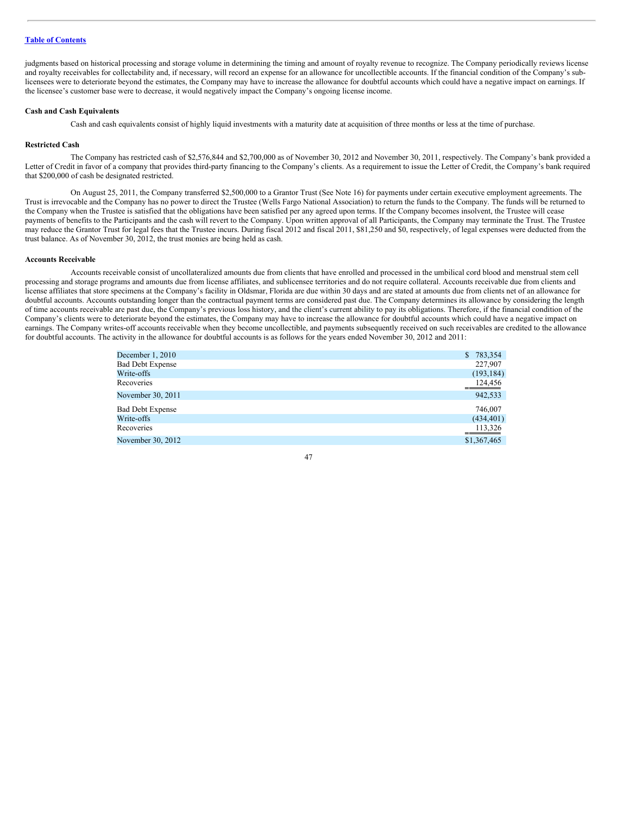judgments based on historical processing and storage volume in determining the timing and amount of royalty revenue to recognize. The Company periodically reviews license and royalty receivables for collectability and, if necessary, will record an expense for an allowance for uncollectible accounts. If the financial condition of the Company's sublicensees were to deteriorate beyond the estimates, the Company may have to increase the allowance for doubtful accounts which could have a negative impact on earnings. If the licensee's customer base were to decrease, it would negatively impact the Company's ongoing license income.

# **Cash and Cash Equivalents**

Cash and cash equivalents consist of highly liquid investments with a maturity date at acquisition of three months or less at the time of purchase.

#### **Restricted Cash**

The Company has restricted cash of \$2,576,844 and \$2,700,000 as of November 30, 2012 and November 30, 2011, respectively. The Company's bank provided a Letter of Credit in favor of a company that provides third-party financing to the Company's clients. As a requirement to issue the Letter of Credit, the Company's bank required that \$200,000 of cash be designated restricted.

On August 25, 2011, the Company transferred \$2,500,000 to a Grantor Trust (See Note 16) for payments under certain executive employment agreements. The Trust is irrevocable and the Company has no power to direct the Trustee (Wells Fargo National Association) to return the funds to the Company. The funds will be returned to the Company when the Trustee is satisfied that the obligations have been satisfied per any agreed upon terms. If the Company becomes insolvent, the Trustee will cease payments of benefits to the Participants and the cash will revert to the Company. Upon written approval of all Participants, the Company may terminate the Trust. The Trustee may reduce the Grantor Trust for legal fees that the Trustee incurs. During fiscal 2012 and fiscal 2011, \$81,250 and \$0, respectively, of legal expenses were deducted from the trust balance. As of November 30, 2012, the trust monies are being held as cash.

### **Accounts Receivable**

Accounts receivable consist of uncollateralized amounts due from clients that have enrolled and processed in the umbilical cord blood and menstrual stem cell processing and storage programs and amounts due from license affiliates, and sublicensee territories and do not require collateral. Accounts receivable due from clients and license affiliates that store specimens at the Company's facility in Oldsmar, Florida are due within 30 days and are stated at amounts due from clients net of an allowance for doubtful accounts. Accounts outstanding longer than the contractual payment terms are considered past due. The Company determines its allowance by considering the length of time accounts receivable are past due, the Company's previous loss history, and the client's current ability to pay its obligations. Therefore, if the financial condition of the Company's clients were to deteriorate beyond the estimates, the Company may have to increase the allowance for doubtful accounts which could have a negative impact on earnings. The Company writes-off accounts receivable when they become uncollectible, and payments subsequently received on such receivables are credited to the allowance for doubtful accounts. The activity in the allowance for doubtful accounts is as follows for the years ended November 30, 2012 and 2011:

| December 1, 2010        | S.<br>783,354 |
|-------------------------|---------------|
| <b>Bad Debt Expense</b> | 227,907       |
| Write-offs              | (193, 184)    |
| Recoveries              | 124,456       |
| November 30, 2011       | 942,533       |
| <b>Bad Debt Expense</b> | 746,007       |
| Write-offs              | (434, 401)    |
| Recoveries              | 113,326       |
| November 30, 2012       | \$1,367,465   |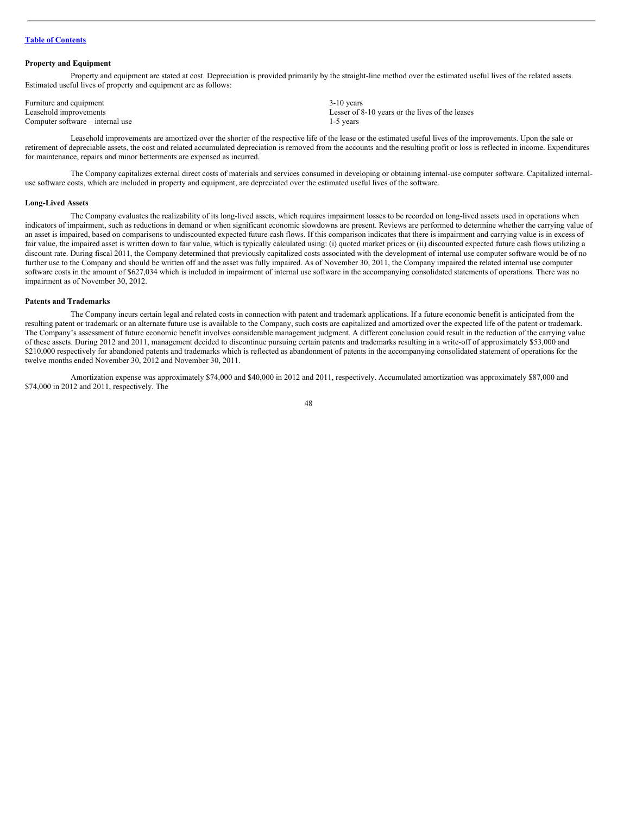# **Property and Equipment**

Property and equipment are stated at cost. Depreciation is provided primarily by the straight-line method over the estimated useful lives of the related assets. Estimated useful lives of property and equipment are as follows:

| Furniture and equipment          | $3-10$ vears                                    |
|----------------------------------|-------------------------------------------------|
| Leasehold improvements           | Lesser of 8-10 years or the lives of the leases |
| Computer software – internal use | 1-5 years                                       |

Leasehold improvements are amortized over the shorter of the respective life of the lease or the estimated useful lives of the improvements. Upon the sale or retirement of depreciable assets, the cost and related accumulated depreciation is removed from the accounts and the resulting profit or loss is reflected in income. Expenditures for maintenance, repairs and minor betterments are expensed as incurred.

The Company capitalizes external direct costs of materials and services consumed in developing or obtaining internal-use computer software. Capitalized internaluse software costs, which are included in property and equipment, are depreciated over the estimated useful lives of the software.

### **Long-Lived Assets**

The Company evaluates the realizability of its long-lived assets, which requires impairment losses to be recorded on long-lived assets used in operations when indicators of impairment, such as reductions in demand or when significant economic slowdowns are present. Reviews are performed to determine whether the carrying value of an asset is impaired, based on comparisons to undiscounted expected future cash flows. If this comparison indicates that there is impairment and carrying value is in excess of fair value, the impaired asset is written down to fair value, which is typically calculated using: (i) quoted market prices or (ii) discounted expected future cash flows utilizing a discount rate. During fiscal 2011, the Company determined that previously capitalized costs associated with the development of internal use computer software would be of no further use to the Company and should be written off and the asset was fully impaired. As of November 30, 2011, the Company impaired the related internal use computer software costs in the amount of \$627,034 which is included in impairment of internal use software in the accompanying consolidated statements of operations. There was no impairment as of November 30, 2012.

#### **Patents and Trademarks**

The Company incurs certain legal and related costs in connection with patent and trademark applications. If a future economic benefit is anticipated from the resulting patent or trademark or an alternate future use is available to the Company, such costs are capitalized and amortized over the expected life of the patent or trademark. The Company's assessment of future economic benefit involves considerable management judgment. A different conclusion could result in the reduction of the carrying value of these assets. During 2012 and 2011, management decided to discontinue pursuing certain patents and trademarks resulting in a write-off of approximately \$53,000 and \$210,000 respectively for abandoned patents and trademarks which is reflected as abandonment of patents in the accompanying consolidated statement of operations for the twelve months ended November 30, 2012 and November 30, 2011.

Amortization expense was approximately \$74,000 and \$40,000 in 2012 and 2011, respectively. Accumulated amortization was approximately \$87,000 and \$74,000 in 2012 and 2011, respectively. The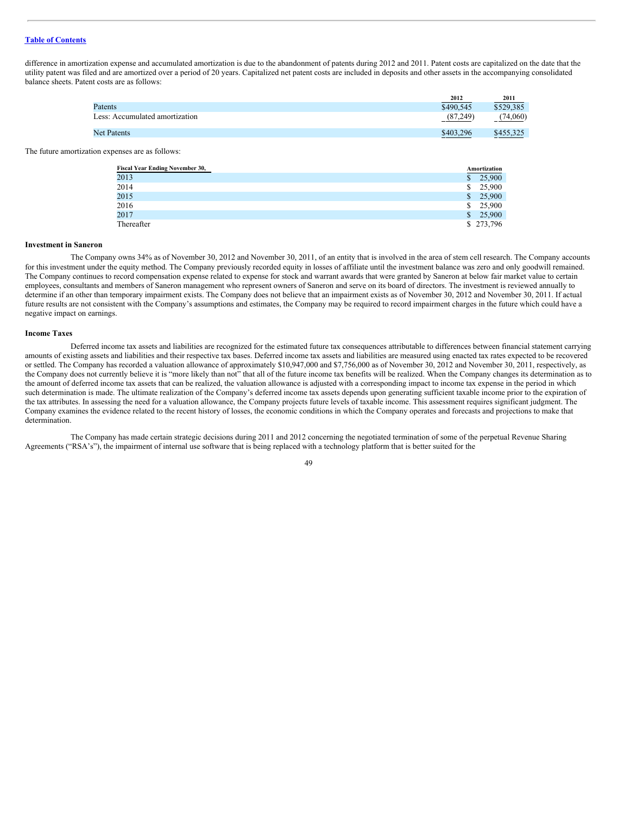difference in amortization expense and accumulated amortization is due to the abandonment of patents during 2012 and 2011. Patent costs are capitalized on the date that the utility patent was filed and are amortized over a period of 20 years. Capitalized net patent costs are included in deposits and other assets in the accompanying consolidated balance sheets. Patent costs are as follows:

|                                | 2012      | 2011      |
|--------------------------------|-----------|-----------|
| Patents                        | \$490,545 | \$529,385 |
| Less: Accumulated amortization | (87.249)  | (74,060)  |
| <b>Net Patents</b>             | \$403,296 | \$455,325 |

The future amortization expenses are as follows:

| <b>Fiscal Year Ending November 30,</b> | Amortization |
|----------------------------------------|--------------|
| 2013                                   | \$25,900     |
| 2014                                   | \$25,900     |
| 2015                                   | \$25,900     |
| 2016                                   | \$25,900     |
| 2017                                   | \$25,900     |
| Thereafter                             | \$273,796    |

#### **Investment in Saneron**

The Company owns 34% as of November 30, 2012 and November 30, 2011, of an entity that is involved in the area of stem cell research. The Company accounts for this investment under the equity method. The Company previously recorded equity in losses of affiliate until the investment balance was zero and only goodwill remained. The Company continues to record compensation expense related to expense for stock and warrant awards that were granted by Saneron at below fair market value to certain employees, consultants and members of Saneron management who represent owners of Saneron and serve on its board of directors. The investment is reviewed annually to determine if an other than temporary impairment exists. The Company does not believe that an impairment exists as of November 30, 2012 and November 30, 2011. If actual future results are not consistent with the Company's assumptions and estimates, the Company may be required to record impairment charges in the future which could have a negative impact on earnings.

# **Income Taxes**

Deferred income tax assets and liabilities are recognized for the estimated future tax consequences attributable to differences between financial statement carrying amounts of existing assets and liabilities and their respective tax bases. Deferred income tax assets and liabilities are measured using enacted tax rates expected to be recovered or settled. The Company has recorded a valuation allowance of approximately \$10,947,000 and \$7,756,000 as of November 30, 2012 and November 30, 2011, respectively, as the Company does not currently believe it is "more likely than not" that all of the future income tax benefits will be realized. When the Company changes its determination as to the amount of deferred income tax assets that can be realized, the valuation allowance is adjusted with a corresponding impact to income tax expense in the period in which such determination is made. The ultimate realization of the Company's deferred income tax assets depends upon generating sufficient taxable income prior to the expiration of the tax attributes. In assessing the need for a valuation allowance, the Company projects future levels of taxable income. This assessment requires significant judgment. The Company examines the evidence related to the recent history of losses, the economic conditions in which the Company operates and forecasts and projections to make that determination.

The Company has made certain strategic decisions during 2011 and 2012 concerning the negotiated termination of some of the perpetual Revenue Sharing Agreements ("RSA's"), the impairment of internal use software that is being replaced with a technology platform that is better suited for the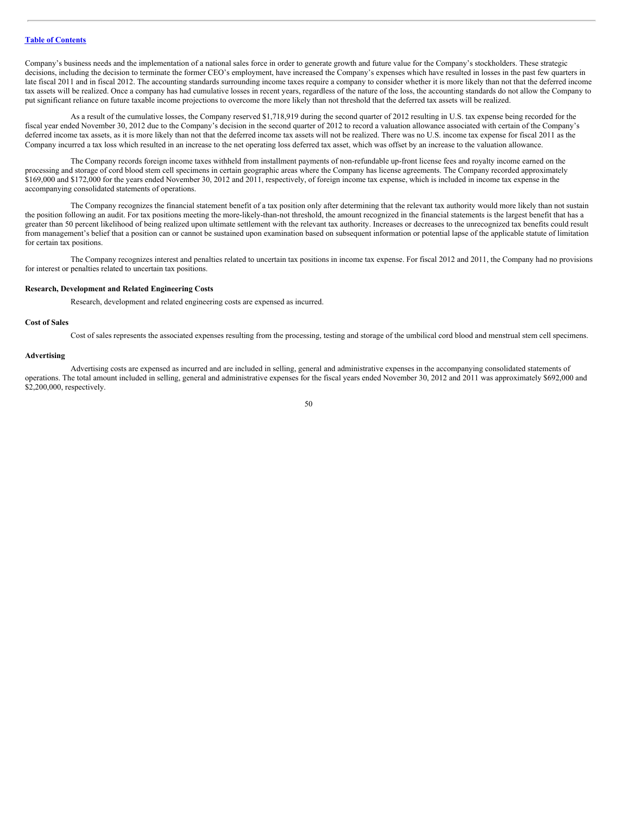Company's business needs and the implementation of a national sales force in order to generate growth and future value for the Company's stockholders. These strategic decisions, including the decision to terminate the former CEO's employment, have increased the Company's expenses which have resulted in losses in the past few quarters in late fiscal 2011 and in fiscal 2012. The accounting standards surrounding income taxes require a company to consider whether it is more likely than not that the deferred income tax assets will be realized. Once a company has had cumulative losses in recent years, regardless of the nature of the loss, the accounting standards do not allow the Company to put significant reliance on future taxable income projections to overcome the more likely than not threshold that the deferred tax assets will be realized.

As a result of the cumulative losses, the Company reserved \$1,718,919 during the second quarter of 2012 resulting in U.S. tax expense being recorded for the fiscal year ended November 30, 2012 due to the Company's decision in the second quarter of 2012 to record a valuation allowance associated with certain of the Company's deferred income tax assets, as it is more likely than not that the deferred income tax assets will not be realized. There was no U.S. income tax expense for fiscal 2011 as the Company incurred a tax loss which resulted in an increase to the net operating loss deferred tax asset, which was offset by an increase to the valuation allowance.

The Company records foreign income taxes withheld from installment payments of non-refundable up-front license fees and royalty income earned on the processing and storage of cord blood stem cell specimens in certain geographic areas where the Company has license agreements. The Company recorded approximately \$169,000 and \$172,000 for the years ended November 30, 2012 and 2011, respectively, of foreign income tax expense, which is included in income tax expense in the accompanying consolidated statements of operations.

The Company recognizes the financial statement benefit of a tax position only after determining that the relevant tax authority would more likely than not sustain the position following an audit. For tax positions meeting the more-likely-than-not threshold, the amount recognized in the financial statements is the largest benefit that has a greater than 50 percent likelihood of being realized upon ultimate settlement with the relevant tax authority. Increases or decreases to the unrecognized tax benefits could result from management's belief that a position can or cannot be sustained upon examination based on subsequent information or potential lapse of the applicable statute of limitation for certain tax positions.

The Company recognizes interest and penalties related to uncertain tax positions in income tax expense. For fiscal 2012 and 2011, the Company had no provisions for interest or penalties related to uncertain tax positions.

### **Research, Development and Related Engineering Costs**

Research, development and related engineering costs are expensed as incurred.

# **Cost of Sales**

Cost of sales represents the associated expenses resulting from the processing, testing and storage of the umbilical cord blood and menstrual stem cell specimens.

#### **Advertising**

Advertising costs are expensed as incurred and are included in selling, general and administrative expenses in the accompanying consolidated statements of operations. The total amount included in selling, general and administrative expenses for the fiscal years ended November 30, 2012 and 2011 was approximately \$692,000 and \$2,200,000, respectively.

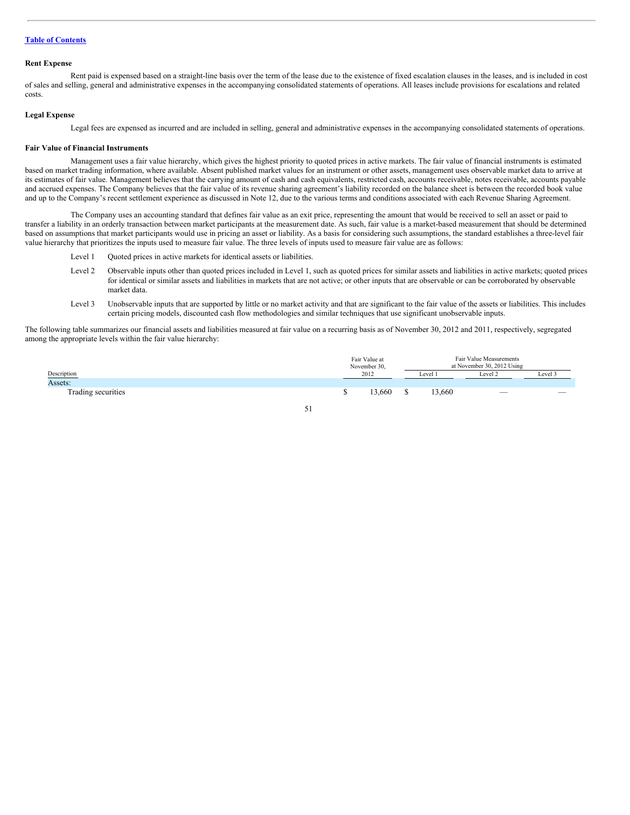#### **Rent Expense**

Rent paid is expensed based on a straight-line basis over the term of the lease due to the existence of fixed escalation clauses in the leases, and is included in cost of sales and selling, general and administrative expenses in the accompanying consolidated statements of operations. All leases include provisions for escalations and related costs.

# **Legal Expense**

Legal fees are expensed as incurred and are included in selling, general and administrative expenses in the accompanying consolidated statements of operations.

#### **Fair Value of Financial Instruments**

Management uses a fair value hierarchy, which gives the highest priority to quoted prices in active markets. The fair value of financial instruments is estimated based on market trading information, where available. Absent published market values for an instrument or other assets, management uses observable market data to arrive at its estimates of fair value. Management believes that the carrying amount of cash and cash equivalents, restricted cash, accounts receivable, notes receivable, accounts payable and accrued expenses. The Company believes that the fair value of its revenue sharing agreement's liability recorded on the balance sheet is between the recorded book value and up to the Company's recent settlement experience as discussed in Note 12, due to the various terms and conditions associated with each Revenue Sharing Agreement.

The Company uses an accounting standard that defines fair value as an exit price, representing the amount that would be received to sell an asset or paid to transfer a liability in an orderly transaction between market participants at the measurement date. As such, fair value is a market-based measurement that should be determined based on assumptions that market participants would use in pricing an asset or liability. As a basis for considering such assumptions, the standard establishes a three-level fair value hierarchy that prioritizes the inputs used to measure fair value. The three levels of inputs used to measure fair value are as follows:

- Level 1 Quoted prices in active markets for identical assets or liabilities.
- Level 2 Observable inputs other than quoted prices included in Level 1, such as quoted prices for similar assets and liabilities in active markets; quoted prices for identical or similar assets and liabilities in markets that are not active; or other inputs that are observable or can be corroborated by observable market data.
- Level 3 Unobservable inputs that are supported by little or no market activity and that are significant to the fair value of the assets or liabilities. This includes certain pricing models, discounted cash flow methodologies and similar techniques that use significant unobservable inputs.

The following table summarizes our financial assets and liabilities measured at fair value on a recurring basis as of November 30, 2012 and 2011, respectively, segregated among the appropriate levels within the fair value hierarchy:

|                    |  | Fair Value at<br>November 30, |  | Fair Value Measurements<br>at November 30, 2012 Using |                          |                          |
|--------------------|--|-------------------------------|--|-------------------------------------------------------|--------------------------|--------------------------|
| Description        |  | 2012                          |  | Level 3<br>Level 1<br>Level 2                         |                          |                          |
| Assets:            |  |                               |  |                                                       |                          |                          |
| Trading securities |  | 13.660                        |  | 13.660                                                | $\overline{\phantom{a}}$ | $\overline{\phantom{a}}$ |
|                    |  |                               |  |                                                       |                          |                          |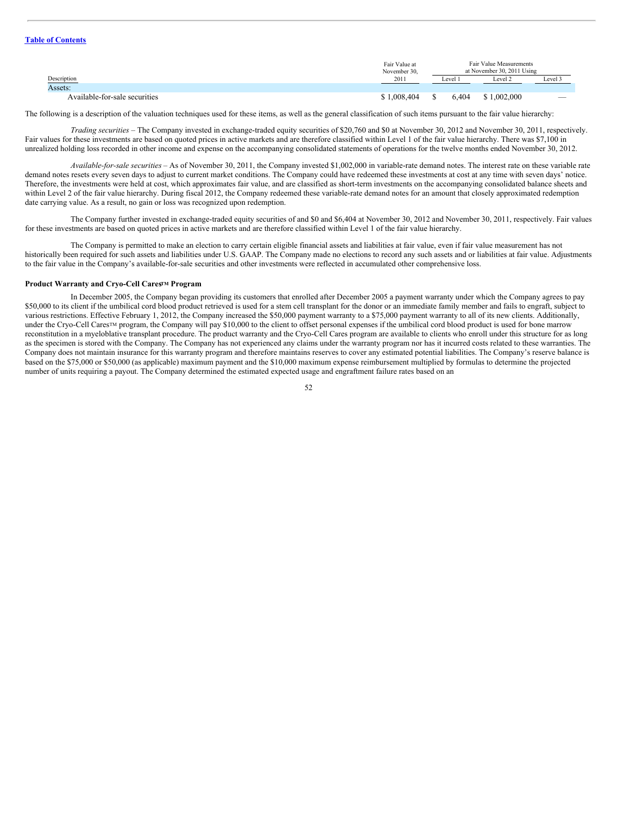|                               | Fair Value at<br>November 30, | Fair Value Measurements<br>at November 30, 2011 Using |             |                          |
|-------------------------------|-------------------------------|-------------------------------------------------------|-------------|--------------------------|
| Description                   | 2011                          | Level i                                               | Level 2     | Level <sub>3</sub>       |
| Assets:                       |                               |                                                       |             |                          |
| Available-for-sale securities | \$1,008,404                   | 6,404                                                 | \$1,002,000 | $\overline{\phantom{a}}$ |

The following is a description of the valuation techniques used for these items, as well as the general classification of such items pursuant to the fair value hierarchy:

*Trading securities –* The Company invested in exchange-traded equity securities of \$20,760 and \$0 at November 30, 2012 and November 30, 2011, respectively. Fair values for these investments are based on quoted prices in active markets and are therefore classified within Level 1 of the fair value hierarchy. There was \$7,100 in unrealized holding loss recorded in other income and expense on the accompanying consolidated statements of operations for the twelve months ended November 30, 2012.

*Available-for-sale securities* – As of November 30, 2011, the Company invested \$1,002,000 in variable-rate demand notes. The interest rate on these variable rate demand notes resets every seven days to adjust to current market conditions. The Company could have redeemed these investments at cost at any time with seven days' notice. Therefore, the investments were held at cost, which approximates fair value, and are classified as short-term investments on the accompanying consolidated balance sheets and within Level 2 of the fair value hierarchy. During fiscal 2012, the Company redeemed these variable-rate demand notes for an amount that closely approximated redemption date carrying value. As a result, no gain or loss was recognized upon redemption.

The Company further invested in exchange-traded equity securities of and \$0 and \$6,404 at November 30, 2012 and November 30, 2011, respectively. Fair values for these investments are based on quoted prices in active markets and are therefore classified within Level 1 of the fair value hierarchy.

The Company is permitted to make an election to carry certain eligible financial assets and liabilities at fair value, even if fair value measurement has not historically been required for such assets and liabilities under U.S. GAAP. The Company made no elections to record any such assets and or liabilities at fair value. Adjustments to the fair value in the Company's available-for-sale securities and other investments were reflected in accumulated other comprehensive loss.

#### **Product Warranty and Cryo-Cell Cares<sup>TM</sup> Program**

In December 2005, the Company began providing its customers that enrolled after December 2005 a payment warranty under which the Company agrees to pay \$50,000 to its client if the umbilical cord blood product retrieved is used for a stem cell transplant for the donor or an immediate family member and fails to engraft, subject to various restrictions. Effective February 1, 2012, the Company increased the \$50,000 payment warranty to a \$75,000 payment warranty to all of its new clients. Additionally, under the Cryo-Cell Cares<sup>TM</sup> program, the Company will pay \$10,000 to the client to offset personal expenses if the umbilical cord blood product is used for bone marrow reconstitution in a myeloblative transplant procedure. The product warranty and the Cryo-Cell Cares program are available to clients who enroll under this structure for as long as the specimen is stored with the Company. The Company has not experienced any claims under the warranty program nor has it incurred costs related to these warranties. The Company does not maintain insurance for this warranty program and therefore maintains reserves to cover any estimated potential liabilities. The Company's reserve balance is based on the \$75,000 or \$50,000 (as applicable) maximum payment and the \$10,000 maximum expense reimbursement multiplied by formulas to determine the projected number of units requiring a payout. The Company determined the estimated expected usage and engraftment failure rates based on an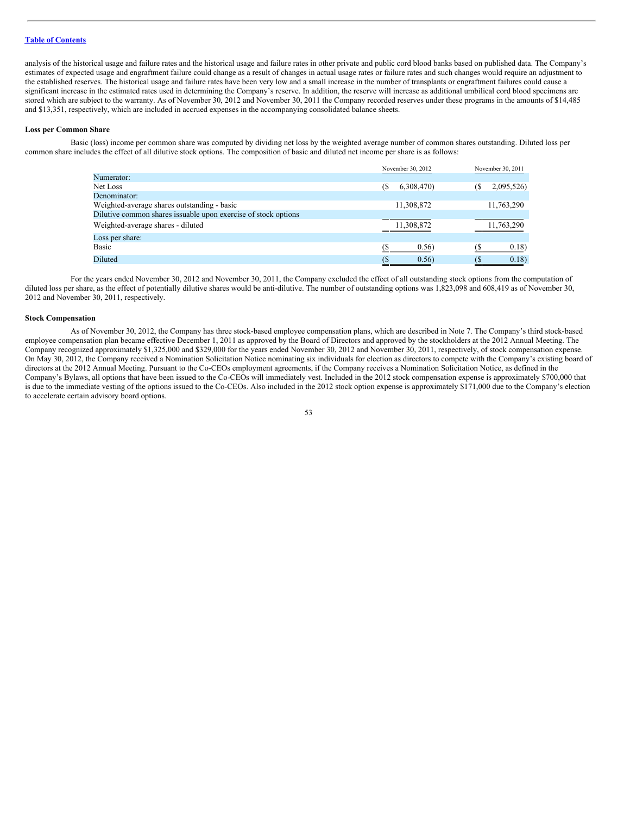analysis of the historical usage and failure rates and the historical usage and failure rates in other private and public cord blood banks based on published data. The Company's estimates of expected usage and engraftment failure could change as a result of changes in actual usage rates or failure rates and such changes would require an adjustment to the established reserves. The historical usage and failure rates have been very low and a small increase in the number of transplants or engraftment failures could cause a significant increase in the estimated rates used in determining the Company's reserve. In addition, the reserve will increase as additional umbilical cord blood specimens are stored which are subject to the warranty. As of November 30, 2012 and November 30, 2011 the Company recorded reserves under these programs in the amounts of \$14,485 and \$13,351, respectively, which are included in accrued expenses in the accompanying consolidated balance sheets.

#### **Loss per Common Share**

Basic (loss) income per common share was computed by dividing net loss by the weighted average number of common shares outstanding. Diluted loss per common share includes the effect of all dilutive stock options. The composition of basic and diluted net income per share is as follows:

|                                                                | November 30, 2012 | November 30, 2011 |
|----------------------------------------------------------------|-------------------|-------------------|
| Numerator:                                                     |                   |                   |
| Net Loss                                                       | 6,308,470)<br>(S  | ſ\$<br>2,095,526) |
| Denominator:                                                   |                   |                   |
| Weighted-average shares outstanding - basic                    | 11,308,872        | 11,763,290        |
| Dilutive common shares issuable upon exercise of stock options |                   |                   |
| Weighted-average shares - diluted                              | 11,308,872        | 11,763,290        |
| Loss per share:                                                |                   |                   |
| Basic                                                          | 0.56              | 0.18)             |
| Diluted                                                        | 0.56)             | 0.18)             |
|                                                                |                   |                   |

For the years ended November 30, 2012 and November 30, 2011, the Company excluded the effect of all outstanding stock options from the computation of diluted loss per share, as the effect of potentially dilutive shares would be anti-dilutive. The number of outstanding options was 1,823,098 and 608,419 as of November 30, 2012 and November 30, 2011, respectively.

#### **Stock Compensation**

As of November 30, 2012, the Company has three stock-based employee compensation plans, which are described in Note 7. The Company's third stock-based employee compensation plan became effective December 1, 2011 as approved by the Board of Directors and approved by the stockholders at the 2012 Annual Meeting. The Company recognized approximately \$1,325,000 and \$329,000 for the years ended November 30, 2012 and November 30, 2011, respectively, of stock compensation expense. On May 30, 2012, the Company received a Nomination Solicitation Notice nominating six individuals for election as directors to compete with the Company's existing board of directors at the 2012 Annual Meeting. Pursuant to the Co-CEOs employment agreements, if the Company receives a Nomination Solicitation Notice, as defined in the Company's Bylaws, all options that have been issued to the Co-CEOs will immediately vest. Included in the 2012 stock compensation expense is approximately \$700,000 that is due to the immediate vesting of the options issued to the Co-CEOs. Also included in the 2012 stock option expense is approximately \$171,000 due to the Company's election to accelerate certain advisory board options.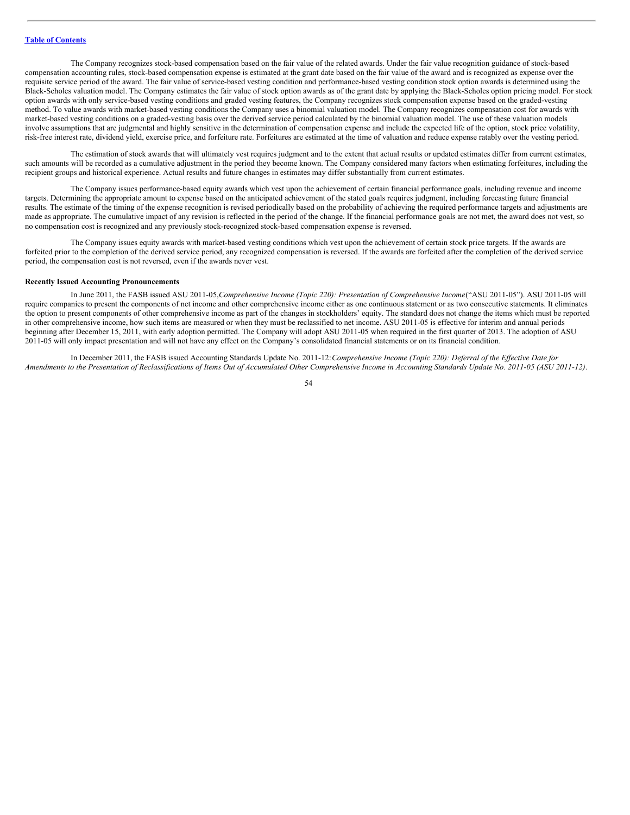The Company recognizes stock-based compensation based on the fair value of the related awards. Under the fair value recognition guidance of stock-based compensation accounting rules, stock-based compensation expense is estimated at the grant date based on the fair value of the award and is recognized as expense over the requisite service period of the award. The fair value of service-based vesting condition and performance-based vesting condition stock option awards is determined using the Black-Scholes valuation model. The Company estimates the fair value of stock option awards as of the grant date by applying the Black-Scholes option pricing model. For stock option awards with only service-based vesting conditions and graded vesting features, the Company recognizes stock compensation expense based on the graded-vesting method. To value awards with market-based vesting conditions the Company uses a binomial valuation model. The Company recognizes compensation cost for awards with market-based vesting conditions on a graded-vesting basis over the derived service period calculated by the binomial valuation model. The use of these valuation models involve assumptions that are judgmental and highly sensitive in the determination of compensation expense and include the expected life of the option, stock price volatility, risk-free interest rate, dividend yield, exercise price, and forfeiture rate. Forfeitures are estimated at the time of valuation and reduce expense ratably over the vesting period.

The estimation of stock awards that will ultimately vest requires judgment and to the extent that actual results or updated estimates differ from current estimates, such amounts will be recorded as a cumulative adjustment in the period they become known. The Company considered many factors when estimating forfeitures, including the recipient groups and historical experience. Actual results and future changes in estimates may differ substantially from current estimates.

The Company issues performance-based equity awards which vest upon the achievement of certain financial performance goals, including revenue and income targets. Determining the appropriate amount to expense based on the anticipated achievement of the stated goals requires judgment, including forecasting future financial results. The estimate of the timing of the expense recognition is revised periodically based on the probability of achieving the required performance targets and adjustments are made as appropriate. The cumulative impact of any revision is reflected in the period of the change. If the financial performance goals are not met, the award does not vest, so no compensation cost is recognized and any previously stock-recognized stock-based compensation expense is reversed.

The Company issues equity awards with market-based vesting conditions which vest upon the achievement of certain stock price targets. If the awards are forfeited prior to the completion of the derived service period, any recognized compensation is reversed. If the awards are forfeited after the completion of the derived service period, the compensation cost is not reversed, even if the awards never vest.

# **Recently Issued Accounting Pronouncements**

In June 2011, the FASB issued ASU 2011-05,*Comprehensive Income (Topic 220): Presentation of Comprehensive Income*("ASU 2011-05"). ASU 2011-05 will require companies to present the components of net income and other comprehensive income either as one continuous statement or as two consecutive statements. It eliminates the option to present components of other comprehensive income as part of the changes in stockholders' equity. The standard does not change the items which must be reported in other comprehensive income, how such items are measured or when they must be reclassified to net income. ASU 2011-05 is effective for interim and annual periods beginning after December 15, 2011, with early adoption permitted. The Company will adopt ASU 2011-05 when required in the first quarter of 2013. The adoption of ASU 2011-05 will only impact presentation and will not have any effect on the Company's consolidated financial statements or on its financial condition.

In December 2011, the FASB issued Accounting Standards Update No. 2011-12:*Comprehensive Income (Topic 220): Deferral of the Ef ective Date for* Amendments to the Presentation of Reclassifications of Items Out of Accumulated Other Comprehensive Income in Accounting Standards Update No. 2011-05 (ASU 2011-12).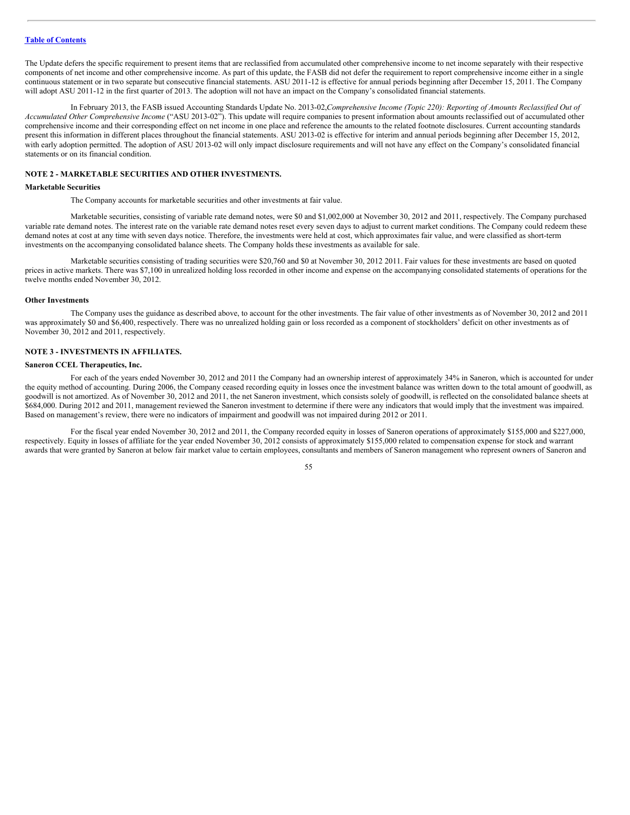The Update defers the specific requirement to present items that are reclassified from accumulated other comprehensive income to net income separately with their respective components of net income and other comprehensive income. As part of this update, the FASB did not defer the requirement to report comprehensive income either in a single continuous statement or in two separate but consecutive financial statements. ASU 2011-12 is effective for annual periods beginning after December 15, 2011. The Company will adopt ASU 2011-12 in the first quarter of 2013. The adoption will not have an impact on the Company's consolidated financial statements.

In February 2013, the FASB issued Accounting Standards Update No. 2013-02,*Comprehensive Income (Topic 220): Reporting of Amounts Reclassified Out of Accumulated Other Comprehensive Income* ("ASU 2013-02"). This update will require companies to present information about amounts reclassified out of accumulated other comprehensive income and their corresponding effect on net income in one place and reference the amounts to the related footnote disclosures. Current accounting standards present this information in different places throughout the financial statements. ASU 2013-02 is effective for interim and annual periods beginning after December 15, 2012, with early adoption permitted. The adoption of ASU 2013-02 will only impact disclosure requirements and will not have any effect on the Company's consolidated financial statements or on its financial condition.

### **NOTE 2 - MARKETABLE SECURITIES AND OTHER INVESTMENTS.**

# **Marketable Securities**

The Company accounts for marketable securities and other investments at fair value.

Marketable securities, consisting of variable rate demand notes, were \$0 and \$1,002,000 at November 30, 2012 and 2011, respectively. The Company purchased variable rate demand notes. The interest rate on the variable rate demand notes reset every seven days to adjust to current market conditions. The Company could redeem these demand notes at cost at any time with seven days notice. Therefore, the investments were held at cost, which approximates fair value, and were classified as short-term investments on the accompanying consolidated balance sheets. The Company holds these investments as available for sale.

Marketable securities consisting of trading securities were \$20,760 and \$0 at November 30, 2012 2011. Fair values for these investments are based on quoted prices in active markets. There was \$7,100 in unrealized holding loss recorded in other income and expense on the accompanying consolidated statements of operations for the twelve months ended November 30, 2012.

#### **Other Investments**

The Company uses the guidance as described above, to account for the other investments. The fair value of other investments as of November 30, 2012 and 2011 was approximately \$0 and \$6,400, respectively. There was no unrealized holding gain or loss recorded as a component of stockholders' deficit on other investments as of November 30, 2012 and 2011, respectively.

# **NOTE 3 - INVESTMENTS IN AFFILIATES.**

# **Saneron CCEL Therapeutics, Inc.**

For each of the years ended November 30, 2012 and 2011 the Company had an ownership interest of approximately 34% in Saneron, which is accounted for under the equity method of accounting. During 2006, the Company ceased recording equity in losses once the investment balance was written down to the total amount of goodwill, as goodwill is not amortized. As of November 30, 2012 and 2011, the net Saneron investment, which consists solely of goodwill, is reflected on the consolidated balance sheets at \$684,000. During 2012 and 2011, management reviewed the Saneron investment to determine if there were any indicators that would imply that the investment was impaired. Based on management's review, there were no indicators of impairment and goodwill was not impaired during 2012 or 2011.

For the fiscal year ended November 30, 2012 and 2011, the Company recorded equity in losses of Saneron operations of approximately \$155,000 and \$227,000, respectively. Equity in losses of affiliate for the year ended November 30, 2012 consists of approximately \$155,000 related to compensation expense for stock and warrant awards that were granted by Saneron at below fair market value to certain employees, consultants and members of Saneron management who represent owners of Saneron and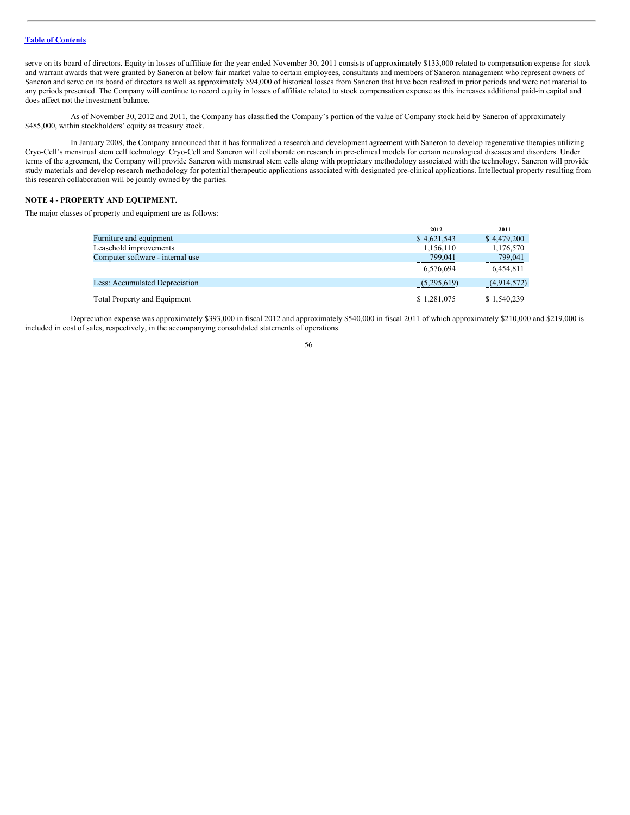serve on its board of directors. Equity in losses of affiliate for the year ended November 30, 2011 consists of approximately \$133,000 related to compensation expense for stock and warrant awards that were granted by Saneron at below fair market value to certain employees, consultants and members of Saneron management who represent owners of Saneron and serve on its board of directors as well as approximately \$94,000 of historical losses from Saneron that have been realized in prior periods and were not material to any periods presented. The Company will continue to record equity in losses of affiliate related to stock compensation expense as this increases additional paid-in capital and does affect not the investment balance.

As of November 30, 2012 and 2011, the Company has classified the Company's portion of the value of Company stock held by Saneron of approximately \$485,000, within stockholders' equity as treasury stock.

In January 2008, the Company announced that it has formalized a research and development agreement with Saneron to develop regenerative therapies utilizing Cryo-Cell's menstrual stem cell technology. Cryo-Cell and Saneron will collaborate on research in pre-clinical models for certain neurological diseases and disorders. Under terms of the agreement, the Company will provide Saneron with menstrual stem cells along with proprietary methodology associated with the technology. Saneron will provide study materials and develop research methodology for potential therapeutic applications associated with designated pre-clinical applications. Intellectual property resulting from this research collaboration will be jointly owned by the parties.

# **NOTE 4 - PROPERTY AND EQUIPMENT.**

The major classes of property and equipment are as follows:

|                                     | 2012        | 2011        |
|-------------------------------------|-------------|-------------|
| Furniture and equipment             | \$4,621,543 | \$4,479,200 |
| Leasehold improvements              | 1,156,110   | 1,176,570   |
| Computer software - internal use    | 799,041     | 799,041     |
|                                     | 6.576.694   | 6.454.811   |
| Less: Accumulated Depreciation      | (5,295,619) | (4,914,572) |
| <b>Total Property and Equipment</b> | \$1,281,075 | \$1,540,239 |

Depreciation expense was approximately \$393,000 in fiscal 2012 and approximately \$540,000 in fiscal 2011 of which approximately \$210,000 and \$219,000 is included in cost of sales, respectively, in the accompanying consolidated statements of operations.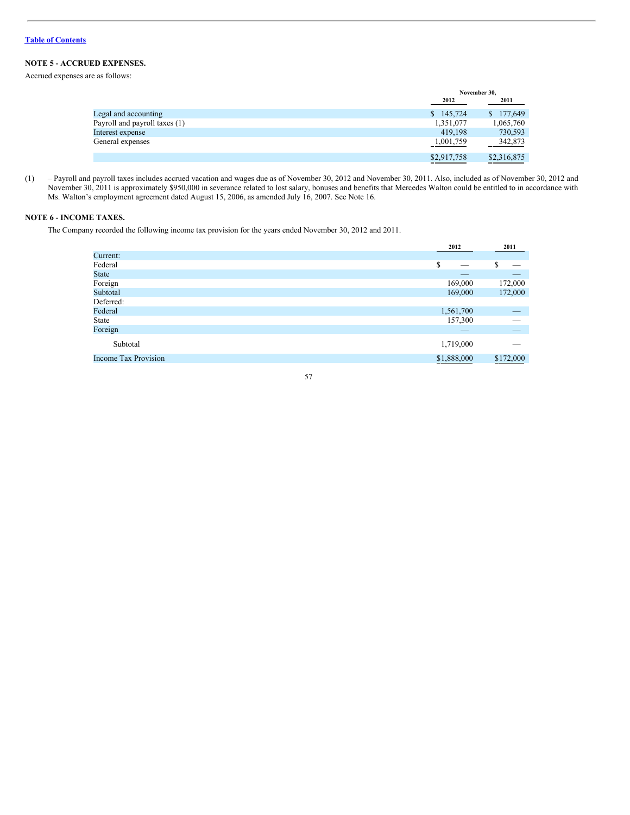# **NOTE 5 - ACCRUED EXPENSES.**

Accrued expenses are as follows:

|                               |             | November 30, |
|-------------------------------|-------------|--------------|
|                               | 2012        | 2011         |
| Legal and accounting          | \$145,724   | \$177,649    |
| Payroll and payroll taxes (1) | 1,351,077   | 1,065,760    |
| Interest expense              | 419.198     | 730,593      |
| General expenses              | 1,001,759   | 342,873      |
|                               | \$2,917,758 | \$2,316,875  |

(1) – Payroll and payroll taxes includes accrued vacation and wages due as of November 30, 2012 and November 30, 2011. Also, included as of November 30, 2012 and November 30, 2011 is approximately \$950,000 in severance related to lost salary, bonuses and benefits that Mercedes Walton could be entitled to in accordance with Ms. Walton's employment agreement dated August 15, 2006, as amended July 16, 2007. See Note 16.

# **NOTE 6 - INCOME TAXES.**

The Company recorded the following income tax provision for the years ended November 30, 2012 and 2011.

|                             | 2012        | 2011      |
|-----------------------------|-------------|-----------|
| Current:                    |             |           |
| Federal                     | \$          | S         |
| <b>State</b>                | _           |           |
| Foreign                     | 169,000     | 172,000   |
| Subtotal                    | 169,000     | 172,000   |
| Deferred:                   |             |           |
| Federal                     | 1,561,700   |           |
| State                       | 157,300     |           |
| Foreign                     | _           |           |
| Subtotal                    | 1,719,000   |           |
| <b>Income Tax Provision</b> | \$1,888,000 | \$172,000 |
|                             |             |           |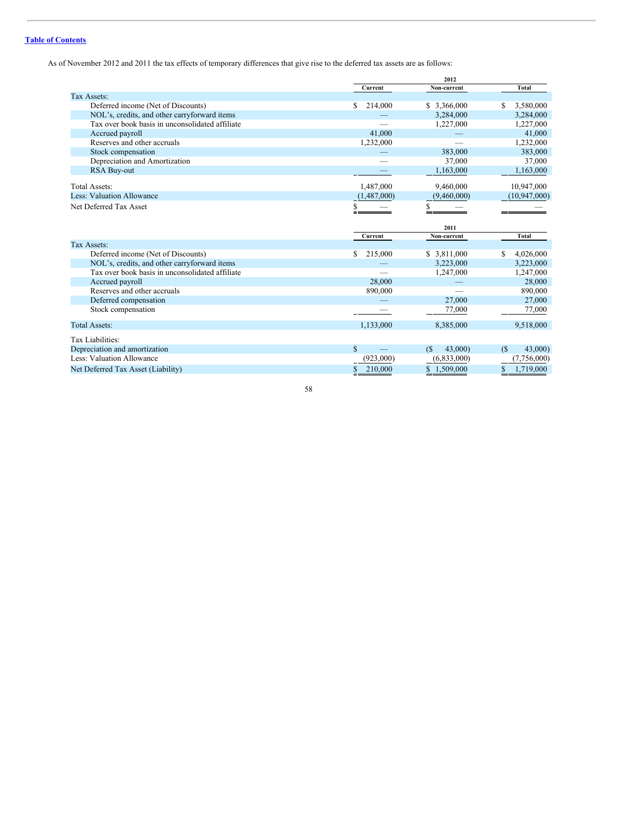As of November 2012 and 2011 the tax effects of temporary differences that give rise to the deferred tax assets are as follows:

|                                                 |               | 2012          |                           |
|-------------------------------------------------|---------------|---------------|---------------------------|
|                                                 | Current       | Non-current   | <b>Total</b>              |
| Tax Assets:                                     |               |               |                           |
| Deferred income (Net of Discounts)              | 214,000<br>S  | \$ 3,366,000  | 3,580,000                 |
| NOL's, credits, and other carryforward items    |               | 3,284,000     | 3,284,000                 |
| Tax over book basis in unconsolidated affiliate |               | 1,227,000     | 1,227,000                 |
| Accrued payroll                                 | 41,000        |               | 41,000                    |
| Reserves and other accruals                     | 1,232,000     |               | 1,232,000                 |
| Stock compensation                              |               | 383,000       | 383,000                   |
| Depreciation and Amortization                   |               | 37,000        | 37,000                    |
| <b>RSA Buy-out</b>                              |               | 1,163,000     | 1,163,000                 |
| <b>Total Assets:</b>                            | 1,487,000     | 9,460,000     | 10,947,000                |
| Less: Valuation Allowance                       | (1,487,000)   | (9,460,000)   | (10, 947, 000)            |
| Net Deferred Tax Asset                          | S             |               |                           |
|                                                 |               | 2011          |                           |
|                                                 | Current       | Non-current   | <b>Total</b>              |
| Tax Assets:                                     |               |               |                           |
| Deferred income (Net of Discounts)              | 215,000<br>S  | \$ 3,811,000  | 4,026,000                 |
| NOL's, credits, and other carryforward items    |               | 3,223,000     | 3,223,000                 |
| Tax over book basis in unconsolidated affiliate |               | 1,247,000     | 1,247,000                 |
| Accrued payroll                                 | 28,000        |               | 28,000                    |
| Reserves and other accruals                     | 890,000       |               | 890,000                   |
| Deferred compensation                           |               | 27,000        | 27,000                    |
| Stock compensation                              |               | 77,000        | 77,000                    |
| <b>Total Assets:</b>                            | 1,133,000     | 8,385,000     | 9,518,000                 |
| Tax Liabilities:                                |               |               |                           |
| Depreciation and amortization                   | $\mathbf{s}$  | (S<br>43,000) | (S)<br>43,000             |
| Less: Valuation Allowance                       | (923,000)     | (6,833,000)   | (7,756,000)               |
| Net Deferred Tax Asset (Liability)              | \$<br>210,000 | \$1,509,000   | $\mathbb{S}$<br>1,719,000 |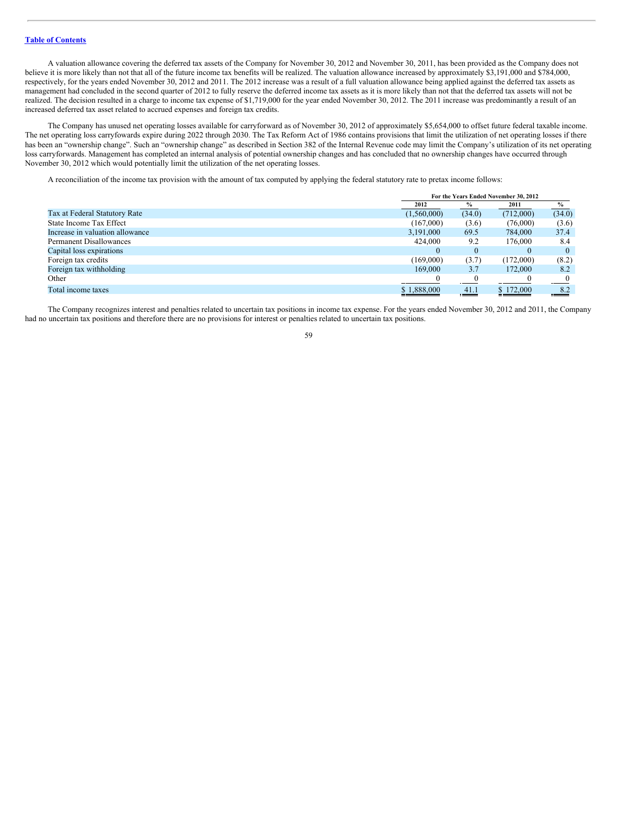A valuation allowance covering the deferred tax assets of the Company for November 30, 2012 and November 30, 2011, has been provided as the Company does not believe it is more likely than not that all of the future income tax benefits will be realized. The valuation allowance increased by approximately \$3,191,000 and \$784,000, respectively, for the years ended November 30, 2012 and 2011. The 2012 increase was a result of a full valuation allowance being applied against the deferred tax assets as management had concluded in the second quarter of 2012 to fully reserve the deferred income tax assets as it is more likely than not that the deferred tax assets will not be realized. The decision resulted in a charge to income tax expense of \$1,719,000 for the year ended November 30, 2012. The 2011 increase was predominantly a result of an increased deferred tax asset related to accrued expenses and foreign tax credits.

The Company has unused net operating losses available for carryforward as of November 30, 2012 of approximately \$5,654,000 to offset future federal taxable income. The net operating loss carryfowards expire during 2022 through 2030. The Tax Reform Act of 1986 contains provisions that limit the utilization of net operating losses if there has been an "ownership change". Such an "ownership change" as described in Section 382 of the Internal Revenue code may limit the Company's utilization of its net operating loss carryforwards. Management has completed an internal analysis of potential ownership changes and has concluded that no ownership changes have occurred through November 30, 2012 which would potentially limit the utilization of the net operating losses.

A reconciliation of the income tax provision with the amount of tax computed by applying the federal statutory rate to pretax income follows:

| For the Years Ended November 30, 2012 |        |                          |          |
|---------------------------------------|--------|--------------------------|----------|
| 2012                                  | $\%$   | 2011                     | $\%$     |
| (1,560,000)                           | (34.0) | (712,000)                | (34.0)   |
| (167,000)                             | (3.6)  | (76,000)                 | (3.6)    |
| 3,191,000                             | 69.5   | 784,000                  | 37.4     |
| 424,000                               | 9.2    | 176,000                  | 8.4      |
|                                       |        |                          | $\Omega$ |
| (169,000)                             | (3.7)  | (172,000)                | (8.2)    |
| 169,000                               | 3.7    | 172,000                  | 8.2      |
|                                       |        |                          |          |
| \$1,888,000                           | 41.1   | \$172,000                | 8.2      |
|                                       |        | $\overline{\phantom{a}}$ |          |

The Company recognizes interest and penalties related to uncertain tax positions in income tax expense. For the years ended November 30, 2012 and 2011, the Company had no uncertain tax positions and therefore there are no provisions for interest or penalties related to uncertain tax positions.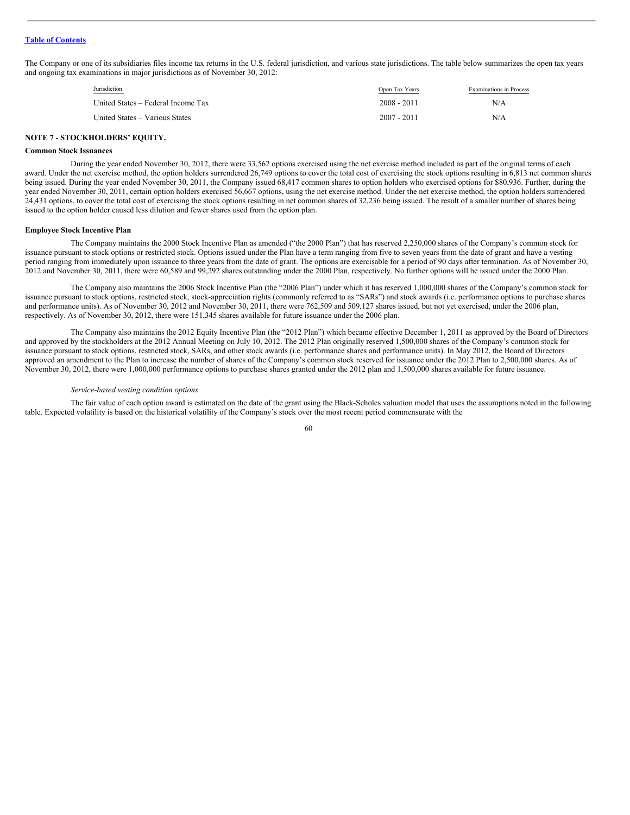The Company or one of its subsidiaries files income tax returns in the U.S. federal jurisdiction, and various state jurisdictions. The table below summarizes the open tax years and ongoing tax examinations in major jurisdictions as of November 30, 2012:

| Jurisdiction                       | Open Tax Years | <b>Examinations in Process</b> |
|------------------------------------|----------------|--------------------------------|
| United States – Federal Income Tax | $2008 - 2011$  | N/A                            |
| United States – Various States     | $2007 - 2011$  | N/A                            |

# **NOTE 7 - STOCKHOLDERS' EQUITY.**

# **Common Stock Issuances**

During the year ended November 30, 2012, there were 33,562 options exercised using the net exercise method included as part of the original terms of each award. Under the net exercise method, the option holders surrendered 26,749 options to cover the total cost of exercising the stock options resulting in 6,813 net common shares being issued. During the year ended November 30, 2011, the Company issued 68,417 common shares to option holders who exercised options for \$80,936. Further, during the year ended November 30, 2011, certain option holders exercised 56,667 options, using the net exercise method. Under the net exercise method, the option holders surrendered 24,431 options, to cover the total cost of exercising the stock options resulting in net common shares of 32,236 being issued. The result of a smaller number of shares being issued to the option holder caused less dilution and fewer shares used from the option plan.

# **Employee Stock Incentive Plan**

The Company maintains the 2000 Stock Incentive Plan as amended ("the 2000 Plan") that has reserved 2,250,000 shares of the Company's common stock for issuance pursuant to stock options or restricted stock. Options issued under the Plan have a term ranging from five to seven years from the date of grant and have a vesting period ranging from immediately upon issuance to three years from the date of grant. The options are exercisable for a period of 90 days after termination. As of November 30, 2012 and November 30, 2011, there were 60,589 and 99,292 shares outstanding under the 2000 Plan, respectively. No further options will be issued under the 2000 Plan.

The Company also maintains the 2006 Stock Incentive Plan (the "2006 Plan") under which it has reserved 1,000,000 shares of the Company's common stock for issuance pursuant to stock options, restricted stock, stock-appreciation rights (commonly referred to as "SARs") and stock awards (i.e. performance options to purchase shares and performance units). As of November 30, 2012 and November 30, 2011, there were 762,509 and 509,127 shares issued, but not yet exercised, under the 2006 plan, respectively. As of November 30, 2012, there were 151,345 shares available for future issuance under the 2006 plan.

The Company also maintains the 2012 Equity Incentive Plan (the "2012 Plan") which became effective December 1, 2011 as approved by the Board of Directors and approved by the stockholders at the 2012 Annual Meeting on July 10, 2012. The 2012 Plan originally reserved 1,500,000 shares of the Company's common stock for issuance pursuant to stock options, restricted stock, SARs, and other stock awards (i.e. performance shares and performance units). In May 2012, the Board of Directors approved an amendment to the Plan to increase the number of shares of the Company's common stock reserved for issuance under the 2012 Plan to 2,500,000 shares. As of November 30, 2012, there were 1,000,000 performance options to purchase shares granted under the 2012 plan and 1,500,000 shares available for future issuance.

# *Service-based vesting condition options*

The fair value of each option award is estimated on the date of the grant using the Black-Scholes valuation model that uses the assumptions noted in the following table. Expected volatility is based on the historical volatility of the Company's stock over the most recent period commensurate with the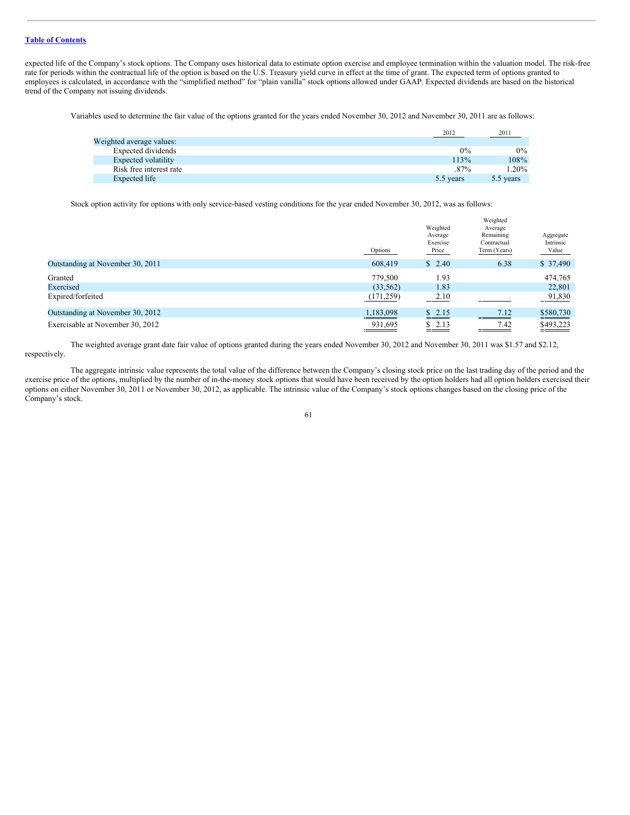expected life of the Company's stock options. The Company uses historical data to estimate option exercise and employee termination within the valuation model. The risk-free rate for periods within the contractual life of the option is based on the U.S. Treasury yield curve in effect at the time of grant. The expected term of options granted to employees is calculated, in accordance with the "simplified method" for "plain vanilla" stock options allowed under GAAP. Expected dividends are based on the historical trend of the Company not issuing dividends.

Variables used to determine the fair value of the options granted for the years ended November 30, 2012 and November 30, 2011 are as follows:

|                          | 2012      | 2011      |
|--------------------------|-----------|-----------|
| Weighted average values: |           |           |
| Expected dividends       | $0\%$     | $0\%$     |
| Expected volatility      | 113%      | 108%      |
| Risk free interest rate  | $.87\%$   | 1.20%     |
| Expected life            | 5.5 years | 5.5 years |

Stock option activity for options with only service-based vesting conditions for the year ended November 30, 2012, was as follows:

|                                  | Options    | Weighted<br>Average<br>Exercise<br>Price | Weighted<br>Average<br>Remaining<br>Contractual<br>Term (Years) | Aggregate<br>Intrinsic<br>Value |
|----------------------------------|------------|------------------------------------------|-----------------------------------------------------------------|---------------------------------|
| Outstanding at November 30, 2011 | 608,419    | \$2.40                                   | 6.38                                                            | \$ 37,490                       |
| Granted                          | 779,500    | 1.93                                     |                                                                 | 474,765                         |
| Exercised                        | (33, 562)  | 1.83                                     |                                                                 | 22,801                          |
| Expired/forfeited                | (171, 259) | 2.10                                     |                                                                 | 91,830                          |
| Outstanding at November 30, 2012 | 1,183,098  | \$2.15                                   | 7.12                                                            | \$580,730                       |
| Exercisable at November 30, 2012 | 931,695    | \$2.13                                   | 7.42                                                            | \$493,223                       |

The weighted average grant date fair value of options granted during the years ended November 30, 2012 and November 30, 2011 was \$1.57 and \$2.12, respectively.

The aggregate intrinsic value represents the total value of the difference between the Company's closing stock price on the last trading day of the period and the exercise price of the options, multiplied by the number of in-the-money stock options that would have been received by the option holders had all option holders exercised their options on either November 30, 2011 or November 30, 2012, as applicable. The intrinsic value of the Company's stock options changes based on the closing price of the Company's stock.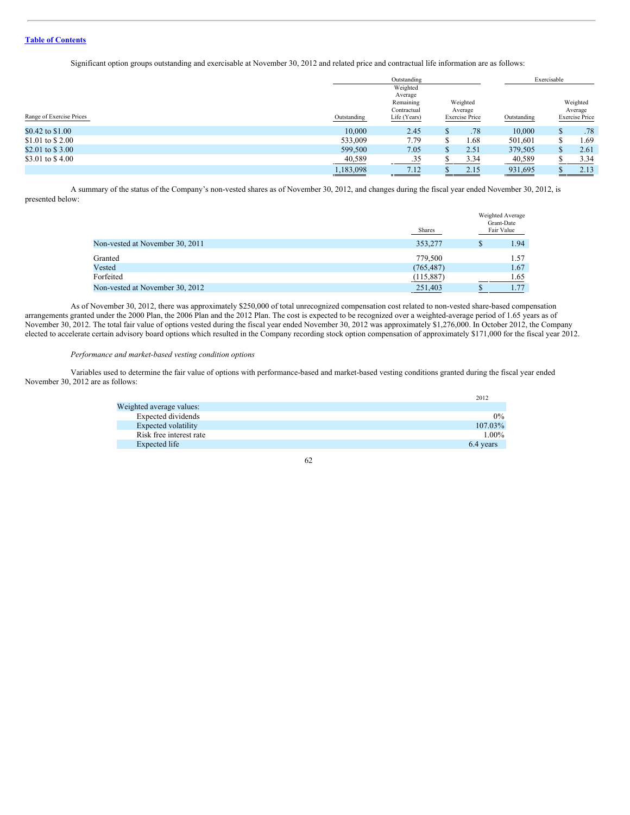Significant option groups outstanding and exercisable at November 30, 2012 and related price and contractual life information are as follows:

|                          |             | Outstanding                                                     |  |                                              |                          | Exercisable  |                                              |  |
|--------------------------|-------------|-----------------------------------------------------------------|--|----------------------------------------------|--------------------------|--------------|----------------------------------------------|--|
| Range of Exercise Prices | Outstanding | Weighted<br>Average<br>Remaining<br>Contractual<br>Life (Years) |  | Weighted<br>Average<br><b>Exercise Price</b> | Outstanding              |              | Weighted<br>Average<br><b>Exercise Price</b> |  |
| \$0.42 to \$1.00         | 10.000      | 2.45                                                            |  | .78                                          | 10,000                   | $\mathbf{D}$ | .78                                          |  |
| \$1.01 to \$2.00         | 533,009     | 7.79                                                            |  | 1.68                                         | 501,601                  |              | 1.69                                         |  |
| \$2.01 to \$3.00         | 599,500     | 7.05                                                            |  | 2.51                                         | 379,505                  | \$           | 2.61                                         |  |
| \$3.01 to \$4.00         | 40,589      | .35                                                             |  | 3.34                                         | 40,589                   |              | 3.34                                         |  |
|                          | 1,183,098   | 7.12<br><b>Contract Contract Contract Contract</b>              |  | 2.15<br>____                                 | 931,695<br>$\sim$ $\sim$ |              | 2.13<br>____                                 |  |

A summary of the status of the Company's non-vested shares as of November 30, 2012, and changes during the fiscal year ended November 30, 2012, is presented below:

|                                 | <b>Shares</b> |    | Weighted Average<br>Grant-Date<br>Fair Value |
|---------------------------------|---------------|----|----------------------------------------------|
| Non-vested at November 30, 2011 | 353,277       | \$ | 1.94                                         |
| Granted                         | 779.500       |    | 1.57                                         |
| Vested                          | (765, 487)    |    | 1.67                                         |
| Forfeited                       | (115, 887)    |    | 1.65                                         |
| Non-vested at November 30, 2012 | 251.403       | ъ  | 1.77                                         |

As of November 30, 2012, there was approximately \$250,000 of total unrecognized compensation cost related to non-vested share-based compensation arrangements granted under the 2000 Plan, the 2006 Plan and the 2012 Plan. The cost is expected to be recognized over a weighted-average period of 1.65 years as of November 30, 2012. The total fair value of options vested during the fiscal year ended November 30, 2012 was approximately \$1,276,000. In October 2012, the Company elected to accelerate certain advisory board options which resulted in the Company recording stock option compensation of approximately \$171,000 for the fiscal year 2012.

### *Performance and market-based vesting condition options*

Variables used to determine the fair value of options with performance-based and market-based vesting conditions granted during the fiscal year ended November 30, 2012 are as follows:

|                          | 2012      |
|--------------------------|-----------|
| Weighted average values: |           |
| Expected dividends       | $0\%$     |
| Expected volatility      | 107.03%   |
| Risk free interest rate  | $1.00\%$  |
| Expected life            | 6.4 years |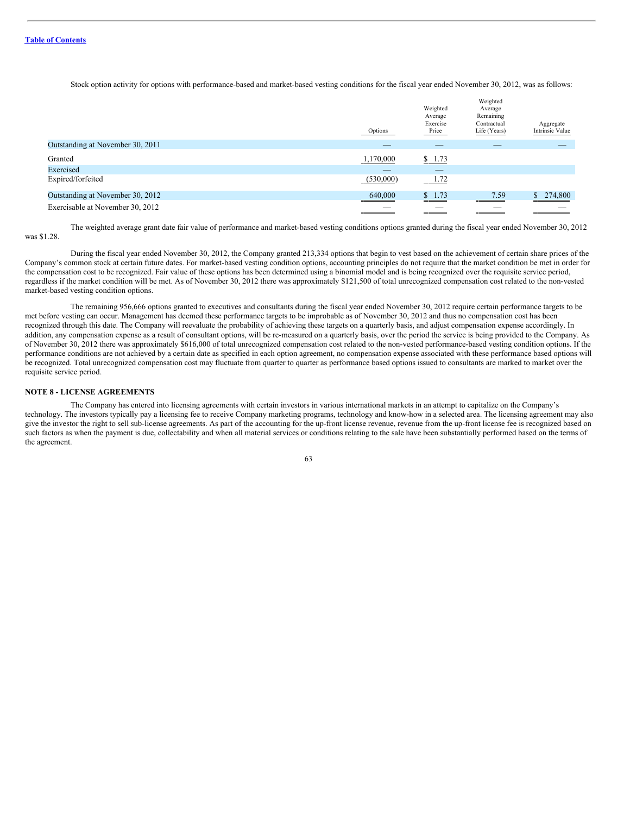Stock option activity for options with performance-based and market-based vesting conditions for the fiscal year ended November 30, 2012, was as follows:

|                                  | Options   | Weighted<br>Average<br>Exercise<br>Price | Weighted<br>Average<br>Remaining<br>Contractual<br>Life (Years) | Aggregate<br>Intrinsic Value |
|----------------------------------|-----------|------------------------------------------|-----------------------------------------------------------------|------------------------------|
| Outstanding at November 30, 2011 |           |                                          |                                                                 |                              |
| Granted                          | 1,170,000 | \$1.73                                   |                                                                 |                              |
| Exercised                        | _         | $-$                                      |                                                                 |                              |
| Expired/forfeited                | (530,000) | 1.72                                     |                                                                 |                              |
| Outstanding at November 30, 2012 | 640,000   | $\underline{\$}$ 1.73                    | 7.59                                                            | 274,800<br>S.                |
| Exercisable at November 30, 2012 |           | ====                                     |                                                                 |                              |

The weighted average grant date fair value of performance and market-based vesting conditions options granted during the fiscal year ended November 30, 2012 was \$1.28.

During the fiscal year ended November 30, 2012, the Company granted 213,334 options that begin to vest based on the achievement of certain share prices of the Company's common stock at certain future dates. For market-based vesting condition options, accounting principles do not require that the market condition be met in order for the compensation cost to be recognized. Fair value of these options has been determined using a binomial model and is being recognized over the requisite service period, regardless if the market condition will be met. As of November 30, 2012 there was approximately \$121,500 of total unrecognized compensation cost related to the non-vested market-based vesting condition options.

The remaining 956,666 options granted to executives and consultants during the fiscal year ended November 30, 2012 require certain performance targets to be met before vesting can occur. Management has deemed these performance targets to be improbable as of November 30, 2012 and thus no compensation cost has been recognized through this date. The Company will reevaluate the probability of achieving these targets on a quarterly basis, and adjust compensation expense accordingly. In addition, any compensation expense as a result of consultant options, will be re-measured on a quarterly basis, over the period the service is being provided to the Company. As of November 30, 2012 there was approximately \$616,000 of total unrecognized compensation cost related to the non-vested performance-based vesting condition options. If the performance conditions are not achieved by a certain date as specified in each option agreement, no compensation expense associated with these performance based options will be recognized. Total unrecognized compensation cost may fluctuate from quarter to quarter as performance based options issued to consultants are marked to market over the requisite service period.

#### **NOTE 8 - LICENSE AGREEMENTS**

The Company has entered into licensing agreements with certain investors in various international markets in an attempt to capitalize on the Company's technology. The investors typically pay a licensing fee to receive Company marketing programs, technology and know-how in a selected area. The licensing agreement may also give the investor the right to sell sub-license agreements. As part of the accounting for the up-front license revenue, revenue from the up-front license fee is recognized based on such factors as when the payment is due, collectability and when all material services or conditions relating to the sale have been substantially performed based on the terms of the agreement.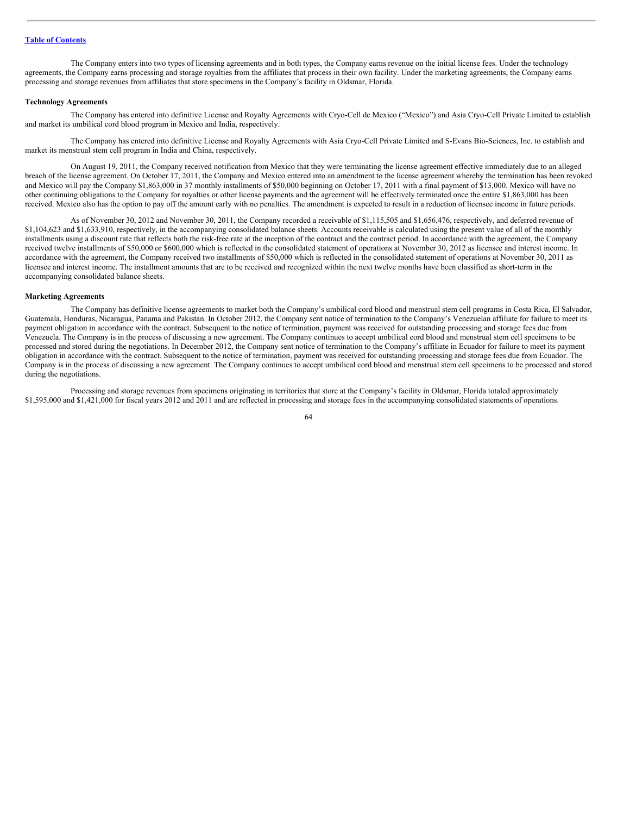The Company enters into two types of licensing agreements and in both types, the Company earns revenue on the initial license fees. Under the technology agreements, the Company earns processing and storage royalties from the affiliates that process in their own facility. Under the marketing agreements, the Company earns processing and storage revenues from affiliates that store specimens in the Company's facility in Oldsmar, Florida.

#### **Technology Agreements**

The Company has entered into definitive License and Royalty Agreements with Cryo-Cell de Mexico ("Mexico") and Asia Cryo-Cell Private Limited to establish and market its umbilical cord blood program in Mexico and India, respectively.

The Company has entered into definitive License and Royalty Agreements with Asia Cryo-Cell Private Limited and S-Evans Bio-Sciences, Inc. to establish and market its menstrual stem cell program in India and China, respectively.

On August 19, 2011, the Company received notification from Mexico that they were terminating the license agreement effective immediately due to an alleged breach of the license agreement. On October 17, 2011, the Company and Mexico entered into an amendment to the license agreement whereby the termination has been revoked and Mexico will pay the Company \$1,863,000 in 37 monthly installments of \$50,000 beginning on October 17, 2011 with a final payment of \$13,000. Mexico will have no other continuing obligations to the Company for royalties or other license payments and the agreement will be effectively terminated once the entire \$1,863,000 has been received. Mexico also has the option to pay off the amount early with no penalties. The amendment is expected to result in a reduction of licensee income in future periods.

As of November 30, 2012 and November 30, 2011, the Company recorded a receivable of \$1,115,505 and \$1,656,476, respectively, and deferred revenue of \$1,104,623 and \$1,633,910, respectively, in the accompanying consolidated balance sheets. Accounts receivable is calculated using the present value of all of the monthly installments using a discount rate that reflects both the risk-free rate at the inception of the contract and the contract period. In accordance with the agreement, the Company received twelve installments of \$50,000 or \$600,000 which is reflected in the consolidated statement of operations at November 30, 2012 as licensee and interest income. In accordance with the agreement, the Company received two installments of \$50,000 which is reflected in the consolidated statement of operations at November 30, 2011 as licensee and interest income. The installment amounts that are to be received and recognized within the next twelve months have been classified as short-term in the accompanying consolidated balance sheets.

#### **Marketing Agreements**

The Company has definitive license agreements to market both the Company's umbilical cord blood and menstrual stem cell programs in Costa Rica, El Salvador, Guatemala, Honduras, Nicaragua, Panama and Pakistan. In October 2012, the Company sent notice of termination to the Company's Venezuelan affiliate for failure to meet its payment obligation in accordance with the contract. Subsequent to the notice of termination, payment was received for outstanding processing and storage fees due from Venezuela. The Company is in the process of discussing a new agreement. The Company continues to accept umbilical cord blood and menstrual stem cell specimens to be processed and stored during the negotiations. In December 2012, the Company sent notice of termination to the Company's affiliate in Ecuador for failure to meet its payment obligation in accordance with the contract. Subsequent to the notice of termination, payment was received for outstanding processing and storage fees due from Ecuador. The Company is in the process of discussing a new agreement. The Company continues to accept umbilical cord blood and menstrual stem cell specimens to be processed and stored during the negotiations.

Processing and storage revenues from specimens originating in territories that store at the Company's facility in Oldsmar, Florida totaled approximately \$1,595,000 and \$1,421,000 for fiscal years 2012 and 2011 and are reflected in processing and storage fees in the accompanying consolidated statements of operations.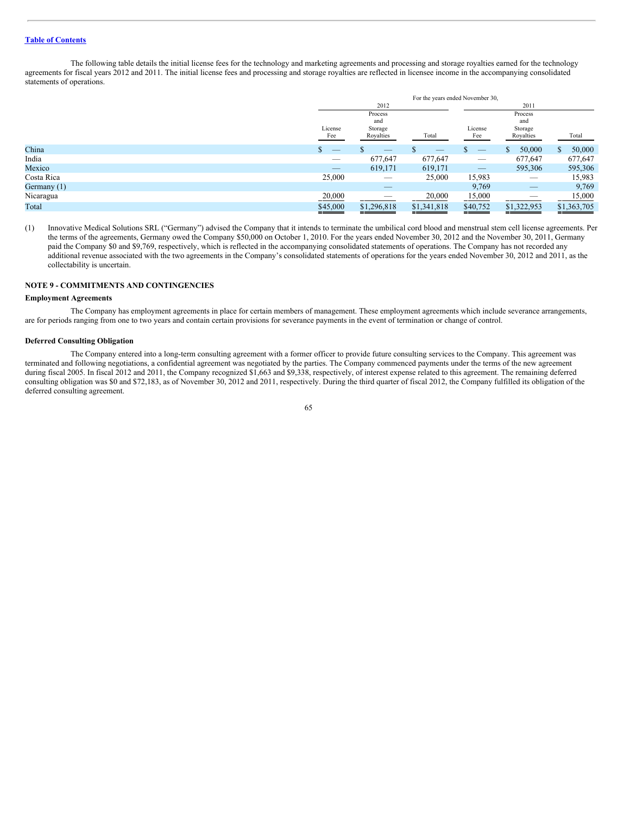The following table details the initial license fees for the technology and marketing agreements and processing and storage royalties earned for the technology agreements for fiscal years 2012 and 2011. The initial license fees and processing and storage royalties are reflected in licensee income in the accompanying consolidated statements of operations.

|             |                                 | For the years ended November 30, |             |                          |                          |             |  |
|-------------|---------------------------------|----------------------------------|-------------|--------------------------|--------------------------|-------------|--|
|             |                                 | 2012                             |             |                          | 2011                     |             |  |
|             |                                 | Process                          |             |                          | Process                  |             |  |
|             |                                 | and                              |             | and                      |                          |             |  |
|             | License                         | Storage                          |             | License<br>Storage       |                          | Total       |  |
|             | Fee                             | Total<br>Royalties               |             | Fee                      | Royalties                |             |  |
| China       | $\qquad \qquad - \qquad$        | $-$                              |             |                          | 50,000<br>S              | 50,000      |  |
| India       | $\hspace{0.1mm}-\hspace{0.1mm}$ | 677,647                          | 677,647     | $\hspace{0.05cm}$        | 677,647                  | 677,647     |  |
| Mexico      | $\overbrace{\hspace{25mm}}^{}$  | 619,171                          | 619,171     | $\qquad \qquad - \qquad$ | 595,306                  | 595,306     |  |
| Costa Rica  | 25,000                          |                                  | 25,000      | 15,983                   | $\overline{\phantom{a}}$ | 15,983      |  |
| Germany (1) |                                 | $\overline{\phantom{a}}$         |             | 9,769                    | $\overline{\phantom{m}}$ | 9,769       |  |
| Nicaragua   | 20,000                          |                                  | 20,000      | 15,000                   | __                       | 15,000      |  |
| Total       | \$45,000                        | \$1,296,818                      | \$1,341,818 | \$40,752                 | \$1,322,953              | \$1,363,705 |  |
|             |                                 |                                  |             |                          |                          |             |  |

(1) Innovative Medical Solutions SRL ("Germany") advised the Company that it intends to terminate the umbilical cord blood and menstrual stem cell license agreements. Per the terms of the agreements, Germany owed the Company \$50,000 on October 1, 2010. For the years ended November 30, 2012 and the November 30, 2011, Germany paid the Company \$0 and \$9,769, respectively, which is reflected in the accompanying consolidated statements of operations. The Company has not recorded any additional revenue associated with the two agreements in the Company's consolidated statements of operations for the years ended November 30, 2012 and 2011, as the collectability is uncertain.

#### **NOTE 9 - COMMITMENTS AND CONTINGENCIES**

# **Employment Agreements**

The Company has employment agreements in place for certain members of management. These employment agreements which include severance arrangements, are for periods ranging from one to two years and contain certain provisions for severance payments in the event of termination or change of control.

# **Deferred Consulting Obligation**

The Company entered into a long-term consulting agreement with a former officer to provide future consulting services to the Company. This agreement was terminated and following negotiations, a confidential agreement was negotiated by the parties. The Company commenced payments under the terms of the new agreement during fiscal 2005. In fiscal 2012 and 2011, the Company recognized \$1,663 and \$9,338, respectively, of interest expense related to this agreement. The remaining deferred consulting obligation was \$0 and \$72,183, as of November 30, 2012 and 2011, respectively. During the third quarter of fiscal 2012, the Company fulfilled its obligation of the deferred consulting agreement.

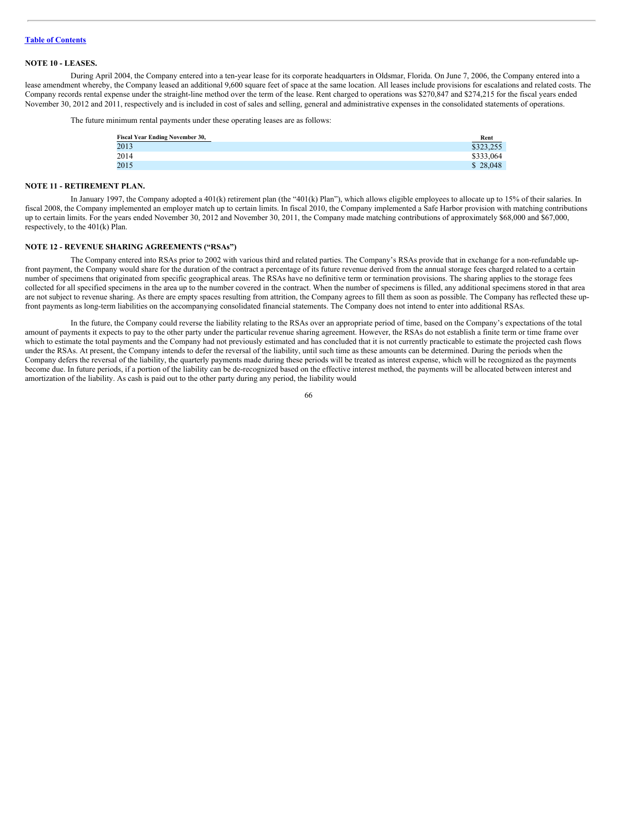#### **NOTE 10 - LEASES.**

During April 2004, the Company entered into a ten-year lease for its corporate headquarters in Oldsmar, Florida. On June 7, 2006, the Company entered into a lease amendment whereby, the Company leased an additional 9,600 square feet of space at the same location. All leases include provisions for escalations and related costs. The Company records rental expense under the straight-line method over the term of the lease. Rent charged to operations was \$270,847 and \$274,215 for the fiscal years ended November 30, 2012 and 2011, respectively and is included in cost of sales and selling, general and administrative expenses in the consolidated statements of operations.

The future minimum rental payments under these operating leases are as follows:

| <b>Fiscal Year Ending November 30,</b> | Rent      |
|----------------------------------------|-----------|
| 2013                                   | \$323,255 |
| 2014                                   | \$333,064 |
| 2015                                   | \$28.048  |

# **NOTE 11 - RETIREMENT PLAN.**

In January 1997, the Company adopted a 401(k) retirement plan (the "401(k) Plan"), which allows eligible employees to allocate up to 15% of their salaries. In fiscal 2008, the Company implemented an employer match up to certain limits. In fiscal 2010, the Company implemented a Safe Harbor provision with matching contributions up to certain limits. For the years ended November 30, 2012 and November 30, 2011, the Company made matching contributions of approximately \$68,000 and \$67,000, respectively, to the 401(k) Plan.

### **NOTE 12 - REVENUE SHARING AGREEMENTS ("RSAs")**

The Company entered into RSAs prior to 2002 with various third and related parties. The Company's RSAs provide that in exchange for a non-refundable upfront payment, the Company would share for the duration of the contract a percentage of its future revenue derived from the annual storage fees charged related to a certain number of specimens that originated from specific geographical areas. The RSAs have no definitive term or termination provisions. The sharing applies to the storage fees collected for all specified specimens in the area up to the number covered in the contract. When the number of specimens is filled, any additional specimens stored in that area are not subject to revenue sharing. As there are empty spaces resulting from attrition, the Company agrees to fill them as soon as possible. The Company has reflected these upfront payments as long-term liabilities on the accompanying consolidated financial statements. The Company does not intend to enter into additional RSAs.

In the future, the Company could reverse the liability relating to the RSAs over an appropriate period of time, based on the Company's expectations of the total amount of payments it expects to pay to the other party under the particular revenue sharing agreement. However, the RSAs do not establish a finite term or time frame over which to estimate the total payments and the Company had not previously estimated and has concluded that it is not currently practicable to estimate the projected cash flows under the RSAs. At present, the Company intends to defer the reversal of the liability, until such time as these amounts can be determined. During the periods when the Company defers the reversal of the liability, the quarterly payments made during these periods will be treated as interest expense, which will be recognized as the payments become due. In future periods, if a portion of the liability can be de-recognized based on the effective interest method, the payments will be allocated between interest and amortization of the liability. As cash is paid out to the other party during any period, the liability would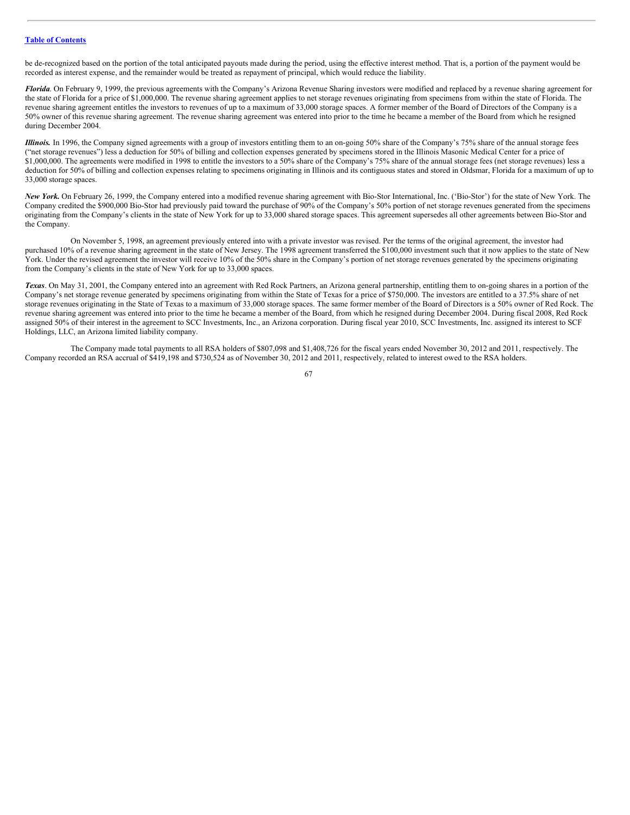be de-recognized based on the portion of the total anticipated payouts made during the period, using the effective interest method. That is, a portion of the payment would be recorded as interest expense, and the remainder would be treated as repayment of principal, which would reduce the liability.

*Florida*. On February 9, 1999, the previous agreements with the Company's Arizona Revenue Sharing investors were modified and replaced by a revenue sharing agreement for the state of Florida for a price of \$1,000,000. The revenue sharing agreement applies to net storage revenues originating from specimens from within the state of Florida. The revenue sharing agreement entitles the investors to revenues of up to a maximum of 33,000 storage spaces. A former member of the Board of Directors of the Company is a 50% owner of this revenue sharing agreement. The revenue sharing agreement was entered into prior to the time he became a member of the Board from which he resigned during December 2004.

*Illinois*. In 1996, the Company signed agreements with a group of investors entitling them to an on-going 50% share of the Company's 75% share of the annual storage fees ("net storage revenues") less a deduction for 50% of billing and collection expenses generated by specimens stored in the Illinois Masonic Medical Center for a price of \$1,000,000. The agreements were modified in 1998 to entitle the investors to a 50% share of the Company's 75% share of the annual storage fees (net storage revenues) less a deduction for 50% of billing and collection expenses relating to specimens originating in Illinois and its contiguous states and stored in Oldsmar, Florida for a maximum of up to 33,000 storage spaces.

*New York.* On February 26, 1999, the Company entered into a modified revenue sharing agreement with Bio-Stor International, Inc. ('Bio-Stor') for the state of New York. The Company credited the \$900,000 Bio-Stor had previously paid toward the purchase of 90% of the Company's 50% portion of net storage revenues generated from the specimens originating from the Company's clients in the state of New York for up to 33,000 shared storage spaces. This agreement supersedes all other agreements between Bio-Stor and the Company.

On November 5, 1998, an agreement previously entered into with a private investor was revised. Per the terms of the original agreement, the investor had purchased 10% of a revenue sharing agreement in the state of New Jersey. The 1998 agreement transferred the \$100,000 investment such that it now applies to the state of New York. Under the revised agreement the investor will receive 10% of the 50% share in the Company's portion of net storage revenues generated by the specimens originating from the Company's clients in the state of New York for up to 33,000 spaces.

*Texas*. On May 31, 2001, the Company entered into an agreement with Red Rock Partners, an Arizona general partnership, entitling them to on-going shares in a portion of the Company's net storage revenue generated by specimens originating from within the State of Texas for a price of \$750,000. The investors are entitled to a 37.5% share of net storage revenues originating in the State of Texas to a maximum of 33,000 storage spaces. The same former member of the Board of Directors is a 50% owner of Red Rock. The revenue sharing agreement was entered into prior to the time he became a member of the Board, from which he resigned during December 2004. During fiscal 2008, Red Rock assigned 50% of their interest in the agreement to SCC Investments, Inc., an Arizona corporation. During fiscal year 2010, SCC Investments, Inc. assigned its interest to SCF Holdings, LLC, an Arizona limited liability company.

The Company made total payments to all RSA holders of \$807,098 and \$1,408,726 for the fiscal years ended November 30, 2012 and 2011, respectively. The Company recorded an RSA accrual of \$419,198 and \$730,524 as of November 30, 2012 and 2011, respectively, related to interest owed to the RSA holders.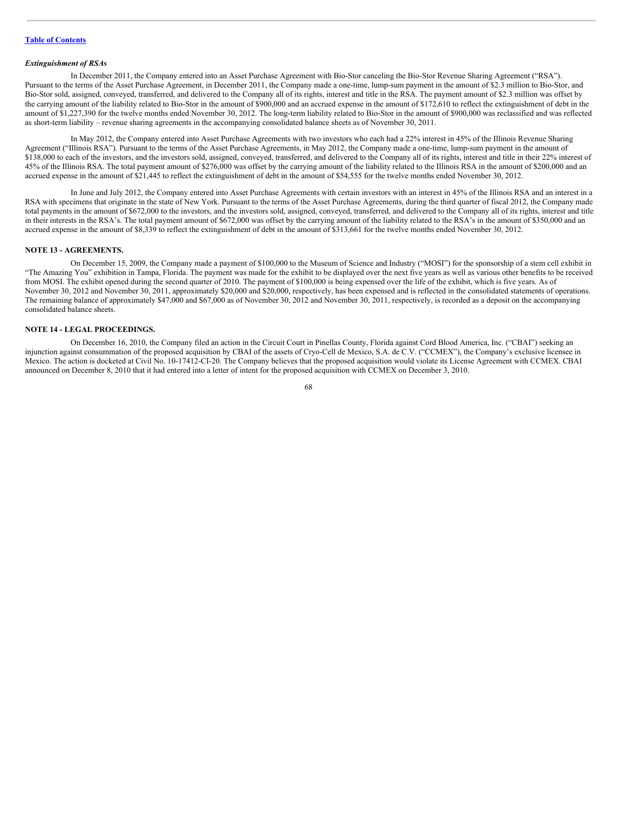# *Extinguishment of RSAs*

In December 2011, the Company entered into an Asset Purchase Agreement with Bio-Stor canceling the Bio-Stor Revenue Sharing Agreement ("RSA"). Pursuant to the terms of the Asset Purchase Agreement, in December 2011, the Company made a one-time, lump-sum payment in the amount of \$2.3 million to Bio-Stor, and Bio-Stor sold, assigned, conveyed, transferred, and delivered to the Company all of its rights, interest and title in the RSA. The payment amount of \$2.3 million was offset by the carrying amount of the liability related to Bio-Stor in the amount of \$900,000 and an accrued expense in the amount of \$172,610 to reflect the extinguishment of debt in the amount of \$1,227,390 for the twelve months ended November 30, 2012. The long-term liability related to Bio-Stor in the amount of \$900,000 was reclassified and was reflected as short-term liability – revenue sharing agreements in the accompanying consolidated balance sheets as of November 30, 2011.

In May 2012, the Company entered into Asset Purchase Agreements with two investors who each had a 22% interest in 45% of the Illinois Revenue Sharing Agreement ("Illinois RSA"). Pursuant to the terms of the Asset Purchase Agreements, in May 2012, the Company made a one-time, lump-sum payment in the amount of \$138,000 to each of the investors, and the investors sold, assigned, conveyed, transferred, and delivered to the Company all of its rights, interest and title in their 22% interest of 45% of the Illinois RSA. The total payment amount of \$276,000 was offset by the carrying amount of the liability related to the Illinois RSA in the amount of \$200,000 and an accrued expense in the amount of \$21,445 to reflect the extinguishment of debt in the amount of \$54,555 for the twelve months ended November 30, 2012.

In June and July 2012, the Company entered into Asset Purchase Agreements with certain investors with an interest in 45% of the Illinois RSA and an interest in a RSA with specimens that originate in the state of New York. Pursuant to the terms of the Asset Purchase Agreements, during the third quarter of fiscal 2012, the Company made total payments in the amount of \$672,000 to the investors, and the investors sold, assigned, conveyed, transferred, and delivered to the Company all of its rights, interest and title in their interests in the RSA's. The total payment amount of \$672,000 was offset by the carrying amount of the liability related to the RSA's in the amount of \$350,000 and an accrued expense in the amount of \$8,339 to reflect the extinguishment of debt in the amount of \$313,661 for the twelve months ended November 30, 2012.

#### **NOTE 13 - AGREEMENTS.**

On December 15, 2009, the Company made a payment of \$100,000 to the Museum of Science and Industry ("MOSI") for the sponsorship of a stem cell exhibit in "The Amazing You" exhibition in Tampa, Florida. The payment was made for the exhibit to be displayed over the next five years as well as various other benefits to be received from MOSI. The exhibit opened during the second quarter of 2010. The payment of \$100,000 is being expensed over the life of the exhibit, which is five years. As of November 30, 2012 and November 30, 2011, approximately \$20,000 and \$20,000, respectively, has been expensed and is reflected in the consolidated statements of operations. The remaining balance of approximately \$47,000 and \$67,000 as of November 30, 2012 and November 30, 2011, respectively, is recorded as a deposit on the accompanying consolidated balance sheets.

### **NOTE 14 - LEGAL PROCEEDINGS.**

On December 16, 2010, the Company filed an action in the Circuit Court in Pinellas County, Florida against Cord Blood America, Inc. ("CBAI") seeking an injunction against consummation of the proposed acquisition by CBAI of the assets of Cryo-Cell de Mexico, S.A. de C.V. ("CCMEX"), the Company's exclusive licensee in Mexico. The action is docketed at Civil No. 10-17412-CI-20. The Company believes that the proposed acquisition would violate its License Agreement with CCMEX. CBAI announced on December 8, 2010 that it had entered into a letter of intent for the proposed acquisition with CCMEX on December 3, 2010.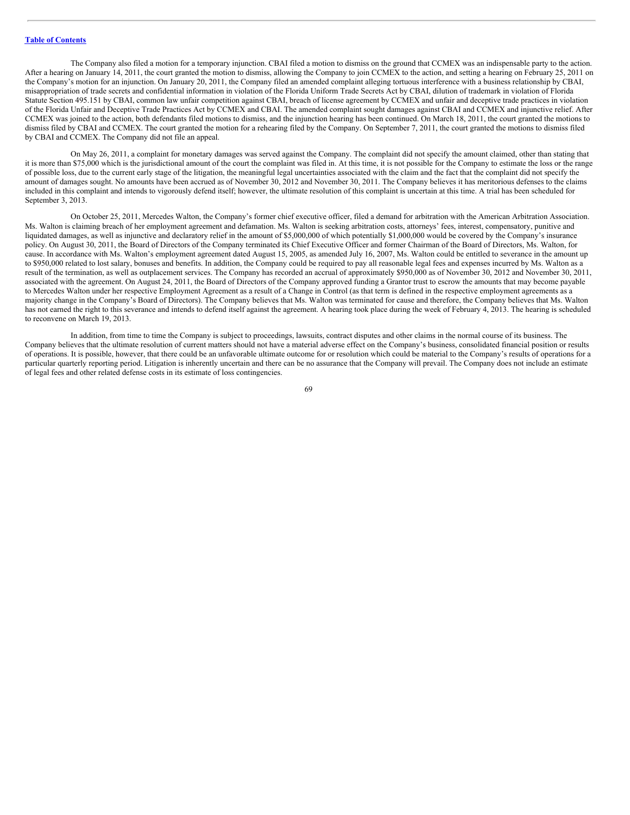The Company also filed a motion for a temporary injunction. CBAI filed a motion to dismiss on the ground that CCMEX was an indispensable party to the action. After a hearing on January 14, 2011, the court granted the motion to dismiss, allowing the Company to join CCMEX to the action, and setting a hearing on February 25, 2011 on the Company's motion for an injunction. On January 20, 2011, the Company filed an amended complaint alleging tortuous interference with a business relationship by CBAI, misappropriation of trade secrets and confidential information in violation of the Florida Uniform Trade Secrets Act by CBAI, dilution of trademark in violation of Florida Statute Section 495.151 by CBAI, common law unfair competition against CBAI, breach of license agreement by CCMEX and unfair and deceptive trade practices in violation of the Florida Unfair and Deceptive Trade Practices Act by CCMEX and CBAI. The amended complaint sought damages against CBAI and CCMEX and injunctive relief. After CCMEX was joined to the action, both defendants filed motions to dismiss, and the injunction hearing has been continued. On March 18, 2011, the court granted the motions to dismiss filed by CBAI and CCMEX. The court granted the motion for a rehearing filed by the Company. On September 7, 2011, the court granted the motions to dismiss filed by CBAI and CCMEX. The Company did not file an appeal.

On May 26, 2011, a complaint for monetary damages was served against the Company. The complaint did not specify the amount claimed, other than stating that it is more than \$75,000 which is the jurisdictional amount of the court the complaint was filed in. At this time, it is not possible for the Company to estimate the loss or the range of possible loss, due to the current early stage of the litigation, the meaningful legal uncertainties associated with the claim and the fact that the complaint did not specify the amount of damages sought. No amounts have been accrued as of November 30, 2012 and November 30, 2011. The Company believes it has meritorious defenses to the claims included in this complaint and intends to vigorously defend itself; however, the ultimate resolution of this complaint is uncertain at this time. A trial has been scheduled for September 3, 2013.

On October 25, 2011, Mercedes Walton, the Company's former chief executive officer, filed a demand for arbitration with the American Arbitration Association. Ms. Walton is claiming breach of her employment agreement and defamation. Ms. Walton is seeking arbitration costs, attorneys' fees, interest, compensatory, punitive and liquidated damages, as well as injunctive and declaratory relief in the amount of \$5,000,000 of which potentially \$1,000,000 would be covered by the Company's insurance policy. On August 30, 2011, the Board of Directors of the Company terminated its Chief Executive Officer and former Chairman of the Board of Directors, Ms. Walton, for cause. In accordance with Ms. Walton's employment agreement dated August 15, 2005, as amended July 16, 2007, Ms. Walton could be entitled to severance in the amount up to \$950,000 related to lost salary, bonuses and benefits. In addition, the Company could be required to pay all reasonable legal fees and expenses incurred by Ms. Walton as a result of the termination, as well as outplacement services. The Company has recorded an accrual of approximately \$950,000 as of November 30, 2012 and November 30, 2011, associated with the agreement. On August 24, 2011, the Board of Directors of the Company approved funding a Grantor trust to escrow the amounts that may become payable to Mercedes Walton under her respective Employment Agreement as a result of a Change in Control (as that term is defined in the respective employment agreements as a majority change in the Company's Board of Directors). The Company believes that Ms. Walton was terminated for cause and therefore, the Company believes that Ms. Walton has not earned the right to this severance and intends to defend itself against the agreement. A hearing took place during the week of February 4, 2013. The hearing is scheduled to reconvene on March 19, 2013.

In addition, from time to time the Company is subject to proceedings, lawsuits, contract disputes and other claims in the normal course of its business. The Company believes that the ultimate resolution of current matters should not have a material adverse effect on the Company's business, consolidated financial position or results of operations. It is possible, however, that there could be an unfavorable ultimate outcome for or resolution which could be material to the Company's results of operations for a particular quarterly reporting period. Litigation is inherently uncertain and there can be no assurance that the Company will prevail. The Company does not include an estimate of legal fees and other related defense costs in its estimate of loss contingencies.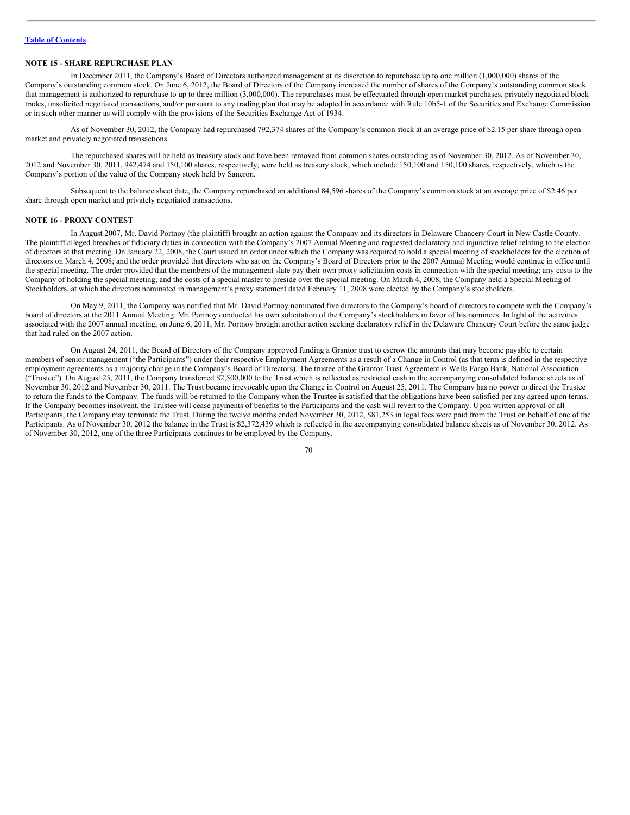# **NOTE 15 - SHARE REPURCHASE PLAN**

In December 2011, the Company's Board of Directors authorized management at its discretion to repurchase up to one million (1,000,000) shares of the Company's outstanding common stock. On June 6, 2012, the Board of Directors of the Company increased the number of shares of the Company's outstanding common stock that management is authorized to repurchase to up to three million (3,000,000). The repurchases must be effectuated through open market purchases, privately negotiated block trades, unsolicited negotiated transactions, and/or pursuant to any trading plan that may be adopted in accordance with Rule 10b5-1 of the Securities and Exchange Commission or in such other manner as will comply with the provisions of the Securities Exchange Act of 1934.

As of November 30, 2012, the Company had repurchased 792,374 shares of the Company's common stock at an average price of \$2.15 per share through open market and privately negotiated transactions.

The repurchased shares will be held as treasury stock and have been removed from common shares outstanding as of November 30, 2012. As of November 30, 2012 and November 30, 2011, 942,474 and 150,100 shares, respectively, were held as treasury stock, which include 150,100 and 150,100 shares, respectively, which is the Company's portion of the value of the Company stock held by Saneron.

Subsequent to the balance sheet date, the Company repurchased an additional 84,596 shares of the Company's common stock at an average price of \$2.46 per share through open market and privately negotiated transactions.

# **NOTE 16 - PROXY CONTEST**

In August 2007, Mr. David Portnoy (the plaintiff) brought an action against the Company and its directors in Delaware Chancery Court in New Castle County. The plaintiff alleged breaches of fiduciary duties in connection with the Company's 2007 Annual Meeting and requested declaratory and injunctive relief relating to the election of directors at that meeting. On January 22, 2008, the Court issued an order under which the Company was required to hold a special meeting of stockholders for the election of directors on March 4, 2008; and the order provided that directors who sat on the Company's Board of Directors prior to the 2007 Annual Meeting would continue in office until the special meeting. The order provided that the members of the management slate pay their own proxy solicitation costs in connection with the special meeting; any costs to the Company of holding the special meeting; and the costs of a special master to preside over the special meeting. On March 4, 2008, the Company held a Special Meeting of Stockholders, at which the directors nominated in management's proxy statement dated February 11, 2008 were elected by the Company's stockholders.

On May 9, 2011, the Company was notified that Mr. David Portnoy nominated five directors to the Company's board of directors to compete with the Company's board of directors at the 2011 Annual Meeting. Mr. Portnoy conducted his own solicitation of the Company's stockholders in favor of his nominees. In light of the activities associated with the 2007 annual meeting, on June 6, 2011, Mr. Portnoy brought another action seeking declaratory relief in the Delaware Chancery Court before the same judge that had ruled on the 2007 action.

On August 24, 2011, the Board of Directors of the Company approved funding a Grantor trust to escrow the amounts that may become payable to certain members of senior management ("the Participants") under their respective Employment Agreements as a result of a Change in Control (as that term is defined in the respective employment agreements as a majority change in the Company's Board of Directors). The trustee of the Grantor Trust Agreement is Wells Fargo Bank, National Association ("Trustee"). On August 25, 2011, the Company transferred \$2,500,000 to the Trust which is reflected as restricted cash in the accompanying consolidated balance sheets as of November 30, 2012 and November 30, 2011. The Trust became irrevocable upon the Change in Control on August 25, 2011. The Company has no power to direct the Trustee to return the funds to the Company. The funds will be returned to the Company when the Trustee is satisfied that the obligations have been satisfied per any agreed upon terms. If the Company becomes insolvent, the Trustee will cease payments of benefits to the Participants and the cash will revert to the Company. Upon written approval of all Participants, the Company may terminate the Trust. During the twelve months ended November 30, 2012, \$81,253 in legal fees were paid from the Trust on behalf of one of the Participants. As of November 30, 2012 the balance in the Trust is \$2,372,439 which is reflected in the accompanying consolidated balance sheets as of November 30, 2012. As of November 30, 2012, one of the three Participants continues to be employed by the Company.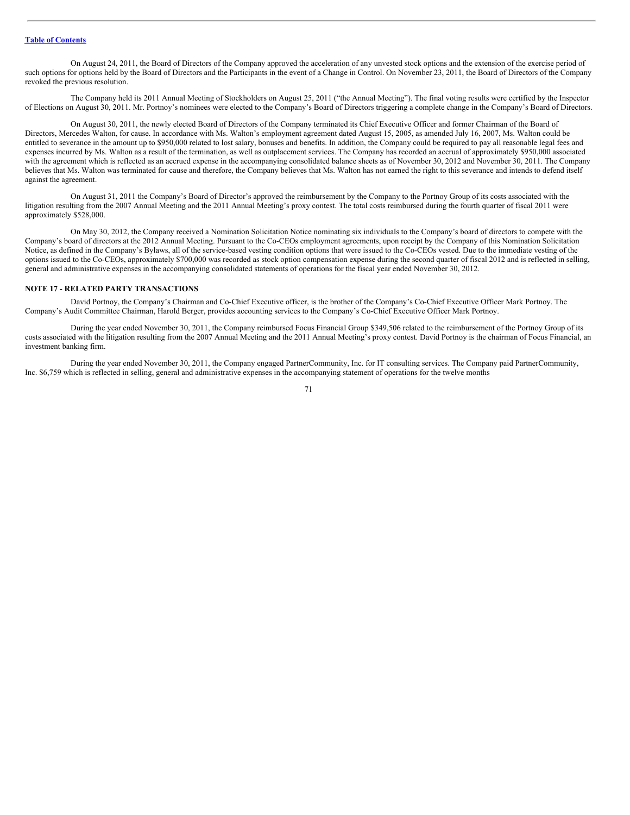On August 24, 2011, the Board of Directors of the Company approved the acceleration of any unvested stock options and the extension of the exercise period of such options for options held by the Board of Directors and the Participants in the event of a Change in Control. On November 23, 2011, the Board of Directors of the Company revoked the previous resolution.

The Company held its 2011 Annual Meeting of Stockholders on August 25, 2011 ("the Annual Meeting"). The final voting results were certified by the Inspector of Elections on August 30, 2011. Mr. Portnoy's nominees were elected to the Company's Board of Directors triggering a complete change in the Company's Board of Directors.

On August 30, 2011, the newly elected Board of Directors of the Company terminated its Chief Executive Officer and former Chairman of the Board of Directors, Mercedes Walton, for cause. In accordance with Ms. Walton's employment agreement dated August 15, 2005, as amended July 16, 2007, Ms. Walton could be entitled to severance in the amount up to \$950,000 related to lost salary, bonuses and benefits. In addition, the Company could be required to pay all reasonable legal fees and expenses incurred by Ms. Walton as a result of the termination, as well as outplacement services. The Company has recorded an accrual of approximately \$950,000 associated with the agreement which is reflected as an accrued expense in the accompanying consolidated balance sheets as of November 30, 2012 and November 30, 2011. The Company believes that Ms. Walton was terminated for cause and therefore, the Company believes that Ms. Walton has not earned the right to this severance and intends to defend itself against the agreement.

On August 31, 2011 the Company's Board of Director's approved the reimbursement by the Company to the Portnoy Group of its costs associated with the litigation resulting from the 2007 Annual Meeting and the 2011 Annual Meeting's proxy contest. The total costs reimbursed during the fourth quarter of fiscal 2011 were approximately \$528,000.

On May 30, 2012, the Company received a Nomination Solicitation Notice nominating six individuals to the Company's board of directors to compete with the Company's board of directors at the 2012 Annual Meeting. Pursuant to the Co-CEOs employment agreements, upon receipt by the Company of this Nomination Solicitation Notice, as defined in the Company's Bylaws, all of the service-based vesting condition options that were issued to the Co-CEOs vested. Due to the immediate vesting of the options issued to the Co-CEOs, approximately \$700,000 was recorded as stock option compensation expense during the second quarter of fiscal 2012 and is reflected in selling, general and administrative expenses in the accompanying consolidated statements of operations for the fiscal year ended November 30, 2012.

# **NOTE 17 - RELATED PARTY TRANSACTIONS**

David Portnoy, the Company's Chairman and Co-Chief Executive officer, is the brother of the Company's Co-Chief Executive Officer Mark Portnoy. The Company's Audit Committee Chairman, Harold Berger, provides accounting services to the Company's Co-Chief Executive Officer Mark Portnoy.

During the year ended November 30, 2011, the Company reimbursed Focus Financial Group \$349,506 related to the reimbursement of the Portnoy Group of its costs associated with the litigation resulting from the 2007 Annual Meeting and the 2011 Annual Meeting's proxy contest. David Portnoy is the chairman of Focus Financial, an investment banking firm.

During the year ended November 30, 2011, the Company engaged PartnerCommunity, Inc. for IT consulting services. The Company paid PartnerCommunity, Inc. \$6,759 which is reflected in selling, general and administrative expenses in the accompanying statement of operations for the twelve months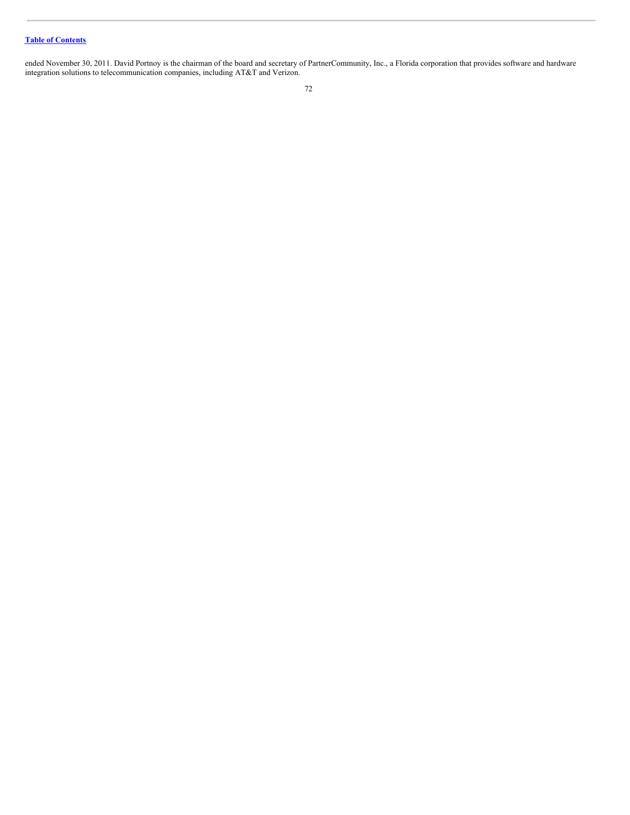ended November 30, 2011. David Portnoy is the chairman of the board and secretary of PartnerCommunity, Inc., a Florida corporation that provides software and hardware integration solutions to telecommunication companies, including AT&T and Verizon.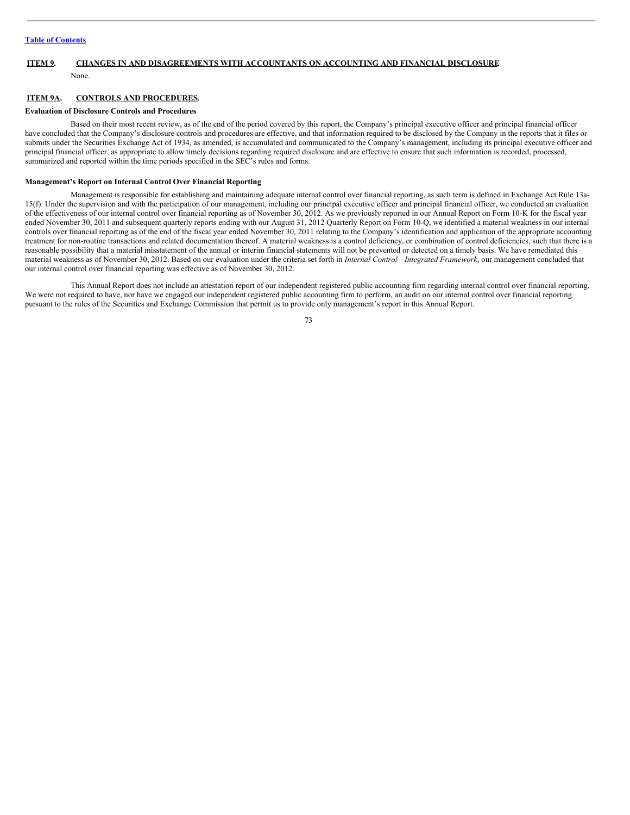## **Table of [Contents](#page-2-0)**

# **ITEM 9. CHANGES IN AND DISAGREEMENTS WITH ACCOUNTANTS ON ACCOUNTING AND FINANCIAL DISCLOSURE.**

None.

## **ITEM 9A. CONTROLS AND PROCEDURES.**

## **Evaluation of Disclosure Controls and Procedures**

Based on their most recent review, as of the end of the period covered by this report, the Company's principal executive officer and principal financial officer have concluded that the Company's disclosure controls and procedures are effective, and that information required to be disclosed by the Company in the reports that it files or submits under the Securities Exchange Act of 1934, as amended, is accumulated and communicated to the Company's management, including its principal executive officer and principal financial officer, as appropriate to allow timely decisions regarding required disclosure and are effective to ensure that such information is recorded, processed, summarized and reported within the time periods specified in the SEC's rules and forms.

## **Management's Report on Internal Control Over Financial Reporting**

Management is responsible for establishing and maintaining adequate internal control over financial reporting, as such term is defined in Exchange Act Rule 13a-15(f). Under the supervision and with the participation of our management, including our principal executive officer and principal financial officer, we conducted an evaluation of the effectiveness of our internal control over financial reporting as of November 30, 2012. As we previously reported in our Annual Report on Form 10-K for the fiscal year ended November 30, 2011 and subsequent quarterly reports ending with our August 31, 2012 Quarterly Report on Form 10-Q, we identified a material weakness in our internal controls over financial reporting as of the end of the fiscal year ended November 30, 2011 relating to the Company's identification and application of the appropriate accounting treatment for non-routine transactions and related documentation thereof. A material weakness is a control deficiency, or combination of control deficiencies, such that there is a reasonable possibility that a material misstatement of the annual or interim financial statements will not be prevented or detected on a timely basis. We have remediated this material weakness as of November 30, 2012. Based on our evaluation under the criteria set forth in *Internal Control—Integrated Framework*, our management concluded that our internal control over financial reporting was effective as of November 30, 2012.

This Annual Report does not include an attestation report of our independent registered public accounting firm regarding internal control over financial reporting. We were not required to have, nor have we engaged our independent registered public accounting firm to perform, an audit on our internal control over financial reporting pursuant to the rules of the Securities and Exchange Commission that permit us to provide only management's report in this Annual Report.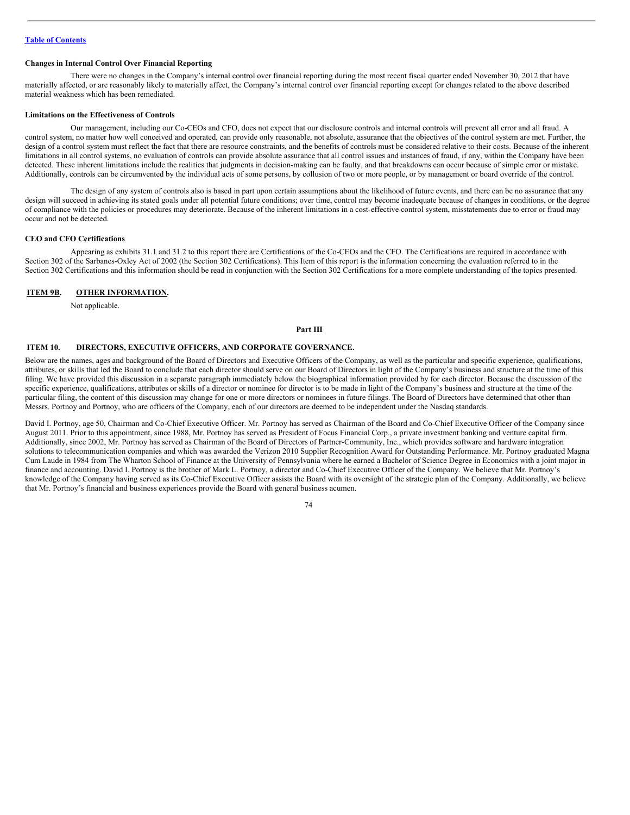## **Changes in Internal Control Over Financial Reporting**

There were no changes in the Company's internal control over financial reporting during the most recent fiscal quarter ended November 30, 2012 that have materially affected, or are reasonably likely to materially affect, the Company's internal control over financial reporting except for changes related to the above described material weakness which has been remediated.

#### **Limitations on the Effectiveness of Controls**

Our management, including our Co-CEOs and CFO, does not expect that our disclosure controls and internal controls will prevent all error and all fraud. A control system, no matter how well conceived and operated, can provide only reasonable, not absolute, assurance that the objectives of the control system are met. Further, the design of a control system must reflect the fact that there are resource constraints, and the benefits of controls must be considered relative to their costs. Because of the inherent limitations in all control systems, no evaluation of controls can provide absolute assurance that all control issues and instances of fraud, if any, within the Company have been detected. These inherent limitations include the realities that judgments in decision-making can be faulty, and that breakdowns can occur because of simple error or mistake. Additionally, controls can be circumvented by the individual acts of some persons, by collusion of two or more people, or by management or board override of the control.

The design of any system of controls also is based in part upon certain assumptions about the likelihood of future events, and there can be no assurance that any design will succeed in achieving its stated goals under all potential future conditions; over time, control may become inadequate because of changes in conditions, or the degree of compliance with the policies or procedures may deteriorate. Because of the inherent limitations in a cost-effective control system, misstatements due to error or fraud may occur and not be detected.

#### **CEO and CFO Certifications**

Appearing as exhibits 31.1 and 31.2 to this report there are Certifications of the Co-CEOs and the CFO. The Certifications are required in accordance with Section 302 of the Sarbanes-Oxley Act of 2002 (the Section 302 Certifications). This Item of this report is the information concerning the evaluation referred to in the Section 302 Certifications and this information should be read in conjunction with the Section 302 Certifications for a more complete understanding of the topics presented.

## **ITEM 9B. OTHER INFORMATION.**

Not applicable.

#### **Part III**

#### **ITEM 10. DIRECTORS, EXECUTIVE OFFICERS, AND CORPORATE GOVERNANCE.**

Below are the names, ages and background of the Board of Directors and Executive Officers of the Company, as well as the particular and specific experience, qualifications, attributes, or skills that led the Board to conclude that each director should serve on our Board of Directors in light of the Company's business and structure at the time of this filing. We have provided this discussion in a separate paragraph immediately below the biographical information provided by for each director. Because the discussion of the specific experience, qualifications, attributes or skills of a director or nominee for director is to be made in light of the Company's business and structure at the time of the particular filing, the content of this discussion may change for one or more directors or nominees in future filings. The Board of Directors have determined that other than Messrs. Portnoy and Portnoy, who are officers of the Company, each of our directors are deemed to be independent under the Nasdaq standards.

David I. Portnoy, age 50, Chairman and Co-Chief Executive Officer. Mr. Portnoy has served as Chairman of the Board and Co-Chief Executive Officer of the Company since August 2011. Prior to this appointment, since 1988, Mr. Portnoy has served as President of Focus Financial Corp., a private investment banking and venture capital firm. Additionally, since 2002, Mr. Portnoy has served as Chairman of the Board of Directors of Partner-Community, Inc., which provides software and hardware integration solutions to telecommunication companies and which was awarded the Verizon 2010 Supplier Recognition Award for Outstanding Performance. Mr. Portnoy graduated Magna Cum Laude in 1984 from The Wharton School of Finance at the University of Pennsylvania where he earned a Bachelor of Science Degree in Economics with a joint major in finance and accounting. David I. Portnoy is the brother of Mark L. Portnoy, a director and Co-Chief Executive Officer of the Company. We believe that Mr. Portnoy's knowledge of the Company having served as its Co-Chief Executive Officer assists the Board with its oversight of the strategic plan of the Company. Additionally, we believe that Mr. Portnoy's financial and business experiences provide the Board with general business acumen.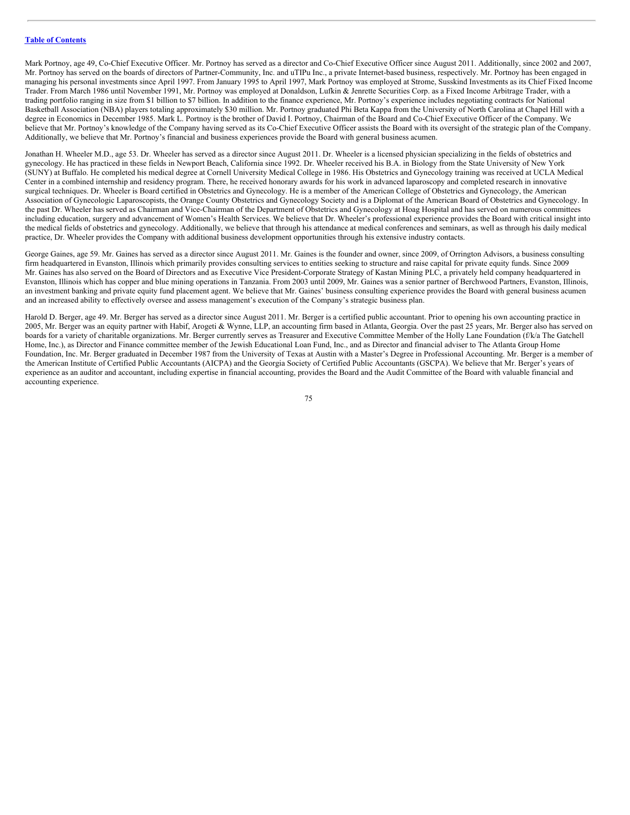Mark Portnoy, age 49, Co-Chief Executive Officer. Mr. Portnoy has served as a director and Co-Chief Executive Officer since August 2011. Additionally, since 2002 and 2007, Mr. Portnoy has served on the boards of directors of Partner-Community, Inc. and uTIPu Inc., a private Internet-based business, respectively. Mr. Portnoy has been engaged in managing his personal investments since April 1997. From January 1995 to April 1997, Mark Portnoy was employed at Strome, Susskind Investments as its Chief Fixed Income Trader. From March 1986 until November 1991, Mr. Portnoy was employed at Donaldson, Lufkin & Jenrette Securities Corp. as a Fixed Income Arbitrage Trader, with a trading portfolio ranging in size from \$1 billion to \$7 billion. In addition to the finance experience, Mr. Portnoy's experience includes negotiating contracts for National Basketball Association (NBA) players totaling approximately \$30 million. Mr. Portnoy graduated Phi Beta Kappa from the University of North Carolina at Chapel Hill with a degree in Economics in December 1985. Mark L. Portnoy is the brother of David I. Portnoy, Chairman of the Board and Co-Chief Executive Officer of the Company. We believe that Mr. Portnoy's knowledge of the Company having served as its Co-Chief Executive Officer assists the Board with its oversight of the strategic plan of the Company. Additionally, we believe that Mr. Portnoy's financial and business experiences provide the Board with general business acumen.

Jonathan H. Wheeler M.D., age 53. Dr. Wheeler has served as a director since August 2011. Dr. Wheeler is a licensed physician specializing in the fields of obstetrics and gynecology. He has practiced in these fields in Newport Beach, California since 1992. Dr. Wheeler received his B.A. in Biology from the State University of New York (SUNY) at Buffalo. He completed his medical degree at Cornell University Medical College in 1986. His Obstetrics and Gynecology training was received at UCLA Medical Center in a combined internship and residency program. There, he received honorary awards for his work in advanced laparoscopy and completed research in innovative surgical techniques. Dr. Wheeler is Board certified in Obstetrics and Gynecology. He is a member of the American College of Obstetrics and Gynecology, the American Association of Gynecologic Laparoscopists, the Orange County Obstetrics and Gynecology Society and is a Diplomat of the American Board of Obstetrics and Gynecology. In the past Dr. Wheeler has served as Chairman and Vice-Chairman of the Department of Obstetrics and Gynecology at Hoag Hospital and has served on numerous committees including education, surgery and advancement of Women's Health Services. We believe that Dr. Wheeler's professional experience provides the Board with critical insight into the medical fields of obstetrics and gynecology. Additionally, we believe that through his attendance at medical conferences and seminars, as well as through his daily medical practice, Dr. Wheeler provides the Company with additional business development opportunities through his extensive industry contacts.

George Gaines, age 59. Mr. Gaines has served as a director since August 2011. Mr. Gaines is the founder and owner, since 2009, of Orrington Advisors, a business consulting firm headquartered in Evanston, Illinois which primarily provides consulting services to entities seeking to structure and raise capital for private equity funds. Since 2009 Mr. Gaines has also served on the Board of Directors and as Executive Vice President-Corporate Strategy of Kastan Mining PLC, a privately held company headquartered in Evanston, Illinois which has copper and blue mining operations in Tanzania. From 2003 until 2009, Mr. Gaines was a senior partner of Berchwood Partners, Evanston, Illinois, an investment banking and private equity fund placement agent. We believe that Mr. Gaines' business consulting experience provides the Board with general business acumen and an increased ability to effectively oversee and assess management's execution of the Company's strategic business plan.

Harold D. Berger, age 49. Mr. Berger has served as a director since August 2011. Mr. Berger is a certified public accountant. Prior to opening his own accounting practice in 2005, Mr. Berger was an equity partner with Habif, Arogeti & Wynne, LLP, an accounting firm based in Atlanta, Georgia. Over the past 25 years, Mr. Berger also has served on boards for a variety of charitable organizations. Mr. Berger currently serves as Treasurer and Executive Committee Member of the Holly Lane Foundation (f/k/a The Gatchell Home, Inc.), as Director and Finance committee member of the Jewish Educational Loan Fund, Inc., and as Director and financial adviser to The Atlanta Group Home Foundation, Inc. Mr. Berger graduated in December 1987 from the University of Texas at Austin with a Master's Degree in Professional Accounting. Mr. Berger is a member of the American Institute of Certified Public Accountants (AICPA) and the Georgia Society of Certified Public Accountants (GSCPA). We believe that Mr. Berger's years of experience as an auditor and accountant, including expertise in financial accounting, provides the Board and the Audit Committee of the Board with valuable financial and accounting experience.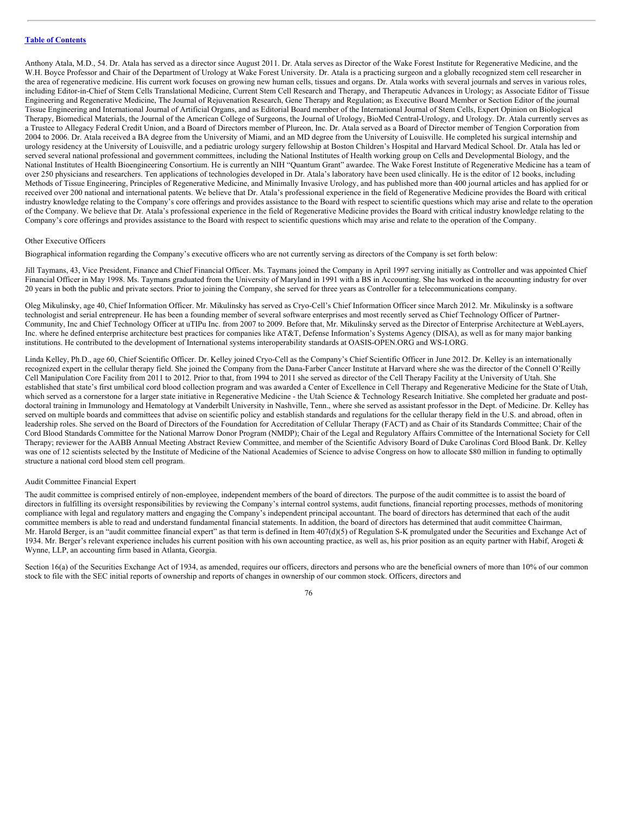Anthony Atala, M.D., 54. Dr. Atala has served as a director since August 2011. Dr. Atala serves as Director of the Wake Forest Institute for Regenerative Medicine, and the W.H. Boyce Professor and Chair of the Department of Urology at Wake Forest University. Dr. Atala is a practicing surgeon and a globally recognized stem cell researcher in the area of regenerative medicine. His current work focuses on growing new human cells, tissues and organs. Dr. Atala works with several journals and serves in various roles, including Editor-in-Chief of Stem Cells Translational Medicine, Current Stem Cell Research and Therapy, and Therapeutic Advances in Urology; as Associate Editor of Tissue Engineering and Regenerative Medicine, The Journal of Rejuvenation Research, Gene Therapy and Regulation; as Executive Board Member or Section Editor of the journal Tissue Engineering and International Journal of Artificial Organs, and as Editorial Board member of the International Journal of Stem Cells, Expert Opinion on Biological Therapy, Biomedical Materials, the Journal of the American College of Surgeons, the Journal of Urology, BioMed Central-Urology, and Urology. Dr. Atala currently serves as a Trustee to Allegacy Federal Credit Union, and a Board of Directors member of Plureon, Inc. Dr. Atala served as a Board of Director member of Tengion Corporation from 2004 to 2006. Dr. Atala received a BA degree from the University of Miami, and an MD degree from the University of Louisville. He completed his surgical internship and urology residency at the University of Louisville, and a pediatric urology surgery fellowship at Boston Children's Hospital and Harvard Medical School. Dr. Atala has led or served several national professional and government committees, including the National Institutes of Health working group on Cells and Developmental Biology, and the National Institutes of Health Bioengineering Consortium. He is currently an NIH "Quantum Grant" awardee. The Wake Forest Institute of Regenerative Medicine has a team of over 250 physicians and researchers. Ten applications of technologies developed in Dr. Atala's laboratory have been used clinically. He is the editor of 12 books, including Methods of Tissue Engineering, Principles of Regenerative Medicine, and Minimally Invasive Urology, and has published more than 400 journal articles and has applied for or received over 200 national and international patents. We believe that Dr. Atala's professional experience in the field of Regenerative Medicine provides the Board with critical industry knowledge relating to the Company's core offerings and provides assistance to the Board with respect to scientific questions which may arise and relate to the operation of the Company. We believe that Dr. Atala's professional experience in the field of Regenerative Medicine provides the Board with critical industry knowledge relating to the Company's core offerings and provides assistance to the Board with respect to scientific questions which may arise and relate to the operation of the Company.

#### Other Executive Officers

Biographical information regarding the Company's executive officers who are not currently serving as directors of the Company is set forth below:

Jill Taymans, 43, Vice President, Finance and Chief Financial Officer. Ms. Taymans joined the Company in April 1997 serving initially as Controller and was appointed Chief Financial Officer in May 1998. Ms. Taymans graduated from the University of Maryland in 1991 with a BS in Accounting. She has worked in the accounting industry for over 20 years in both the public and private sectors. Prior to joining the Company, she served for three years as Controller for a telecommunications company.

Oleg Mikulinsky, age 40, Chief Information Officer. Mr. Mikulinsky has served as Cryo-Cell's Chief Information Officer since March 2012. Mr. Mikulinsky is a software technologist and serial entrepreneur. He has been a founding member of several software enterprises and most recently served as Chief Technology Officer of Partner-Community, Inc and Chief Technology Officer at uTIPu Inc. from 2007 to 2009. Before that, Mr. Mikulinsky served as the Director of Enterprise Architecture at WebLayers, Inc. where he defined enterprise architecture best practices for companies like AT&T, Defense Information's Systems Agency (DISA), as well as for many major banking institutions. He contributed to the development of International systems interoperability standards at OASIS-OPEN.ORG and WS-I.ORG.

Linda Kelley, Ph.D., age 60, Chief Scientific Officer. Dr. Kelley joined Cryo-Cell as the Company's Chief Scientific Officer in June 2012. Dr. Kelley is an internationally recognized expert in the cellular therapy field. She joined the Company from the Dana-Farber Cancer Institute at Harvard where she was the director of the Connell O'Reilly Cell Manipulation Core Facility from 2011 to 2012. Prior to that, from 1994 to 2011 she served as director of the Cell Therapy Facility at the University of Utah. She established that state's first umbilical cord blood collection program and was awarded a Center of Excellence in Cell Therapy and Regenerative Medicine for the State of Utah, which served as a cornerstone for a larger state initiative in Regenerative Medicine - the Utah Science & Technology Research Initiative. She completed her graduate and postdoctoral training in Immunology and Hematology at Vanderbilt University in Nashville, Tenn., where she served as assistant professor in the Dept. of Medicine. Dr. Kelley has served on multiple boards and committees that advise on scientific policy and establish standards and regulations for the cellular therapy field in the U.S. and abroad, often in leadership roles. She served on the Board of Directors of the Foundation for Accreditation of Cellular Therapy (FACT) and as Chair of its Standards Committee; Chair of the Cord Blood Standards Committee for the National Marrow Donor Program (NMDP); Chair of the Legal and Regulatory Affairs Committee of the International Society for Cell Therapy; reviewer for the AABB Annual Meeting Abstract Review Committee, and member of the Scientific Advisory Board of Duke Carolinas Cord Blood Bank. Dr. Kelley was one of 12 scientists selected by the Institute of Medicine of the National Academies of Science to advise Congress on how to allocate \$80 million in funding to optimally structure a national cord blood stem cell program.

#### Audit Committee Financial Expert

The audit committee is comprised entirely of non-employee, independent members of the board of directors. The purpose of the audit committee is to assist the board of directors in fulfilling its oversight responsibilities by reviewing the Company's internal control systems, audit functions, financial reporting processes, methods of monitoring compliance with legal and regulatory matters and engaging the Company's independent principal accountant. The board of directors has determined that each of the audit committee members is able to read and understand fundamental financial statements. In addition, the board of directors has determined that audit committee Chairman, Mr. Harold Berger, is an "audit committee financial expert" as that term is defined in Item 407(d)(5) of Regulation S-K promulgated under the Securities and Exchange Act of 1934. Mr. Berger's relevant experience includes his current position with his own accounting practice, as well as, his prior position as an equity partner with Habif, Arogeti & Wynne, LLP, an accounting firm based in Atlanta, Georgia.

Section 16(a) of the Securities Exchange Act of 1934, as amended, requires our officers, directors and persons who are the beneficial owners of more than 10% of our common stock to file with the SEC initial reports of ownership and reports of changes in ownership of our common stock. Officers, directors and

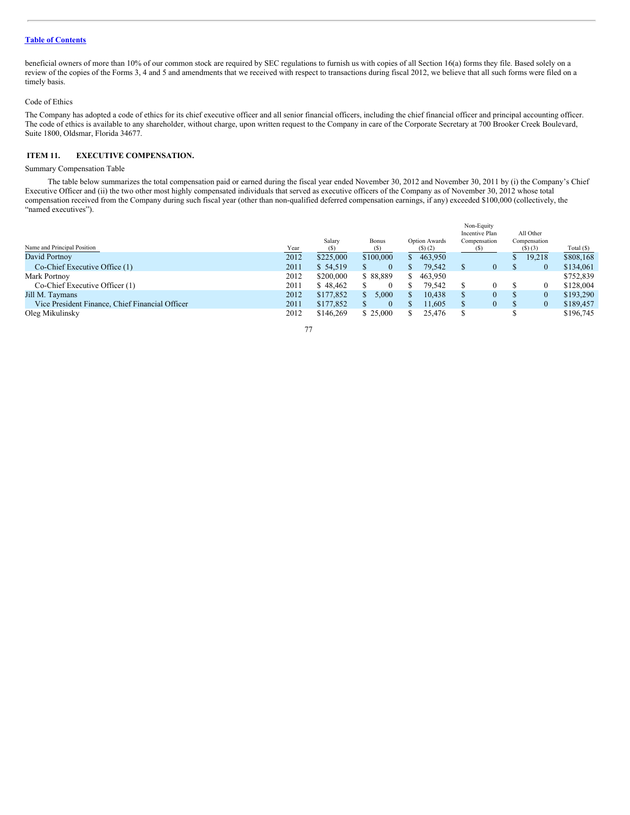## **Table of [Contents](#page-2-0)**

beneficial owners of more than 10% of our common stock are required by SEC regulations to furnish us with copies of all Section 16(a) forms they file. Based solely on a review of the copies of the Forms 3, 4 and 5 and amendments that we received with respect to transactions during fiscal 2012, we believe that all such forms were filed on a timely basis.

## Code of Ethics

The Company has adopted a code of ethics for its chief executive officer and all senior financial officers, including the chief financial officer and principal accounting officer. The code of ethics is available to any shareholder, without charge, upon written request to the Company in care of the Corporate Secretary at 700 Brooker Creek Boulevard, Suite 1800, Oldsmar, Florida 34677.

## **ITEM 11. EXECUTIVE COMPENSATION.**

## Summary Compensation Table

The table below summarizes the total compensation paid or earned during the fiscal year ended November 30, 2012 and November 30, 2011 by (i) the Company's Chief Executive Officer and (ii) the two other most highly compensated individuals that served as executive officers of the Company as of November 30, 2012 whose total compensation received from the Company during such fiscal year (other than non-qualified deferred compensation earnings, if any) exceeded \$100,000 (collectively, the "named executives").

| Name and Principal Position                     | Year | Salary<br>(S) | Bonus<br>(S) | Option Awards<br>$($ \$) $(2)$ | Non-Equity<br><b>Incentive Plan</b><br>Compensation |    | All Other<br>Compensation<br>$($ \$) $(3)$ | Total $(\$)$ |
|-------------------------------------------------|------|---------------|--------------|--------------------------------|-----------------------------------------------------|----|--------------------------------------------|--------------|
| David Portnoy                                   | 2012 | \$225,000     | \$100,000    | 463,950                        |                                                     |    | 19.218                                     | \$808,168    |
| Co-Chief Executive Office (1)                   | 2011 | \$54,519      | $\theta$     | 79,542                         | $\bf{0}$                                            |    | $\mathbf{0}$                               | \$134,061    |
| Mark Portnoy                                    | 2012 | \$200,000     | \$88.889     | 463,950                        |                                                     |    |                                            | \$752,839    |
| Co-Chief Executive Officer (1)                  | 2011 | \$48,462      |              | 79,542                         |                                                     |    | $\mathbf{0}$                               | \$128,004    |
| Jill M. Taymans                                 | 2012 | \$177,852     | 5,000        | 10.438                         | <b>S</b>                                            | ۰D | $\mathbf{0}$                               | \$193,290    |
| Vice President Finance, Chief Financial Officer | 2011 | \$177,852     | $\mathbf{0}$ | 11.605                         | <b>S</b><br>0                                       |    | $\mathbf{0}$                               | \$189,457    |
| Oleg Mikulinsky                                 | 2012 | \$146,269     | \$ 25,000    | 25,476                         |                                                     |    |                                            | \$196,745    |

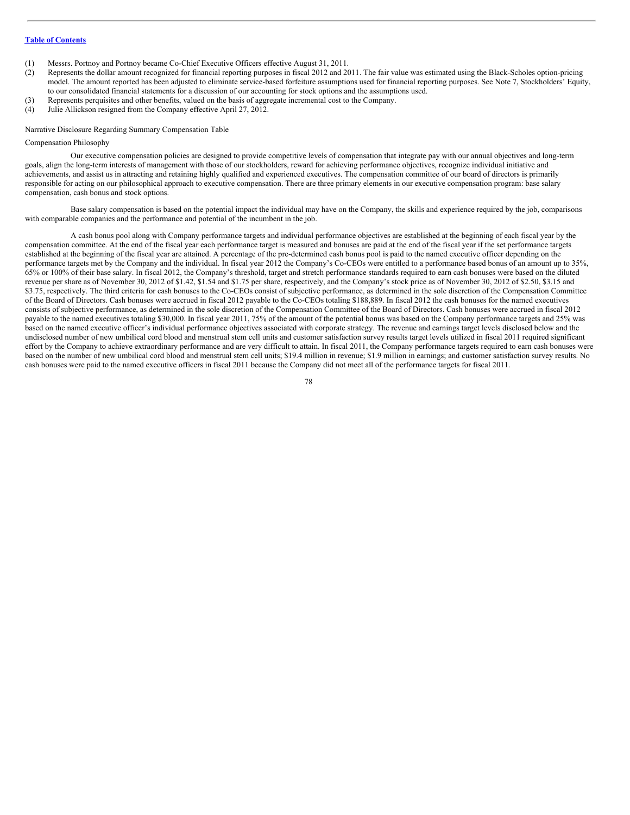- (1) Messrs. Portnoy and Portnoy became Co-Chief Executive Officers effective August 31, 2011.
- (2) Represents the dollar amount recognized for financial reporting purposes in fiscal 2012 and 2011. The fair value was estimated using the Black-Scholes option-pricing model. The amount reported has been adjusted to eliminate service-based forfeiture assumptions used for financial reporting purposes. See Note 7, Stockholders' Equity, to our consolidated financial statements for a discussion of our accounting for stock options and the assumptions used.
- (3) Represents perquisites and other benefits, valued on the basis of aggregate incremental cost to the Company.
- Julie Allickson resigned from the Company effective April 27, 2012.

## Narrative Disclosure Regarding Summary Compensation Table

### Compensation Philosophy

Our executive compensation policies are designed to provide competitive levels of compensation that integrate pay with our annual objectives and long-term goals, align the long-term interests of management with those of our stockholders, reward for achieving performance objectives, recognize individual initiative and achievements, and assist us in attracting and retaining highly qualified and experienced executives. The compensation committee of our board of directors is primarily responsible for acting on our philosophical approach to executive compensation. There are three primary elements in our executive compensation program: base salary compensation, cash bonus and stock options.

Base salary compensation is based on the potential impact the individual may have on the Company, the skills and experience required by the job, comparisons with comparable companies and the performance and potential of the incumbent in the job.

A cash bonus pool along with Company performance targets and individual performance objectives are established at the beginning of each fiscal year by the compensation committee. At the end of the fiscal year each performance target is measured and bonuses are paid at the end of the fiscal year if the set performance targets established at the beginning of the fiscal year are attained. A percentage of the pre-determined cash bonus pool is paid to the named executive officer depending on the performance targets met by the Company and the individual. In fiscal year 2012 the Company's Co-CEOs were entitled to a performance based bonus of an amount up to 35%, 65% or 100% of their base salary. In fiscal 2012, the Company's threshold, target and stretch performance standards required to earn cash bonuses were based on the diluted revenue per share as of November 30, 2012 of \$1.42, \$1.54 and \$1.75 per share, respectively, and the Company's stock price as of November 30, 2012 of \$2.50, \$3.15 and \$3.75, respectively. The third criteria for cash bonuses to the Co-CEOs consist of subjective performance, as determined in the sole discretion of the Compensation Committee of the Board of Directors. Cash bonuses were accrued in fiscal 2012 payable to the Co-CEOs totaling \$188,889. In fiscal 2012 the cash bonuses for the named executives consists of subjective performance, as determined in the sole discretion of the Compensation Committee of the Board of Directors. Cash bonuses were accrued in fiscal 2012 payable to the named executives totaling \$30,000. In fiscal year 2011, 75% of the amount of the potential bonus was based on the Company performance targets and 25% was based on the named executive officer's individual performance objectives associated with corporate strategy. The revenue and earnings target levels disclosed below and the undisclosed number of new umbilical cord blood and menstrual stem cell units and customer satisfaction survey results target levels utilized in fiscal 2011 required significant effort by the Company to achieve extraordinary performance and are very difficult to attain. In fiscal 2011, the Company performance targets required to earn cash bonuses were based on the number of new umbilical cord blood and menstrual stem cell units; \$19.4 million in revenue; \$1.9 million in earnings; and customer satisfaction survey results. No cash bonuses were paid to the named executive officers in fiscal 2011 because the Company did not meet all of the performance targets for fiscal 2011.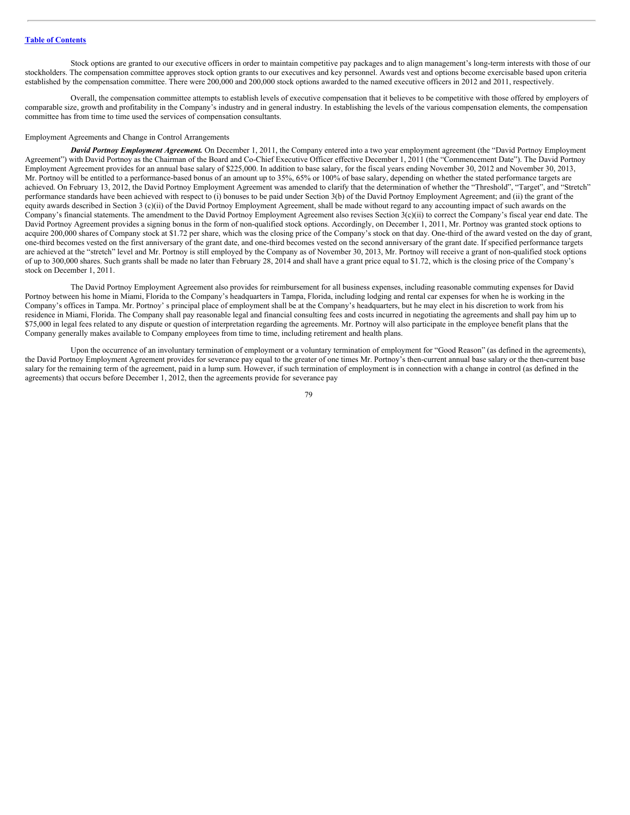Stock options are granted to our executive officers in order to maintain competitive pay packages and to align management's long-term interests with those of our stockholders. The compensation committee approves stock option grants to our executives and key personnel. Awards vest and options become exercisable based upon criteria established by the compensation committee. There were 200,000 and 200,000 stock options awarded to the named executive officers in 2012 and 2011, respectively.

Overall, the compensation committee attempts to establish levels of executive compensation that it believes to be competitive with those offered by employers of comparable size, growth and profitability in the Company's industry and in general industry. In establishing the levels of the various compensation elements, the compensation committee has from time to time used the services of compensation consultants.

### Employment Agreements and Change in Control Arrangements

*David Portnoy Employment Agreement.* On December 1, 2011, the Company entered into a two year employment agreement (the "David Portnoy Employment Agreement") with David Portnoy as the Chairman of the Board and Co-Chief Executive Officer effective December 1, 2011 (the "Commencement Date"). The David Portnoy Employment Agreement provides for an annual base salary of \$225,000. In addition to base salary, for the fiscal years ending November 30, 2012 and November 30, 2013, Mr. Portnoy will be entitled to a performance-based bonus of an amount up to 35%, 65% or 100% of base salary, depending on whether the stated performance targets are achieved. On February 13, 2012, the David Portnoy Employment Agreement was amended to clarify that the determination of whether the "Threshold", "Target", and "Stretch" performance standards have been achieved with respect to (i) bonuses to be paid under Section 3(b) of the David Portnoy Employment Agreement; and (ii) the grant of the equity awards described in Section 3 (c)(ii) of the David Portnoy Employment Agreement, shall be made without regard to any accounting impact of such awards on the Company's financial statements. The amendment to the David Portnoy Employment Agreement also revises Section 3(c)(ii) to correct the Company's fiscal year end date. The David Portnoy Agreement provides a signing bonus in the form of non-qualified stock options. Accordingly, on December 1, 2011, Mr. Portnoy was granted stock options to acquire 200,000 shares of Company stock at \$1.72 per share, which was the closing price of the Company's stock on that day. One-third of the award vested on the day of grant, one-third becomes vested on the first anniversary of the grant date, and one-third becomes vested on the second anniversary of the grant date. If specified performance targets are achieved at the "stretch" level and Mr. Portnoy is still employed by the Company as of November 30, 2013, Mr. Portnoy will receive a grant of non-qualified stock options of up to 300,000 shares. Such grants shall be made no later than February 28, 2014 and shall have a grant price equal to \$1.72, which is the closing price of the Company's stock on December 1, 2011.

The David Portnoy Employment Agreement also provides for reimbursement for all business expenses, including reasonable commuting expenses for David Portnoy between his home in Miami, Florida to the Company's headquarters in Tampa, Florida, including lodging and rental car expenses for when he is working in the Company's offices in Tampa. Mr. Portnoy' s principal place of employment shall be at the Company's headquarters, but he may elect in his discretion to work from his residence in Miami, Florida. The Company shall pay reasonable legal and financial consulting fees and costs incurred in negotiating the agreements and shall pay him up to \$75,000 in legal fees related to any dispute or question of interpretation regarding the agreements. Mr. Portnoy will also participate in the employee benefit plans that the Company generally makes available to Company employees from time to time, including retirement and health plans.

Upon the occurrence of an involuntary termination of employment or a voluntary termination of employment for "Good Reason" (as defined in the agreements), the David Portnoy Employment Agreement provides for severance pay equal to the greater of one times Mr. Portnoy's then-current annual base salary or the then-current base salary for the remaining term of the agreement, paid in a lump sum. However, if such termination of employment is in connection with a change in control (as defined in the agreements) that occurs before December 1, 2012, then the agreements provide for severance pay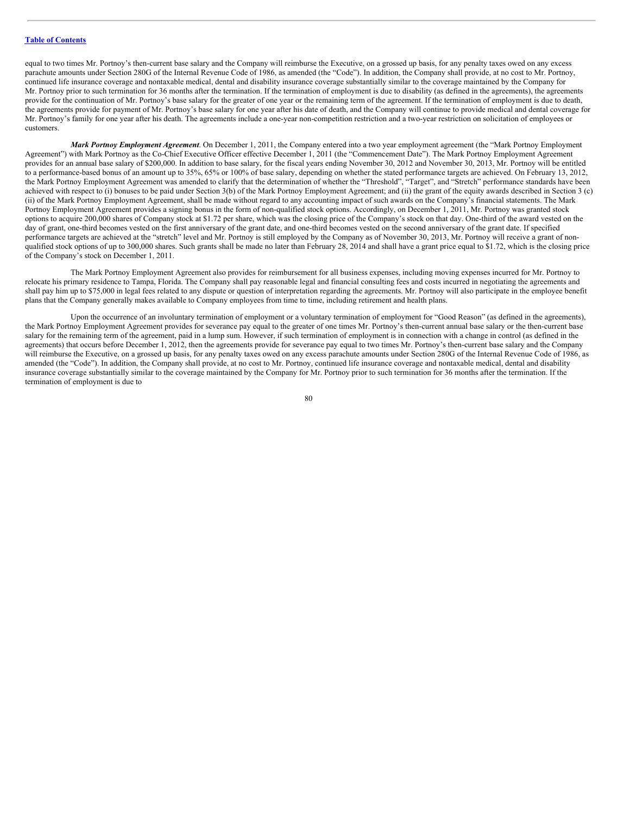equal to two times Mr. Portnoy's then-current base salary and the Company will reimburse the Executive, on a grossed up basis, for any penalty taxes owed on any excess parachute amounts under Section 280G of the Internal Revenue Code of 1986, as amended (the "Code"). In addition, the Company shall provide, at no cost to Mr. Portnoy, continued life insurance coverage and nontaxable medical, dental and disability insurance coverage substantially similar to the coverage maintained by the Company for Mr. Portnoy prior to such termination for 36 months after the termination. If the termination of employment is due to disability (as defined in the agreements), the agreements provide for the continuation of Mr. Portnoy's base salary for the greater of one year or the remaining term of the agreement. If the termination of employment is due to death, the agreements provide for payment of Mr. Portnoy's base salary for one year after his date of death, and the Company will continue to provide medical and dental coverage for Mr. Portnoy's family for one year after his death. The agreements include a one-year non-competition restriction and a two-year restriction on solicitation of employees or customers.

*Mark Portnoy Employment Agreement*. On December 1, 2011, the Company entered into a two year employment agreement (the "Mark Portnoy Employment Agreement") with Mark Portnoy as the Co-Chief Executive Officer effective December 1, 2011 (the "Commencement Date"). The Mark Portnoy Employment Agreement provides for an annual base salary of \$200,000. In addition to base salary, for the fiscal years ending November 30, 2012 and November 30, 2013, Mr. Portnoy will be entitled to a performance-based bonus of an amount up to 35%, 65% or 100% of base salary, depending on whether the stated performance targets are achieved. On February 13, 2012, the Mark Portnoy Employment Agreement was amended to clarify that the determination of whether the "Threshold", "Target", and "Stretch" performance standards have been achieved with respect to (i) bonuses to be paid under Section 3(b) of the Mark Portnoy Employment Agreement; and (ii) the grant of the equity awards described in Section 3 (c) (ii) of the Mark Portnoy Employment Agreement, shall be made without regard to any accounting impact of such awards on the Company's financial statements. The Mark Portnoy Employment Agreement provides a signing bonus in the form of non-qualified stock options. Accordingly, on December 1, 2011, Mr. Portnoy was granted stock options to acquire 200,000 shares of Company stock at \$1.72 per share, which was the closing price of the Company's stock on that day. One-third of the award vested on the day of grant, one-third becomes vested on the first anniversary of the grant date, and one-third becomes vested on the second anniversary of the grant date. If specified performance targets are achieved at the "stretch" level and Mr. Portnoy is still employed by the Company as of November 30, 2013, Mr. Portnoy will receive a grant of nonqualified stock options of up to 300,000 shares. Such grants shall be made no later than February 28, 2014 and shall have a grant price equal to \$1.72, which is the closing price of the Company's stock on December 1, 2011.

The Mark Portnoy Employment Agreement also provides for reimbursement for all business expenses, including moving expenses incurred for Mr. Portnoy to relocate his primary residence to Tampa, Florida. The Company shall pay reasonable legal and financial consulting fees and costs incurred in negotiating the agreements and shall pay him up to \$75,000 in legal fees related to any dispute or question of interpretation regarding the agreements. Mr. Portnoy will also participate in the employee benefit plans that the Company generally makes available to Company employees from time to time, including retirement and health plans.

Upon the occurrence of an involuntary termination of employment or a voluntary termination of employment for "Good Reason" (as defined in the agreements), the Mark Portnoy Employment Agreement provides for severance pay equal to the greater of one times Mr. Portnoy's then-current annual base salary or the then-current base salary for the remaining term of the agreement, paid in a lump sum. However, if such termination of employment is in connection with a change in control (as defined in the agreements) that occurs before December 1, 2012, then the agreements provide for severance pay equal to two times Mr. Portnoy's then-current base salary and the Company will reimburse the Executive, on a grossed up basis, for any penalty taxes owed on any excess parachute amounts under Section 280G of the Internal Revenue Code of 1986, as amended (the "Code"). In addition, the Company shall provide, at no cost to Mr. Portnoy, continued life insurance coverage and nontaxable medical, dental and disability insurance coverage substantially similar to the coverage maintained by the Company for Mr. Portnoy prior to such termination for 36 months after the termination. If the termination of employment is due to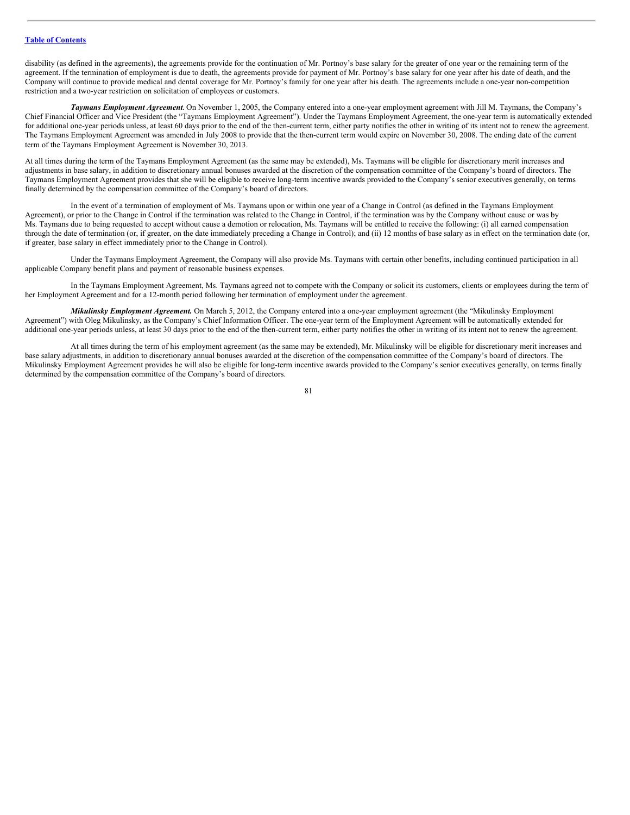disability (as defined in the agreements), the agreements provide for the continuation of Mr. Portnoy's base salary for the greater of one year or the remaining term of the agreement. If the termination of employment is due to death, the agreements provide for payment of Mr. Portnoy's base salary for one year after his date of death, and the Company will continue to provide medical and dental coverage for Mr. Portnoy's family for one year after his death. The agreements include a one-year non-competition restriction and a two-year restriction on solicitation of employees or customers.

*Taymans Employment Agreement*. On November 1, 2005, the Company entered into a one-year employment agreement with Jill M. Taymans, the Company's Chief Financial Officer and Vice President (the "Taymans Employment Agreement"). Under the Taymans Employment Agreement, the one-year term is automatically extended for additional one-year periods unless, at least 60 days prior to the end of the then-current term, either party notifies the other in writing of its intent not to renew the agreement. The Taymans Employment Agreement was amended in July 2008 to provide that the then-current term would expire on November 30, 2008. The ending date of the current term of the Taymans Employment Agreement is November 30, 2013.

At all times during the term of the Taymans Employment Agreement (as the same may be extended), Ms. Taymans will be eligible for discretionary merit increases and adjustments in base salary, in addition to discretionary annual bonuses awarded at the discretion of the compensation committee of the Company's board of directors. The Taymans Employment Agreement provides that she will be eligible to receive long-term incentive awards provided to the Company's senior executives generally, on terms finally determined by the compensation committee of the Company's board of directors.

In the event of a termination of employment of Ms. Taymans upon or within one year of a Change in Control (as defined in the Taymans Employment Agreement), or prior to the Change in Control if the termination was related to the Change in Control, if the termination was by the Company without cause or was by Ms. Taymans due to being requested to accept without cause a demotion or relocation, Ms. Taymans will be entitled to receive the following: (i) all earned compensation through the date of termination (or, if greater, on the date immediately preceding a Change in Control); and (ii) 12 months of base salary as in effect on the termination date (or, if greater, base salary in effect immediately prior to the Change in Control).

Under the Taymans Employment Agreement, the Company will also provide Ms. Taymans with certain other benefits, including continued participation in all applicable Company benefit plans and payment of reasonable business expenses.

In the Taymans Employment Agreement, Ms. Taymans agreed not to compete with the Company or solicit its customers, clients or employees during the term of her Employment Agreement and for a 12-month period following her termination of employment under the agreement.

*Mikulinsky Employment Agreement.* On March 5, 2012, the Company entered into a one-year employment agreement (the "Mikulinsky Employment Agreement") with Oleg Mikulinsky, as the Company's Chief Information Officer. The one-year term of the Employment Agreement will be automatically extended for additional one-year periods unless, at least 30 days prior to the end of the then-current term, either party notifies the other in writing of its intent not to renew the agreement.

At all times during the term of his employment agreement (as the same may be extended), Mr. Mikulinsky will be eligible for discretionary merit increases and base salary adjustments, in addition to discretionary annual bonuses awarded at the discretion of the compensation committee of the Company's board of directors. The Mikulinsky Employment Agreement provides he will also be eligible for long-term incentive awards provided to the Company's senior executives generally, on terms finally determined by the compensation committee of the Company's board of directors.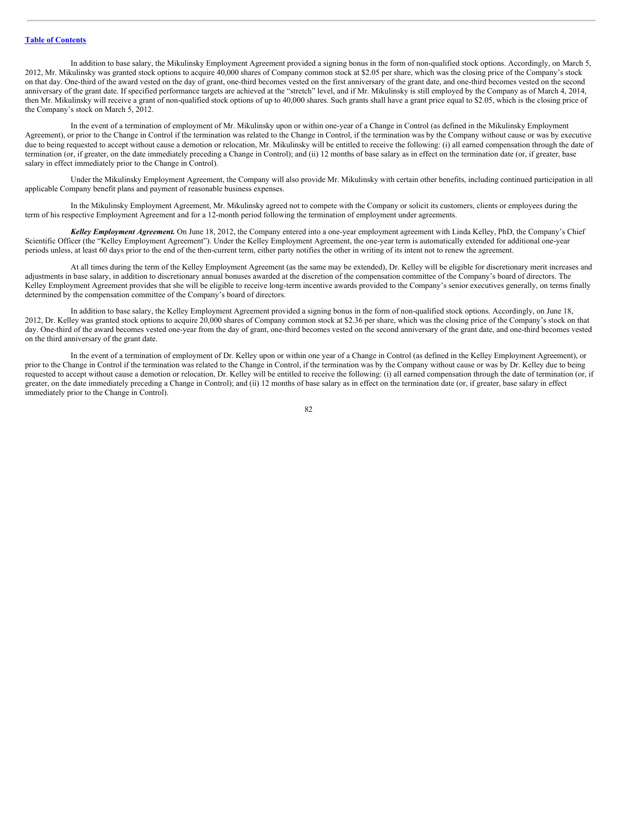In addition to base salary, the Mikulinsky Employment Agreement provided a signing bonus in the form of non-qualified stock options. Accordingly, on March 5, 2012, Mr. Mikulinsky was granted stock options to acquire 40,000 shares of Company common stock at \$2.05 per share, which was the closing price of the Company's stock on that day. One-third of the award vested on the day of grant, one-third becomes vested on the first anniversary of the grant date, and one-third becomes vested on the second anniversary of the grant date. If specified performance targets are achieved at the "stretch" level, and if Mr. Mikulinsky is still employed by the Company as of March 4, 2014, then Mr. Mikulinsky will receive a grant of non-qualified stock options of up to 40,000 shares. Such grants shall have a grant price equal to \$2.05, which is the closing price of the Company's stock on March 5, 2012.

In the event of a termination of employment of Mr. Mikulinsky upon or within one-year of a Change in Control (as defined in the Mikulinsky Employment Agreement), or prior to the Change in Control if the termination was related to the Change in Control, if the termination was by the Company without cause or was by executive due to being requested to accept without cause a demotion or relocation. Mr. Mikulinsky will be entitled to receive the following: (i) all earned compensation through the date of termination (or, if greater, on the date immediately preceding a Change in Control); and (ii) 12 months of base salary as in effect on the termination date (or, if greater, base salary in effect immediately prior to the Change in Control).

Under the Mikulinsky Employment Agreement, the Company will also provide Mr. Mikulinsky with certain other benefits, including continued participation in all applicable Company benefit plans and payment of reasonable business expenses.

In the Mikulinsky Employment Agreement, Mr. Mikulinsky agreed not to compete with the Company or solicit its customers, clients or employees during the term of his respective Employment Agreement and for a 12-month period following the termination of employment under agreements.

*Kelley Employment Agreement.* On June 18, 2012, the Company entered into a one-year employment agreement with Linda Kelley, PhD, the Company's Chief Scientific Officer (the "Kelley Employment Agreement"). Under the Kelley Employment Agreement, the one-year term is automatically extended for additional one-year periods unless, at least 60 days prior to the end of the then-current term, either party notifies the other in writing of its intent not to renew the agreement.

At all times during the term of the Kelley Employment Agreement (as the same may be extended), Dr. Kelley will be eligible for discretionary merit increases and adjustments in base salary, in addition to discretionary annual bonuses awarded at the discretion of the compensation committee of the Company's board of directors. The Kelley Employment Agreement provides that she will be eligible to receive long-term incentive awards provided to the Company's senior executives generally, on terms finally determined by the compensation committee of the Company's board of directors.

In addition to base salary, the Kelley Employment Agreement provided a signing bonus in the form of non-qualified stock options. Accordingly, on June 18, 2012, Dr. Kelley was granted stock options to acquire 20,000 shares of Company common stock at \$2.36 per share, which was the closing price of the Company's stock on that day. One-third of the award becomes vested one-year from the day of grant, one-third becomes vested on the second anniversary of the grant date, and one-third becomes vested on the third anniversary of the grant date.

In the event of a termination of employment of Dr. Kelley upon or within one year of a Change in Control (as defined in the Kelley Employment Agreement), or prior to the Change in Control if the termination was related to the Change in Control, if the termination was by the Company without cause or was by Dr. Kelley due to being requested to accept without cause a demotion or relocation, Dr. Kelley will be entitled to receive the following: (i) all earned compensation through the date of termination (or, if greater, on the date immediately preceding a Change in Control); and (ii) 12 months of base salary as in effect on the termination date (or, if greater, base salary in effect immediately prior to the Change in Control).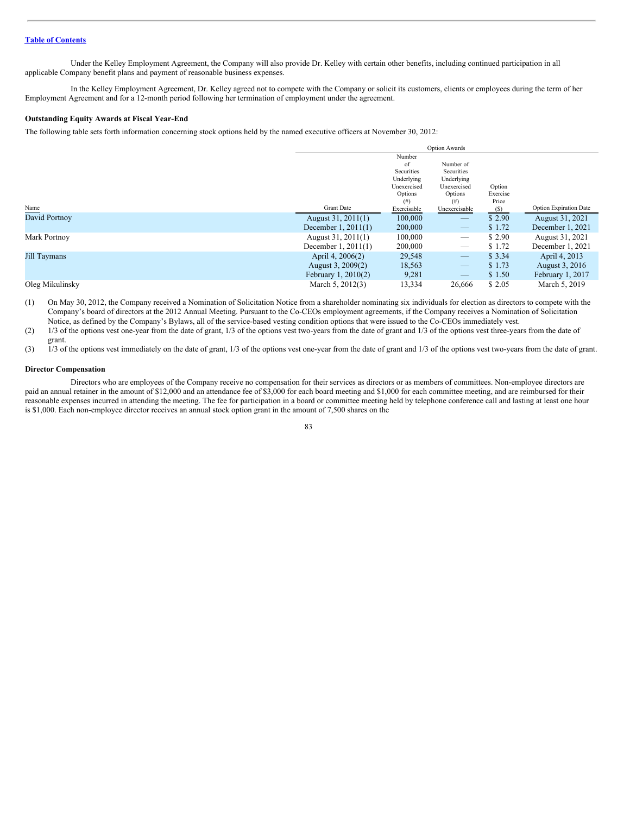Under the Kelley Employment Agreement, the Company will also provide Dr. Kelley with certain other benefits, including continued participation in all applicable Company benefit plans and payment of reasonable business expenses.

In the Kelley Employment Agreement, Dr. Kelley agreed not to compete with the Company or solicit its customers, clients or employees during the term of her Employment Agreement and for a 12-month period following her termination of employment under the agreement.

### **Outstanding Equity Awards at Fiscal Year-End**

The following table sets forth information concerning stock options held by the named executive officers at November 30, 2012:

|                     |                       |                                                                    | <b>Option Awards</b>                                            |                             |                        |
|---------------------|-----------------------|--------------------------------------------------------------------|-----------------------------------------------------------------|-----------------------------|------------------------|
|                     |                       | Number<br>of<br>Securities<br>Underlying<br>Unexercised<br>Options | Number of<br>Securities<br>Underlying<br>Unexercised<br>Options | Option<br>Exercise<br>Price |                        |
| Name                | <b>Grant Date</b>     | $^{(#)}$<br>Exercisable                                            | (#)<br>Unexercisable                                            | (S)                         | Option Expiration Date |
| David Portnoy       | August 31, 2011(1)    | 100,000                                                            |                                                                 | \$2.90                      | August 31, 2021        |
|                     | December $1, 2011(1)$ | 200,000                                                            | $\hspace{1.0cm} \overbrace{ }^{}$                               | \$1.72                      | December 1, 2021       |
| Mark Portnoy        | August $31, 2011(1)$  | 100,000                                                            |                                                                 | \$2.90                      | August 31, 2021        |
|                     | December 1, 2011(1)   | 200,000                                                            |                                                                 | \$1.72                      | December 1, 2021       |
| <b>Jill Taymans</b> | April 4, 2006(2)      | 29,548                                                             | $\overbrace{\phantom{12333}}$                                   | \$3.34                      | April 4, 2013          |
|                     | August 3, 2009(2)     | 18,563                                                             |                                                                 | \$1.73                      | August 3, 2016         |
|                     | February 1, $2010(2)$ | 9,281                                                              |                                                                 | \$1.50                      | February 1, 2017       |
| Oleg Mikulinsky     | March 5, 2012(3)      | 13,334                                                             | 26,666                                                          | \$2.05                      | March 5, 2019          |

(1) On May 30, 2012, the Company received a Nomination of Solicitation Notice from a shareholder nominating six individuals for election as directors to compete with the Company's board of directors at the 2012 Annual Meeting. Pursuant to the Co-CEOs employment agreements, if the Company receives a Nomination of Solicitation Notice, as defined by the Company's Bylaws, all of the service-based vesting condition options that were issued to the Co-CEOs immediately vest.

(2) 1/3 of the options vest one-year from the date of grant, 1/3 of the options vest two-years from the date of grant and 1/3 of the options vest three-years from the date of grant.

(3) 1/3 of the options vest immediately on the date of grant, 1/3 of the options vest one-year from the date of grant and 1/3 of the options vest two-years from the date of grant.

#### **Director Compensation**

Directors who are employees of the Company receive no compensation for their services as directors or as members of committees. Non-employee directors are paid an annual retainer in the amount of \$12,000 and an attendance fee of \$3,000 for each board meeting and \$1,000 for each committee meeting, and are reimbursed for their reasonable expenses incurred in attending the meeting. The fee for participation in a board or committee meeting held by telephone conference call and lasting at least one hour is \$1,000. Each non-employee director receives an annual stock option grant in the amount of 7,500 shares on the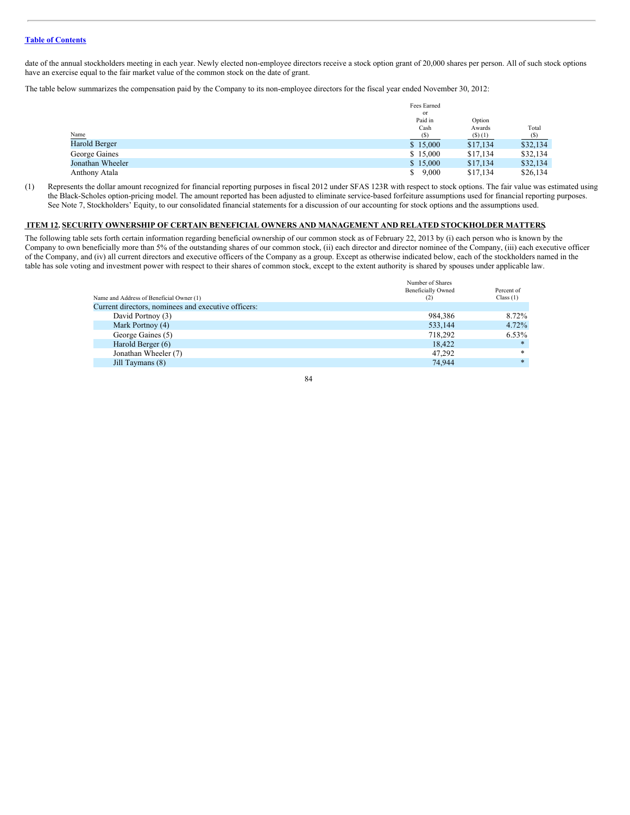## **Table of [Contents](#page-2-0)**

date of the annual stockholders meeting in each year. Newly elected non-employee directors receive a stock option grant of 20,000 shares per person. All of such stock options have an exercise equal to the fair market value of the common stock on the date of grant.

The table below summarizes the compensation paid by the Company to its non-employee directors for the fiscal year ended November 30, 2012:

|                      | Fees Earned   |               |          |
|----------------------|---------------|---------------|----------|
|                      | <sub>or</sub> |               |          |
|                      | Paid in       | Option        |          |
|                      | Cash          | Awards        | Total    |
| Name                 | (S)           | $($ \$ $)(1)$ | (S)      |
| <b>Harold Berger</b> | \$15,000      | \$17,134      | \$32,134 |
| George Gaines        | \$15,000      | \$17,134      | \$32,134 |
| Jonathan Wheeler     | \$15,000      | \$17,134      | \$32,134 |
| Anthony Atala        | 9,000         | \$17,134      | \$26,134 |

(1) Represents the dollar amount recognized for financial reporting purposes in fiscal 2012 under SFAS 123R with respect to stock options. The fair value was estimated using the Black-Scholes option-pricing model. The amount reported has been adjusted to eliminate service-based forfeiture assumptions used for financial reporting purposes. See Note 7, Stockholders' Equity, to our consolidated financial statements for a discussion of our accounting for stock options and the assumptions used.

## **ITEM 12. SECURITY OWNERSHIP OF CERTAIN BENEFICIAL OWNERS AND MANAGEMENT AND RELATED STOCKHOLDER MATTERS.**

The following table sets forth certain information regarding beneficial ownership of our common stock as of February 22, 2013 by (i) each person who is known by the Company to own beneficially more than 5% of the outstanding shares of our common stock, (ii) each director and director nominee of the Company, (iii) each executive officer of the Company, and (iv) all current directors and executive officers of the Company as a group. Except as otherwise indicated below, each of the stockholders named in the table has sole voting and investment power with respect to their shares of common stock, except to the extent authority is shared by spouses under applicable law.

|                                                     | Number of Shares          |             |
|-----------------------------------------------------|---------------------------|-------------|
|                                                     | <b>Beneficially Owned</b> | Percent of  |
| Name and Address of Beneficial Owner (1)            | (2)                       | Class $(1)$ |
| Current directors, nominees and executive officers: |                           |             |
| David Portnoy (3)                                   | 984.386                   | 8.72%       |
| Mark Portnoy (4)                                    | 533.144                   | $4.72\%$    |
| George Gaines (5)                                   | 718.292                   | $6.53\%$    |
| Harold Berger (6)                                   | 18.422                    | $*$         |
| Jonathan Wheeler (7)                                | 47.292                    | *           |
| Jill Taymans (8)                                    | 74.944                    | $\ast$      |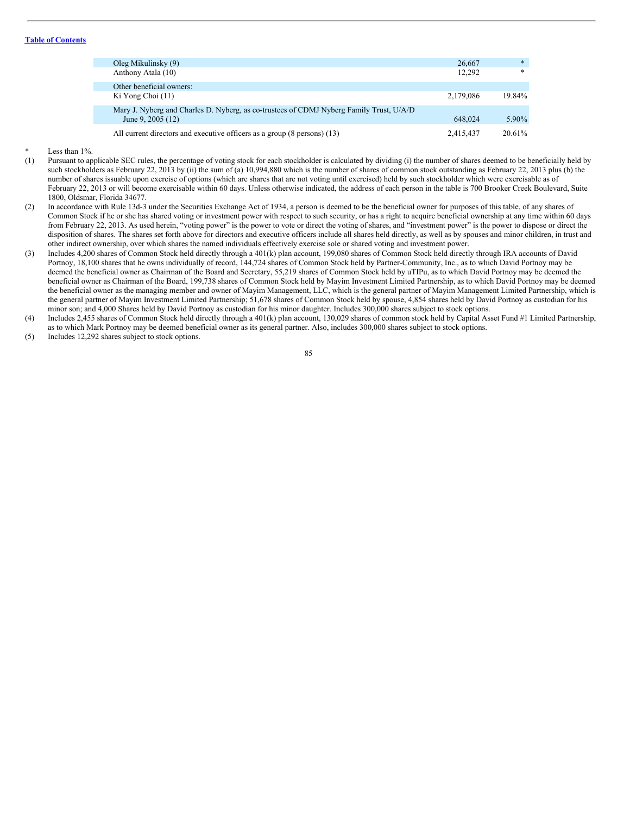| Oleg Mikulinsky (9)                                                                     | 26,667    | $*$    |
|-----------------------------------------------------------------------------------------|-----------|--------|
| Anthony Atala (10)                                                                      | 12.292    | $*$    |
| Other beneficial owners:                                                                |           |        |
| Ki Yong Choi (11)                                                                       | 2,179,086 | 19.84% |
| Mary J. Nyberg and Charles D. Nyberg, as co-trustees of CDMJ Nyberg Family Trust, U/A/D |           |        |
| June 9, 2005 $(12)$                                                                     | 648,024   | 5.90%  |
| All current directors and executive officers as a group (8 persons) (13)                | 2,415,437 | 20.61% |

Less than 1%.

- (1) Pursuant to applicable SEC rules, the percentage of voting stock for each stockholder is calculated by dividing (i) the number of shares deemed to be beneficially held by such stockholders as February 22, 2013 by (ii) the sum of (a) 10,994,880 which is the number of shares of common stock outstanding as February 22, 2013 plus (b) the number of shares issuable upon exercise of options (which are shares that are not voting until exercised) held by such stockholder which were exercisable as of February 22, 2013 or will become exercisable within 60 days. Unless otherwise indicated, the address of each person in the table is 700 Brooker Creek Boulevard, Suite 1800, Oldsmar, Florida 34677.
- (2) In accordance with Rule 13d-3 under the Securities Exchange Act of 1934, a person is deemed to be the beneficial owner for purposes of this table, of any shares of Common Stock if he or she has shared voting or investment power with respect to such security, or has a right to acquire beneficial ownership at any time within 60 days from February 22, 2013. As used herein, "voting power" is the power to vote or direct the voting of shares, and "investment power" is the power to dispose or direct the disposition of shares. The shares set forth above for directors and executive officers include all shares held directly, as well as by spouses and minor children, in trust and other indirect ownership, over which shares the named individuals effectively exercise sole or shared voting and investment power.
- (3) Includes 4,200 shares of Common Stock held directly through a 401(k) plan account, 199,080 shares of Common Stock held directly through IRA accounts of David Portnoy, 18,100 shares that he owns individually of record, 144,724 shares of Common Stock held by Partner-Community, Inc., as to which David Portnoy may be deemed the beneficial owner as Chairman of the Board and Secretary, 55,219 shares of Common Stock held by uTIPu, as to which David Portnoy may be deemed the beneficial owner as Chairman of the Board, 199,738 shares of Common Stock held by Mayim Investment Limited Partnership, as to which David Portnoy may be deemed the beneficial owner as the managing member and owner of Mayim Management, LLC, which is the general partner of Mayim Management Limited Partnership, which is the general partner of Mayim Investment Limited Partnership; 51,678 shares of Common Stock held by spouse, 4,854 shares held by David Portnoy as custodian for his minor son; and 4,000 Shares held by David Portnoy as custodian for his minor daughter. Includes 300,000 shares subject to stock options.
- (4) Includes 2,455 shares of Common Stock held directly through a 401(k) plan account, 130,029 shares of common stock held by Capital Asset Fund #1 Limited Partnership, as to which Mark Portnoy may be deemed beneficial owner as its general partner. Also, includes 300,000 shares subject to stock options.
- (5) Includes 12,292 shares subject to stock options.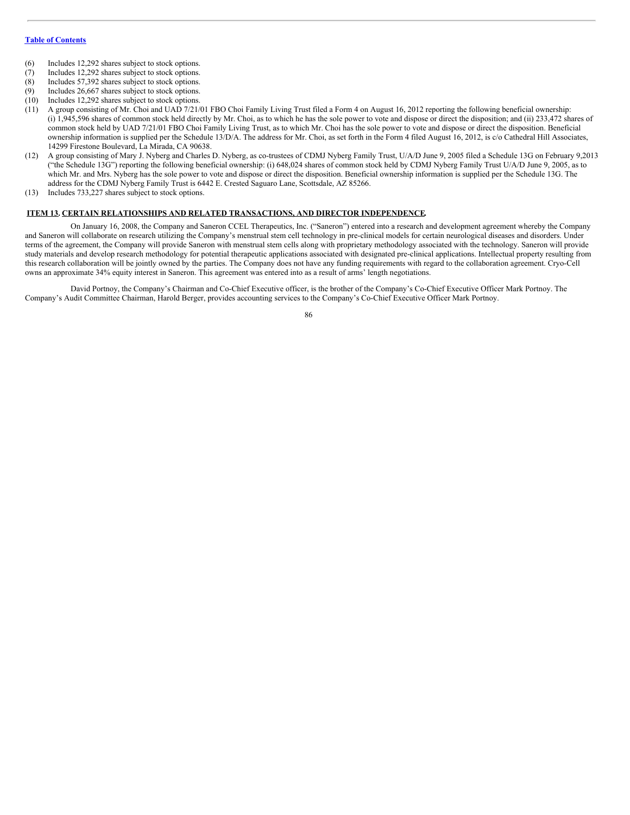- (6) Includes 12,292 shares subject to stock options.
- (7) Includes 12,292 shares subject to stock options.
- (8) Includes  $57,392$  shares subject to stock options.<br>(9) Includes 26,667 shares subject to stock options.
- (9) Includes  $26,667$  shares subject to stock options.<br>(10) Includes 12,292 shares subject to stock options.
- Includes 12,292 shares subject to stock options.
- (11) A group consisting of Mr. Choi and UAD 7/21/01 FBO Choi Family Living Trust filed a Form 4 on August 16, 2012 reporting the following beneficial ownership: (i) 1,945,596 shares of common stock held directly by Mr. Choi, as to which he has the sole power to vote and dispose or direct the disposition; and (ii) 233,472 shares of common stock held by UAD 7/21/01 FBO Choi Family Living Trust, as to which Mr. Choi has the sole power to vote and dispose or direct the disposition. Beneficial ownership information is supplied per the Schedule 13/D/A. The address for Mr. Choi, as set forth in the Form 4 filed August 16, 2012, is c/o Cathedral Hill Associates, 14299 Firestone Boulevard, La Mirada, CA 90638.
- (12) A group consisting of Mary J. Nyberg and Charles D. Nyberg, as co-trustees of CDMJ Nyberg Family Trust, U/A/D June 9, 2005 filed a Schedule 13G on February 9,2013 ("the Schedule 13G") reporting the following beneficial ownership: (i) 648,024 shares of common stock held by CDMJ Nyberg Family Trust U/A/D June 9, 2005, as to which Mr. and Mrs. Nyberg has the sole power to vote and dispose or direct the disposition. Beneficial ownership information is supplied per the Schedule 13G. The address for the CDMJ Nyberg Family Trust is 6442 E. Crested Saguaro Lane, Scottsdale, AZ 85266.
- (13) Includes 733,227 shares subject to stock options.

### **ITEM 13. CERTAIN RELATIONSHIPS AND RELATED TRANSACTIONS, AND DIRECTOR INDEPENDENCE.**

On January 16, 2008, the Company and Saneron CCEL Therapeutics, Inc. ("Saneron") entered into a research and development agreement whereby the Company and Saneron will collaborate on research utilizing the Company's menstrual stem cell technology in pre-clinical models for certain neurological diseases and disorders. Under terms of the agreement, the Company will provide Saneron with menstrual stem cells along with proprietary methodology associated with the technology. Saneron will provide study materials and develop research methodology for potential therapeutic applications associated with designated pre-clinical applications. Intellectual property resulting from this research collaboration will be jointly owned by the parties. The Company does not have any funding requirements with regard to the collaboration agreement. Cryo-Cell owns an approximate 34% equity interest in Saneron. This agreement was entered into as a result of arms' length negotiations.

David Portnoy, the Company's Chairman and Co-Chief Executive officer, is the brother of the Company's Co-Chief Executive Officer Mark Portnoy. The Company's Audit Committee Chairman, Harold Berger, provides accounting services to the Company's Co-Chief Executive Officer Mark Portnoy.

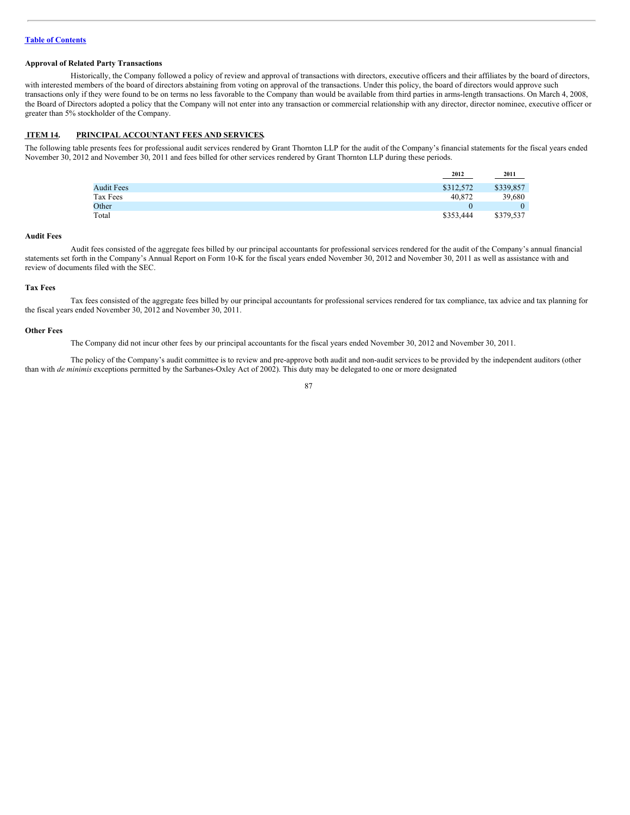## **Approval of Related Party Transactions**

Historically, the Company followed a policy of review and approval of transactions with directors, executive officers and their affiliates by the board of directors, with interested members of the board of directors abstaining from voting on approval of the transactions. Under this policy, the board of directors would approve such transactions only if they were found to be on terms no less favorable to the Company than would be available from third parties in arms-length transactions. On March 4, 2008, the Board of Directors adopted a policy that the Company will not enter into any transaction or commercial relationship with any director, director nominee, executive officer or greater than 5% stockholder of the Company.

## **ITEM 14. PRINCIPAL ACCOUNTANT FEES AND SERVICES.**

The following table presents fees for professional audit services rendered by Grant Thornton LLP for the audit of the Company's financial statements for the fiscal years ended November 30, 2012 and November 30, 2011 and fees billed for other services rendered by Grant Thornton LLP during these periods.

|                   | 2012      | 2011      |
|-------------------|-----------|-----------|
| <b>Audit Fees</b> | \$312,572 | \$339,857 |
| Tax Fees          | 40.872    | 39,680    |
| Other             |           | $\Omega$  |
| Total             | \$353,444 | \$379,537 |

#### **Audit Fees**

Audit fees consisted of the aggregate fees billed by our principal accountants for professional services rendered for the audit of the Company's annual financial statements set forth in the Company's Annual Report on Form 10-K for the fiscal years ended November 30, 2012 and November 30, 2011 as well as assistance with and review of documents filed with the SEC.

#### **Tax Fees**

Tax fees consisted of the aggregate fees billed by our principal accountants for professional services rendered for tax compliance, tax advice and tax planning for the fiscal years ended November 30, 2012 and November 30, 2011.

#### **Other Fees**

The Company did not incur other fees by our principal accountants for the fiscal years ended November 30, 2012 and November 30, 2011.

The policy of the Company's audit committee is to review and pre-approve both audit and non-audit services to be provided by the independent auditors (other than with *de minimis* exceptions permitted by the Sarbanes-Oxley Act of 2002). This duty may be delegated to one or more designated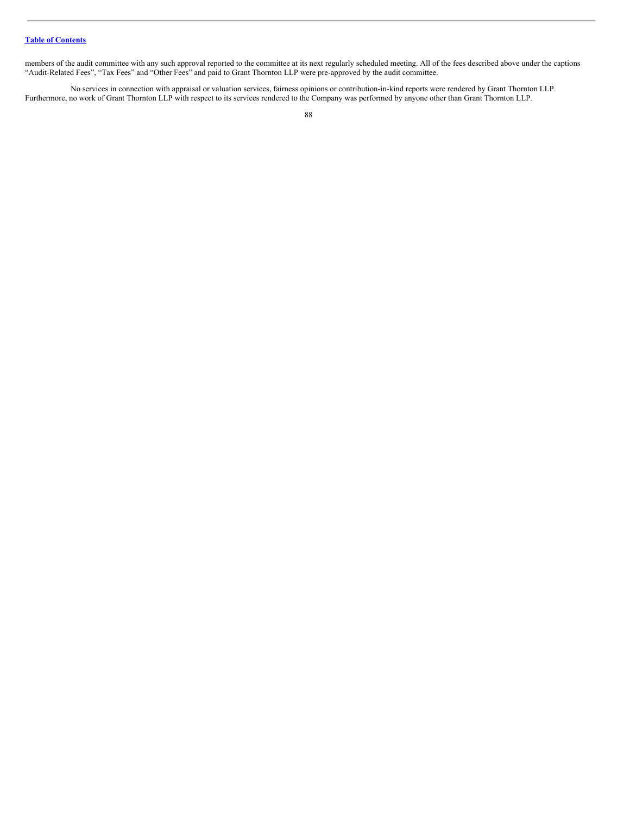members of the audit committee with any such approval reported to the committee at its next regularly scheduled meeting. All of the fees described above under the captions "Audit-Related Fees", "Tax Fees" and "Other Fees" and paid to Grant Thornton LLP were pre-approved by the audit committee.

No services in connection with appraisal or valuation services, fairness opinions or contribution-in-kind reports were rendered by Grant Thornton LLP. Furthermore, no work of Grant Thornton LLP with respect to its services rendered to the Company was performed by anyone other than Grant Thornton LLP.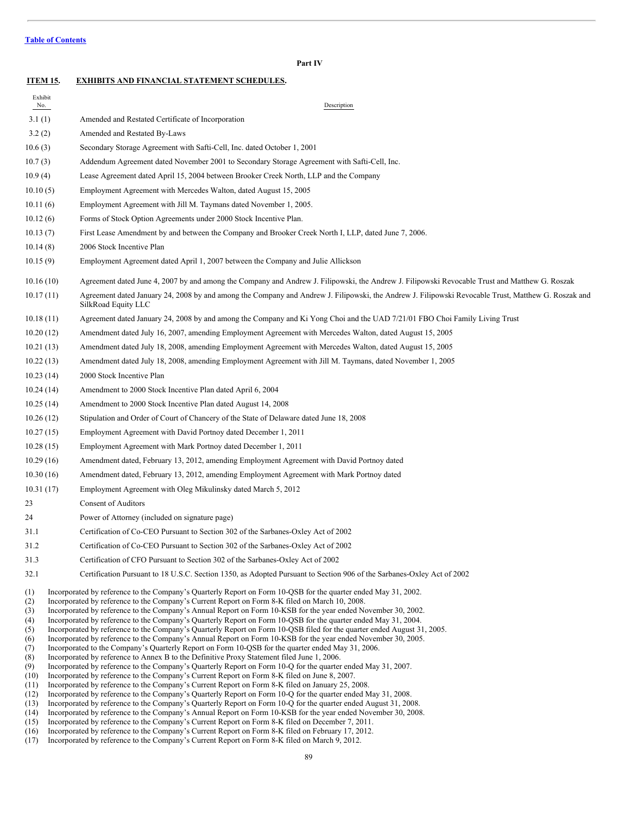Exhibit

**Part IV ITEM 15. EXHIBITS AND FINANCIAL STATEMENT SCHEDULES.**

- No. Description **Description** 3.1 (1) Amended and Restated Certificate of Incorporation 3.2 (2) Amended and Restated By-Laws 10.6 (3) Secondary Storage Agreement with Safti-Cell, Inc. dated October 1, 2001 10.7 (3) Addendum Agreement dated November 2001 to Secondary Storage Agreement with Safti-Cell, Inc. 10.9 (4) Lease Agreement dated April 15, 2004 between Brooker Creek North, LLP and the Company 10.10 (5) Employment Agreement with Mercedes Walton, dated August 15, 2005 10.11 (6) Employment Agreement with Jill M. Taymans dated November 1, 2005. 10.12 (6) Forms of Stock Option Agreements under 2000 Stock Incentive Plan. 10.13 (7) First Lease Amendment by and between the Company and Brooker Creek North I, LLP, dated June 7, 2006. 10.14 (8) 2006 Stock Incentive Plan 10.15 (9) Employment Agreement dated April 1, 2007 between the Company and Julie Allickson 10.16 (10) Agreement dated June 4, 2007 by and among the Company and Andrew J. Filipowski, the Andrew J. Filipowski Revocable Trust and Matthew G. Roszak 10.17 (11) Agreement dated January 24, 2008 by and among the Company and Andrew J. Filipowski, the Andrew J. Filipowski Revocable Trust, Matthew G. Roszak and SilkRoad Equity LLC 10.18 (11) Agreement dated January 24, 2008 by and among the Company and Ki Yong Choi and the UAD 7/21/01 FBO Choi Family Living Trust 10.20 (12) Amendment dated July 16, 2007, amending Employment Agreement with Mercedes Walton, dated August 15, 2005 10.21 (13) Amendment dated July 18, 2008, amending Employment Agreement with Mercedes Walton, dated August 15, 2005 10.22 (13) Amendment dated July 18, 2008, amending Employment Agreement with Jill M. Taymans, dated November 1, 2005 10.23 (14) 2000 Stock Incentive Plan 10.24 (14) Amendment to 2000 Stock Incentive Plan dated April 6, 2004 10.25 (14) Amendment to 2000 Stock Incentive Plan dated August 14, 2008 10.26 (12) Stipulation and Order of Court of Chancery of the State of Delaware dated June 18, 2008 10.27 (15) Employment Agreement with David Portnoy dated December 1, 2011 10.28 (15) Employment Agreement with Mark Portnoy dated December 1, 2011 10.29 (16) Amendment dated, February 13, 2012, amending Employment Agreement with David Portnoy dated 10.30 (16) Amendment dated, February 13, 2012, amending Employment Agreement with Mark Portnoy dated 10.31 (17) Employment Agreement with Oleg Mikulinsky dated March 5, 2012 23 Consent of Auditors 24 Power of Attorney (included on signature page) 31.1 Certification of Co-CEO Pursuant to Section 302 of the Sarbanes-Oxley Act of 2002 31.2 Certification of Co-CEO Pursuant to Section 302 of the Sarbanes-Oxley Act of 2002 31.3 Certification of CFO Pursuant to Section 302 of the Sarbanes-Oxley Act of 2002 32.1 Certification Pursuant to 18 U.S.C. Section 1350, as Adopted Pursuant to Section 906 of the Sarbanes-Oxley Act of 2002 (1) Incorporated by reference to the Company's Quarterly Report on Form 10-QSB for the quarter ended May 31, 2002. (2) Incorporated by reference to the Company's Current Report on Form 8-K filed on March 10, 2008. (3) Incorporated by reference to the Company's Annual Report on Form 10-KSB for the year ended November 30, 2002. (4) Incorporated by reference to the Company's Quarterly Report on Form 10-QSB for the quarter ended May 31, 2004. (5) Incorporated by reference to the Company's Quarterly Report on Form 10-QSB filed for the quarter ended August 31, 2005. (6) Incorporated by reference to the Company's Annual Report on Form 10-KSB for the year ended November 30, 2005. (7) Incorporated to the Company's Quarterly Report on Form 10-QSB for the quarter ended May 31, 2006. (8) Incorporated by reference to Annex B to the Definitive Proxy Statement filed June 1, 2006. (9) Incorporated by reference to the Company's Quarterly Report on Form 10-Q for the quarter ended May 31, 2007. (10) Incorporated by reference to the Company's Current Report on Form 8-K filed on June 8, 2007. (11) Incorporated by reference to the Company's Current Report on Form 8-K filed on January 25, 2008. (12) Incorporated by reference to the Company's Quarterly Report on Form 10-Q for the quarter ended May 31, 2008. (13) Incorporated by reference to the Company's Quarterly Report on Form 10-Q for the quarter ended August 31, 2008. (14) Incorporated by reference to the Company's Annual Report on Form 10-KSB for the year ended November 30, 2008. (15) Incorporated by reference to the Company's Current Report on Form 8-K filed on December 7, 2011.
- (16) Incorporated by reference to the Company's Current Report on Form 8-K filed on February 17, 2012.
- (17) Incorporated by reference to the Company's Current Report on Form 8-K filed on March 9, 2012.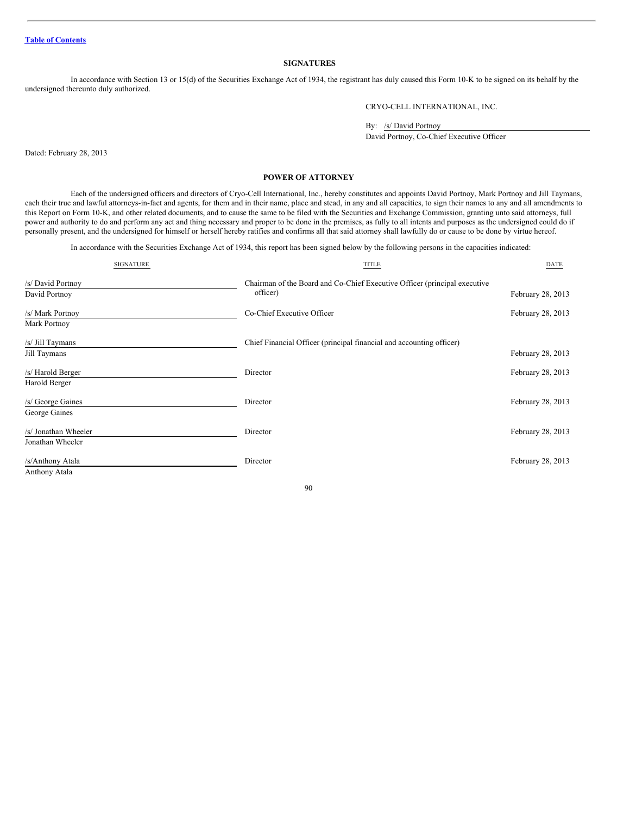## **SIGNATURES**

In accordance with Section 13 or 15(d) of the Securities Exchange Act of 1934, the registrant has duly caused this Form 10-K to be signed on its behalf by the undersigned thereunto duly authorized.

CRYO-CELL INTERNATIONAL, INC.

By: /s/ David Portnoy

David Portnoy, Co-Chief Executive Officer

Dated: February 28, 2013

## **POWER OF ATTORNEY**

Each of the undersigned officers and directors of Cryo-Cell International, Inc., hereby constitutes and appoints David Portnoy, Mark Portnoy and Jill Taymans, each their true and lawful attorneys-in-fact and agents, for them and in their name, place and stead, in any and all capacities, to sign their names to any and all amendments to this Report on Form 10-K, and other related documents, and to cause the same to be filed with the Securities and Exchange Commission, granting unto said attorneys, full power and authority to do and perform any act and thing necessary and proper to be done in the premises, as fully to all intents and purposes as the undersigned could do if personally present, and the undersigned for himself or herself hereby ratifies and confirms all that said attorney shall lawfully do or cause to be done by virtue hereof.

In accordance with the Securities Exchange Act of 1934, this report has been signed below by the following persons in the capacities indicated:

| <b>SIGNATURE</b>                         | TITLE                                                                                 | DATE              |
|------------------------------------------|---------------------------------------------------------------------------------------|-------------------|
| /s/ David Portnoy<br>David Portnoy       | Chairman of the Board and Co-Chief Executive Officer (principal executive<br>officer) | February 28, 2013 |
| /s/ Mark Portnoy<br>Mark Portnoy         | Co-Chief Executive Officer                                                            | February 28, 2013 |
| /s/ Jill Taymans<br>Jill Taymans         | Chief Financial Officer (principal financial and accounting officer)                  | February 28, 2013 |
| /s/ Harold Berger<br>Harold Berger       | Director                                                                              | February 28, 2013 |
| /s/ George Gaines<br>George Gaines       | Director                                                                              | February 28, 2013 |
| /s/ Jonathan Wheeler<br>Jonathan Wheeler | Director                                                                              | February 28, 2013 |
| /s/Anthony Atala<br>Anthony Atala        | Director                                                                              | February 28, 2013 |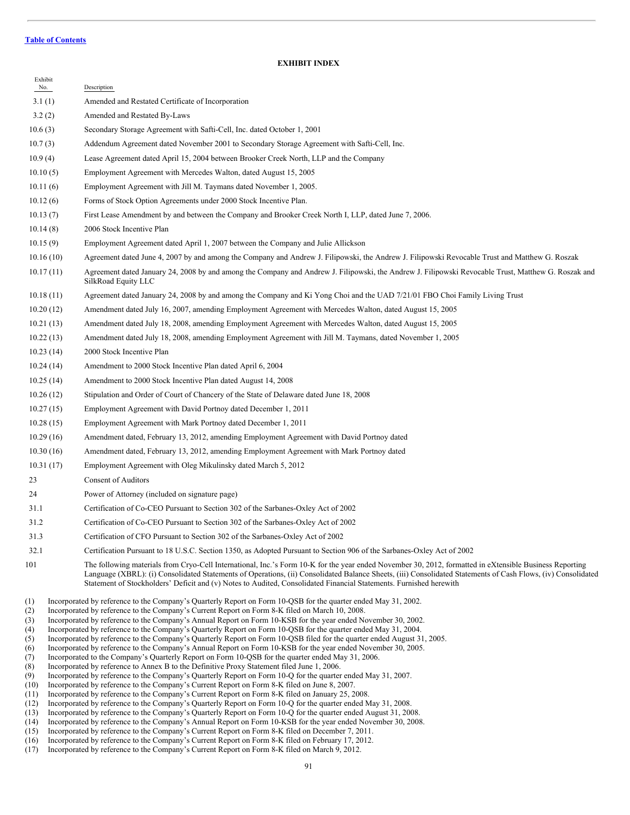# **EXHIBIT INDEX**

| Exhibit<br>No.                                                                      | Description                                                                                                                                                                                                                                                                                                                                                                                                                                                                                                                                                                                                                                                                                                                                                                                                                                                                                                                                                                                                                                                                                                                                                                                                                                                                                                                            |
|-------------------------------------------------------------------------------------|----------------------------------------------------------------------------------------------------------------------------------------------------------------------------------------------------------------------------------------------------------------------------------------------------------------------------------------------------------------------------------------------------------------------------------------------------------------------------------------------------------------------------------------------------------------------------------------------------------------------------------------------------------------------------------------------------------------------------------------------------------------------------------------------------------------------------------------------------------------------------------------------------------------------------------------------------------------------------------------------------------------------------------------------------------------------------------------------------------------------------------------------------------------------------------------------------------------------------------------------------------------------------------------------------------------------------------------|
| 3.1(1)                                                                              | Amended and Restated Certificate of Incorporation                                                                                                                                                                                                                                                                                                                                                                                                                                                                                                                                                                                                                                                                                                                                                                                                                                                                                                                                                                                                                                                                                                                                                                                                                                                                                      |
| 3.2(2)                                                                              | Amended and Restated By-Laws                                                                                                                                                                                                                                                                                                                                                                                                                                                                                                                                                                                                                                                                                                                                                                                                                                                                                                                                                                                                                                                                                                                                                                                                                                                                                                           |
| 10.6(3)                                                                             | Secondary Storage Agreement with Safti-Cell, Inc. dated October 1, 2001                                                                                                                                                                                                                                                                                                                                                                                                                                                                                                                                                                                                                                                                                                                                                                                                                                                                                                                                                                                                                                                                                                                                                                                                                                                                |
| 10.7(3)                                                                             | Addendum Agreement dated November 2001 to Secondary Storage Agreement with Safti-Cell, Inc.                                                                                                                                                                                                                                                                                                                                                                                                                                                                                                                                                                                                                                                                                                                                                                                                                                                                                                                                                                                                                                                                                                                                                                                                                                            |
| 10.9(4)                                                                             | Lease Agreement dated April 15, 2004 between Brooker Creek North, LLP and the Company                                                                                                                                                                                                                                                                                                                                                                                                                                                                                                                                                                                                                                                                                                                                                                                                                                                                                                                                                                                                                                                                                                                                                                                                                                                  |
| 10.10(5)                                                                            | Employment Agreement with Mercedes Walton, dated August 15, 2005                                                                                                                                                                                                                                                                                                                                                                                                                                                                                                                                                                                                                                                                                                                                                                                                                                                                                                                                                                                                                                                                                                                                                                                                                                                                       |
| 10.11(6)                                                                            | Employment Agreement with Jill M. Taymans dated November 1, 2005.                                                                                                                                                                                                                                                                                                                                                                                                                                                                                                                                                                                                                                                                                                                                                                                                                                                                                                                                                                                                                                                                                                                                                                                                                                                                      |
| 10.12(6)                                                                            | Forms of Stock Option Agreements under 2000 Stock Incentive Plan.                                                                                                                                                                                                                                                                                                                                                                                                                                                                                                                                                                                                                                                                                                                                                                                                                                                                                                                                                                                                                                                                                                                                                                                                                                                                      |
| 10.13(7)                                                                            | First Lease Amendment by and between the Company and Brooker Creek North I, LLP, dated June 7, 2006.                                                                                                                                                                                                                                                                                                                                                                                                                                                                                                                                                                                                                                                                                                                                                                                                                                                                                                                                                                                                                                                                                                                                                                                                                                   |
| 10.14(8)                                                                            | 2006 Stock Incentive Plan                                                                                                                                                                                                                                                                                                                                                                                                                                                                                                                                                                                                                                                                                                                                                                                                                                                                                                                                                                                                                                                                                                                                                                                                                                                                                                              |
| 10.15(9)                                                                            | Employment Agreement dated April 1, 2007 between the Company and Julie Allickson                                                                                                                                                                                                                                                                                                                                                                                                                                                                                                                                                                                                                                                                                                                                                                                                                                                                                                                                                                                                                                                                                                                                                                                                                                                       |
| 10.16(10)                                                                           | Agreement dated June 4, 2007 by and among the Company and Andrew J. Filipowski, the Andrew J. Filipowski Revocable Trust and Matthew G. Roszak                                                                                                                                                                                                                                                                                                                                                                                                                                                                                                                                                                                                                                                                                                                                                                                                                                                                                                                                                                                                                                                                                                                                                                                         |
| 10.17(11)                                                                           | Agreement dated January 24, 2008 by and among the Company and Andrew J. Filipowski, the Andrew J. Filipowski Revocable Trust, Matthew G. Roszak and<br>SilkRoad Equity LLC                                                                                                                                                                                                                                                                                                                                                                                                                                                                                                                                                                                                                                                                                                                                                                                                                                                                                                                                                                                                                                                                                                                                                             |
| 10.18(11)                                                                           | Agreement dated January 24, 2008 by and among the Company and Ki Yong Choi and the UAD 7/21/01 FBO Choi Family Living Trust                                                                                                                                                                                                                                                                                                                                                                                                                                                                                                                                                                                                                                                                                                                                                                                                                                                                                                                                                                                                                                                                                                                                                                                                            |
| 10.20(12)                                                                           | Amendment dated July 16, 2007, amending Employment Agreement with Mercedes Walton, dated August 15, 2005                                                                                                                                                                                                                                                                                                                                                                                                                                                                                                                                                                                                                                                                                                                                                                                                                                                                                                                                                                                                                                                                                                                                                                                                                               |
| 10.21(13)                                                                           | Amendment dated July 18, 2008, amending Employment Agreement with Mercedes Walton, dated August 15, 2005                                                                                                                                                                                                                                                                                                                                                                                                                                                                                                                                                                                                                                                                                                                                                                                                                                                                                                                                                                                                                                                                                                                                                                                                                               |
| 10.22(13)                                                                           | Amendment dated July 18, 2008, amending Employment Agreement with Jill M. Taymans, dated November 1, 2005                                                                                                                                                                                                                                                                                                                                                                                                                                                                                                                                                                                                                                                                                                                                                                                                                                                                                                                                                                                                                                                                                                                                                                                                                              |
| 10.23(14)                                                                           | 2000 Stock Incentive Plan                                                                                                                                                                                                                                                                                                                                                                                                                                                                                                                                                                                                                                                                                                                                                                                                                                                                                                                                                                                                                                                                                                                                                                                                                                                                                                              |
| 10.24(14)                                                                           | Amendment to 2000 Stock Incentive Plan dated April 6, 2004                                                                                                                                                                                                                                                                                                                                                                                                                                                                                                                                                                                                                                                                                                                                                                                                                                                                                                                                                                                                                                                                                                                                                                                                                                                                             |
| 10.25(14)                                                                           | Amendment to 2000 Stock Incentive Plan dated August 14, 2008                                                                                                                                                                                                                                                                                                                                                                                                                                                                                                                                                                                                                                                                                                                                                                                                                                                                                                                                                                                                                                                                                                                                                                                                                                                                           |
| 10.26(12)                                                                           | Stipulation and Order of Court of Chancery of the State of Delaware dated June 18, 2008                                                                                                                                                                                                                                                                                                                                                                                                                                                                                                                                                                                                                                                                                                                                                                                                                                                                                                                                                                                                                                                                                                                                                                                                                                                |
| 10.27(15)                                                                           | Employment Agreement with David Portnoy dated December 1, 2011                                                                                                                                                                                                                                                                                                                                                                                                                                                                                                                                                                                                                                                                                                                                                                                                                                                                                                                                                                                                                                                                                                                                                                                                                                                                         |
| 10.28(15)                                                                           | Employment Agreement with Mark Portnoy dated December 1, 2011                                                                                                                                                                                                                                                                                                                                                                                                                                                                                                                                                                                                                                                                                                                                                                                                                                                                                                                                                                                                                                                                                                                                                                                                                                                                          |
| 10.29(16)                                                                           | Amendment dated, February 13, 2012, amending Employment Agreement with David Portnoy dated                                                                                                                                                                                                                                                                                                                                                                                                                                                                                                                                                                                                                                                                                                                                                                                                                                                                                                                                                                                                                                                                                                                                                                                                                                             |
| 10.30(16)                                                                           | Amendment dated, February 13, 2012, amending Employment Agreement with Mark Portnoy dated                                                                                                                                                                                                                                                                                                                                                                                                                                                                                                                                                                                                                                                                                                                                                                                                                                                                                                                                                                                                                                                                                                                                                                                                                                              |
| 10.31(17)                                                                           | Employment Agreement with Oleg Mikulinsky dated March 5, 2012                                                                                                                                                                                                                                                                                                                                                                                                                                                                                                                                                                                                                                                                                                                                                                                                                                                                                                                                                                                                                                                                                                                                                                                                                                                                          |
| 23                                                                                  | <b>Consent of Auditors</b>                                                                                                                                                                                                                                                                                                                                                                                                                                                                                                                                                                                                                                                                                                                                                                                                                                                                                                                                                                                                                                                                                                                                                                                                                                                                                                             |
| 24                                                                                  | Power of Attorney (included on signature page)                                                                                                                                                                                                                                                                                                                                                                                                                                                                                                                                                                                                                                                                                                                                                                                                                                                                                                                                                                                                                                                                                                                                                                                                                                                                                         |
| 31.1                                                                                | Certification of Co-CEO Pursuant to Section 302 of the Sarbanes-Oxley Act of 2002                                                                                                                                                                                                                                                                                                                                                                                                                                                                                                                                                                                                                                                                                                                                                                                                                                                                                                                                                                                                                                                                                                                                                                                                                                                      |
| 31.2                                                                                | Certification of Co-CEO Pursuant to Section 302 of the Sarbanes-Oxley Act of 2002                                                                                                                                                                                                                                                                                                                                                                                                                                                                                                                                                                                                                                                                                                                                                                                                                                                                                                                                                                                                                                                                                                                                                                                                                                                      |
| 31.3                                                                                | Certification of CFO Pursuant to Section 302 of the Sarbanes-Oxley Act of 2002                                                                                                                                                                                                                                                                                                                                                                                                                                                                                                                                                                                                                                                                                                                                                                                                                                                                                                                                                                                                                                                                                                                                                                                                                                                         |
| 32.1                                                                                | Certification Pursuant to 18 U.S.C. Section 1350, as Adopted Pursuant to Section 906 of the Sarbanes-Oxley Act of 2002                                                                                                                                                                                                                                                                                                                                                                                                                                                                                                                                                                                                                                                                                                                                                                                                                                                                                                                                                                                                                                                                                                                                                                                                                 |
| 101                                                                                 | The following materials from Cryo-Cell International, Inc.'s Form 10-K for the year ended November 30, 2012, formatted in eXtensible Business Reporting<br>Language (XBRL): (i) Consolidated Statements of Operations, (ii) Consolidated Balance Sheets, (iii) Consolidated Statements of Cash Flows, (iv) Consolidated<br>Statement of Stockholders' Deficit and (v) Notes to Audited, Consolidated Financial Statements. Furnished herewith                                                                                                                                                                                                                                                                                                                                                                                                                                                                                                                                                                                                                                                                                                                                                                                                                                                                                          |
| (1)<br>(2)<br>(3)<br>(4)<br>(5)<br>(6)<br>(7)<br>(8)<br>(9)<br>(10)<br>(11)<br>(12) | Incorporated by reference to the Company's Quarterly Report on Form 10-QSB for the quarter ended May 31, 2002.<br>Incorporated by reference to the Company's Current Report on Form 8-K filed on March 10, 2008.<br>Incorporated by reference to the Company's Annual Report on Form 10-KSB for the year ended November 30, 2002.<br>Incorporated by reference to the Company's Quarterly Report on Form 10-QSB for the quarter ended May 31, 2004.<br>Incorporated by reference to the Company's Quarterly Report on Form 10-QSB filed for the quarter ended August 31, 2005.<br>Incorporated by reference to the Company's Annual Report on Form 10-KSB for the year ended November 30, 2005.<br>Incorporated to the Company's Quarterly Report on Form 10-QSB for the quarter ended May 31, 2006.<br>Incorporated by reference to Annex B to the Definitive Proxy Statement filed June 1, 2006.<br>Incorporated by reference to the Company's Quarterly Report on Form 10-Q for the quarter ended May 31, 2007.<br>Incorporated by reference to the Company's Current Report on Form 8-K filed on June 8, 2007.<br>Incorporated by reference to the Company's Current Report on Form 8-K filed on January 25, 2008.<br>Incorporated by reference to the Company's Quarterly Report on Form 10-Q for the quarter ended May 31, 2008. |
| (13)<br>(14)                                                                        | Incorporated by reference to the Company's Quarterly Report on Form 10-Q for the quarter ended August 31, 2008.<br>Incorporated by reference to the Company's Annual Report on Form 10-KSB for the year ended November 30, 2008.                                                                                                                                                                                                                                                                                                                                                                                                                                                                                                                                                                                                                                                                                                                                                                                                                                                                                                                                                                                                                                                                                                       |

- (15) Incorporated by reference to the Company's Current Report on Form 8-K filed on December 7, 2011.
- (16) Incorporated by reference to the Company's Current Report on Form 8-K filed on February 17, 2012.
- (17) Incorporated by reference to the Company's Current Report on Form 8-K filed on March 9, 2012.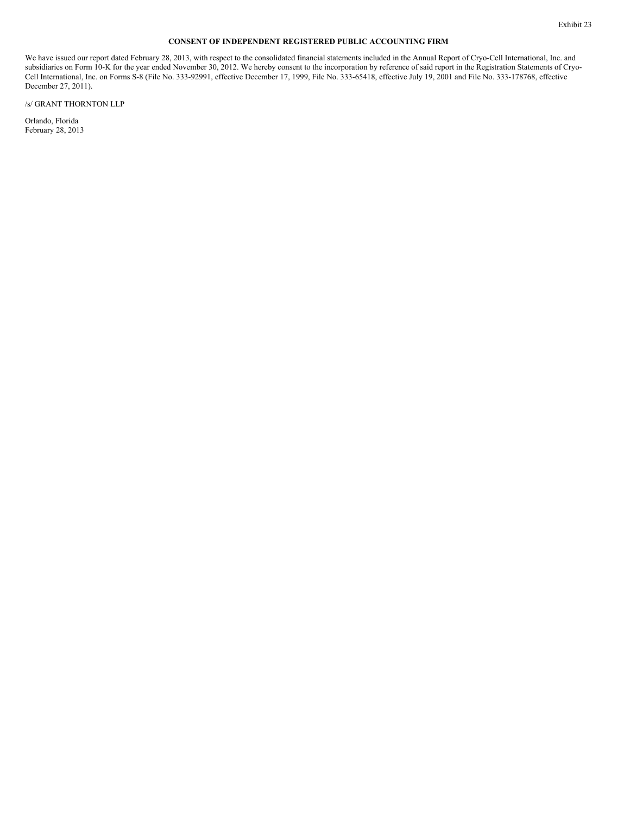## **CONSENT OF INDEPENDENT REGISTERED PUBLIC ACCOUNTING FIRM**

We have issued our report dated February 28, 2013, with respect to the consolidated financial statements included in the Annual Report of Cryo-Cell International, Inc. and subsidiaries on Form 10-K for the year ended November 30, 2012. We hereby consent to the incorporation by reference of said report in the Registration Statements of Cryo-Cell International, Inc. on Forms S-8 (File No. 333-92991, effective December 17, 1999, File No. 333-65418, effective July 19, 2001 and File No. 333-178768, effective December 27, 2011).

/s/ GRANT THORNTON LLP

Orlando, Florida February 28, 2013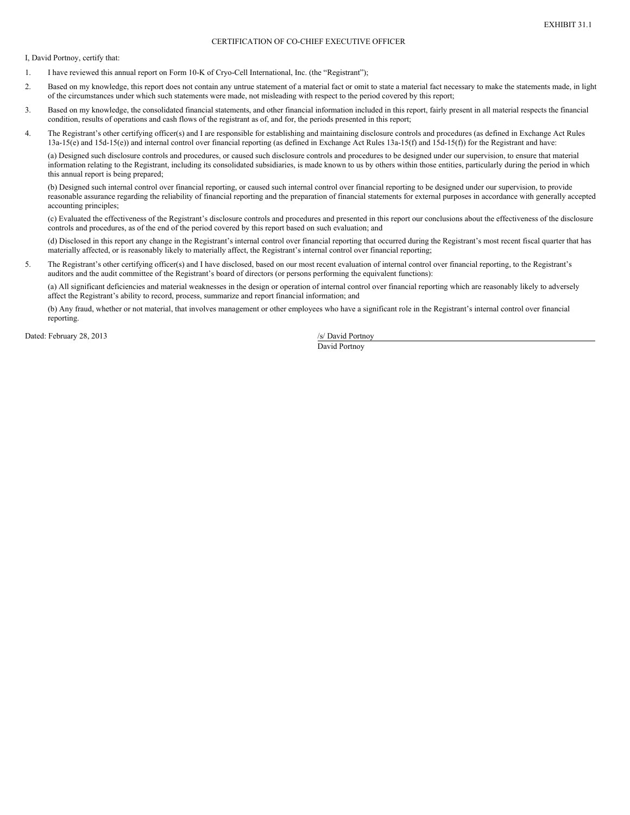## CERTIFICATION OF CO-CHIEF EXECUTIVE OFFICER

I, David Portnoy, certify that:

- 1. I have reviewed this annual report on Form 10-K of Cryo-Cell International, Inc. (the "Registrant");
- 2. Based on my knowledge, this report does not contain any untrue statement of a material fact or omit to state a material fact necessary to make the statements made, in light of the circumstances under which such statements were made, not misleading with respect to the period covered by this report;
- 3. Based on my knowledge, the consolidated financial statements, and other financial information included in this report, fairly present in all material respects the financial condition, results of operations and cash flows of the registrant as of, and for, the periods presented in this report;
- 4. The Registrant's other certifying officer(s) and I are responsible for establishing and maintaining disclosure controls and procedures (as defined in Exchange Act Rules 13a-15(e) and 15d-15(e)) and internal control over financial reporting (as defined in Exchange Act Rules 13a-15(f) and 15d-15(f)) for the Registrant and have:

(a) Designed such disclosure controls and procedures, or caused such disclosure controls and procedures to be designed under our supervision, to ensure that material information relating to the Registrant, including its consolidated subsidiaries, is made known to us by others within those entities, particularly during the period in which this annual report is being prepared;

(b) Designed such internal control over financial reporting, or caused such internal control over financial reporting to be designed under our supervision, to provide reasonable assurance regarding the reliability of financial reporting and the preparation of financial statements for external purposes in accordance with generally accepted accounting principles;

(c) Evaluated the effectiveness of the Registrant's disclosure controls and procedures and presented in this report our conclusions about the effectiveness of the disclosure controls and procedures, as of the end of the period covered by this report based on such evaluation; and

(d) Disclosed in this report any change in the Registrant's internal control over financial reporting that occurred during the Registrant's most recent fiscal quarter that has materially affected, or is reasonably likely to materially affect, the Registrant's internal control over financial reporting;

5. The Registrant's other certifying officer(s) and I have disclosed, based on our most recent evaluation of internal control over financial reporting, to the Registrant's auditors and the audit committee of the Registrant's board of directors (or persons performing the equivalent functions):

(a) All significant deficiencies and material weaknesses in the design or operation of internal control over financial reporting which are reasonably likely to adversely affect the Registrant's ability to record, process, summarize and report financial information; and

(b) Any fraud, whether or not material, that involves management or other employees who have a significant role in the Registrant's internal control over financial reporting.

Dated: February 28, 2013 /s/ David Portnoy

David Portnoy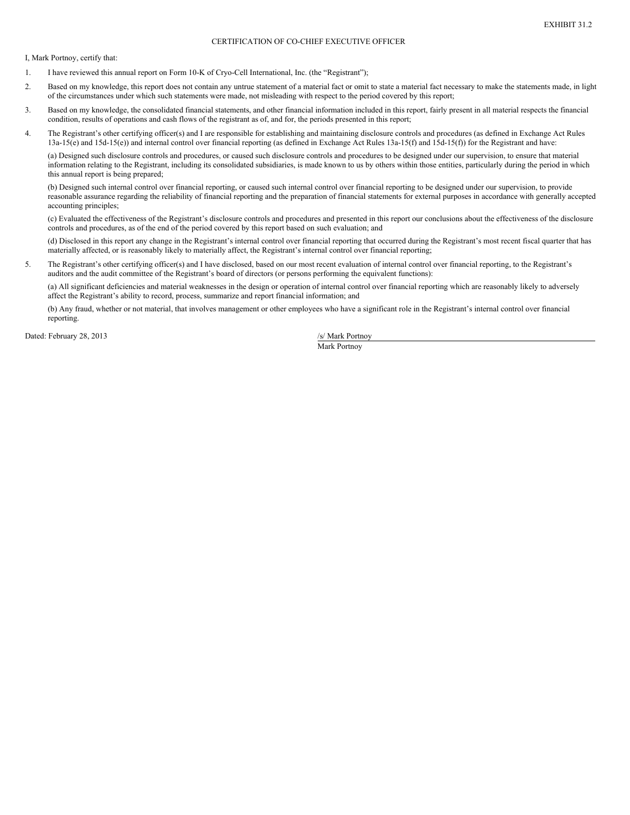## CERTIFICATION OF CO-CHIEF EXECUTIVE OFFICER

I, Mark Portnoy, certify that:

- 1. I have reviewed this annual report on Form 10-K of Cryo-Cell International, Inc. (the "Registrant");
- 2. Based on my knowledge, this report does not contain any untrue statement of a material fact or omit to state a material fact necessary to make the statements made, in light of the circumstances under which such statements were made, not misleading with respect to the period covered by this report;
- 3. Based on my knowledge, the consolidated financial statements, and other financial information included in this report, fairly present in all material respects the financial condition, results of operations and cash flows of the registrant as of, and for, the periods presented in this report;
- 4. The Registrant's other certifying officer(s) and I are responsible for establishing and maintaining disclosure controls and procedures (as defined in Exchange Act Rules 13a-15(e) and 15d-15(e)) and internal control over financial reporting (as defined in Exchange Act Rules 13a-15(f) and 15d-15(f)) for the Registrant and have:

(a) Designed such disclosure controls and procedures, or caused such disclosure controls and procedures to be designed under our supervision, to ensure that material information relating to the Registrant, including its consolidated subsidiaries, is made known to us by others within those entities, particularly during the period in which this annual report is being prepared;

(b) Designed such internal control over financial reporting, or caused such internal control over financial reporting to be designed under our supervision, to provide reasonable assurance regarding the reliability of financial reporting and the preparation of financial statements for external purposes in accordance with generally accepted accounting principles;

(c) Evaluated the effectiveness of the Registrant's disclosure controls and procedures and presented in this report our conclusions about the effectiveness of the disclosure controls and procedures, as of the end of the period covered by this report based on such evaluation; and

(d) Disclosed in this report any change in the Registrant's internal control over financial reporting that occurred during the Registrant's most recent fiscal quarter that has materially affected, or is reasonably likely to materially affect, the Registrant's internal control over financial reporting;

5. The Registrant's other certifying officer(s) and I have disclosed, based on our most recent evaluation of internal control over financial reporting, to the Registrant's auditors and the audit committee of the Registrant's board of directors (or persons performing the equivalent functions):

(a) All significant deficiencies and material weaknesses in the design or operation of internal control over financial reporting which are reasonably likely to adversely affect the Registrant's ability to record, process, summarize and report financial information; and

(b) Any fraud, whether or not material, that involves management or other employees who have a significant role in the Registrant's internal control over financial reporting.

Dated: February 28, 2013 /s/ Mark Portnoy

Mark Portnoy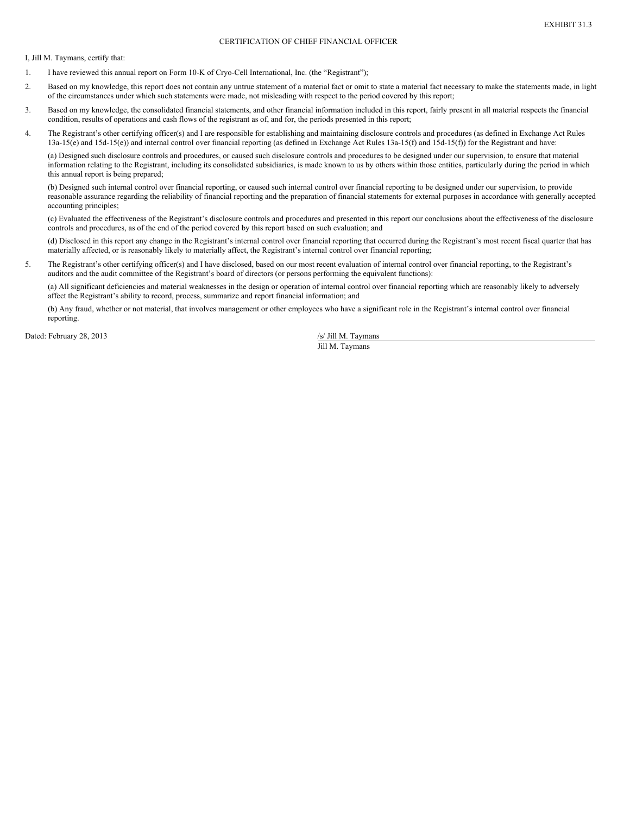## CERTIFICATION OF CHIEF FINANCIAL OFFICER

I, Jill M. Taymans, certify that:

- 1. I have reviewed this annual report on Form 10-K of Cryo-Cell International, Inc. (the "Registrant");
- 2. Based on my knowledge, this report does not contain any untrue statement of a material fact or omit to state a material fact necessary to make the statements made, in light of the circumstances under which such statements were made, not misleading with respect to the period covered by this report;
- 3. Based on my knowledge, the consolidated financial statements, and other financial information included in this report, fairly present in all material respects the financial condition, results of operations and cash flows of the registrant as of, and for, the periods presented in this report;
- 4. The Registrant's other certifying officer(s) and I are responsible for establishing and maintaining disclosure controls and procedures (as defined in Exchange Act Rules 13a-15(e) and 15d-15(e)) and internal control over financial reporting (as defined in Exchange Act Rules 13a-15(f) and 15d-15(f)) for the Registrant and have:

(a) Designed such disclosure controls and procedures, or caused such disclosure controls and procedures to be designed under our supervision, to ensure that material information relating to the Registrant, including its consolidated subsidiaries, is made known to us by others within those entities, particularly during the period in which this annual report is being prepared;

(b) Designed such internal control over financial reporting, or caused such internal control over financial reporting to be designed under our supervision, to provide reasonable assurance regarding the reliability of financial reporting and the preparation of financial statements for external purposes in accordance with generally accepted accounting principles;

(c) Evaluated the effectiveness of the Registrant's disclosure controls and procedures and presented in this report our conclusions about the effectiveness of the disclosure controls and procedures, as of the end of the period covered by this report based on such evaluation; and

(d) Disclosed in this report any change in the Registrant's internal control over financial reporting that occurred during the Registrant's most recent fiscal quarter that has materially affected, or is reasonably likely to materially affect, the Registrant's internal control over financial reporting;

5. The Registrant's other certifying officer(s) and I have disclosed, based on our most recent evaluation of internal control over financial reporting, to the Registrant's auditors and the audit committee of the Registrant's board of directors (or persons performing the equivalent functions):

(a) All significant deficiencies and material weaknesses in the design or operation of internal control over financial reporting which are reasonably likely to adversely affect the Registrant's ability to record, process, summarize and report financial information; and

(b) Any fraud, whether or not material, that involves management or other employees who have a significant role in the Registrant's internal control over financial reporting.

Dated: February 28, 2013 /s/ Jill M. Taymans

Jill M. Taymans